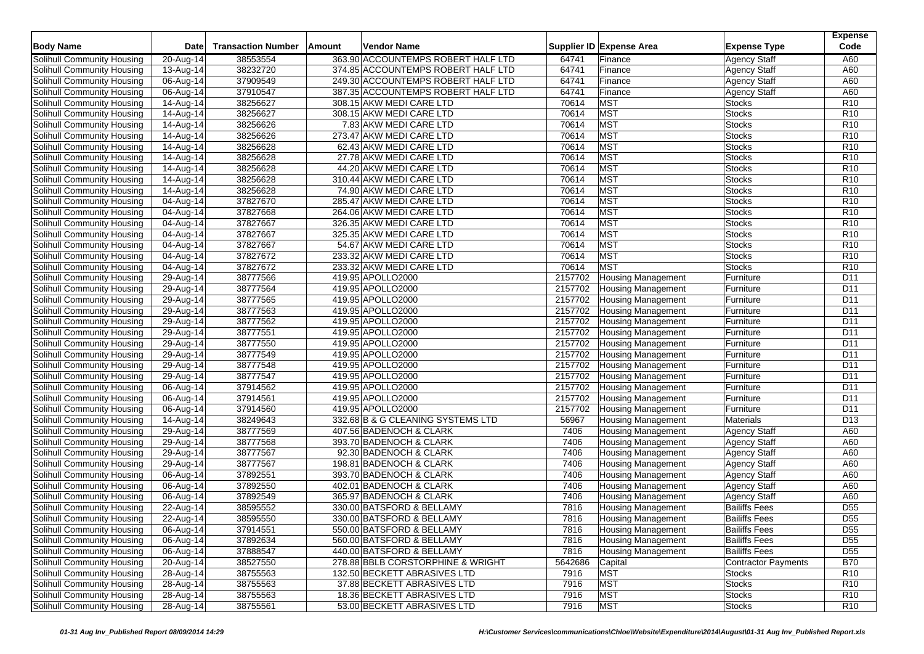| <b>Body Name</b>                  | Date                    | <b>Transaction Number</b> | Vendor Name<br><b>Amount</b>       |         | Supplier ID Expense Area  | <b>Expense Type</b>        | <b>Expense</b><br>Code |
|-----------------------------------|-------------------------|---------------------------|------------------------------------|---------|---------------------------|----------------------------|------------------------|
|                                   |                         |                           |                                    |         |                           |                            |                        |
| <b>Solihull Community Housing</b> | 20-Aug-14               | 38553554                  | 363.90 ACCOUNTEMPS ROBERT HALF LTD | 64741   | Finance                   | <b>Agency Staff</b>        | A60                    |
| Solihull Community Housing        | 13-Aug-14               | 38232720                  | 374.85 ACCOUNTEMPS ROBERT HALF LTD | 64741   | Finance                   | <b>Agency Staff</b>        | A60                    |
| Solihull Community Housing        | 06-Aug-14               | 37909549                  | 249.30 ACCOUNTEMPS ROBERT HALF LTD | 64741   | Finance                   | <b>Agency Staff</b>        | A60                    |
| Solihull Community Housing        | 06-Aug-14               | 37910547                  | 387.35 ACCOUNTEMPS ROBERT HALF LTD | 64741   | Finance                   | <b>Agency Staff</b>        | A60                    |
| Solihull Community Housing        | 14-Aug-14               | 38256627                  | 308.15 AKW MEDI CARE LTD           | 70614   | MST                       | Stocks                     | R <sub>10</sub>        |
| Solihull Community Housing        | 14-Aug-14               | 38256627                  | 308.15 AKW MEDI CARE LTD           | 70614   | <b>MST</b>                | Stocks                     | R <sub>10</sub>        |
| Solihull Community Housing        | 14-Aug-14               | 38256626                  | 7.83 AKW MEDI CARE LTD             | 70614   | <b>MST</b>                | <b>Stocks</b>              | R <sub>10</sub>        |
| Solihull Community Housing        | 14-Aug-14               | 38256626                  | 273.47 AKW MEDI CARE LTD           | 70614   | <b>MST</b>                | Stocks                     | R <sub>10</sub>        |
| Solihull Community Housing        | 14-Aug-14               | 38256628                  | 62.43 AKW MEDI CARE LTD            | 70614   | <b>MST</b>                | <b>Stocks</b>              | R <sub>10</sub>        |
| Solihull Community Housing        | 14-Aug-14               | 38256628                  | 27.78 AKW MEDI CARE LTD            | 70614   | <b>MST</b>                | <b>Stocks</b>              | R <sub>10</sub>        |
| Solihull Community Housing        | 14-Aug-14               | 38256628                  | 44.20 AKW MEDI CARE LTD            | 70614   | <b>MST</b>                | Stocks                     | R <sub>10</sub>        |
| Solihull Community Housing        | 14-Aug-14               | 38256628                  | 310.44 AKW MEDI CARE LTD           | 70614   | <b>MST</b>                | Stocks                     | R <sub>10</sub>        |
| Solihull Community Housing        | 14-Aug-14               | 38256628                  | 74.90 AKW MEDI CARE LTD            | 70614   | <b>MST</b>                | <b>Stocks</b>              | R <sub>10</sub>        |
| Solihull Community Housing        | 04-Aug-14               | 37827670                  | 285.47 AKW MEDI CARE LTD           | 70614   | <b>MST</b>                | Stocks                     | R <sub>10</sub>        |
| Solihull Community Housing        | 04-Aug-14               | 37827668                  | 264.06 AKW MEDI CARE LTD           | 70614   | <b>MST</b>                | <b>Stocks</b>              | R <sub>10</sub>        |
| Solihull Community Housing        | 04-Aug-14               | 37827667                  | 326.35 AKW MEDI CARE LTD           | 70614   | <b>MST</b>                | <b>Stocks</b>              | R10                    |
| Solihull Community Housing        | 04-Aug-14               | 37827667                  | 325.35 AKW MEDI CARE LTD           | 70614   | <b>MST</b>                | Stocks                     | R <sub>10</sub>        |
| Solihull Community Housing        | 04-Aug-14               | 37827667                  | 54.67 AKW MEDI CARE LTD            | 70614   | <b>MST</b>                | Stocks                     | R <sub>10</sub>        |
| Solihull Community Housing        | 04-Aug-14               | 37827672                  | 233.32 AKW MEDI CARE LTD           | 70614   | <b>MST</b>                | <b>Stocks</b>              | R <sub>10</sub>        |
| Solihull Community Housing        | 04-Aug-14               | 37827672                  | 233.32 AKW MEDI CARE LTD           | 70614   | <b>MST</b>                | Stocks                     | R <sub>10</sub>        |
| Solihull Community Housing        | 29-Aug-14               | 38777566                  | 419.95 APOLLO2000                  | 2157702 | <b>Housing Management</b> | Furniture                  | D <sub>11</sub>        |
| Solihull Community Housing        | 29-Aug-14               | 38777564                  | 419.95 APOLLO2000                  | 2157702 | <b>Housing Management</b> | Furniture                  | D <sub>11</sub>        |
| Solihull Community Housing        | 29-Aug-14               | 38777565                  | 419.95 APOLLO2000                  | 2157702 | <b>Housing Management</b> | Furniture                  | D11                    |
| Solihull Community Housing        | 29-Aug-14               | 38777563                  | 419.95 APOLLO2000                  | 2157702 | <b>Housing Management</b> | Furniture                  | D <sub>11</sub>        |
| Solihull Community Housing        | 29-Aug-14               | 38777562                  | 419.95 APOLLO2000                  | 2157702 | <b>Housing Management</b> | Furniture                  | D <sub>11</sub>        |
| Solihull Community Housing        | 29-Aug-14               | 38777551                  | 419.95 APOLLO2000                  | 2157702 | <b>Housing Management</b> | Furniture                  | D <sub>11</sub>        |
| Solihull Community Housing        | 29-Aug-14               | 38777550                  | 419.95 APOLLO2000                  | 2157702 | <b>Housing Management</b> | Furniture                  | D <sub>11</sub>        |
| Solihull Community Housing        | 29-Aug-14               | 38777549                  | 419.95 APOLLO2000                  | 2157702 | <b>Housing Management</b> | Furniture                  | D11                    |
| Solihull Community Housing        | 29-Aug-14               | 38777548                  | 419.95 APOLLO2000                  | 2157702 | <b>Housing Management</b> | Furniture                  | D <sub>11</sub>        |
| Solihull Community Housing        | 29-Aug-14               | 38777547                  | 419.95 APOLLO2000                  | 2157702 | <b>Housing Management</b> | Furniture                  | D11                    |
| Solihull Community Housing        | 06-Aug-14               | 37914562                  | 419.95 APOLLO2000                  | 2157702 | <b>Housing Management</b> | Furniture                  | D11                    |
| Solihull Community Housing        | $\overline{0}$ 6-Aug-14 | 37914561                  | 419.95 APOLLO2000                  | 2157702 | <b>Housing Management</b> | Furniture                  | D <sub>11</sub>        |
| Solihull Community Housing        | $\overline{0}$ 6-Aug-14 | 37914560                  | 419.95 APOLLO2000                  | 2157702 | <b>Housing Management</b> | Furniture                  | D11                    |
| Solihull Community Housing        | 14-Aug-14               | 38249643                  | 332.68 B & G CLEANING SYSTEMS LTD  | 56967   | <b>Housing Management</b> | Materials                  | D <sub>13</sub>        |
| Solihull Community Housing        | 29-Aug-14               | 38777569                  | 407.56 BADENOCH & CLARK            | 7406    | <b>Housing Management</b> | <b>Agency Staff</b>        | A60                    |
| Solihull Community Housing        | 29-Aug-14               | 38777568                  | 393.70 BADENOCH & CLARK            | 7406    | <b>Housing Management</b> | <b>Agency Staff</b>        | A60                    |
| Solihull Community Housing        | 29-Aug-14               | 38777567                  | 92.30 BADENOCH & CLARK             | 7406    | <b>Housing Management</b> | <b>Agency Staff</b>        | A60                    |
| Solihull Community Housing        | 29-Aug-14               | 38777567                  | 198.81 BADENOCH & CLARK            | 7406    | <b>Housing Management</b> | <b>Agency Staff</b>        | A60                    |
| Solihull Community Housing        | 06-Aug-14               | 37892551                  | 393.70 BADENOCH & CLARK            | 7406    | <b>Housing Management</b> | <b>Agency Staff</b>        | A60                    |
| Solihull Community Housing        | 06-Aug-14               | 37892550                  | 402.01 BADENOCH & CLARK            | 7406    | <b>Housing Management</b> | <b>Agency Staff</b>        | A60                    |
| Solihull Community Housing        | 06-Aug-14               | 37892549                  | 365.97 BADENOCH & CLARK            | 7406    | <b>Housing Management</b> | <b>Agency Staff</b>        | A60                    |
| Solihull Community Housing        | 22-Aug-14               | 38595552                  | 330.00 BATSFORD & BELLAMY          | 7816    | <b>Housing Management</b> | <b>Bailiffs Fees</b>       | D <sub>55</sub>        |
| Solihull Community Housing        | 22-Aug-14               | 38595550                  | 330.00 BATSFORD & BELLAMY          | 7816    | <b>Housing Management</b> | <b>Bailiffs Fees</b>       | D <sub>55</sub>        |
| Solihull Community Housing        | 06-Aug-14               | 37914551                  | 550.00 BATSFORD & BELLAMY          | 7816    | <b>Housing Management</b> | <b>Bailiffs Fees</b>       | D <sub>55</sub>        |
| Solihull Community Housing        | 06-Aug-14               | 37892634                  | 560.00 BATSFORD & BELLAMY          | 7816    | <b>Housing Management</b> | <b>Bailiffs Fees</b>       | D <sub>55</sub>        |
| Solihull Community Housing        | 06-Aug-14               | 37888547                  | 440.00 BATSFORD & BELLAMY          | 7816    | <b>Housing Management</b> | <b>Bailiffs Fees</b>       | D <sub>55</sub>        |
| Solihull Community Housing        | 20-Aug-14               | 38527550                  | 278.88 BBLB CORSTORPHINE & WRIGHT  | 5642686 | Capital                   | <b>Contractor Payments</b> | <b>B70</b>             |
| Solihull Community Housing        | $28-Aug-14$             | 38755563                  | 132.50 BECKETT ABRASIVES LTD       | 7916    | <b>MST</b>                | <b>Stocks</b>              | R <sub>10</sub>        |
| Solihull Community Housing        | 28-Aug-14               | 38755563                  | 37.88 BECKETT ABRASIVES LTD        | 7916    | <b>MST</b>                | <b>Stocks</b>              | R <sub>10</sub>        |
| <b>Solihull Community Housing</b> | 28-Aug-14               | 38755563                  | 18.36 BECKETT ABRASIVES LTD        | 7916    | <b>MST</b>                | <b>Stocks</b>              | R <sub>10</sub>        |
| Solihull Community Housing        | 28-Aug-14               | 38755561                  | 53.00 BECKETT ABRASIVES LTD        | 7916    | <b>MST</b>                | <b>Stocks</b>              | R <sub>10</sub>        |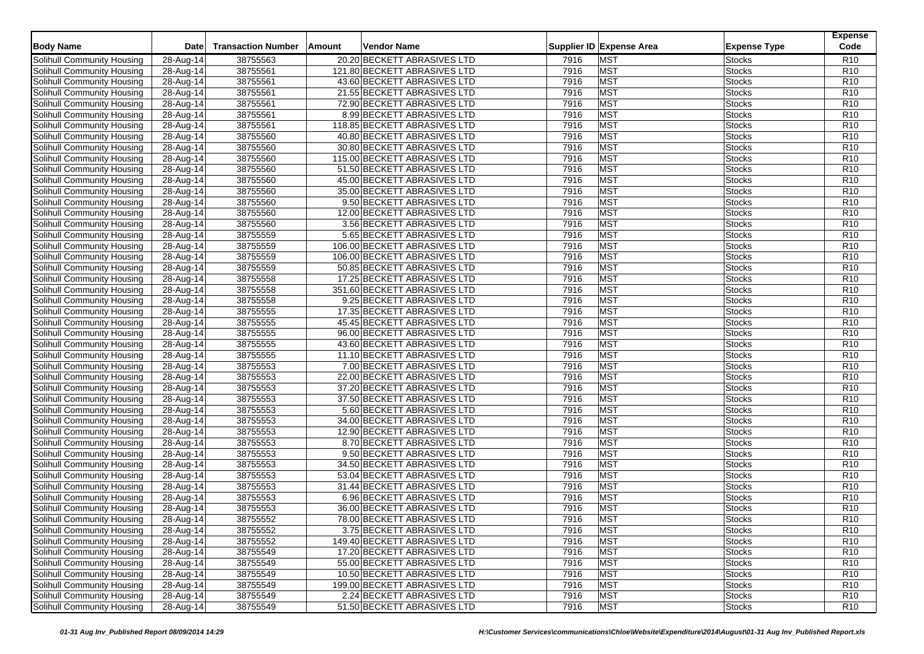| <b>Body Name</b>                  | Date                    | <b>Transaction Number</b> | Amount<br>Vendor Name        |      | Supplier ID Expense Area | <b>Expense Type</b> | <b>Expense</b><br>Code |
|-----------------------------------|-------------------------|---------------------------|------------------------------|------|--------------------------|---------------------|------------------------|
|                                   |                         |                           |                              |      |                          |                     |                        |
| Solihull Community Housing        | 28-Aug-14               | 38755563                  | 20.20 BECKETT ABRASIVES LTD  | 7916 | <b>MST</b>               | <b>Stocks</b>       | R <sub>10</sub>        |
| Solihull Community Housing        | 28-Aug-14               | 38755561                  | 121.80 BECKETT ABRASIVES LTD | 7916 | <b>MST</b>               | <b>Stocks</b>       | R <sub>10</sub>        |
| Solihull Community Housing        | 28-Aug-14               | 38755561                  | 43.60 BECKETT ABRASIVES LTD  | 7916 | <b>MST</b>               | <b>Stocks</b>       | R <sub>10</sub>        |
| Solihull Community Housing        | 28-Aug-14               | 38755561                  | 21.55 BECKETT ABRASIVES LTD  | 7916 | <b>MST</b>               | <b>Stocks</b>       | R <sub>10</sub>        |
| Solihull Community Housing        | 28-Aug-14               | 38755561                  | 72.90 BECKETT ABRASIVES LTD  | 7916 | <b>MST</b>               | <b>Stocks</b>       | R <sub>10</sub>        |
| Solihull Community Housing        | $28-Aug-14$             | 38755561                  | 8.99 BECKETT ABRASIVES LTD   | 7916 | <b>MST</b>               | <b>Stocks</b>       | R <sub>10</sub>        |
| Solihull Community Housing        | 28-Aug-14               | 38755561                  | 118.85 BECKETT ABRASIVES LTD | 7916 | <b>MST</b>               | <b>Stocks</b>       | R <sub>10</sub>        |
| Solihull Community Housing        | 28-Aug-14               | 38755560                  | 40.80 BECKETT ABRASIVES LTD  | 7916 | <b>MST</b>               | <b>Stocks</b>       | R <sub>10</sub>        |
| Solihull Community Housing        | 28-Aug-14               | 38755560                  | 30.80 BECKETT ABRASIVES LTD  | 7916 | <b>MST</b>               | <b>Stocks</b>       | R <sub>10</sub>        |
| Solihull Community Housing        | 28-Aug-14               | 38755560                  | 115.00 BECKETT ABRASIVES LTD | 7916 | <b>MST</b>               | <b>Stocks</b>       | R <sub>10</sub>        |
| Solihull Community Housing        | 28-Aug-14               | 38755560                  | 51.50 BECKETT ABRASIVES LTD  | 7916 | <b>MST</b>               | <b>Stocks</b>       | R <sub>10</sub>        |
| Solihull Community Housing        | 28-Aug-14               | 38755560                  | 45.00 BECKETT ABRASIVES LTD  | 7916 | <b>MST</b>               | <b>Stocks</b>       | R <sub>10</sub>        |
| Solihull Community Housing        | 28-Aug-14               | 38755560                  | 35.00 BECKETT ABRASIVES LTD  | 7916 | <b>MST</b>               | <b>Stocks</b>       | R <sub>10</sub>        |
| Solihull Community Housing        | 28-Aug-14               | 38755560                  | 9.50 BECKETT ABRASIVES LTD   | 7916 | <b>MST</b>               | <b>Stocks</b>       | R <sub>10</sub>        |
| Solihull Community Housing        | $28-Aug-14$             | 38755560                  | 12.00 BECKETT ABRASIVES LTD  | 7916 | <b>MST</b>               | <b>Stocks</b>       | R <sub>10</sub>        |
| Solihull Community Housing        | 28-Aug-14               | 38755560                  | 3.56 BECKETT ABRASIVES LTD   | 7916 | <b>MST</b>               | <b>Stocks</b>       | R <sub>10</sub>        |
| Solihull Community Housing        | 28-Aug-14               | 38755559                  | 5.65 BECKETT ABRASIVES LTD   | 7916 | <b>MST</b>               | <b>Stocks</b>       | R <sub>10</sub>        |
| Solihull Community Housing        | 28-Aug-14               | 38755559                  | 106.00 BECKETT ABRASIVES LTD | 7916 | <b>MST</b>               | <b>Stocks</b>       | R <sub>10</sub>        |
| Solihull Community Housing        | 28-Aug-14               | 38755559                  | 106.00 BECKETT ABRASIVES LTD | 7916 | <b>MST</b>               | <b>Stocks</b>       | R <sub>10</sub>        |
| Solihull Community Housing        | 28-Aug-14               | 38755559                  | 50.85 BECKETT ABRASIVES LTD  | 7916 | <b>MST</b>               | <b>Stocks</b>       | R <sub>10</sub>        |
| Solihull Community Housing        | 28-Aug-14               | 38755558                  | 17.25 BECKETT ABRASIVES LTD  | 7916 | <b>MST</b>               | <b>Stocks</b>       | R <sub>10</sub>        |
| Solihull Community Housing        | $28$ -Aug-14            | 38755558                  | 351.60 BECKETT ABRASIVES LTD | 7916 | <b>MST</b>               | <b>Stocks</b>       | R <sub>10</sub>        |
| <b>Solihull Community Housing</b> | 28-Aug-14               | 38755558                  | 9.25 BECKETT ABRASIVES LTD   | 7916 | <b>MST</b>               | <b>Stocks</b>       | R <sub>10</sub>        |
| Solihull Community Housing        | $28-Aug-14$             | 38755555                  | 17.35 BECKETT ABRASIVES LTD  | 7916 | <b>MST</b>               | <b>Stocks</b>       | R <sub>10</sub>        |
| Solihull Community Housing        | $28-Aug-14$             | 38755555                  | 45.45 BECKETT ABRASIVES LTD  | 7916 | <b>MST</b>               | <b>Stocks</b>       | R <sub>10</sub>        |
| Solihull Community Housing        | 28-Aug-14               | 38755555                  | 96.00 BECKETT ABRASIVES LTD  | 7916 | <b>MST</b>               | <b>Stocks</b>       | R <sub>10</sub>        |
| Solihull Community Housing        | 28-Aug-14               | 38755555                  | 43.60 BECKETT ABRASIVES LTD  | 7916 | <b>MST</b>               | <b>Stocks</b>       | R <sub>10</sub>        |
| Solihull Community Housing        | 28-Aug-14               | 38755555                  | 11.10 BECKETT ABRASIVES LTD  | 7916 | <b>MST</b>               | <b>Stocks</b>       | R <sub>10</sub>        |
| Solihull Community Housing        | 28-Aug-14               | 38755553                  | 7.00 BECKETT ABRASIVES LTD   | 7916 | <b>MST</b>               | <b>Stocks</b>       | R <sub>10</sub>        |
| Solihull Community Housing        | 28-Aug-14               | 38755553                  | 22.00 BECKETT ABRASIVES LTD  | 7916 | <b>MST</b>               | <b>Stocks</b>       | R <sub>10</sub>        |
| Solihull Community Housing        | 28-Aug-14               | 38755553                  | 37.20 BECKETT ABRASIVES LTD  | 7916 | <b>MST</b>               | <b>Stocks</b>       | R <sub>10</sub>        |
| Solihull Community Housing        | 28-Aug-14               | 38755553                  | 37.50 BECKETT ABRASIVES LTD  | 7916 | <b>MST</b>               | <b>Stocks</b>       | R <sub>10</sub>        |
| Solihull Community Housing        | $28$ -Aug-14            | 38755553                  | 5.60 BECKETT ABRASIVES LTD   | 7916 | <b>MST</b>               | <b>Stocks</b>       | R <sub>10</sub>        |
| Solihull Community Housing        | 28-Aug-14               | 38755553                  | 34.00 BECKETT ABRASIVES LTD  | 7916 | <b>MST</b>               | <b>Stocks</b>       | R <sub>10</sub>        |
| Solihull Community Housing        | 28-Aug-14               | 38755553                  | 12.90 BECKETT ABRASIVES LTD  | 7916 | <b>MST</b>               | <b>Stocks</b>       | R <sub>10</sub>        |
| Solihull Community Housing        | 28-Aug-14               | 38755553                  | 8.70 BECKETT ABRASIVES LTD   | 7916 | <b>MST</b>               | <b>Stocks</b>       | R <sub>10</sub>        |
| Solihull Community Housing        | 28-Aug-14               | 38755553                  | 9.50 BECKETT ABRASIVES LTD   | 7916 | <b>MST</b>               | <b>Stocks</b>       | R <sub>10</sub>        |
| Solihull Community Housing        | 28-Aug-14               | 38755553                  | 34.50 BECKETT ABRASIVES LTD  | 7916 | <b>MST</b>               | <b>Stocks</b>       | R <sub>10</sub>        |
| Solihull Community Housing        | 28-Aug-14               | 38755553                  | 53.04 BECKETT ABRASIVES LTD  | 7916 | <b>MST</b>               | <b>Stocks</b>       | R <sub>10</sub>        |
| Solihull Community Housing        | 28-Aug-14               | 38755553                  | 31.44 BECKETT ABRASIVES LTD  | 7916 | <b>MST</b>               | <b>Stocks</b>       | R <sub>10</sub>        |
| Solihull Community Housing        | 28-Aug-14               | 38755553                  | 6.96 BECKETT ABRASIVES LTD   | 7916 | <b>MST</b>               | <b>Stocks</b>       | R <sub>10</sub>        |
| Solihull Community Housing        | 28-Aug-14               | 38755553                  | 36.00 BECKETT ABRASIVES LTD  | 7916 | <b>MST</b>               | <b>Stocks</b>       | R <sub>10</sub>        |
| Solihull Community Housing        | 28-Aug-14               | 38755552                  | 78.00 BECKETT ABRASIVES LTD  | 7916 | <b>MST</b>               | <b>Stocks</b>       | R <sub>10</sub>        |
| Solihull Community Housing        | 28-Aug-14               | 38755552                  | 3.75 BECKETT ABRASIVES LTD   | 7916 | <b>MST</b>               | <b>Stocks</b>       | R <sub>10</sub>        |
| Solihull Community Housing        | $28-Aug-14$             | 38755552                  | 149.40 BECKETT ABRASIVES LTD | 7916 | <b>MST</b>               | <b>Stocks</b>       | R <sub>10</sub>        |
| Solihull Community Housing        | $\overline{28}$ -Aug-14 | 38755549                  | 17.20 BECKETT ABRASIVES LTD  | 7916 | <b>MST</b>               | <b>Stocks</b>       | R <sub>10</sub>        |
| Solihull Community Housing        | 28-Aug-14               | 38755549                  | 55.00 BECKETT ABRASIVES LTD  | 7916 | <b>MST</b>               | <b>Stocks</b>       | R <sub>10</sub>        |
| Solihull Community Housing        | 28-Aug-14               | 38755549                  | 10.50 BECKETT ABRASIVES LTD  | 7916 | <b>MST</b>               | <b>Stocks</b>       | R <sub>10</sub>        |
| Solihull Community Housing        | 28-Aug-14               | 38755549                  | 199.00 BECKETT ABRASIVES LTD | 7916 | <b>MST</b>               | <b>Stocks</b>       | R <sub>10</sub>        |
| <b>Solihull Community Housing</b> | 28-Aug-14               | 38755549                  | 2.24 BECKETT ABRASIVES LTD   | 7916 | <b>MST</b>               | <b>Stocks</b>       | R <sub>10</sub>        |
| Solihull Community Housing        | 28-Aug-14               | 38755549                  | 51.50 BECKETT ABRASIVES LTD  | 7916 | <b>MST</b>               | <b>Stocks</b>       | R <sub>10</sub>        |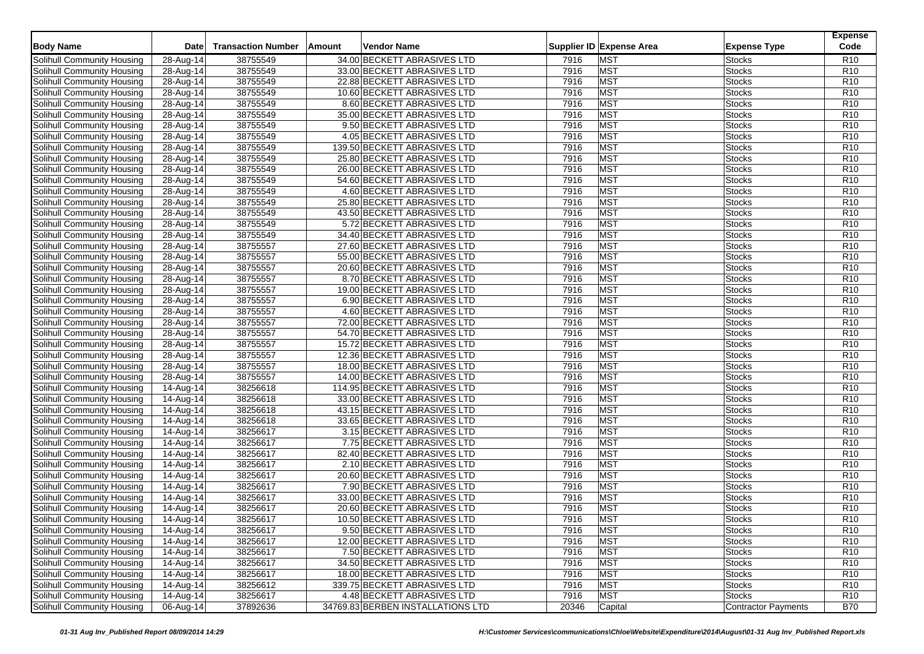| <b>Body Name</b>                  | Date                       | <b>Transaction Number</b> | Amount<br>Vendor Name             |       | Supplier ID Expense Area | <b>Expense Type</b> | <b>Expense</b><br>Code |
|-----------------------------------|----------------------------|---------------------------|-----------------------------------|-------|--------------------------|---------------------|------------------------|
|                                   |                            |                           |                                   |       |                          |                     |                        |
| Solihull Community Housing        | 28-Aug-14                  | 38755549                  | 34.00 BECKETT ABRASIVES LTD       | 7916  | <b>MST</b>               | <b>Stocks</b>       | R <sub>10</sub>        |
| Solihull Community Housing        | 28-Aug-14                  | 38755549                  | 33.00 BECKETT ABRASIVES LTD       | 7916  | <b>MST</b>               | <b>Stocks</b>       | R <sub>10</sub>        |
| Solihull Community Housing        | 28-Aug-14                  | 38755549                  | 22.88 BECKETT ABRASIVES LTD       | 7916  | <b>MST</b>               | <b>Stocks</b>       | R <sub>10</sub>        |
| Solihull Community Housing        | 28-Aug-14                  | 38755549                  | 10.60 BECKETT ABRASIVES LTD       | 7916  | <b>MST</b>               | <b>Stocks</b>       | R <sub>10</sub>        |
| Solihull Community Housing        | 28-Aug-14                  | 38755549                  | 8.60 BECKETT ABRASIVES LTD        | 7916  | <b>MST</b>               | <b>Stocks</b>       | R <sub>10</sub>        |
| Solihull Community Housing        | $28-Aug-14$                | 38755549                  | 35.00 BECKETT ABRASIVES LTD       | 7916  | <b>MST</b>               | <b>Stocks</b>       | R <sub>10</sub>        |
| Solihull Community Housing        | 28-Aug-14                  | 38755549                  | 9.50 BECKETT ABRASIVES LTD        | 7916  | <b>MST</b>               | <b>Stocks</b>       | R <sub>10</sub>        |
| Solihull Community Housing        | 28-Aug-14                  | 38755549                  | 4.05 BECKETT ABRASIVES LTD        | 7916  | <b>MST</b>               | <b>Stocks</b>       | R <sub>10</sub>        |
| Solihull Community Housing        | $28-Aug-14$                | 38755549                  | 139.50 BECKETT ABRASIVES LTD      | 7916  | <b>MST</b>               | <b>Stocks</b>       | R <sub>10</sub>        |
| Solihull Community Housing        | 28-Aug-14                  | 38755549                  | 25.80 BECKETT ABRASIVES LTD       | 7916  | <b>MST</b>               | <b>Stocks</b>       | R <sub>10</sub>        |
| Solihull Community Housing        | 28-Aug-14                  | 38755549                  | 26.00 BECKETT ABRASIVES LTD       | 7916  | <b>MST</b>               | <b>Stocks</b>       | R <sub>10</sub>        |
| Solihull Community Housing        | 28-Aug-14                  | 38755549                  | 54.60 BECKETT ABRASIVES LTD       | 7916  | <b>MST</b>               | <b>Stocks</b>       | R <sub>10</sub>        |
| Solihull Community Housing        | 28-Aug-14                  | 38755549                  | 4.60 BECKETT ABRASIVES LTD        | 7916  | <b>MST</b>               | <b>Stocks</b>       | R <sub>10</sub>        |
| Solihull Community Housing        | 28-Aug-14                  | 38755549                  | 25.80 BECKETT ABRASIVES LTD       | 7916  | <b>MST</b>               | <b>Stocks</b>       | R <sub>10</sub>        |
| Solihull Community Housing        | 28-Aug-14                  | 38755549                  | 43.50 BECKETT ABRASIVES LTD       | 7916  | <b>MST</b>               | <b>Stocks</b>       | R <sub>10</sub>        |
| Solihull Community Housing        | 28-Aug-14                  | 38755549                  | 5.72 BECKETT ABRASIVES LTD        | 7916  | <b>MST</b>               | <b>Stocks</b>       | R <sub>10</sub>        |
| Solihull Community Housing        | 28-Aug-14                  | 38755549                  | 34.40 BECKETT ABRASIVES LTD       | 7916  | <b>MST</b>               | <b>Stocks</b>       | R <sub>10</sub>        |
| Solihull Community Housing        | 28-Aug-14                  | 38755557                  | 27.60 BECKETT ABRASIVES LTD       | 7916  | <b>MST</b>               | <b>Stocks</b>       | R <sub>10</sub>        |
| Solihull Community Housing        | 28-Aug-14                  | 38755557                  | 55.00 BECKETT ABRASIVES LTD       | 7916  | <b>MST</b>               | <b>Stocks</b>       | R <sub>10</sub>        |
| Solihull Community Housing        | 28-Aug-14                  | 38755557                  | 20.60 BECKETT ABRASIVES LTD       | 7916  | <b>MST</b>               | <b>Stocks</b>       | R <sub>10</sub>        |
| Solihull Community Housing        | 28-Aug-14                  | 38755557                  | 8.70 BECKETT ABRASIVES LTD        | 7916  | <b>MST</b>               | <b>Stocks</b>       | R <sub>10</sub>        |
| Solihull Community Housing        | $28$ -Aug-14               | 38755557                  | 19.00 BECKETT ABRASIVES LTD       | 7916  | <b>MST</b>               | <b>Stocks</b>       | R <sub>10</sub>        |
| Solihull Community Housing        | 28-Aug-14                  | 38755557                  | 6.90 BECKETT ABRASIVES LTD        | 7916  | <b>MST</b>               | <b>Stocks</b>       | R <sub>10</sub>        |
| Solihull Community Housing        | $28-Aug-14$                | 38755557                  | 4.60 BECKETT ABRASIVES LTD        | 7916  | <b>MST</b>               | <b>Stocks</b>       | R <sub>10</sub>        |
| Solihull Community Housing        | $28-Aug-14$                | 38755557                  | 72.00 BECKETT ABRASIVES LTD       | 7916  | <b>MST</b>               | <b>Stocks</b>       | R <sub>10</sub>        |
| Solihull Community Housing        | 28-Aug-14                  | 38755557                  | 54.70 BECKETT ABRASIVES LTD       | 7916  | <b>MST</b>               | <b>Stocks</b>       | R <sub>10</sub>        |
| Solihull Community Housing        | 28-Aug-14                  | 38755557                  | 15.72 BECKETT ABRASIVES LTD       | 7916  | <b>MST</b>               | <b>Stocks</b>       | R <sub>10</sub>        |
| Solihull Community Housing        | 28-Aug-14                  | 38755557                  | 12.36 BECKETT ABRASIVES LTD       | 7916  | <b>MST</b>               | <b>Stocks</b>       | R <sub>10</sub>        |
| Solihull Community Housing        | 28-Aug-14                  | 38755557                  | 18.00 BECKETT ABRASIVES LTD       | 7916  | <b>MST</b>               | <b>Stocks</b>       | R <sub>10</sub>        |
| Solihull Community Housing        | 28-Aug-14                  | 38755557                  | 14.00 BECKETT ABRASIVES LTD       | 7916  | <b>MST</b>               | <b>Stocks</b>       | R <sub>10</sub>        |
| Solihull Community Housing        | 14-Aug-14                  | 38256618                  | 114.95 BECKETT ABRASIVES LTD      | 7916  | <b>MST</b>               | <b>Stocks</b>       | R <sub>10</sub>        |
| Solihull Community Housing        | 14-Aug-14                  | 38256618                  | 33.00 BECKETT ABRASIVES LTD       | 7916  | <b>MST</b>               | <b>Stocks</b>       | R <sub>10</sub>        |
| Solihull Community Housing        | 14-Aug-14                  | 38256618                  | 43.15 BECKETT ABRASIVES LTD       | 7916  | <b>MST</b>               | <b>Stocks</b>       | R <sub>10</sub>        |
| Solihull Community Housing        | 14-Aug-14                  | 38256618                  | 33.65 BECKETT ABRASIVES LTD       | 7916  | <b>MST</b>               | <b>Stocks</b>       | R <sub>10</sub>        |
| Solihull Community Housing        | 14-Aug-14                  | 38256617                  | 3.15 BECKETT ABRASIVES LTD        | 7916  | <b>MST</b>               | <b>Stocks</b>       | R <sub>10</sub>        |
| Solihull Community Housing        | 14-Aug-14                  | 38256617                  | 7.75 BECKETT ABRASIVES LTD        | 7916  | <b>MST</b>               | <b>Stocks</b>       | R <sub>10</sub>        |
| Solihull Community Housing        | 14-Aug-14                  | 38256617                  | 82.40 BECKETT ABRASIVES LTD       | 7916  | <b>MST</b>               | <b>Stocks</b>       | R <sub>10</sub>        |
| Solihull Community Housing        | 14-Aug-14                  | 38256617                  | 2.10 BECKETT ABRASIVES LTD        | 7916  | <b>MST</b>               | <b>Stocks</b>       | R <sub>10</sub>        |
| Solihull Community Housing        | 14-Aug-14                  | 38256617                  | 20.60 BECKETT ABRASIVES LTD       | 7916  | <b>MST</b>               | <b>Stocks</b>       | R <sub>10</sub>        |
| Solihull Community Housing        | $\overline{1}$ 4-Aug-14    | 38256617                  | 7.90 BECKETT ABRASIVES LTD        | 7916  | <b>MST</b>               | <b>Stocks</b>       | R <sub>10</sub>        |
| Solihull Community Housing        | 14-Aug-14                  | 38256617                  | 33.00 BECKETT ABRASIVES LTD       | 7916  | <b>MST</b>               | <b>Stocks</b>       | R <sub>10</sub>        |
| Solihull Community Housing        | 14-Aug-14                  | 38256617                  | 20.60 BECKETT ABRASIVES LTD       | 7916  | <b>MST</b>               | <b>Stocks</b>       | R <sub>10</sub>        |
| Solihull Community Housing        | 14-Aug-14                  | 38256617                  | 10.50 BECKETT ABRASIVES LTD       | 7916  | <b>MST</b>               | <b>Stocks</b>       | R <sub>10</sub>        |
| Solihull Community Housing        | 14-Aug-14                  | 38256617                  | 9.50 BECKETT ABRASIVES LTD        | 7916  | <b>MST</b>               | <b>Stocks</b>       | R <sub>10</sub>        |
| Solihull Community Housing        | $14$ -Aug-14               | 38256617                  | 12.00 BECKETT ABRASIVES LTD       | 7916  | <b>MST</b>               | <b>Stocks</b>       | R <sub>10</sub>        |
| Solihull Community Housing        | 14-Aug-14                  | 38256617                  | 7.50 BECKETT ABRASIVES LTD        | 7916  | <b>MST</b>               | <b>Stocks</b>       | R <sub>10</sub>        |
| Solihull Community Housing        | $14$ -Aug- $\overline{14}$ | 38256617                  | 34.50 BECKETT ABRASIVES LTD       | 7916  | <b>MST</b>               | <b>Stocks</b>       | R <sub>10</sub>        |
| Solihull Community Housing        | 14-Aug-14                  | 38256617                  | 18.00 BECKETT ABRASIVES LTD       | 7916  | <b>MST</b>               | <b>Stocks</b>       | R <sub>10</sub>        |
| Solihull Community Housing        | 14-Aug-14                  | 38256612                  | 339.75 BECKETT ABRASIVES LTD      | 7916  | <b>MST</b>               | <b>Stocks</b>       | R <sub>10</sub>        |
| <b>Solihull Community Housing</b> | 14-Aug-14                  | 38256617                  | 4.48 BECKETT ABRASIVES LTD        | 7916  | <b>MST</b>               | <b>Stocks</b>       | R <sub>10</sub>        |
| Solihull Community Housing        | $\overline{06}$ -Aug-14    | 37892636                  | 34769.83 BERBEN INSTALLATIONS LTD | 20346 | Capital                  | Contractor Payments | <b>B70</b>             |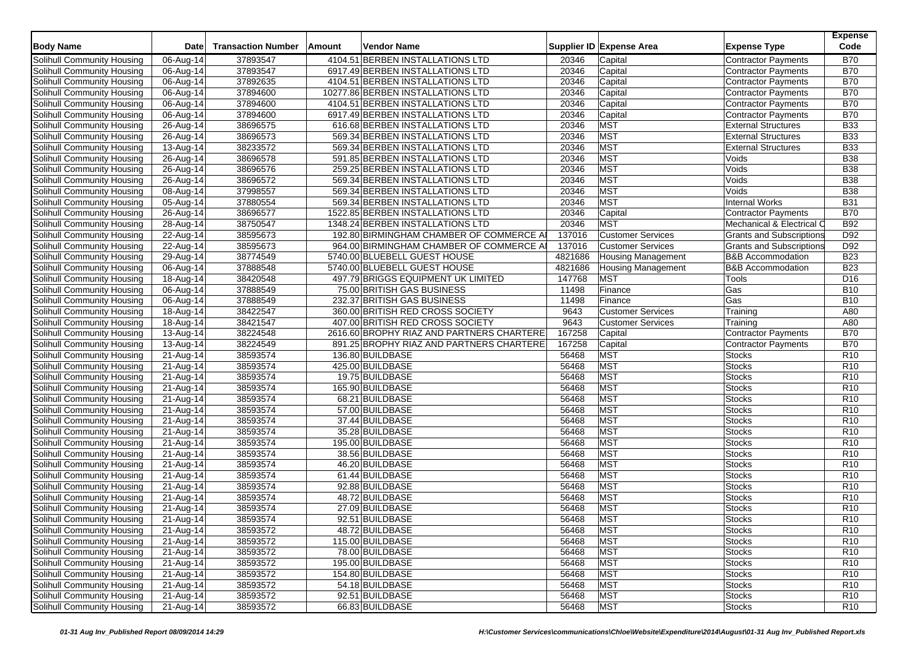| <b>Body Name</b>                  | <b>Date</b>                | <b>Transaction Number</b> | <b>Amount</b> | <b>Vendor Name</b>                        |         | Supplier ID Expense Area  | <b>Expense Type</b>             | <b>Expense</b><br>Code |
|-----------------------------------|----------------------------|---------------------------|---------------|-------------------------------------------|---------|---------------------------|---------------------------------|------------------------|
| <b>Solihull Community Housing</b> | 06-Aug-14                  | 37893547                  |               | 4104.51 BERBEN INSTALLATIONS LTD          | 20346   | Capital                   | <b>Contractor Payments</b>      | <b>B70</b>             |
| Solihull Community Housing        | 06-Aug-14                  | 37893547                  |               | 6917.49 BERBEN INSTALLATIONS LTD          | 20346   | Capital                   | <b>Contractor Payments</b>      | <b>B70</b>             |
| Solihull Community Housing        | 06-Aug-14                  | 37892635                  |               | 4104.51 BERBEN INSTALLATIONS LTD          | 20346   | Capital                   | Contractor Payments             | <b>B70</b>             |
| Solihull Community Housing        | $\overline{0}$ 6-Aug-14    | 37894600                  |               | 10277.86 BERBEN INSTALLATIONS LTD         | 20346   | Capital                   | <b>Contractor Payments</b>      | <b>B70</b>             |
| Solihull Community Housing        | 06-Aug-14                  | 37894600                  |               | 4104.51 BERBEN INSTALLATIONS LTD          | 20346   | Capital                   | <b>Contractor Payments</b>      | <b>B70</b>             |
| Solihull Community Housing        | 06-Aug-14                  | 37894600                  |               | 6917.49 BERBEN INSTALLATIONS LTD          | 20346   | Capital                   | <b>Contractor Payments</b>      | <b>B70</b>             |
| Solihull Community Housing        | $26 - Aug-14$              | 38696575                  |               | 616.68 BERBEN INSTALLATIONS LTD           | 20346   | <b>MST</b>                | <b>External Structures</b>      | <b>B33</b>             |
| Solihull Community Housing        | 26-Aug-14                  | 38696573                  |               | 569.34 BERBEN INSTALLATIONS LTD           | 20346   | <b>MST</b>                | <b>External Structures</b>      | <b>B33</b>             |
| Solihull Community Housing        | 13-Aug-14                  | 38233572                  |               | 569.34 BERBEN INSTALLATIONS LTD           | 20346   | <b>MST</b>                | <b>External Structures</b>      | <b>B33</b>             |
| Solihull Community Housing        | 26-Aug-14                  | 38696578                  |               | 591.85 BERBEN INSTALLATIONS LTD           | 20346   | <b>MST</b>                | Voids                           | <b>B38</b>             |
| Solihull Community Housing        | 26-Aug-14                  | 38696576                  |               | 259.25 BERBEN INSTALLATIONS LTD           | 20346   | <b>MST</b>                | Voids                           | <b>B38</b>             |
| Solihull Community Housing        | 26-Aug-14                  | 38696572                  |               | 569.34 BERBEN INSTALLATIONS LTD           | 20346   | <b>MST</b>                | Voids                           | <b>B38</b>             |
| Solihull Community Housing        | 08-Aug-14                  | 37998557                  |               | 569.34 BERBEN INSTALLATIONS LTD           | 20346   | <b>MST</b>                | Voids                           | <b>B</b> 38            |
| Solihull Community Housing        | 05-Aug-14                  | 37880554                  |               | 569.34 BERBEN INSTALLATIONS LTD           | 20346   | <b>MST</b>                | Internal Works                  | <b>B31</b>             |
| <b>Solihull Community Housing</b> | $26 - Aug-14$              | 38696577                  |               | 1522.85 BERBEN INSTALLATIONS LTD          | 20346   | Capital                   | <b>Contractor Payments</b>      | <b>B70</b>             |
| Solihull Community Housing        | 28-Aug-14                  | 38750547                  |               | 1348.24 BERBEN INSTALLATIONS LTD          | 20346   | <b>MST</b>                | Mechanical & Electrical C       | <b>B92</b>             |
| Solihull Community Housing        | 22-Aug-14                  | 38595673                  |               | 192.80 BIRMINGHAM CHAMBER OF COMMERCE A   | 137016  | <b>Customer Services</b>  | <b>Grants and Subscriptions</b> | D92                    |
| Solihull Community Housing        | 22-Aug-14                  | 38595673                  |               | 964.00 BIRMINGHAM CHAMBER OF COMMERCE AI  | 137016  | <b>Customer Services</b>  | <b>Grants and Subscriptions</b> | D92                    |
| Solihull Community Housing        | 29-Aug-14                  | 38774549                  |               | 5740.00 BLUEBELL GUEST HOUSE              | 4821686 | <b>Housing Management</b> | <b>B&amp;B</b> Accommodation    | <b>B23</b>             |
| Solihull Community Housing        | 06-Aug-14                  | 37888548                  |               | 5740.00 BLUEBELL GUEST HOUSE              | 4821686 | <b>Housing Management</b> | <b>B&amp;B Accommodation</b>    | <b>B23</b>             |
| Solihull Community Housing        | 18-Aug-14                  | 38420548                  |               | 497.79 BRIGGS EQUIPMENT UK LIMITED        | 147768  | <b>MST</b>                | Tools                           | D <sub>16</sub>        |
| Solihull Community Housing        | $06 - Aug-14$              | 37888549                  |               | 75.00 BRITISH GAS BUSINESS                | 11498   | Finance                   | Gas                             | <b>B10</b>             |
| Solihull Community Housing        | 06-Aug-14                  | 37888549                  |               | 232.37 BRITISH GAS BUSINESS               | 11498   | Finance                   | Gas                             | <b>B10</b>             |
| Solihull Community Housing        | 18-Aug-14                  | 38422547                  |               | 360.00 BRITISH RED CROSS SOCIETY          | 9643    | <b>Customer Services</b>  | Training                        | A80                    |
| Solihull Community Housing        | 18-Aug-14                  | 38421547                  |               | 407.00 BRITISH RED CROSS SOCIETY          | 9643    | <b>Customer Services</b>  | Training                        | A80                    |
| Solihull Community Housing        | 13-Aug-14                  | 38224548                  |               | 2616.60 BROPHY RIAZ AND PARTNERS CHARTERE | 167258  | Capital                   | <b>Contractor Payments</b>      | <b>B70</b>             |
| Solihull Community Housing        | 13-Aug-14                  | 38224549                  |               | 891.25 BROPHY RIAZ AND PARTNERS CHARTERE  | 167258  | Capital                   | <b>Contractor Payments</b>      | <b>B70</b>             |
| Solihull Community Housing        | 21-Aug-14                  | 38593574                  |               | 136.80 BUILDBASE                          | 56468   | <b>MST</b>                | <b>Stocks</b>                   | R <sub>10</sub>        |
| Solihull Community Housing        | 21-Aug-14                  | 38593574                  |               | 425.00 BUILDBASE                          | 56468   | <b>MST</b>                | <b>Stocks</b>                   | R <sub>10</sub>        |
| Solihull Community Housing        | 21-Aug-14                  | 38593574                  |               | 19.75 BUILDBASE                           | 56468   | <b>MST</b>                | <b>Stocks</b>                   | R <sub>10</sub>        |
| Solihull Community Housing        | 21-Aug-14                  | 38593574                  |               | 165.90 BUILDBASE                          | 56468   | <b>MST</b>                | <b>Stocks</b>                   | R <sub>10</sub>        |
| Solihull Community Housing        | 21-Aug-14                  | 38593574                  |               | 68.21 BUILDBASE                           | 56468   | <b>MST</b>                | <b>Stocks</b>                   | R <sub>10</sub>        |
| Solihull Community Housing        | 21-Aug-14                  | 38593574                  |               | 57.00 BUILDBASE                           | 56468   | <b>MST</b>                | <b>Stocks</b>                   | R <sub>10</sub>        |
| Solihull Community Housing        | $\overline{2}$ 1-Aug-14    | 38593574                  |               | 37.44 BUILDBASE                           | 56468   | <b>MST</b>                | <b>Stocks</b>                   | R <sub>10</sub>        |
| Solihull Community Housing        | 21-Aug-14                  | 38593574                  |               | 35.28 BUILDBASE                           | 56468   | <b>MST</b>                | <b>Stocks</b>                   | R <sub>10</sub>        |
| Solihull Community Housing        | 21-Aug-14                  | 38593574                  |               | 195.00 BUILDBASE                          | 56468   | <b>MST</b>                | <b>Stocks</b>                   | R <sub>10</sub>        |
| Solihull Community Housing        | $\overline{2}$ 1-Aug-14    | 38593574                  |               | 38.56 BUILDBASE                           | 56468   | <b>MST</b>                | <b>Stocks</b>                   | R <sub>10</sub>        |
| Solihull Community Housing        | 21-Aug-14                  | 38593574                  |               | 46.20 BUILDBASE                           | 56468   | <b>MST</b>                | <b>Stocks</b>                   | R <sub>10</sub>        |
| Solihull Community Housing        | 21-Aug-14                  | 38593574                  |               | 61.44 BUILDBASE                           | 56468   | <b>MST</b>                | <b>Stocks</b>                   | R <sub>10</sub>        |
| Solihull Community Housing        | 21-Aug-14                  | 38593574                  |               | 92.88 BUILDBASE                           | 56468   | <b>MST</b>                | <b>Stocks</b>                   | R <sub>10</sub>        |
| Solihull Community Housing        | 21-Aug-14                  | 38593574                  |               | 48.72 BUILDBASE                           | 56468   | <b>MST</b>                | <b>Stocks</b>                   | R <sub>10</sub>        |
| Solihull Community Housing        | 21-Aug-14                  | 38593574                  |               | 27.09 BUILDBASE                           | 56468   | <b>MST</b>                | <b>Stocks</b>                   | R <sub>10</sub>        |
| Solihull Community Housing        | $\overline{21}$ -Aug-14    | 38593574                  |               | 92.51 BUILDBASE                           | 56468   | <b>MST</b>                | <b>Stocks</b>                   | R <sub>10</sub>        |
| Solihull Community Housing        | $21$ -Aug- $\overline{14}$ | 38593572                  |               | 48.72 BUILDBASE                           | 56468   | <b>MST</b>                | <b>Stocks</b>                   | R <sub>10</sub>        |
| Solihull Community Housing        | 21-Aug-14                  | 38593572                  |               | 115.00 BUILDBASE                          | 56468   | <b>MST</b>                | <b>Stocks</b>                   | R <sub>10</sub>        |
| Solihull Community Housing        | $21-Aug-14$                | 38593572                  |               | 78.00 BUILDBASE                           | 56468   | <b>MST</b>                | Stocks                          | R <sub>10</sub>        |
| Solihull Community Housing        | 21-Aug-14                  | 38593572                  |               | 195.00 BUILDBASE                          | 56468   | <b>MST</b>                | Stocks                          | R <sub>10</sub>        |
| Solihull Community Housing        | 21-Aug-14                  | 38593572                  |               | 154.80 BUILDBASE                          | 56468   | <b>MST</b>                | <b>Stocks</b>                   | R <sub>10</sub>        |
| Solihull Community Housing        | 21-Aug-14                  | 38593572                  |               | 54.18 BUILDBASE                           | 56468   | <b>MST</b>                | <b>Stocks</b>                   | R <sub>10</sub>        |
| <b>Solihull Community Housing</b> | 21-Aug-14                  | 38593572                  |               | 92.51 BUILDBASE                           | 56468   | <b>MST</b>                | <b>Stocks</b>                   | R <sub>10</sub>        |
| Solihull Community Housing        | 21-Aug-14                  | 38593572                  |               | 66.83 BUILDBASE                           | 56468   | <b>MST</b>                | <b>Stocks</b>                   | R10                    |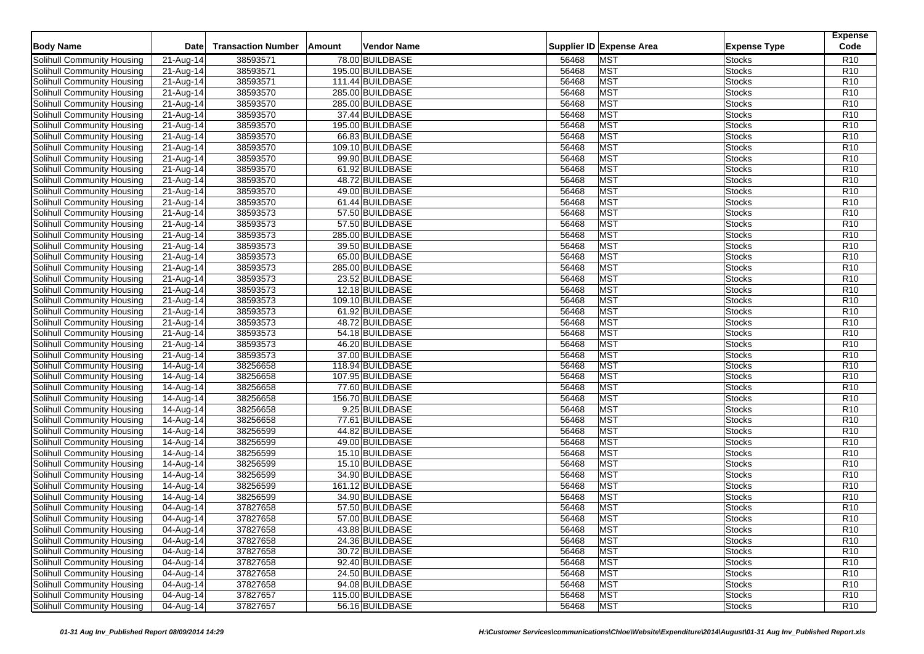|                                   |                         |                           |        |                  |       |                          |                     | <b>Expense</b><br>Code |
|-----------------------------------|-------------------------|---------------------------|--------|------------------|-------|--------------------------|---------------------|------------------------|
| <b>Body Name</b>                  | <b>Date</b>             | <b>Transaction Number</b> | Amount | Vendor Name      |       | Supplier ID Expense Area | <b>Expense Type</b> |                        |
| Solihull Community Housing        | 21-Aug-14               | 38593571                  |        | 78.00 BUILDBASE  | 56468 | <b>MST</b>               | <b>Stocks</b>       | R <sub>10</sub>        |
| Solihull Community Housing        | 21-Aug-14               | 38593571                  |        | 195.00 BUILDBASE | 56468 | <b>MST</b>               | <b>Stocks</b>       | R <sub>10</sub>        |
| Solihull Community Housing        | 21-Aug-14               | 38593571                  |        | 111.44 BUILDBASE | 56468 | <b>MST</b>               | <b>Stocks</b>       | R <sub>10</sub>        |
| Solihull Community Housing        | 21-Aug-14               | 38593570                  |        | 285.00 BUILDBASE | 56468 | <b>MST</b>               | <b>Stocks</b>       | R <sub>10</sub>        |
| Solihull Community Housing        | 21-Aug-14               | 38593570                  |        | 285.00 BUILDBASE | 56468 | <b>MST</b>               | <b>Stocks</b>       | R <sub>10</sub>        |
| Solihull Community Housing        | 21-Aug-14               | 38593570                  |        | 37.44 BUILDBASE  | 56468 | <b>MST</b>               | <b>Stocks</b>       | R <sub>10</sub>        |
| Solihull Community Housing        | $21-Aug-14$             | 38593570                  |        | 195.00 BUILDBASE | 56468 | <b>MST</b>               | <b>Stocks</b>       | R <sub>10</sub>        |
| Solihull Community Housing        | 21-Aug-14               | 38593570                  |        | 66.83 BUILDBASE  | 56468 | <b>MST</b>               | <b>Stocks</b>       | R <sub>10</sub>        |
| Solihull Community Housing        | 21-Aug-14               | 38593570                  |        | 109.10 BUILDBASE | 56468 | <b>MST</b>               | <b>Stocks</b>       | R <sub>10</sub>        |
| Solihull Community Housing        | $21-Aug-14$             | 38593570                  |        | 99.90 BUILDBASE  | 56468 | <b>MST</b>               | <b>Stocks</b>       | R <sub>10</sub>        |
| Solihull Community Housing        | 21-Aug-14               | 38593570                  |        | 61.92 BUILDBASE  | 56468 | <b>MST</b>               | <b>Stocks</b>       | R <sub>10</sub>        |
| Solihull Community Housing        | 21-Aug-14               | 38593570                  |        | 48.72 BUILDBASE  | 56468 | <b>MST</b>               | <b>Stocks</b>       | R <sub>10</sub>        |
| Solihull Community Housing        | 21-Aug-14               | 38593570                  |        | 49.00 BUILDBASE  | 56468 | <b>MST</b>               | <b>Stocks</b>       | R <sub>10</sub>        |
| Solihull Community Housing        | 21-Aug-14               | 38593570                  |        | 61.44 BUILDBASE  | 56468 | <b>MST</b>               | <b>Stocks</b>       | R <sub>10</sub>        |
| <b>Solihull Community Housing</b> | 21-Aug-14               | 38593573                  |        | 57.50 BUILDBASE  | 56468 | <b>MST</b>               | <b>Stocks</b>       | R <sub>10</sub>        |
| Solihull Community Housing        | 21-Aug-14               | 38593573                  |        | 57.50 BUILDBASE  | 56468 | <b>MST</b>               | <b>Stocks</b>       | R <sub>10</sub>        |
| Solihull Community Housing        | 21-Aug-14               | 38593573                  |        | 285.00 BUILDBASE | 56468 | <b>MST</b>               | <b>Stocks</b>       | R <sub>10</sub>        |
| Solihull Community Housing        | 21-Aug-14               | 38593573                  |        | 39.50 BUILDBASE  | 56468 | <b>MST</b>               | <b>Stocks</b>       | R <sub>10</sub>        |
| Solihull Community Housing        | $\overline{21}$ -Aug-14 | 38593573                  |        | 65.00 BUILDBASE  | 56468 | <b>MST</b>               | <b>Stocks</b>       | R <sub>10</sub>        |
| Solihull Community Housing        | 21-Aug-14               | 38593573                  |        | 285.00 BUILDBASE | 56468 | <b>MST</b>               | <b>Stocks</b>       | R <sub>10</sub>        |
| Solihull Community Housing        | 21-Aug-14               | 38593573                  |        | 23.52 BUILDBASE  | 56468 | <b>MST</b>               | <b>Stocks</b>       | R <sub>10</sub>        |
| <b>Solihull Community Housing</b> | 21-Aug-14               | 38593573                  |        | 12.18 BUILDBASE  | 56468 | <b>MST</b>               | <b>Stocks</b>       | R <sub>10</sub>        |
| Solihull Community Housing        | 21-Aug-14               | 38593573                  |        | 109.10 BUILDBASE | 56468 | <b>MST</b>               | <b>Stocks</b>       | R <sub>10</sub>        |
| Solihull Community Housing        | 21-Aug-14               | 38593573                  |        | 61.92 BUILDBASE  | 56468 | <b>MST</b>               | <b>Stocks</b>       | R <sub>10</sub>        |
| Solihull Community Housing        | $\overline{2}$ 1-Aug-14 | 38593573                  |        | 48.72 BUILDBASE  | 56468 | <b>MST</b>               | <b>Stocks</b>       | R <sub>10</sub>        |
| Solihull Community Housing        | 21-Aug-14               | 38593573                  |        | 54.18 BUILDBASE  | 56468 | <b>MST</b>               | <b>Stocks</b>       | R <sub>10</sub>        |
| Solihull Community Housing        | $\overline{21}$ -Aug-14 | 38593573                  |        | 46.20 BUILDBASE  | 56468 | <b>MST</b>               | <b>Stocks</b>       | R <sub>10</sub>        |
| Solihull Community Housing        | 21-Aug-14               | 38593573                  |        | 37.00 BUILDBASE  | 56468 | <b>MST</b>               | <b>Stocks</b>       | R <sub>10</sub>        |
| Solihull Community Housing        | 14-Aug-14               | 38256658                  |        | 118.94 BUILDBASE | 56468 | <b>MST</b>               | <b>Stocks</b>       | R <sub>10</sub>        |
| Solihull Community Housing        | 14-Aug-14               | 38256658                  |        | 107.95 BUILDBASE | 56468 | <b>MST</b>               | <b>Stocks</b>       | R <sub>10</sub>        |
| Solihull Community Housing        | 14-Aug-14               | 38256658                  |        | 77.60 BUILDBASE  | 56468 | <b>MST</b>               | <b>Stocks</b>       | R <sub>10</sub>        |
| <b>Solihull Community Housing</b> | 14-Aug-14               | 38256658                  |        | 156.70 BUILDBASE | 56468 | <b>MST</b>               | <b>Stocks</b>       | R <sub>10</sub>        |
| Solihull Community Housing        | 14-Aug-14               | 38256658                  |        | 9.25 BUILDBASE   | 56468 | <b>MST</b>               | <b>Stocks</b>       | R <sub>10</sub>        |
| Solihull Community Housing        | 14-Aug-14               | 38256658                  |        | 77.61 BUILDBASE  | 56468 | <b>MST</b>               | <b>Stocks</b>       | R <sub>10</sub>        |
| Solihull Community Housing        | 14-Aug-14               | 38256599                  |        | 44.82 BUILDBASE  | 56468 | <b>MST</b>               | <b>Stocks</b>       | R <sub>10</sub>        |
| Solihull Community Housing        | 14-Aug-14               | 38256599                  |        | 49.00 BUILDBASE  | 56468 | <b>MST</b>               | <b>Stocks</b>       | R <sub>10</sub>        |
| Solihull Community Housing        | 14-Aug-14               | 38256599                  |        | 15.10 BUILDBASE  | 56468 | <b>MST</b>               | <b>Stocks</b>       | R <sub>10</sub>        |
| Solihull Community Housing        | 14-Aug-14               | 38256599                  |        | 15.10 BUILDBASE  | 56468 | <b>MST</b>               | <b>Stocks</b>       | R <sub>10</sub>        |
| Solihull Community Housing        | $14$ -Aug-14            | 38256599                  |        | 34.90 BUILDBASE  | 56468 | <b>MST</b>               | <b>Stocks</b>       | R <sub>10</sub>        |
| Solihull Community Housing        | 14-Aug-14               | 38256599                  |        | 161.12 BUILDBASE | 56468 | <b>MST</b>               | <b>Stocks</b>       | R <sub>10</sub>        |
| Solihull Community Housing        | 14-Aug-14               | 38256599                  |        | 34.90 BUILDBASE  | 56468 | <b>MST</b>               | <b>Stocks</b>       | R <sub>10</sub>        |
| Solihull Community Housing        | $\overline{04}$ -Aug-14 | 37827658                  |        | 57.50 BUILDBASE  | 56468 | <b>MST</b>               | <b>Stocks</b>       | R <sub>10</sub>        |
| Solihull Community Housing        | 04-Aug-14               | 37827658                  |        | 57.00 BUILDBASE  | 56468 | <b>MST</b>               | <b>Stocks</b>       | R <sub>10</sub>        |
| Solihull Community Housing        | 04-Aug-14               | 37827658                  |        | 43.88 BUILDBASE  | 56468 | <b>MST</b>               | <b>Stocks</b>       | R <sub>10</sub>        |
| Solihull Community Housing        | 04-Aug-14               | 37827658                  |        | 24.36 BUILDBASE  | 56468 | <b>MST</b>               | <b>Stocks</b>       | R <sub>10</sub>        |
| Solihull Community Housing        | 04-Aug-14               | 37827658                  |        | 30.72 BUILDBASE  | 56468 | <b>MST</b>               | <b>Stocks</b>       | R <sub>10</sub>        |
| Solihull Community Housing        | 04-Aug-14               | 37827658                  |        | 92.40 BUILDBASE  | 56468 | <b>MST</b>               | <b>Stocks</b>       | R <sub>10</sub>        |
| Solihull Community Housing        | 04-Aug-14               | 37827658                  |        | 24.50 BUILDBASE  | 56468 | <b>MST</b>               | <b>Stocks</b>       | R <sub>10</sub>        |
| Solihull Community Housing        | 04-Aug-14               | 37827658                  |        | 94.08 BUILDBASE  | 56468 | <b>MST</b>               | <b>Stocks</b>       | R <sub>10</sub>        |
| Solihull Community Housing        | 04-Aug-14               | 37827657                  |        | 115.00 BUILDBASE | 56468 | <b>MST</b>               | <b>Stocks</b>       | R10                    |
| Solihull Community Housing        | 04-Aug-14               | 37827657                  |        | 56.16 BUILDBASE  | 56468 | <b>MST</b>               | <b>Stocks</b>       | R <sub>10</sub>        |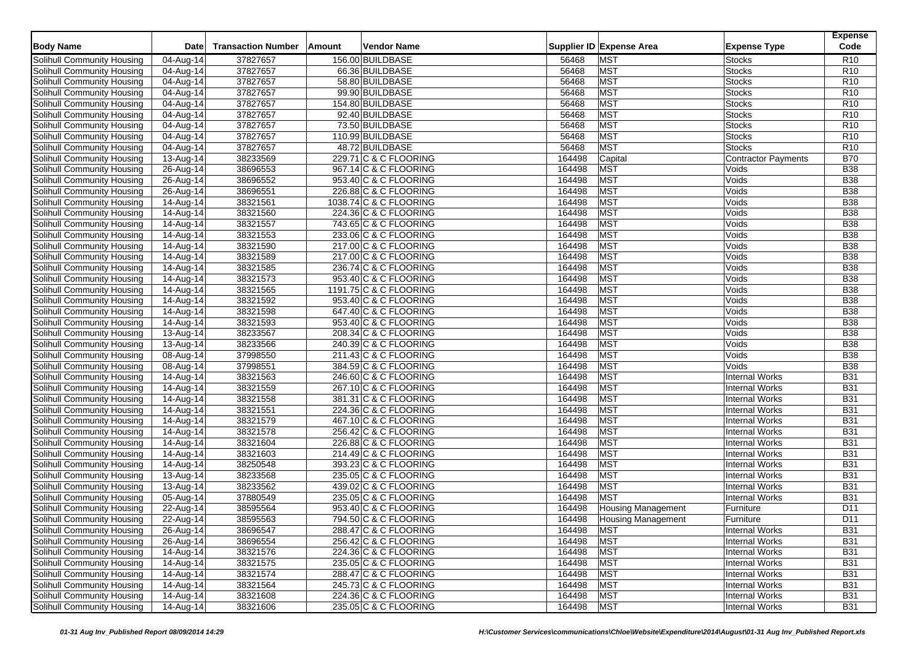| <b>Body Name</b>                  | <b>Date</b>             | <b>Transaction Number</b> | Amount | Vendor Name            |                  | Supplier ID Expense Area  | <b>Expense Type</b>        | <b>Expense</b><br>Code   |
|-----------------------------------|-------------------------|---------------------------|--------|------------------------|------------------|---------------------------|----------------------------|--------------------------|
| Solihull Community Housing        | 04-Aug-14               | 37827657                  |        | 156.00 BUILDBASE       | 56468            | <b>MST</b>                | <b>Stocks</b>              | R <sub>10</sub>          |
| Solihull Community Housing        | 04-Aug-14               | 37827657                  |        | 66.36 BUILDBASE        | 56468            | <b>MST</b>                | <b>Stocks</b>              | R <sub>10</sub>          |
| Solihull Community Housing        | $\overline{04}$ -Aug-14 | 37827657                  |        | 58.80 BUILDBASE        | 56468            | <b>MST</b>                | <b>Stocks</b>              | R <sub>10</sub>          |
| Solihull Community Housing        | 04-Aug-14               | 37827657                  |        | 99.90 BUILDBASE        | 56468            | <b>MST</b>                | <b>Stocks</b>              | R <sub>10</sub>          |
| Solihull Community Housing        | 04-Aug-14               | 37827657                  |        | 154.80 BUILDBASE       | 56468            | <b>MST</b>                | Stocks                     | R <sub>10</sub>          |
| Solihull Community Housing        | $\overline{0}$ 4-Aug-14 | 37827657                  |        | 92.40 BUILDBASE        | 56468            | MST                       | <b>Stocks</b>              | R <sub>10</sub>          |
| Solihull Community Housing        | 04-Aug-14               | 37827657                  |        | 73.50 BUILDBASE        | 56468            | <b>MST</b>                | <b>Stocks</b>              | R <sub>10</sub>          |
| Solihull Community Housing        | 04-Aug-14               | 37827657                  |        | 110.99 BUILDBASE       | 56468            | <b>MST</b>                | Stocks                     | R <sub>10</sub>          |
| Solihull Community Housing        | 04-Aug-14               | 37827657                  |        | 48.72 BUILDBASE        | 56468            | <b>MST</b>                | <b>Stocks</b>              | R <sub>10</sub>          |
| Solihull Community Housing        | 13-Aug-14               | 38233569                  |        | 229.71 C & C FLOORING  | 164498           | Capital                   | <b>Contractor Payments</b> | <b>B70</b>               |
| Solihull Community Housing        | 26-Aug-14               | 38696553                  |        | 967.14 C & C FLOORING  | 164498           | <b>MST</b>                | Voids                      | <b>B38</b>               |
| Solihull Community Housing        |                         | 38696552                  |        | 953.40 C & C FLOORING  | 164498           | <b>MST</b>                | Voids                      | <b>B38</b>               |
| Solihull Community Housing        | 26-Aug-14               | 38696551                  |        | 226.88 C & C FLOORING  | 164498           | <b>MST</b>                | Voids                      | <b>B38</b>               |
| Solihull Community Housing        | 26-Aug-14               | 38321561                  |        | 1038.74 C & C FLOORING | 164498           | <b>MST</b>                | Voids                      | <b>B38</b>               |
| <b>Solihull Community Housing</b> | 14-Aug-14               | 38321560                  |        | 224.36 C & C FLOORING  | 164498           | <b>MST</b>                | Voids                      | <b>B38</b>               |
|                                   | 14-Aug-14               |                           |        |                        |                  | <b>MST</b>                | Voids                      | <b>B38</b>               |
| Solihull Community Housing        | 14-Aug-14               | 38321557                  |        | 743.65 C & C FLOORING  | 164498           | <b>MST</b>                | Voids                      | <b>B38</b>               |
| Solihull Community Housing        | 14-Aug-14               | 38321553                  |        | 233.06 C & C FLOORING  | 164498<br>164498 | <b>MST</b>                | Voids                      | <b>B38</b>               |
| Solihull Community Housing        | $\overline{1}$ 4-Aug-14 | 38321590                  |        | 217.00 C & C FLOORING  |                  |                           |                            |                          |
| Solihull Community Housing        | 14-Aug-14               | 38321589<br>38321585      |        | 217.00 C & C FLOORING  | 164498           | <b>MST</b><br><b>MST</b>  | Voids<br>Voids             | <b>B38</b><br><b>B38</b> |
| Solihull Community Housing        | 14-Aug-14               |                           |        | 236.74 C & C FLOORING  | 164498           |                           |                            |                          |
| Solihull Community Housing        | $\overline{1}$ 4-Aug-14 | 38321573                  |        | 953.40 C & C FLOORING  | 164498           | <b>MST</b>                | Voids                      | <b>B38</b>               |
| Solihull Community Housing        | 14-Aug-14               | 38321565                  |        | 1191.75 C & C FLOORING | 164498           | <b>MST</b>                | Voids                      | <b>B38</b>               |
| Solihull Community Housing        | 14-Aug-14               | 38321592                  |        | 953.40 C & C FLOORING  | 164498           | <b>MST</b>                | Voids                      | <b>B38</b>               |
| Solihull Community Housing        | 14-Aug-14               | 38321598                  |        | 647.40 C & C FLOORING  | 164498           | <b>MST</b>                | Voids                      | <b>B38</b>               |
| Solihull Community Housing        | 14-Aug-14               | 38321593                  |        | 953.40 C & C FLOORING  | 164498           | <b>MST</b>                | Voids                      | <b>B38</b>               |
| Solihull Community Housing        | 13-Aug-14               | 38233567                  |        | 208.34 C & C FLOORING  | 164498           | <b>MST</b>                | Voids                      | <b>B38</b>               |
| Solihull Community Housing        | 13-Aug-14               | 38233566                  |        | 240.39 C & C FLOORING  | 164498           | <b>MST</b>                | Voids                      | <b>B38</b>               |
| Solihull Community Housing        | 08-Aug-14               | 37998550                  |        | 211.43 C & C FLOORING  | 164498           | <b>MST</b>                | Voids                      | <b>B38</b>               |
| Solihull Community Housing        | 08-Aug-14               | 37998551                  |        | 384.59 C & C FLOORING  | 164498           | <b>MST</b>                | Voids                      | <b>B38</b>               |
| Solihull Community Housing        | 14-Aug-14               | 38321563                  |        | 246.60 C & C FLOORING  | 164498           | <b>MST</b>                | <b>Internal Works</b>      | <b>B31</b>               |
| Solihull Community Housing        | 14-Aug-14               | 38321559                  |        | 267.10 C & C FLOORING  | 164498           | <b>MST</b>                | <b>Internal Works</b>      | <b>B31</b>               |
| Solihull Community Housing        | 14-Aug-14               | 38321558                  |        | 381.31 C & C FLOORING  | 164498           | <b>MST</b>                | <b>Internal Works</b>      | <b>B31</b>               |
| Solihull Community Housing        | 14-Aug-14               | 38321551                  |        | 224.36 C & C FLOORING  | 164498           | <b>MST</b>                | <b>Internal Works</b>      | <b>B31</b>               |
| Solihull Community Housing        | 14-Aug-14               | 38321579                  |        | 467.10 C & C FLOORING  | 164498           | <b>MST</b>                | <b>Internal Works</b>      | <b>B31</b>               |
| Solihull Community Housing        | 14-Aug-14               | 38321578                  |        | 256.42 C & C FLOORING  | 164498           | MST                       | <b>Internal Works</b>      | <b>B31</b>               |
| Solihull Community Housing        | 14-Aug-14               | 38321604                  |        | 226.88 C & C FLOORING  | 164498           | <b>MST</b>                | Internal Works             | <b>B31</b>               |
| Solihull Community Housing        | $\overline{14}$ -Aug-14 | 38321603                  |        | 214.49 C & C FLOORING  | 164498           | <b>MST</b>                | <b>Internal Works</b>      | <b>B31</b>               |
| Solihull Community Housing        | 14-Aug-14               | 38250548                  |        | 393.23 C & C FLOORING  | 164498           | MST                       | <b>Internal Works</b>      | <b>B31</b>               |
| Solihull Community Housing        | 13-Aug-14               | 38233568                  |        | 235.05 C & C FLOORING  | 164498           | <b>MST</b>                | <b>Internal Works</b>      | <b>B31</b>               |
| Solihull Community Housing        | 13-Aug-14               | 38233562                  |        | 439.02 C & C FLOORING  | 164498           | <b>MST</b>                | <b>Internal Works</b>      | <b>B31</b>               |
| Solihull Community Housing        | 05-Aug-14               | 37880549                  |        | 235.05 C & C FLOORING  | 164498           | <b>MST</b>                | Internal Works             | <b>B31</b>               |
| Solihull Community Housing        | 22-Aug-14               | 38595564                  |        | 953.40 C & C FLOORING  | 164498           | <b>Housing Management</b> | Furniture                  | D <sub>11</sub>          |
| Solihull Community Housing        | 22-Aug-14               | 38595563                  |        | 794.50 C & C FLOORING  | 164498           | <b>Housing Management</b> | Furniture                  | D <sub>11</sub>          |
| Solihull Community Housing        | 26-Aug-14               | 38696547                  |        | 288.47 C & C FLOORING  | 164498           | <b>MST</b>                | Internal Works             | <b>B31</b>               |
| Solihull Community Housing        | $26$ -Aug-14            | 38696554                  |        | 256.42 C & C FLOORING  | 164498           | <b>MST</b>                | <b>Internal Works</b>      | <b>B31</b>               |
| Solihull Community Housing        | 14-Aug-14               | 38321576                  |        | 224.36 C & C FLOORING  | 164498           | <b>MST</b>                | Internal Works             | <b>B31</b>               |
| Solihull Community Housing        | 14-Aug-14               | 38321575                  |        | 235.05 C & C FLOORING  | 164498           | <b>MST</b>                | <b>Internal Works</b>      | <b>B31</b>               |
| Solihull Community Housing        | 14-Aug-14               | 38321574                  |        | 288.47 C & C FLOORING  | 164498           | <b>MST</b>                | <b>Internal Works</b>      | <b>B31</b>               |
| Solihull Community Housing        | 14-Aug-14               | 38321564                  |        | 245.73 C & C FLOORING  | 164498           | <b>MST</b>                | <b>Internal Works</b>      | <b>B31</b>               |
| Solihull Community Housing        | 14-Aug-14               | 38321608                  |        | 224.36 C & C FLOORING  | 164498           | <b>MST</b>                | <b>Internal Works</b>      | <b>B31</b>               |
| Solihull Community Housing        | 14-Aug-14               | 38321606                  |        | 235.05 C & C FLOORING  | 164498           | <b>MST</b>                | <b>Internal Works</b>      | <b>B31</b>               |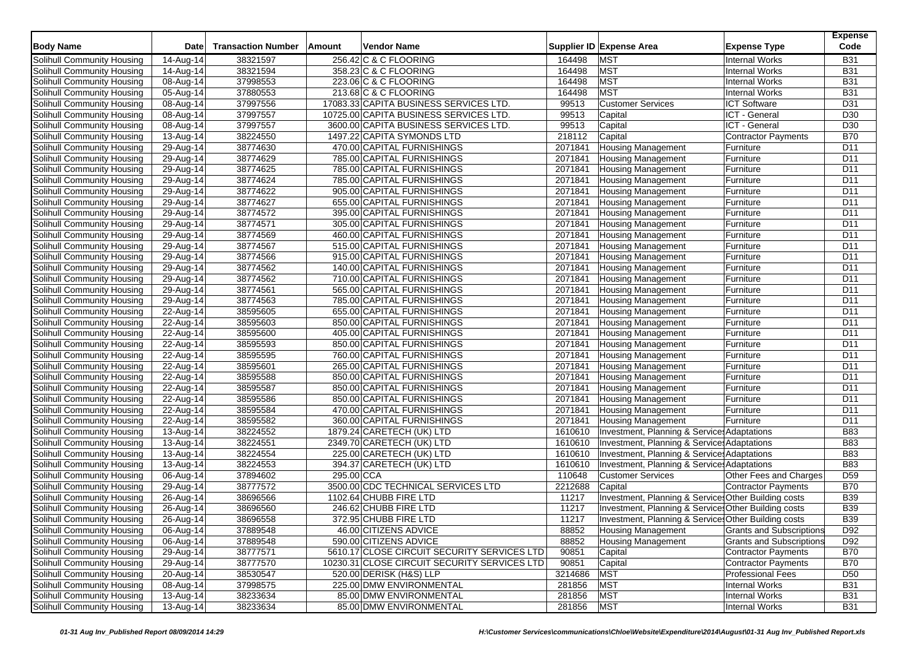| <b>Body Name</b>                  | Date                    | <b>Transaction Number</b> | Amount     | Vendor Name                                  |         | Supplier ID Expense Area<br><b>Expense Type</b>              | <b>Expense</b><br>Code |
|-----------------------------------|-------------------------|---------------------------|------------|----------------------------------------------|---------|--------------------------------------------------------------|------------------------|
| Solihull Community Housing        | 14-Aug-14               | 38321597                  |            | 256.42 C & C FLOORING                        | 164498  | <b>MST</b><br><b>Internal Works</b>                          | <b>B31</b>             |
| Solihull Community Housing        | 14-Aug-14               | 38321594                  |            | 358.23 C & C FLOORING                        | 164498  | <b>MST</b><br><b>Internal Works</b>                          | <b>B31</b>             |
| Solihull Community Housing        | 08-Aug-14               | 37998553                  |            | 223.06 C & C FLOORING                        | 164498  | <b>MST</b><br><b>Internal Works</b>                          | <b>B31</b>             |
| Solihull Community Housing        | $\overline{0}$ 5-Aug-14 | 37880553                  |            | 213.68 C & C FLOORING                        | 164498  | <b>MST</b><br><b>Internal Works</b>                          | <b>B31</b>             |
| Solihull Community Housing        | 08-Aug-14               | 37997556                  |            | 17083.33 CAPITA BUSINESS SERVICES LTD.       | 99513   | <b>Customer Services</b><br><b>ICT Software</b>              | D31                    |
| Solihull Community Housing        | 08-Aug-14               | 37997557                  |            | 10725.00 CAPITA BUSINESS SERVICES LTD.       | 99513   | Capital<br>ICT - General                                     | D <sub>30</sub>        |
| Solihull Community Housing        | 08-Aug-14               | 37997557                  |            | 3600.00 CAPITA BUSINESS SERVICES LTD.        | 99513   | ICT - General<br>Capital                                     | D <sub>30</sub>        |
| Solihull Community Housing        | 13-Aug-14               | 38224550                  |            | 1497.22 CAPITA SYMONDS LTD                   | 218112  | Capital<br><b>Contractor Payments</b>                        | <b>B70</b>             |
| Solihull Community Housing        | 29-Aug-14               | 38774630                  |            | 470.00 CAPITAL FURNISHINGS                   | 2071841 | <b>Housing Management</b><br>Furniture                       | D <sub>11</sub>        |
| Solihull Community Housing        | 29-Aug-14               | 38774629                  |            | 785.00 CAPITAL FURNISHINGS                   | 2071841 | <b>Housing Management</b><br>Furniture                       | D <sub>11</sub>        |
| Solihull Community Housing        | 29-Aug-14               | 38774625                  |            | 785.00 CAPITAL FURNISHINGS                   | 2071841 | <b>Housing Management</b><br>Furniture                       | D <sub>11</sub>        |
| Solihull Community Housing        | 29-Aug-14               | 38774624                  |            | 785.00 CAPITAL FURNISHINGS                   | 2071841 | <b>Housing Management</b><br>Furniture                       | D <sub>11</sub>        |
| Solihull Community Housing        | 29-Aug-14               | 38774622                  |            | 905.00 CAPITAL FURNISHINGS                   | 2071841 | <b>Housing Management</b><br>Furniture                       | D11                    |
| Solihull Community Housing        | 29-Aug-14               | 38774627                  |            | 655.00 CAPITAL FURNISHINGS                   | 2071841 | <b>Housing Management</b><br>Furniture                       | D <sub>11</sub>        |
| Solihull Community Housing        | 29-Aug-14               | 38774572                  |            | 395.00 CAPITAL FURNISHINGS                   | 2071841 | Furniture<br><b>Housing Management</b>                       | D <sub>11</sub>        |
| Solihull Community Housing        | 29-Aug-14               | 38774571                  |            | 305.00 CAPITAL FURNISHINGS                   | 2071841 | <b>Housing Management</b><br>Furniture                       | D <sub>11</sub>        |
| Solihull Community Housing        | 29-Aug-14               | 38774569                  |            | 460.00 CAPITAL FURNISHINGS                   | 2071841 | <b>Housing Management</b><br>Furniture                       | D <sub>11</sub>        |
| Solihull Community Housing        | 29-Aug-14               | 38774567                  |            | 515.00 CAPITAL FURNISHINGS                   | 2071841 | <b>Housing Management</b><br>Furniture                       | D <sub>11</sub>        |
| Solihull Community Housing        | 29-Aug-14               | 38774566                  |            | 915.00 CAPITAL FURNISHINGS                   | 2071841 | <b>Housing Management</b><br>Furniture                       | D11                    |
| Solihull Community Housing        | 29-Aug-14               | 38774562                  |            | 140.00 CAPITAL FURNISHINGS                   | 2071841 | <b>Housing Management</b><br>Furniture                       | D <sub>11</sub>        |
| Solihull Community Housing        | 29-Aug-14               | 38774562                  |            | 710.00 CAPITAL FURNISHINGS                   | 2071841 | <b>Housing Management</b><br>Furniture                       | D <sub>11</sub>        |
| Solihull Community Housing        | 29-Aug-14               | 38774561                  |            | 565.00 CAPITAL FURNISHINGS                   | 2071841 | <b>Housing Management</b><br>Furniture                       | D <sub>11</sub>        |
| Solihull Community Housing        | 29-Aug-14               | 38774563                  |            | 785.00 CAPITAL FURNISHINGS                   | 2071841 | <b>Housing Management</b><br>Furniture                       | D <sub>11</sub>        |
| Solihull Community Housing        | 22-Aug-14               | 38595605                  |            | 655.00 CAPITAL FURNISHINGS                   | 2071841 | Housing Management<br>Furniture                              | D <sub>11</sub>        |
| Solihull Community Housing        | 22-Aug-14               | 38595603                  |            | 850.00 CAPITAL FURNISHINGS                   | 2071841 | <b>Housing Management</b><br>Furniture                       | D <sub>11</sub>        |
| Solihull Community Housing        | 22-Aug-14               | 38595600                  |            | 405.00 CAPITAL FURNISHINGS                   | 2071841 | <b>Housing Management</b><br>Furniture                       | D <sub>11</sub>        |
| Solihull Community Housing        | 22-Aug-14               | 38595593                  |            | 850.00 CAPITAL FURNISHINGS                   | 2071841 | <b>Housing Management</b><br>Furniture                       | D <sub>11</sub>        |
| Solihull Community Housing        | 22-Aug-14               | 38595595                  |            | 760.00 CAPITAL FURNISHINGS                   | 2071841 | <b>Housing Management</b><br>Furniture                       | D <sub>11</sub>        |
| Solihull Community Housing        | 22-Aug-14               | 38595601                  |            | 265.00 CAPITAL FURNISHINGS                   | 2071841 | <b>Housing Management</b><br>Furniture                       | D <sub>11</sub>        |
| Solihull Community Housing        | $\overline{2}$ 2-Aug-14 | 38595588                  |            | 850.00 CAPITAL FURNISHINGS                   | 2071841 | Furniture<br><b>Housing Management</b>                       | D <sub>11</sub>        |
| Solihull Community Housing        | 22-Aug-14               | 38595587                  |            | 850.00 CAPITAL FURNISHINGS                   | 2071841 | <b>Housing Management</b><br>Furniture                       | D <sub>11</sub>        |
| Solihull Community Housing        | 22-Aug-14               | 38595586                  |            | 850.00 CAPITAL FURNISHINGS                   | 2071841 | <b>Housing Management</b><br>Furniture                       | D <sub>11</sub>        |
| Solihull Community Housing        | 22-Aug-14               | 38595584                  |            | 470.00 CAPITAL FURNISHINGS                   | 2071841 | <b>Housing Management</b><br>Furniture                       | D11                    |
| Solihull Community Housing        | 22-Aug-14               | 38595582                  |            | 360.00 CAPITAL FURNISHINGS                   | 2071841 | <b>Housing Management</b><br>Furniture                       | D <sub>11</sub>        |
| Solihull Community Housing        | 13-Aug-14               | 38224552                  |            | 1879.24 CARETECH (UK) LTD                    | 1610610 | Investment, Planning & Service: Adaptations                  | <b>B83</b>             |
| Solihull Community Housing        | 13-Aug-14               | 38224551                  |            | 2349.70 CARETECH (UK) LTD                    | 1610610 | Investment, Planning & Service: Adaptations                  | <b>B83</b>             |
| Solihull Community Housing        | 13-Aug-14               | 38224554                  |            | 225.00 CARETECH (UK) LTD                     | 1610610 | Investment, Planning & Service: Adaptations                  | <b>B83</b>             |
| Solihull Community Housing        | 13-Aug-14               | 38224553                  |            | 394.37 CARETECH (UK) LTD                     | 1610610 | Investment, Planning & Service: Adaptations                  | <b>B83</b>             |
| Solihull Community Housing        | 06-Aug-14               | 37894602                  | 295.00 CCA |                                              | 110648  | <b>Customer Services</b><br>Other Fees and Charges           | D <sub>59</sub>        |
| Solihull Community Housing        | 29-Aug-14               | 38777572                  |            | 3500.00 CDC TECHNICAL SERVICES LTD           | 2212688 | Capital<br><b>Contractor Payments</b>                        | B70                    |
| Solihull Community Housing        | 26-Aug-14               | 38696566                  |            | 1102.64 CHUBB FIRE LTD                       | 11217   | Investment, Planning & Service: Other Building costs         | <b>B39</b>             |
| Solihull Community Housing        | 26-Aug-14               | 38696560                  |            | 246.62 CHUBB FIRE LTD                        | 11217   | Investment, Planning & Service: Other Building costs         | <b>B39</b>             |
| Solihull Community Housing        | 26-Aug-14               | 38696558                  |            | 372.95 CHUBB FIRE LTD                        | 11217   | Investment, Planning & Service: Other Building costs         | <b>B39</b>             |
| Solihull Community Housing        | 06-Aug-14               | 37889548                  |            | 46.00 CITIZENS ADVICE                        | 88852   | <b>Housing Management</b><br><b>Grants and Subscriptions</b> | D92                    |
| Solihull Community Housing        | 06-Aug-14               | 37889548                  |            | 590.00 CITIZENS ADVICE                       | 88852   | <b>Housing Management</b><br><b>Grants and Subscriptions</b> | D92                    |
| Solihull Community Housing        | 29-Aug-14               | 38777571                  |            | 5610.17 CLOSE CIRCUIT SECURITY SERVICES LTD  | 90851   | <b>Contractor Payments</b><br>Capital                        | <b>B70</b>             |
| Solihull Community Housing        | 29-Aug-14               | 38777570                  |            | 10230.31 CLOSE CIRCUIT SECURITY SERVICES LTD | 90851   | Capital<br>Contractor Payments                               | <b>B70</b>             |
| Solihull Community Housing        | 20-Aug-14               | 38530547                  |            | 520.00 DERISK (H&S) LLP                      | 3214686 | <b>Professional Fees</b><br><b>MST</b>                       | D <sub>50</sub>        |
| Solihull Community Housing        | $\overline{08}$ -Aug-14 | 37998575                  |            | 225.00 DMW ENVIRONMENTAL                     | 281856  | <b>MST</b><br><b>Internal Works</b>                          | <b>B31</b>             |
| <b>Solihull Community Housing</b> | 13-Aug-14               | 38233634                  |            | 85.00 DMW ENVIRONMENTAL                      | 281856  | <b>MST</b><br><b>Internal Works</b>                          | <b>B31</b>             |
| Solihull Community Housing        | 13-Aug-14               | 38233634                  |            | 85.00 DMW ENVIRONMENTAL                      | 281856  | <b>MST</b><br><b>Internal Works</b>                          | <b>B31</b>             |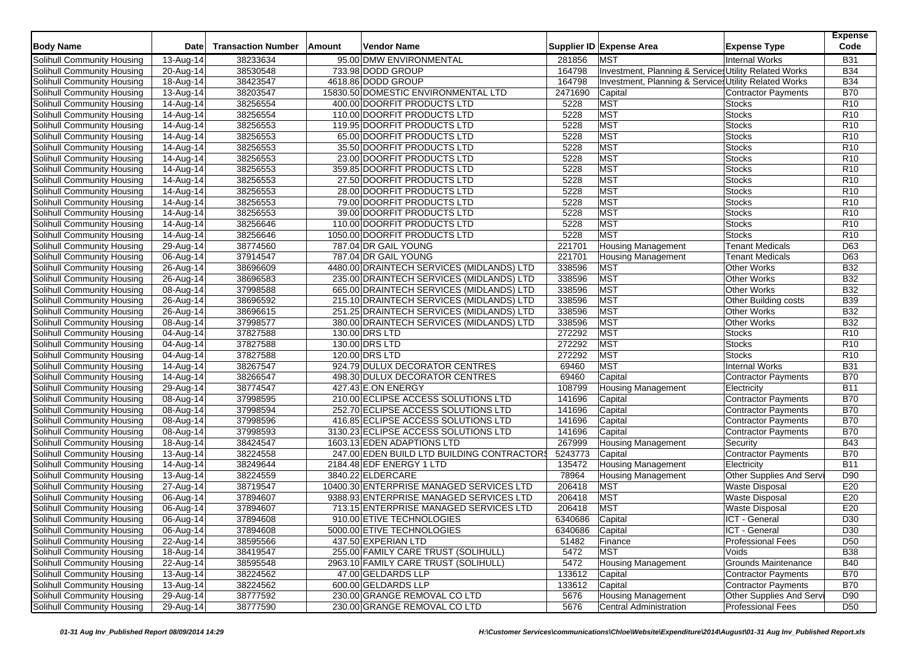| <b>Body Name</b>                                         | Date                    | <b>Transaction Number</b> | Amount | Vendor Name                                |                 | Supplier ID Expense Area                               | <b>Expense Type</b>                            | <b>Expense</b><br>Code |
|----------------------------------------------------------|-------------------------|---------------------------|--------|--------------------------------------------|-----------------|--------------------------------------------------------|------------------------------------------------|------------------------|
| Solihull Community Housing                               | 13-Aug-14               | 38233634                  |        | 95.00 DMW ENVIRONMENTAL                    | 281856          | <b>MST</b>                                             | <b>Internal Works</b>                          | <b>B31</b>             |
| Solihull Community Housing                               | 20-Aug-14               | 38530548                  |        | 733.98 DODD GROUP                          | 164798          | Investment, Planning & Services Utility Related Works  |                                                | <b>B34</b>             |
| Solihull Community Housing                               | 18-Aug-14               | 38423547                  |        | 4618.86 DODD GROUP                         | 164798          | Investment, Planning & Service Utility Related Works   |                                                | <b>B34</b>             |
| Solihull Community Housing                               | 13-Aug-14               | 38203547                  |        | 15830.50 DOMESTIC ENVIRONMENTAL LTD        | 2471690         | Capital                                                | Contractor Payments                            | <b>B70</b>             |
| Solihull Community Housing                               | $\overline{1}$ 4-Aug-14 | 38256554                  |        | 400.00 DOORFIT PRODUCTS LTD                | 5228            | <b>MST</b>                                             | <b>Stocks</b>                                  | R <sub>10</sub>        |
| Solihull Community Housing                               | $\overline{1}$ 4-Aug-14 | 38256554                  |        | 110.00 DOORFIT PRODUCTS LTD                | 5228            | MST                                                    | <b>Stocks</b>                                  | R <sub>10</sub>        |
| Solihull Community Housing                               | $\overline{1}$ 4-Aug-14 | 38256553                  |        | 119.95 DOORFIT PRODUCTS LTD                | 5228            | <b>MST</b>                                             | <b>Stocks</b>                                  | R <sub>10</sub>        |
| Solihull Community Housing                               | 14-Aug-14               | 38256553                  |        | 65.00 DOORFIT PRODUCTS LTD                 | 5228            | <b>MST</b>                                             | <b>Stocks</b>                                  | R <sub>10</sub>        |
| Solihull Community Housing                               | 14-Aug-14               | 38256553                  |        | 35.50 DOORFIT PRODUCTS LTD                 | 5228            | <b>MST</b>                                             | <b>Stocks</b>                                  | R <sub>10</sub>        |
| Solihull Community Housing                               | 14-Aug-14               | 38256553                  |        | 23.00 DOORFIT PRODUCTS LTD                 | 5228            | <b>MST</b>                                             | <b>Stocks</b>                                  | R <sub>10</sub>        |
| Solihull Community Housing                               | 14-Aug-14               | 38256553                  |        | 359.85 DOORFIT PRODUCTS LTD                | 5228            | <b>MST</b>                                             | <b>Stocks</b>                                  | R <sub>10</sub>        |
| Solihull Community Housing                               | 14-Aug-14               | 38256553                  |        | 27.50 DOORFIT PRODUCTS LTD                 | 5228            | MST                                                    | <b>Stocks</b>                                  | R <sub>10</sub>        |
| Solihull Community Housing                               | 14-Aug-14               | 38256553                  |        | 28.00 DOORFIT PRODUCTS LTD                 | 5228            | <b>MST</b>                                             | <b>Stocks</b>                                  | R <sub>10</sub>        |
| Solihull Community Housing                               | 14-Aug-14               | 38256553                  |        | 79.00 DOORFIT PRODUCTS LTD                 | 5228            | MST                                                    | <b>Stocks</b>                                  | R <sub>10</sub>        |
| Solihull Community Housing                               | 14-Aug-14               | 38256553                  |        | 39.00 DOORFIT PRODUCTS LTD                 | 5228            | <b>MST</b>                                             | <b>Stocks</b>                                  | R <sub>10</sub>        |
| Solihull Community Housing                               | 14-Aug-14               | 38256646                  |        | 110.00 DOORFIT PRODUCTS LTD                | 5228            | <b>MST</b>                                             | <b>Stocks</b>                                  | R <sub>10</sub>        |
| Solihull Community Housing                               | 14-Aug-14               | 38256646                  |        | 1050.00 DOORFIT PRODUCTS LTD               | 5228            | <b>MST</b>                                             | <b>Stocks</b>                                  | R <sub>10</sub>        |
| Solihull Community Housing                               | 29-Aug-14               | 38774560                  |        | 787.04 DR GAIL YOUNG                       | 221701          | <b>Housing Management</b>                              | Tenant Medicals                                | D63                    |
| Solihull Community Housing                               | 06-Aug-14               | 37914547                  |        | 787.04 DR GAIL YOUNG                       | 221701          | <b>Housing Management</b>                              | <b>Tenant Medicals</b>                         | D63                    |
| Solihull Community Housing                               | 26-Aug-14               | 38696609                  |        | 4480.00 DRAINTECH SERVICES (MIDLANDS) LTD  | 338596          | <b>MST</b>                                             | <b>Other Works</b>                             | <b>B32</b>             |
| Solihull Community Housing                               | 26-Aug-14               | 38696583                  |        | 235.00 DRAINTECH SERVICES (MIDLANDS) LTD   | 338596          | <b>MST</b>                                             | <b>Other Works</b>                             | <b>B32</b>             |
| Solihull Community Housing                               | 08-Aug-14               | 37998588                  |        | 665.00 DRAINTECH SERVICES (MIDLANDS) LTD   | 338596          | <b>MST</b>                                             | <b>Other Works</b>                             | <b>B32</b>             |
| Solihull Community Housing                               | 26-Aug-14               | 38696592                  |        | 215.10 DRAINTECH SERVICES (MIDLANDS) LTD   | 338596          | <b>MST</b>                                             | Other Building costs                           | <b>B39</b>             |
| Solihull Community Housing                               | 26-Aug-14               | 38696615                  |        | 251.25 DRAINTECH SERVICES (MIDLANDS) LTD   | 338596          | <b>MST</b>                                             | <b>Other Works</b>                             | B32                    |
| Solihull Community Housing                               | 08-Aug-14               | 37998577                  |        | 380.00 DRAINTECH SERVICES (MIDLANDS) LTD   | 338596          | <b>MST</b>                                             | <b>Other Works</b>                             | <b>B32</b>             |
| Solihull Community Housing                               | 04-Aug-14               | 37827588                  |        | 130.00 DRS LTD                             | 272292          | <b>MST</b>                                             | <b>Stocks</b>                                  | R10                    |
| Solihull Community Housing                               | 04-Aug-14               | 37827588                  |        | 130.00 DRS LTD                             | 272292          | <b>MST</b>                                             | <b>Stocks</b>                                  | R <sub>10</sub>        |
| Solihull Community Housing                               | 04-Aug-14               | 37827588                  |        | 120.00 DRS LTD                             | 272292          | <b>MST</b>                                             | <b>Stocks</b>                                  | R <sub>10</sub>        |
| Solihull Community Housing                               | 14-Aug-14               | 38267547                  |        | 924.79 DULUX DECORATOR CENTRES             | 69460           | <b>MST</b>                                             | <b>Internal Works</b>                          | <b>B31</b>             |
| Solihull Community Housing                               | 14-Aug-14               | 38266547                  |        | 498.30 DULUX DECORATOR CENTRES             | 69460           | Capital                                                | Contractor Payments                            | <b>B70</b>             |
| Solihull Community Housing                               | 29-Aug-14               | 38774547                  |        | 427.43 E.ON ENERGY                         | 108799          | <b>Housing Management</b>                              | Electricity                                    | <b>B11</b>             |
| Solihull Community Housing                               | 08-Aug-14               | 37998595                  |        | 210.00 ECLIPSE ACCESS SOLUTIONS LTD        | 141696          | Capital                                                | Contractor Payments                            | <b>B70</b>             |
| Solihull Community Housing                               | 08-Aug-14               | 37998594                  |        | 252.70 ECLIPSE ACCESS SOLUTIONS LTD        | 141696          | Capital                                                | <b>Contractor Payments</b>                     | <b>B70</b>             |
| Solihull Community Housing                               | 08-Aug-14               | 37998596                  |        | 416.85 ECLIPSE ACCESS SOLUTIONS LTD        | 141696          | Capital                                                | <b>Contractor Payments</b>                     | <b>B70</b>             |
| Solihull Community Housing                               | 08-Aug-14               | 37998593                  |        | 3130.23 ECLIPSE ACCESS SOLUTIONS LTD       | 141696          | Capital                                                | Contractor Payments                            | <b>B70</b>             |
| Solihull Community Housing                               | 18-Aug-14               | 38424547                  |        | 1603.13 EDEN ADAPTIONS LTD                 | 267999          | <b>Housing Management</b>                              | Security                                       | <b>B43</b>             |
| Solihull Community Housing                               | 13-Aug-14               | 38224558                  |        | 247.00 EDEN BUILD LTD BUILDING CONTRACTORS | 5243773         | Capital                                                | Contractor Payments                            | <b>B70</b>             |
| Solihull Community Housing                               | 14-Aug-14               | 38249644                  |        | 2184.48 EDF ENERGY 1 LTD                   | 135472          |                                                        |                                                | <b>B11</b>             |
| Solihull Community Housing                               | 13-Aug-14               | 38224559                  |        | 3840.22 ELDERCARE                          | 78964           | <b>Housing Management</b><br><b>Housing Management</b> | Electricity<br>Other Supplies And Serv         | D <sub>90</sub>        |
| Solihull Community Housing                               | 27-Aug-14               | 38719547                  |        | 10400.30 ENTERPRISE MANAGED SERVICES LTD   | 206418          | <b>MST</b>                                             |                                                | E20                    |
|                                                          |                         | 37894607                  |        | 9388.93 ENTERPRISE MANAGED SERVICES LTD    | 206418          | <b>MST</b>                                             | <b>Waste Disposal</b>                          | E20                    |
| Solihull Community Housing                               | 06-Aug-14               | 37894607                  |        | 713.15 ENTERPRISE MANAGED SERVICES LTD     | 206418          | <b>MST</b>                                             | <b>Waste Disposal</b><br><b>Waste Disposal</b> | E20                    |
| Solihull Community Housing<br>Solihull Community Housing | 06-Aug-14               |                           |        |                                            | 6340686         | Capital                                                |                                                | D <sub>30</sub>        |
|                                                          | 06-Aug-14               | 37894608                  |        | 910.00 ETIVE TECHNOLOGIES                  |                 |                                                        | ICT - General                                  |                        |
| Solihull Community Housing                               | 06-Aug-14               | 37894608                  |        | 5000.00 ETIVE TECHNOLOGIES                 | 6340686 Capital |                                                        | ICT - General                                  | D30                    |
| Solihull Community Housing                               | $22-Aug-14$             | 38595566                  |        | 437.50 EXPERIAN LTD                        | 51482           | Finance                                                | <b>Professional Fees</b>                       | D <sub>50</sub>        |
| Solihull Community Housing                               | 18-Aug-14               | 38419547                  |        | 255.00 FAMILY CARE TRUST (SOLIHULL)        | 5472            | <b>MST</b>                                             | Voids                                          | <b>B38</b>             |
| Solihull Community Housing                               | 22-Aug-14               | 38595548                  |        | 2963.10 FAMILY CARE TRUST (SOLIHULL)       | 5472            | <b>Housing Management</b>                              | <b>Grounds Maintenance</b>                     | <b>B40</b>             |
| Solihull Community Housing                               | 13-Aug-14               | 38224562                  |        | 47.00 GELDARDS LLP                         | 133612          | Capital                                                | Contractor Payments                            | <b>B70</b>             |
| Solihull Community Housing                               | $13-Aug-14$             | 38224562                  |        | 600.00 GELDARDS LLP                        | 133612          | Capital                                                | <b>Contractor Payments</b>                     | <b>B70</b>             |
| Solihull Community Housing                               | 29-Aug-14               | 38777592                  |        | 230.00 GRANGE REMOVAL CO LTD               | 5676            | <b>Housing Management</b>                              | Other Supplies And Servi                       | D90                    |
| Solihull Community Housing                               | 29-Aug-14               | 38777590                  |        | 230.00 GRANGE REMOVAL CO LTD               | 5676            | Central Administration                                 | <b>Professional Fees</b>                       | D <sub>50</sub>        |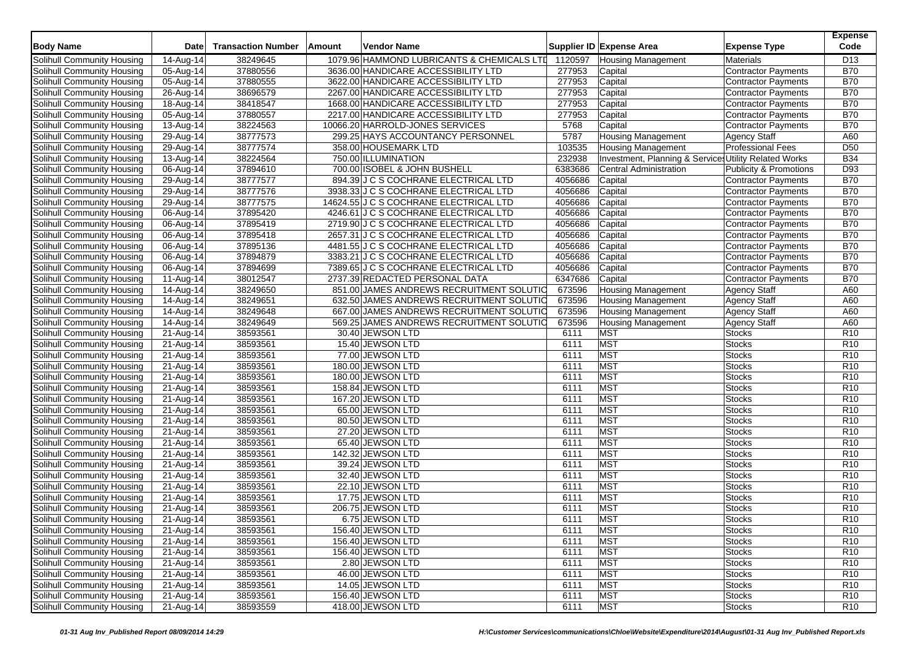| <b>Body Name</b>                  | Date                    | <b>Transaction Number</b> | Amount | <b>Vendor Name</b>                         |         | Supplier ID Expense Area                             | <b>Expense Type</b>               | <b>Expense</b><br>Code |
|-----------------------------------|-------------------------|---------------------------|--------|--------------------------------------------|---------|------------------------------------------------------|-----------------------------------|------------------------|
| Solihull Community Housing        | 14-Aug-14               | 38249645                  |        | 1079.96 HAMMOND LUBRICANTS & CHEMICALS LTD | 1120597 | <b>Housing Management</b>                            | Materials                         | D <sub>13</sub>        |
| Solihull Community Housing        | 05-Aug-14               | 37880556                  |        | 3636.00 HANDICARE ACCESSIBILITY LTD        | 277953  | Capital                                              | <b>Contractor Payments</b>        | <b>B70</b>             |
| Solihull Community Housing        | 05-Aug-14               | 37880555                  |        | 3622.00 HANDICARE ACCESSIBILITY LTD        | 277953  | Capital                                              | <b>Contractor Payments</b>        | <b>B70</b>             |
| Solihull Community Housing        | 26-Aug-14               | 38696579                  |        | 2267.00 HANDICARE ACCESSIBILITY LTD        | 277953  | Capital                                              | <b>Contractor Payments</b>        | <b>B70</b>             |
| Solihull Community Housing        | 18-Aug-14               | 38418547                  |        | 1668.00 HANDICARE ACCESSIBILITY LTD        | 277953  | Capital                                              | <b>Contractor Payments</b>        | <b>B70</b>             |
| Solihull Community Housing        | $\overline{0}$ 5-Aug-14 | 37880557                  |        | 2217.00 HANDICARE ACCESSIBILITY LTD        | 277953  | Capital                                              | <b>Contractor Payments</b>        | <b>B70</b>             |
| Solihull Community Housing        | $\overline{13}$ -Aug-14 | 38224563                  |        | 10066.20 HARROLD-JONES SERVICES            | 5768    | Capital                                              | <b>Contractor Payments</b>        | <b>B70</b>             |
| Solihull Community Housing        | 29-Aug-14               | 38777573                  |        | 299.25 HAYS ACCOUNTANCY PERSONNEL          | 5787    | <b>Housing Management</b>                            | <b>Agency Staff</b>               | A60                    |
| Solihull Community Housing        | 29-Aug-14               | 38777574                  |        | 358.00 HOUSEMARK LTD                       | 103535  | <b>Housing Management</b>                            | <b>Professional Fees</b>          | D <sub>50</sub>        |
| Solihull Community Housing        | 13-Aug-14               | 38224564                  |        | 750.00 ILLUMINATION                        | 232938  | Investment, Planning & Service Utility Related Works |                                   | <b>B34</b>             |
| Solihull Community Housing        | 06-Aug-14               | 37894610                  |        | 700.00 ISOBEL & JOHN BUSHELL               | 6383686 | <b>Central Administration</b>                        | <b>Publicity &amp; Promotions</b> | D93                    |
| Solihull Community Housing        | 29-Aug-14               | 38777577                  |        | 894.39 J C S COCHRANE ELECTRICAL LTD       | 4056686 | Capital                                              | <b>Contractor Payments</b>        | <b>B70</b>             |
| Solihull Community Housing        | 29-Aug-14               | 38777576                  |        | 3938.33 J C S COCHRANE ELECTRICAL LTD      | 4056686 | Capital                                              | <b>Contractor Payments</b>        | <b>B70</b>             |
| Solihull Community Housing        | 29-Aug-14               | 38777575                  |        | 14624.55 J C S COCHRANE ELECTRICAL LTD     | 4056686 | Capital                                              | <b>Contractor Payments</b>        | <b>B70</b>             |
| Solihull Community Housing        | 06-Aug-14               | 37895420                  |        | 4246.61 J C S COCHRANE ELECTRICAL LTD      | 4056686 | Capital                                              | Contractor Payments               | <b>B70</b>             |
| Solihull Community Housing        | 06-Aug-14               | 37895419                  |        | 2719.90 J C S COCHRANE ELECTRICAL LTD      | 4056686 | Capital                                              | <b>Contractor Payments</b>        | <b>B70</b>             |
| Solihull Community Housing        | 06-Aug-14               | 37895418                  |        | 2657.31 J C S COCHRANE ELECTRICAL LTD      | 4056686 | Capital                                              | <b>Contractor Payments</b>        | <b>B70</b>             |
| Solihull Community Housing        | $\overline{0}$ 6-Aug-14 | 37895136                  |        | 4481.55 J C S COCHRANE ELECTRICAL LTD      | 4056686 | Capital                                              | <b>Contractor Payments</b>        | <b>B70</b>             |
| Solihull Community Housing        | 06-Aug-14               | 37894879                  |        | 3383.21 J C S COCHRANE ELECTRICAL LTD      | 4056686 | Capital                                              | <b>Contractor Payments</b>        | <b>B70</b>             |
| Solihull Community Housing        | 06-Aug-14               | 37894699                  |        | 7389.65 J C S COCHRANE ELECTRICAL LTD      | 4056686 | Capital                                              | <b>Contractor Payments</b>        | <b>B70</b>             |
| Solihull Community Housing        | 11-Aug-14               | 38012547                  |        | 2737.39 REDACTED PERSONAL DATA             | 6347686 | Capital                                              | <b>Contractor Payments</b>        | <b>B70</b>             |
| Solihull Community Housing        | 14-Aug-14               | 38249650                  |        | 851.00 JAMES ANDREWS RECRUITMENT SOLUTIO   | 673596  | <b>Housing Management</b>                            | <b>Agency Staff</b>               | A60                    |
| Solihull Community Housing        | 14-Aug-14               | 38249651                  |        | 632.50 JAMES ANDREWS RECRUITMENT SOLUTIO   | 673596  | <b>Housing Management</b>                            | <b>Agency Staff</b>               | A60                    |
| Solihull Community Housing        | 14-Aug-14               | 38249648                  |        | 667.00 JAMES ANDREWS RECRUITMENT SOLUTIO   | 673596  | <b>Housing Management</b>                            | <b>Agency Staff</b>               | A60                    |
| Solihull Community Housing        | 14-Aug-14               | 38249649                  |        | 569.25 JAMES ANDREWS RECRUITMENT SOLUTIO   | 673596  | <b>Housing Management</b>                            | <b>Agency Staff</b>               | A60                    |
| Solihull Community Housing        | 21-Aug-14               | 38593561                  |        | 30.40 JEWSON LTD                           | 6111    | <b>MST</b>                                           | <b>Stocks</b>                     | R <sub>10</sub>        |
| Solihull Community Housing        | 21-Aug-14               | 38593561                  |        | 15.40 JEWSON LTD                           | 6111    | <b>MST</b>                                           | <b>Stocks</b>                     | R <sub>10</sub>        |
| Solihull Community Housing        | 21-Aug-14               | 38593561                  |        | 77.00 JEWSON LTD                           | 6111    | <b>MST</b>                                           | <b>Stocks</b>                     | R <sub>10</sub>        |
| Solihull Community Housing        | 21-Aug-14               | 38593561                  |        | 180.00 JEWSON LTD                          | 6111    | <b>MST</b>                                           | <b>Stocks</b>                     | R <sub>10</sub>        |
| Solihull Community Housing        | 21-Aug-14               | 38593561                  |        | 180.00 JEWSON LTD                          | 6111    | <b>MST</b>                                           | <b>Stocks</b>                     | R <sub>10</sub>        |
| Solihull Community Housing        | 21-Aug-14               | 38593561                  |        | 158.84 JEWSON LTD                          | 6111    | <b>MST</b>                                           | <b>Stocks</b>                     | R <sub>10</sub>        |
| Solihull Community Housing        | 21-Aug-14               | 38593561                  |        | 167.20 JEWSON LTD                          | 6111    | <b>MST</b>                                           | <b>Stocks</b>                     | R <sub>10</sub>        |
| Solihull Community Housing        | 21-Aug-14               | 38593561                  |        | 65.00 JEWSON LTD                           | 6111    | <b>MST</b>                                           | <b>Stocks</b>                     | R <sub>10</sub>        |
| Solihull Community Housing        | $\overline{2}$ 1-Aug-14 | 38593561                  |        | 80.50 JEWSON LTD                           | 6111    | <b>MST</b>                                           | <b>Stocks</b>                     | R <sub>10</sub>        |
| Solihull Community Housing        | 21-Aug-14               | 38593561                  |        | 27.20 JEWSON LTD                           | 6111    | <b>MST</b>                                           | <b>Stocks</b>                     | R <sub>10</sub>        |
| Solihull Community Housing        | $21-Aug-14$             | 38593561                  |        | 65.40 JEWSON LTD                           | 6111    | <b>MST</b>                                           | <b>Stocks</b>                     | R <sub>10</sub>        |
| Solihull Community Housing        | 21-Aug-14               | 38593561                  |        | 142.32 JEWSON LTD                          | 6111    | <b>MST</b>                                           | <b>Stocks</b>                     | R <sub>10</sub>        |
| Solihull Community Housing        | 21-Aug-14               | 38593561                  |        | 39.24 JEWSON LTD                           | 6111    | <b>MST</b>                                           | <b>Stocks</b>                     | R <sub>10</sub>        |
| Solihull Community Housing        | 21-Aug-14               | 38593561                  |        | 32.40 JEWSON LTD                           | 6111    | <b>MST</b>                                           | <b>Stocks</b>                     | R <sub>10</sub>        |
| Solihull Community Housing        | 21-Aug-14               | 38593561                  |        | 22.10 JEWSON LTD                           | 6111    | <b>MST</b>                                           | <b>Stocks</b>                     | R <sub>10</sub>        |
| Solihull Community Housing        | 21-Aug-14               | 38593561                  |        | 17.75 JEWSON LTD                           | 6111    | <b>MST</b>                                           | <b>Stocks</b>                     | R <sub>10</sub>        |
| Solihull Community Housing        | $\overline{21}$ -Aug-14 | 38593561                  |        | 206.75 JEWSON LTD                          | 6111    | <b>MST</b>                                           | <b>Stocks</b>                     | R <sub>10</sub>        |
| Solihull Community Housing        | 21-Aug-14               | 38593561                  |        | 6.75 JEWSON LTD                            | 6111    | MST                                                  | <b>Stocks</b>                     | R <sub>10</sub>        |
| Solihull Community Housing        | 21-Aug-14               | 38593561                  |        | 156.40 JEWSON LTD                          | 6111    | <b>MST</b>                                           | <b>Stocks</b>                     | R <sub>10</sub>        |
| Solihull Community Housing        | 21-Aug-14               | 38593561                  |        | 156.40 JEWSON LTD                          | 6111    | <b>MST</b>                                           | <b>Stocks</b>                     | R <sub>10</sub>        |
| Solihull Community Housing        | 21-Aug-14               | 38593561                  |        | 156.40 JEWSON LTD                          | 6111    | <b>MST</b>                                           | <b>Stocks</b>                     | R <sub>10</sub>        |
| Solihull Community Housing        | 21-Aug-14               | 38593561                  |        | 2.80 JEWSON LTD                            | 6111    | <b>MST</b>                                           | <b>Stocks</b>                     | R <sub>10</sub>        |
| Solihull Community Housing        | 21-Aug-14               | 38593561                  |        | 46.00 JEWSON LTD                           | 6111    | <b>MST</b>                                           | Stocks                            | R <sub>10</sub>        |
| Solihull Community Housing        | 21-Aug-14               | 38593561                  |        | 14.05 JEWSON LTD                           | 6111    | <b>MST</b>                                           | <b>Stocks</b>                     | R <sub>10</sub>        |
| <b>Solihull Community Housing</b> | 21-Aug-14               | 38593561                  |        | 156.40 JEWSON LTD                          | 6111    | <b>MST</b>                                           | <b>Stocks</b>                     | R <sub>10</sub>        |
| Solihull Community Housing        | 21-Aug-14               | 38593559                  |        | 418.00 JEWSON LTD                          | 6111    | <b>MST</b>                                           | <b>Stocks</b>                     | R <sub>10</sub>        |
|                                   |                         |                           |        |                                            |         |                                                      |                                   |                        |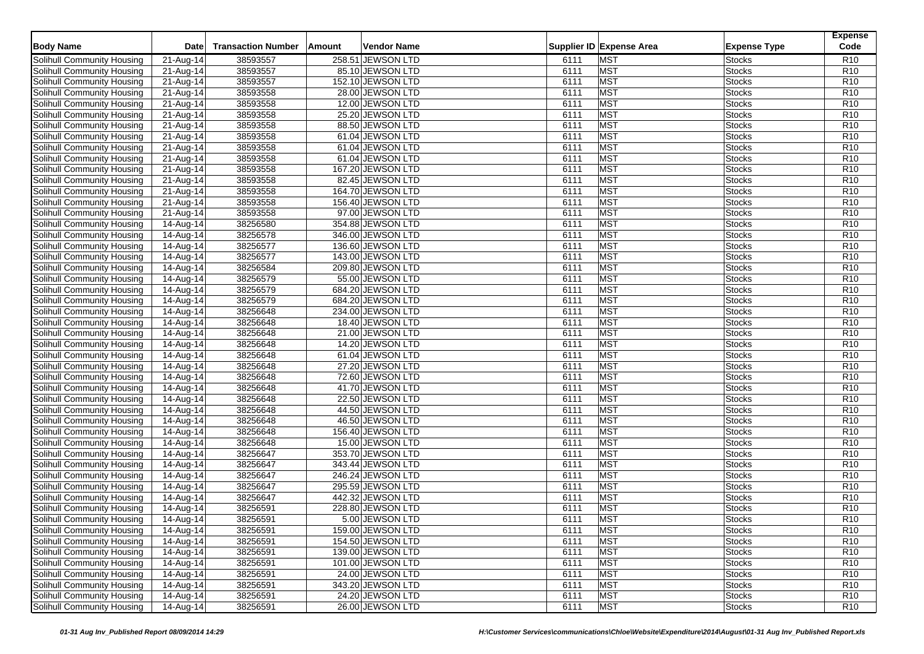| <b>Body Name</b>                                                | Date                    | <b>Transaction Number</b> | Amount | Vendor Name                          |              | Supplier ID Expense Area | <b>Expense Type</b>            | <b>Expense</b><br>Code |
|-----------------------------------------------------------------|-------------------------|---------------------------|--------|--------------------------------------|--------------|--------------------------|--------------------------------|------------------------|
| Solihull Community Housing                                      |                         |                           |        | 258.51 JEWSON LTD                    | 6111         | <b>MST</b>               |                                | R <sub>10</sub>        |
|                                                                 | 21-Aug-14               | 38593557                  |        | 85.10 JEWSON LTD                     |              |                          | <b>Stocks</b>                  | R <sub>10</sub>        |
| Solihull Community Housing<br><b>Solihull Community Housing</b> | 21-Aug-14               | 38593557<br>38593557      |        | 152.10 JEWSON LTD                    | 6111<br>6111 | <b>MST</b><br><b>MST</b> | <b>Stocks</b><br><b>Stocks</b> | R <sub>10</sub>        |
|                                                                 | 21-Aug-14               |                           |        |                                      |              | <b>MST</b>               |                                | R <sub>10</sub>        |
| Solihull Community Housing                                      | 21-Aug-14               | 38593558<br>38593558      |        | 28.00 JEWSON LTD<br>12.00 JEWSON LTD | 6111         | <b>MST</b>               | <b>Stocks</b>                  | R <sub>10</sub>        |
| Solihull Community Housing                                      | 21-Aug-14               |                           |        |                                      | 6111         | <b>MST</b>               | <b>Stocks</b><br><b>Stocks</b> | R <sub>10</sub>        |
| Solihull Community Housing                                      | 21-Aug-14               | 38593558                  |        | 25.20 JEWSON LTD                     | 6111         |                          |                                |                        |
| Solihull Community Housing                                      | 21-Aug-14               | 38593558                  |        | 88.50 JEWSON LTD                     | 6111         | <b>MST</b>               | <b>Stocks</b>                  | R <sub>10</sub>        |
| Solihull Community Housing                                      | 21-Aug-14               | 38593558                  |        | 61.04 JEWSON LTD                     | 6111         | <b>MST</b>               | <b>Stocks</b>                  | R <sub>10</sub>        |
| Solihull Community Housing                                      | 21-Aug-14               | 38593558                  |        | 61.04 JEWSON LTD                     | 6111         | <b>MST</b>               | <b>Stocks</b>                  | R <sub>10</sub>        |
| Solihull Community Housing                                      | $\overline{21}$ -Aug-14 | 38593558                  |        | 61.04 JEWSON LTD                     | 6111         | <b>MST</b>               | <b>Stocks</b>                  | R <sub>10</sub>        |
| Solihull Community Housing                                      | 21-Aug-14               | 38593558                  |        | 167.20 JEWSON LTD                    | 6111         | <b>MST</b>               | <b>Stocks</b>                  | R <sub>10</sub>        |
| Solihull Community Housing                                      | $21-Aug-14$             | 38593558                  |        | 82.45 JEWSON LTD                     | 6111         | <b>MST</b>               | <b>Stocks</b>                  | R <sub>10</sub>        |
| Solihull Community Housing                                      | $\overline{21}$ -Aug-14 | 38593558                  |        | 164.70 JEWSON LTD                    | 6111         | <b>MST</b>               | <b>Stocks</b>                  | R10                    |
| Solihull Community Housing                                      | 21-Aug-14               | 38593558                  |        | 156.40 JEWSON LTD                    | 6111         | <b>MST</b>               | <b>Stocks</b>                  | R <sub>10</sub>        |
| <b>Solihull Community Housing</b>                               | $21-Aug-14$             | 38593558                  |        | 97.00 JEWSON LTD                     | 6111         | <b>MST</b>               | <b>Stocks</b>                  | R <sub>10</sub>        |
| Solihull Community Housing                                      | 14-Aug-14               | 38256580                  |        | 354.88 JEWSON LTD                    | 6111         | <b>MST</b>               | <b>Stocks</b>                  | R <sub>10</sub>        |
| Solihull Community Housing                                      | 14-Aug-14               | 38256578                  |        | 346.00 JEWSON LTD                    | 6111         | <b>MST</b>               | <b>Stocks</b>                  | R <sub>10</sub>        |
| Solihull Community Housing                                      | 14-Aug-14               | 38256577                  |        | 136.60 JEWSON LTD                    | 6111         | <b>MST</b>               | <b>Stocks</b>                  | R <sub>10</sub>        |
| Solihull Community Housing                                      | 14-Aug-14               | 38256577                  |        | 143.00 JEWSON LTD                    | 6111         | <b>MST</b>               | <b>Stocks</b>                  | R <sub>10</sub>        |
| Solihull Community Housing                                      | 14-Aug-14               | 38256584                  |        | 209.80 JEWSON LTD                    | 6111         | <b>MST</b>               | <b>Stocks</b>                  | R <sub>10</sub>        |
| Solihull Community Housing                                      | 14-Aug-14               | 38256579                  |        | 55.00 JEWSON LTD                     | 6111         | <b>MST</b>               | <b>Stocks</b>                  | R <sub>10</sub>        |
| Solihull Community Housing                                      | 14-Aug-14               | 38256579                  |        | 684.20 JEWSON LTD                    | 6111         | <b>MST</b>               | <b>Stocks</b>                  | R <sub>10</sub>        |
| Solihull Community Housing                                      | 14-Aug-14               | 38256579                  |        | 684.20 JEWSON LTD                    | 6111         | <b>MST</b>               | <b>Stocks</b>                  | R <sub>10</sub>        |
| Solihull Community Housing                                      | 14-Aug-14               | 38256648                  |        | 234.00 JEWSON LTD                    | 6111         | <b>MST</b>               | <b>Stocks</b>                  | R <sub>10</sub>        |
| Solihull Community Housing                                      | 14-Aug-14               | 38256648                  |        | 18.40 JEWSON LTD                     | 6111         | <b>MST</b>               | <b>Stocks</b>                  | R <sub>10</sub>        |
| Solihull Community Housing                                      | 14-Aug-14               | 38256648                  |        | 21.00 JEWSON LTD                     | 6111         | <b>MST</b>               | <b>Stocks</b>                  | R <sub>10</sub>        |
| Solihull Community Housing                                      | $14$ -Aug-14            | 38256648                  |        | 14.20 JEWSON LTD                     | 6111         | <b>MST</b>               | <b>Stocks</b>                  | R <sub>10</sub>        |
| Solihull Community Housing                                      | $\overline{1}$ 4-Aug-14 | 38256648                  |        | 61.04 JEWSON LTD                     | 6111         | <b>MST</b>               | <b>Stocks</b>                  | R <sub>10</sub>        |
| Solihull Community Housing                                      | 14-Aug-14               | 38256648                  |        | 27.20 JEWSON LTD                     | 6111         | <b>MST</b>               | <b>Stocks</b>                  | R <sub>10</sub>        |
| Solihull Community Housing                                      | 14-Aug-14               | 38256648                  |        | 72.60 JEWSON LTD                     | 6111         | <b>MST</b>               | <b>Stocks</b>                  | R <sub>10</sub>        |
| Solihull Community Housing                                      | 14-Aug-14               | 38256648                  |        | 41.70 JEWSON LTD                     | 6111         | <b>MST</b>               | <b>Stocks</b>                  | R <sub>10</sub>        |
| Solihull Community Housing                                      | 14-Aug-14               | 38256648                  |        | 22.50 JEWSON LTD                     | 6111         | <b>MST</b>               | <b>Stocks</b>                  | R <sub>10</sub>        |
| Solihull Community Housing                                      | 14-Aug-14               | 38256648                  |        | 44.50 JEWSON LTD                     | 6111         | <b>MST</b>               | <b>Stocks</b>                  | R <sub>10</sub>        |
| Solihull Community Housing                                      | $\overline{1}$ 4-Aug-14 | 38256648                  |        | 46.50 JEWSON LTD                     | 6111         | <b>MST</b>               | <b>Stocks</b>                  | R <sub>10</sub>        |
| Solihull Community Housing                                      | 14-Aug-14               | 38256648                  |        | 156.40 JEWSON LTD                    | 6111         | <b>MST</b>               | <b>Stocks</b>                  | R <sub>10</sub>        |
| <b>Solihull Community Housing</b>                               | 14-Aug-14               | 38256648                  |        | 15.00 JEWSON LTD                     | 6111         | <b>MST</b>               | <b>Stocks</b>                  | R <sub>10</sub>        |
| Solihull Community Housing                                      | 14-Aug-14               | 38256647                  |        | 353.70 JEWSON LTD                    | 6111         | <b>MST</b>               | Stocks                         | R <sub>10</sub>        |
| Solihull Community Housing                                      | $14$ -Aug- $14$         | 38256647                  |        | 343.44 JEWSON LTD                    | 6111         | <b>MST</b>               | <b>Stocks</b>                  | R <sub>10</sub>        |
| Solihull Community Housing                                      | 14-Aug-14               | 38256647                  |        | 246.24 JEWSON LTD                    | 6111         | <b>MST</b>               | <b>Stocks</b>                  | R <sub>10</sub>        |
| Solihull Community Housing                                      | 14-Aug-14               | 38256647                  |        | 295.59 JEWSON LTD                    | 6111         | <b>MST</b>               | <b>Stocks</b>                  | R <sub>10</sub>        |
| Solihull Community Housing                                      | 14-Aug-14               | 38256647                  |        | 442.32 JEWSON LTD                    | 6111         | <b>MST</b>               | <b>Stocks</b>                  | R <sub>10</sub>        |
| Solihull Community Housing                                      | 14-Aug-14               | 38256591                  |        | 228.80 JEWSON LTD                    | 6111         | <b>MST</b>               | <b>Stocks</b>                  | R <sub>10</sub>        |
| Solihull Community Housing                                      | 14-Aug-14               | 38256591                  |        | 5.00 JEWSON LTD                      | 6111         | <b>MST</b>               | <b>Stocks</b>                  | R <sub>10</sub>        |
| Solihull Community Housing                                      | 14-Aug-14               | 38256591                  |        | 159.00 JEWSON LTD                    | 6111         | MST                      | <b>Stocks</b>                  | R <sub>10</sub>        |
| Solihull Community Housing                                      | 14-Aug-14               | 38256591                  |        | 154.50 JEWSON LTD                    | 6111         | <b>MST</b>               | <b>Stocks</b>                  | R10                    |
| Solihull Community Housing                                      | 14-Aug-14               | 38256591                  |        | 139.00 JEWSON LTD                    | 6111         | <b>MST</b>               | <b>Stocks</b>                  | R <sub>10</sub>        |
| Solihull Community Housing                                      | 14-Aug-14               | 38256591                  |        | 101.00 JEWSON LTD                    | 6111         | <b>MST</b>               | <b>Stocks</b>                  | R <sub>10</sub>        |
| Solihull Community Housing                                      | 14-Aug-14               | 38256591                  |        | 24.00 JEWSON LTD                     | 6111         | <b>MST</b>               | <b>Stocks</b>                  | R <sub>10</sub>        |
| Solihull Community Housing                                      | 14-Aug-14               | 38256591                  |        | 343.20 JEWSON LTD                    | 6111         | <b>MST</b>               | <b>Stocks</b>                  | R <sub>10</sub>        |
| <b>Solihull Community Housing</b>                               | 14-Aug-14               | 38256591                  |        | 24.20 JEWSON LTD                     | 6111         | <b>MST</b>               | <b>Stocks</b>                  | R <sub>10</sub>        |
| Solihull Community Housing                                      | 14-Aug-14               | 38256591                  |        | 26.00 JEWSON LTD                     | 6111         | <b>MST</b>               | <b>Stocks</b>                  | R <sub>10</sub>        |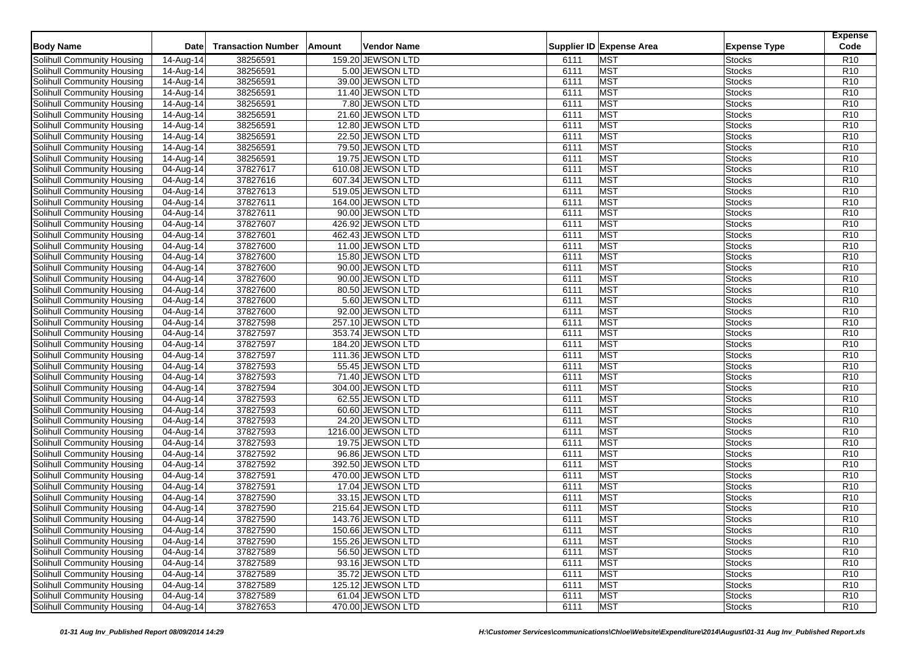| <b>Body Name</b>                                         | <b>Date</b>             | <b>Transaction Number</b> | Amount | Vendor Name                            |              | Supplier ID Expense Area | <b>Expense Type</b>     | <b>Expense</b><br>Code             |
|----------------------------------------------------------|-------------------------|---------------------------|--------|----------------------------------------|--------------|--------------------------|-------------------------|------------------------------------|
| Solihull Community Housing                               | 14-Aug-14               | 38256591                  |        | 159.20 JEWSON LTD                      | 6111         | <b>MST</b>               | <b>Stocks</b>           | R <sub>10</sub>                    |
| Solihull Community Housing                               | 14-Aug-14               | 38256591                  |        | 5.00 JEWSON LTD                        | 6111         | <b>MST</b>               | Stocks                  | R <sub>10</sub>                    |
| Solihull Community Housing                               | $14-Aug-14$             | 38256591                  |        | 39.00 JEWSON LTD                       | 6111         | <b>MST</b>               | <b>Stocks</b>           | R <sub>10</sub>                    |
| Solihull Community Housing                               | 14-Aug-14               | 38256591                  |        | 11.40 JEWSON LTD                       | 6111         | <b>MST</b>               | Stocks                  | R <sub>10</sub>                    |
| Solihull Community Housing                               | 14-Aug-14               | 38256591                  |        | 7.80 JEWSON LTD                        | 6111         | <b>MST</b>               | <b>Stocks</b>           | R <sub>10</sub>                    |
| Solihull Community Housing                               | 14-Aug-14               | 38256591                  |        | 21.60 JEWSON LTD                       | 6111         | <b>MST</b>               | <b>Stocks</b>           | R <sub>10</sub>                    |
| Solihull Community Housing                               | 14-Aug-14               | 38256591                  |        | 12.80 JEWSON LTD                       | 6111         | <b>MST</b>               | Stocks                  | R <sub>10</sub>                    |
| Solihull Community Housing                               | 14-Aug-14               | 38256591                  |        | 22.50 JEWSON LTD                       | 6111         | <b>MST</b>               | <b>Stocks</b>           | R <sub>10</sub>                    |
| Solihull Community Housing                               | 14-Aug-14               | 38256591                  |        | 79.50 JEWSON LTD                       | 6111         | <b>MST</b>               | <b>Stocks</b>           | R <sub>10</sub>                    |
| Solihull Community Housing                               | 14-Aug-14               | 38256591                  |        | 19.75 JEWSON LTD                       | 6111         | <b>MST</b>               | Stocks                  | R <sub>10</sub>                    |
| Solihull Community Housing                               | 04-Aug-14               | 37827617                  |        | 610.08 JEWSON LTD                      | 6111         | <b>MST</b>               | <b>Stocks</b>           | R <sub>10</sub>                    |
| Solihull Community Housing                               | 04-Aug-14               | 37827616                  |        | 607.34 JEWSON LTD                      | 6111         | <b>MST</b>               | <b>Stocks</b>           | R <sub>10</sub>                    |
| Solihull Community Housing                               | 04-Aug-14               | 37827613                  |        | 519.05 JEWSON LTD                      | 6111         | <b>MST</b>               | Stocks                  | R10                                |
| Solihull Community Housing                               | 04-Aug-14               | 37827611                  |        | 164.00 JEWSON LTD                      | 6111         | <b>MST</b>               | <b>Stocks</b>           | R <sub>10</sub>                    |
| <b>Solihull Community Housing</b>                        | 04-Aug-14               | 37827611                  |        | 90.00 JEWSON LTD                       | 6111         | <b>MST</b>               | <b>Stocks</b>           | R <sub>10</sub>                    |
| Solihull Community Housing                               | 04-Aug-14               | 37827607                  |        | 426.92 JEWSON LTD                      | 6111         | <b>MST</b>               | Stocks                  | R <sub>10</sub>                    |
| Solihull Community Housing                               | 04-Aug-14               | 37827601                  |        | 462.43 JEWSON LTD                      | 6111         | <b>MST</b>               | <b>Stocks</b>           | R <sub>10</sub>                    |
| Solihull Community Housing                               | 04-Aug-14               | 37827600                  |        | 11.00 JEWSON LTD                       | 6111         | <b>MST</b>               | Stocks                  | R <sub>10</sub>                    |
| Solihull Community Housing                               | 04-Aug-14               | 37827600                  |        | 15.80 JEWSON LTD                       | 6111         | <b>MST</b>               | Stocks                  | R10                                |
| Solihull Community Housing                               | 04-Aug-14               | 37827600                  |        | 90.00 JEWSON LTD                       | 6111         | <b>MST</b>               | Stocks                  | R <sub>10</sub>                    |
| Solihull Community Housing                               | $\overline{04-A}$ ug-14 | 37827600                  |        | 90.00 JEWSON LTD                       | 6111         | <b>MST</b>               | <b>Stocks</b>           | R <sub>10</sub>                    |
| Solihull Community Housing                               | $\overline{04}$ -Aug-14 | 37827600                  |        | 80.50 JEWSON LTD                       | 6111         | <b>MST</b>               | Stocks                  | R <sub>10</sub>                    |
| Solihull Community Housing                               | 04-Aug-14               | 37827600                  |        | 5.60 JEWSON LTD                        | 6111         | <b>MST</b>               | Stocks                  | R <sub>10</sub>                    |
| Solihull Community Housing                               | 04-Aug-14               | 37827600                  |        | 92.00 JEWSON LTD                       | 6111         | <b>MST</b>               | Stocks                  | R <sub>10</sub>                    |
| Solihull Community Housing                               | 04-Aug-14               | 37827598                  |        | 257.10 JEWSON LTD                      | 6111         | <b>MST</b>               | <b>Stocks</b>           | R <sub>10</sub>                    |
| Solihull Community Housing                               |                         | 37827597                  |        | 353.74 JEWSON LTD                      | 6111         | MST                      | Stocks                  | R <sub>10</sub>                    |
| Solihull Community Housing                               | 04-Aug-14<br>04-Aug-14  | 37827597                  |        | 184.20 JEWSON LTD                      | 6111         | <b>MST</b>               | Stocks                  | R <sub>10</sub>                    |
| Solihull Community Housing                               |                         | 37827597                  |        | 111.36 JEWSON LTD                      | 6111         | <b>MST</b>               | Stocks                  | R <sub>10</sub>                    |
|                                                          | 04-Aug-14               | 37827593                  |        | 55.45 JEWSON LTD                       | 6111         | <b>MST</b>               | Stocks                  | R <sub>10</sub>                    |
| Solihull Community Housing<br>Solihull Community Housing | 04-Aug-14<br>04-Aug-14  | 37827593                  |        | 71.40 JEWSON LTD                       | 6111         | <b>MST</b>               | Stocks                  | R <sub>10</sub>                    |
| Solihull Community Housing                               |                         | 37827594                  |        |                                        | 6111         | <b>MST</b>               |                         | R <sub>10</sub>                    |
|                                                          | 04-Aug-14               | 37827593                  |        | 304.00 JEWSON LTD                      |              | <b>MST</b>               | <b>Stocks</b>           | R <sub>10</sub>                    |
| Solihull Community Housing                               | 04-Aug-14               | 37827593                  |        | 62.55 JEWSON LTD                       | 6111         |                          | Stocks                  | R <sub>10</sub>                    |
| Solihull Community Housing                               | 04-Aug-14               |                           |        | 60.60 JEWSON LTD                       | 6111<br>6111 | <b>MST</b><br><b>MST</b> | Stocks                  | R <sub>10</sub>                    |
| Solihull Community Housing                               | $\overline{0}$ 4-Aug-14 | 37827593                  |        | 24.20 JEWSON LTD                       |              | <b>MST</b>               | <b>Stocks</b>           |                                    |
| Solihull Community Housing                               | 04-Aug-14               | 37827593<br>37827593      |        | 1216.00 JEWSON LTD<br>19.75 JEWSON LTD | 6111<br>6111 | <b>MST</b>               | Stocks<br><b>Stocks</b> | R <sub>10</sub><br>R <sub>10</sub> |
| <b>Solihull Community Housing</b>                        | 04-Aug-14               |                           |        |                                        |              |                          |                         |                                    |
| Solihull Community Housing                               | 04-Aug-14               | 37827592                  |        | 96.86 JEWSON LTD                       | 6111         | <b>MST</b>               | Stocks                  | R <sub>10</sub>                    |
| Solihull Community Housing                               | 04-Aug-14               | 37827592                  |        | 392.50 JEWSON LTD                      | 6111         | <b>MST</b>               | Stocks                  | R <sub>10</sub>                    |
| Solihull Community Housing                               | $\overline{04}$ -Aug-14 | 37827591                  |        | 470.00 JEWSON LTD                      | 6111         | <b>MST</b>               | Stocks                  | R <sub>10</sub>                    |
| Solihull Community Housing                               | $\overline{0}$ 4-Aug-14 | 37827591                  |        | 17.04 JEWSON LTD                       | 6111         | <b>MST</b>               | <b>Stocks</b>           | R <sub>10</sub>                    |
| Solihull Community Housing                               | 04-Aug-14               | 37827590                  |        | 33.15 JEWSON LTD                       | 6111         | <b>MST</b>               | Stocks                  | R <sub>10</sub>                    |
| Solihull Community Housing                               | $\overline{04-A}$ ug-14 | 37827590                  |        | 215.64 JEWSON LTD                      | 6111         | <b>MST</b>               | Stocks                  | R <sub>10</sub>                    |
| <b>Solihull Community Housing</b>                        | 04-Aug-14               | 37827590                  |        | 143.76 JEWSON LTD                      | 6111         | <b>MST</b>               | <b>Stocks</b>           | R <sub>10</sub>                    |
| Solihull Community Housing                               | 04-Aug-14               | 37827590                  |        | 150.66 JEWSON LTD                      | 6111         | <b>MST</b>               | <b>Stocks</b>           | R <sub>10</sub>                    |
| Solihull Community Housing                               | 04-Aug-14               | 37827590                  |        | 155.26 JEWSON LTD                      | 6111         | <b>MST</b>               | <b>Stocks</b>           | R10                                |
| Solihull Community Housing                               | 04-Aug-14               | 37827589                  |        | 56.50 JEWSON LTD                       | 6111         | <b>MST</b>               | <b>Stocks</b>           | R <sub>10</sub>                    |
| Solihull Community Housing                               | 04-Aug-14               | 37827589                  |        | 93.16 JEWSON LTD                       | 6111         | <b>MST</b>               | <b>Stocks</b>           | R <sub>10</sub>                    |
| Solihull Community Housing                               | 04-Aug-14               | 37827589                  |        | 35.72 JEWSON LTD                       | 6111         | <b>MST</b>               | <b>Stocks</b>           | R <sub>10</sub>                    |
| Solihull Community Housing                               | 04-Aug-14               | 37827589                  |        | 125.12 JEWSON LTD                      | 6111         | <b>MST</b>               | <b>Stocks</b>           | R <sub>10</sub>                    |
| <b>Solihull Community Housing</b>                        | 04-Aug-14               | 37827589                  |        | 61.04 JEWSON LTD                       | 6111         | <b>MST</b>               | Stocks                  | R <sub>10</sub>                    |
| Solihull Community Housing                               | 04-Aug-14               | 37827653                  |        | 470.00 JEWSON LTD                      | 6111         | MST                      | <b>Stocks</b>           | R <sub>10</sub>                    |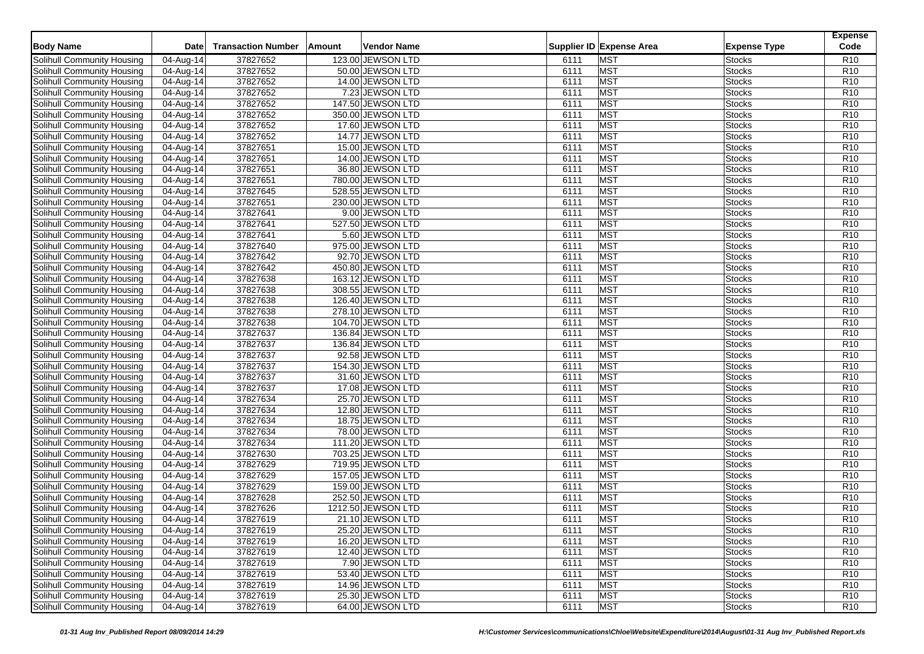| <b>Body Name</b>                                                | Date                    | <b>Transaction Number</b> | Amount | Vendor Name                            |              | Supplier ID Expense Area | <b>Expense Type</b>            | <b>Expense</b><br>Code             |
|-----------------------------------------------------------------|-------------------------|---------------------------|--------|----------------------------------------|--------------|--------------------------|--------------------------------|------------------------------------|
| Solihull Community Housing                                      | $\overline{04}$ -Aug-14 |                           |        | 123.00 JEWSON LTD                      | 6111         | <b>MST</b>               |                                | R <sub>10</sub>                    |
|                                                                 |                         | 37827652<br>37827652      |        |                                        |              | <b>MST</b>               | <b>Stocks</b>                  | R <sub>10</sub>                    |
| Solihull Community Housing<br><b>Solihull Community Housing</b> | 04-Aug-14               | 37827652                  |        | 50.00 JEWSON LTD<br>14.00 JEWSON LTD   | 6111<br>6111 | <b>MST</b>               | <b>Stocks</b><br><b>Stocks</b> | R <sub>10</sub>                    |
|                                                                 | 04-Aug-14               |                           |        |                                        |              | <b>MST</b>               |                                | R <sub>10</sub>                    |
| Solihull Community Housing                                      | 04-Aug-14               | 37827652                  |        | 7.23 JEWSON LTD                        | 6111         | <b>MST</b>               | <b>Stocks</b>                  |                                    |
| Solihull Community Housing                                      | $\overline{04}$ -Aug-14 | 37827652<br>37827652      |        | 147.50 JEWSON LTD                      | 6111<br>6111 | <b>MST</b>               | <b>Stocks</b><br><b>Stocks</b> | R <sub>10</sub><br>R <sub>10</sub> |
| Solihull Community Housing                                      | 04-Aug-14               | 37827652                  |        | 350.00 JEWSON LTD                      | 6111         | <b>MST</b>               |                                | R <sub>10</sub>                    |
| Solihull Community Housing                                      | 04-Aug-14               | 37827652                  |        | 17.60 JEWSON LTD<br>14.77 JEWSON LTD   | 6111         | <b>MST</b>               | <b>Stocks</b><br><b>Stocks</b> | R <sub>10</sub>                    |
| Solihull Community Housing                                      | 04-Aug-14               |                           |        |                                        | 6111         | <b>MST</b>               | <b>Stocks</b>                  | R <sub>10</sub>                    |
| Solihull Community Housing                                      | 04-Aug-14               | 37827651                  |        | 15.00 JEWSON LTD                       |              |                          |                                |                                    |
| Solihull Community Housing                                      | 04-Aug-14               | 37827651<br>37827651      |        | 14.00 JEWSON LTD                       | 6111         | <b>MST</b><br><b>MST</b> | <b>Stocks</b>                  | R <sub>10</sub><br>R <sub>10</sub> |
| Solihull Community Housing                                      | 04-Aug-14               |                           |        | 36.80 JEWSON LTD                       | 6111         |                          | <b>Stocks</b>                  |                                    |
| Solihull Community Housing                                      | $\overline{04}$ -Aug-14 | 37827651<br>37827645      |        | 780.00 JEWSON LTD                      | 6111<br>6111 | <b>MST</b><br><b>MST</b> | <b>Stocks</b>                  | R <sub>10</sub><br>R10             |
| Solihull Community Housing                                      | 04-Aug-14               |                           |        | 528.55 JEWSON LTD<br>230.00 JEWSON LTD |              |                          | <b>Stocks</b>                  |                                    |
| Solihull Community Housing                                      | 04-Aug-14               | 37827651                  |        |                                        | 6111<br>6111 | <b>MST</b><br><b>MST</b> | <b>Stocks</b><br><b>Stocks</b> | R <sub>10</sub><br>R <sub>10</sub> |
| Solihull Community Housing                                      | 04-Aug-14               | 37827641                  |        | 9.00 JEWSON LTD                        |              |                          |                                |                                    |
| Solihull Community Housing                                      | 04-Aug-14               | 37827641                  |        | 527.50 JEWSON LTD                      | 6111         | <b>MST</b><br><b>MST</b> | <b>Stocks</b>                  | R <sub>10</sub>                    |
| Solihull Community Housing<br>Solihull Community Housing        | 04-Aug-14               | 37827641<br>37827640      |        | 5.60 JEWSON LTD                        | 6111         | <b>MST</b>               | <b>Stocks</b>                  | R <sub>10</sub><br>R <sub>10</sub> |
|                                                                 | $\overline{04}$ -Aug-14 |                           |        | 975.00 JEWSON LTD                      | 6111         |                          | <b>Stocks</b>                  |                                    |
| Solihull Community Housing                                      | 04-Aug-14               | 37827642                  |        | 92.70 JEWSON LTD                       | 6111         | <b>MST</b>               | <b>Stocks</b>                  | R10                                |
| Solihull Community Housing                                      | 04-Aug-14               | 37827642                  |        | 450.80 JEWSON LTD                      | 6111         | <b>MST</b>               | <b>Stocks</b>                  | R <sub>10</sub>                    |
| Solihull Community Housing                                      | 04-Aug-14               | 37827638                  |        | 163.12 JEWSON LTD                      | 6111         | <b>MST</b>               | <b>Stocks</b>                  | R <sub>10</sub>                    |
| Solihull Community Housing                                      | 04-Aug-14               | 37827638                  |        | 308.55 JEWSON LTD                      | 6111         | <b>MST</b>               | <b>Stocks</b>                  | R <sub>10</sub>                    |
| Solihull Community Housing                                      | 04-Aug-14               | 37827638                  |        | 126.40 JEWSON LTD                      | 6111         | <b>MST</b>               | <b>Stocks</b>                  | R <sub>10</sub>                    |
| Solihull Community Housing                                      | 04-Aug-14               | 37827638                  |        | 278.10 JEWSON LTD                      | 6111         | <b>MST</b>               | <b>Stocks</b>                  | R <sub>10</sub>                    |
| Solihull Community Housing                                      | 04-Aug-14               | 37827638                  |        | 104.70 JEWSON LTD                      | 6111         | <b>MST</b>               | <b>Stocks</b>                  | R <sub>10</sub>                    |
| Solihull Community Housing                                      | 04-Aug-14               | 37827637                  |        | 136.84 JEWSON LTD                      | 6111         | <b>MST</b>               | <b>Stocks</b>                  | R <sub>10</sub>                    |
| Solihull Community Housing                                      | $\overline{04}$ -Aug-14 | 37827637                  |        | 136.84 JEWSON LTD                      | 6111         | <b>MST</b>               | <b>Stocks</b>                  | R <sub>10</sub>                    |
| Solihull Community Housing                                      | 04-Aug-14               | 37827637<br>37827637      |        | 92.58 JEWSON LTD                       | 6111         | <b>MST</b><br><b>MST</b> | <b>Stocks</b>                  | R <sub>10</sub>                    |
| Solihull Community Housing                                      | 04-Aug-14               |                           |        | 154.30 JEWSON LTD                      | 6111         |                          | <b>Stocks</b>                  | R <sub>10</sub>                    |
| Solihull Community Housing                                      | 04-Aug-14               | 37827637                  |        | 31.60 JEWSON LTD                       | 6111         | <b>MST</b>               | <b>Stocks</b>                  | R <sub>10</sub>                    |
| Solihull Community Housing                                      | 04-Aug-14               | 37827637<br>37827634      |        | 17.08 JEWSON LTD                       | 6111         | <b>MST</b><br><b>MST</b> | <b>Stocks</b>                  | R <sub>10</sub>                    |
| Solihull Community Housing                                      | 04-Aug-14               | 37827634                  |        | 25.70 JEWSON LTD                       | 6111         |                          | <b>Stocks</b>                  | R <sub>10</sub><br>R <sub>10</sub> |
| Solihull Community Housing                                      | 04-Aug-14               |                           |        | 12.80 JEWSON LTD                       | 6111<br>6111 | <b>MST</b><br><b>MST</b> | <b>Stocks</b>                  | R <sub>10</sub>                    |
| Solihull Community Housing                                      | 04-Aug-14               | 37827634<br>37827634      |        | 18.75 JEWSON LTD                       |              | <b>MST</b>               | <b>Stocks</b>                  | R <sub>10</sub>                    |
| Solihull Community Housing<br><b>Solihull Community Housing</b> | 04-Aug-14               | 37827634                  |        | 78.00 JEWSON LTD<br>111.20 JEWSON LTD  | 6111<br>6111 | <b>MST</b>               | <b>Stocks</b><br><b>Stocks</b> | R <sub>10</sub>                    |
|                                                                 | 04-Aug-14               |                           |        |                                        | 6111         | <b>MST</b>               | Stocks                         | R <sub>10</sub>                    |
| Solihull Community Housing<br>Solihull Community Housing        | 04-Aug-14               | 37827630<br>37827629      |        | 703.25 JEWSON LTD                      |              | <b>MST</b>               |                                | R <sub>10</sub>                    |
| Solihull Community Housing                                      | 04-Aug-14               | 37827629                  |        | 719.95 JEWSON LTD<br>157.05 JEWSON LTD | 6111<br>6111 | <b>MST</b>               | <b>Stocks</b><br><b>Stocks</b> | R <sub>10</sub>                    |
|                                                                 | 04-Aug-14               |                           |        |                                        |              | <b>MST</b>               |                                | R <sub>10</sub>                    |
| Solihull Community Housing<br>Solihull Community Housing        | 04-Aug-14<br>04-Aug-14  | 37827629<br>37827628      |        | 159.00 JEWSON LTD<br>252.50 JEWSON LTD | 6111<br>6111 | <b>MST</b>               | <b>Stocks</b><br><b>Stocks</b> | R <sub>10</sub>                    |
|                                                                 |                         | 37827626                  |        | 1212.50 JEWSON LTD                     | 6111         | <b>MST</b>               |                                | R <sub>10</sub>                    |
| Solihull Community Housing                                      | 04-Aug-14               | 37827619                  |        |                                        | 6111         |                          | <b>Stocks</b>                  | R <sub>10</sub>                    |
| Solihull Community Housing<br>Solihull Community Housing        | 04-Aug-14<br>04-Aug-14  |                           |        | 21.10 JEWSON LTD                       |              | <b>MST</b><br><b>MST</b> | <b>Stocks</b>                  |                                    |
| Solihull Community Housing                                      | 04-Aug-14               | 37827619<br>37827619      |        | 25.20 JEWSON LTD<br>16.20 JEWSON LTD   | 6111         |                          | <b>Stocks</b>                  | R <sub>10</sub><br>R10             |
| Solihull Community Housing                                      |                         |                           |        |                                        | 6111         | <b>MST</b>               | <b>Stocks</b>                  |                                    |
|                                                                 | 04-Aug-14               | 37827619                  |        | 12.40 JEWSON LTD                       | 6111         | <b>MST</b>               | <b>Stocks</b>                  | R <sub>10</sub>                    |
| Solihull Community Housing<br>Solihull Community Housing        | 04-Aug-14               | 37827619                  |        | 7.90 JEWSON LTD                        | 6111         | <b>MST</b>               | <b>Stocks</b>                  | R <sub>10</sub>                    |
|                                                                 | 04-Aug-14               | 37827619                  |        | 53.40 JEWSON LTD                       | 6111         | <b>MST</b><br><b>MST</b> | <b>Stocks</b>                  | R <sub>10</sub>                    |
| Solihull Community Housing<br><b>Solihull Community Housing</b> | 04-Aug-14<br>04-Aug-14  | 37827619<br>37827619      |        | 14.96 JEWSON LTD<br>25.30 JEWSON LTD   | 6111<br>6111 | <b>MST</b>               | <b>Stocks</b><br><b>Stocks</b> | R <sub>10</sub><br>R <sub>10</sub> |
|                                                                 |                         |                           |        |                                        |              |                          |                                |                                    |
| Solihull Community Housing                                      | 04-Aug-14               | 37827619                  |        | 64.00 JEWSON LTD                       | 6111         | <b>MST</b>               | <b>Stocks</b>                  | R <sub>10</sub>                    |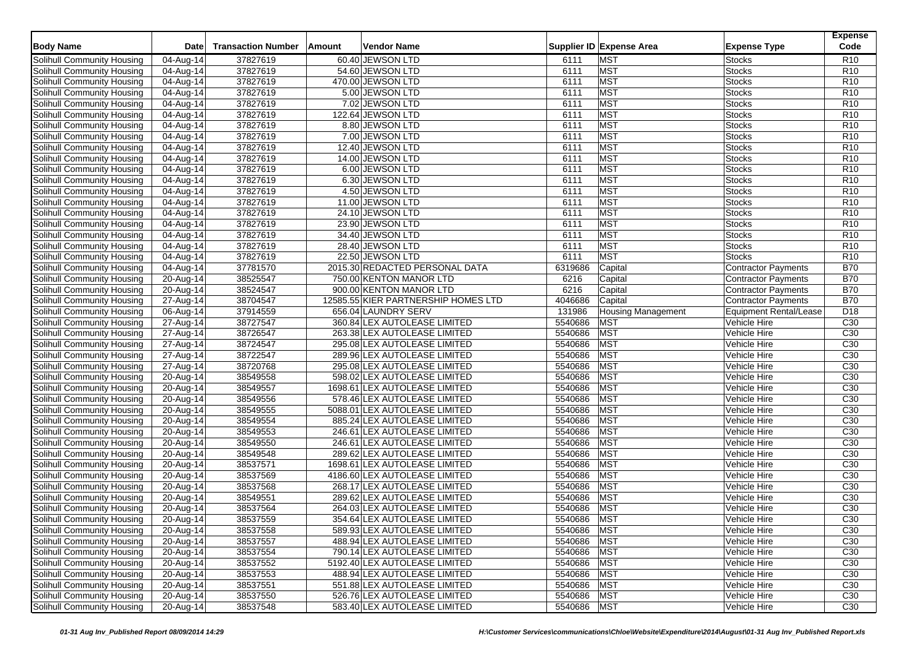| <b>Body Name</b><br>Supplier ID Expense Area<br>Code<br><b>Date</b><br><b>Transaction Number</b><br>Vendor Name<br><b>Expense Type</b><br>Amount<br>Solihull Community Housing<br><b>MST</b><br>37827619<br>60.40 JEWSON LTD<br>R <sub>10</sub><br>04-Aug-14<br>6111<br><b>Stocks</b><br>37827619<br>54.60 JEWSON LTD<br>6111<br><b>MST</b><br><b>Stocks</b><br>R <sub>10</sub><br>Solihull Community Housing<br>04-Aug-14<br><b>MST</b><br>37827619<br>6111<br><b>Stocks</b><br>R <sub>10</sub><br>Solihull Community Housing<br>04-Aug-14<br>470.00 JEWSON LTD<br>37827619<br>6111<br><b>MST</b><br>R <sub>10</sub><br>Solihull Community Housing<br>04-Aug-14<br>5.00 JEWSON LTD<br><b>Stocks</b><br><b>MST</b><br>Solihull Community Housing<br>37827619<br>7.02 JEWSON LTD<br>6111<br><b>Stocks</b><br>R <sub>10</sub><br>$\overline{04}$ -Aug-14<br><b>MST</b><br>37827619<br>122.64 JEWSON LTD<br><b>Stocks</b><br>R <sub>10</sub><br>Solihull Community Housing<br>04-Aug-14<br>6111<br>37827619<br><b>MST</b><br>8.80 JEWSON LTD<br>6111<br><b>Stocks</b><br>R <sub>10</sub><br>Solihull Community Housing<br>04-Aug-14<br><b>MST</b><br>37827619<br>6111<br>R <sub>10</sub><br>Solihull Community Housing<br>04-Aug-14<br>7.00 JEWSON LTD<br><b>Stocks</b><br><b>MST</b><br>37827619<br>6111<br>R <sub>10</sub><br>Solihull Community Housing<br>04-Aug-14<br>12.40 JEWSON LTD<br><b>Stocks</b><br><b>MST</b><br>Solihull Community Housing<br>37827619<br>14.00 JEWSON LTD<br>6111<br><b>Stocks</b><br>R <sub>10</sub><br>04-Aug-14<br><b>MST</b><br>37827619<br>6.00 JEWSON LTD<br>6111<br><b>Stocks</b><br>Solihull Community Housing<br>04-Aug-14<br>R <sub>10</sub><br><b>MST</b><br>Solihull Community Housing<br>37827619<br>6.30 JEWSON LTD<br>6111<br><b>Stocks</b><br>R <sub>10</sub><br>04-Aug-14<br><b>MST</b><br>37827619<br>6111<br><b>Stocks</b><br>R <sub>10</sub><br>Solihull Community Housing<br>04-Aug-14<br>4.50 JEWSON LTD<br>37827619<br><b>MST</b><br>Solihull Community Housing<br>11.00 JEWSON LTD<br>6111<br><b>Stocks</b><br>R <sub>10</sub><br>04-Aug-14<br>37827619<br>6111<br><b>MST</b><br>R <sub>10</sub><br>Solihull Community Housing<br>04-Aug-14<br>24.10 JEWSON LTD<br><b>Stocks</b><br>37827619<br>6111<br><b>MST</b><br>R <sub>10</sub><br>Solihull Community Housing<br>04-Aug-14<br>23.90 JEWSON LTD<br><b>Stocks</b><br>37827619<br><b>MST</b><br>Solihull Community Housing<br>34.40 JEWSON LTD<br>6111<br><b>Stocks</b><br>R <sub>10</sub><br>04-Aug-14<br><b>MST</b><br>Solihull Community Housing<br>37827619<br>28.40 JEWSON LTD<br>6111<br><b>Stocks</b><br>R <sub>10</sub><br>04-Aug-14<br><b>MST</b><br>37827619<br>22.50 JEWSON LTD<br>6111<br><b>Stocks</b><br>R <sub>10</sub><br>Solihull Community Housing<br>04-Aug-14<br>37781570<br>Capital<br><b>B70</b><br>Solihull Community Housing<br>04-Aug-14<br>2015.30 REDACTED PERSONAL DATA<br>6319686<br><b>Contractor Payments</b><br>38525547<br>Solihull Community Housing<br>750.00 KENTON MANOR LTD<br>6216<br><b>B70</b><br>20-Aug-14<br>Capital<br><b>Contractor Payments</b><br>6216<br>38524547<br><b>B70</b><br>Solihull Community Housing<br>$20-Aug-14$<br>900.00 KENTON MANOR LTD<br>Capital<br><b>Contractor Payments</b><br>38704547<br>4046686<br>Capital<br><b>B70</b><br>Solihull Community Housing<br>27-Aug-14<br>12585.55 KIER PARTNERSHIP HOMES LTD<br><b>Contractor Payments</b><br>Solihull Community Housing<br>06-Aug-14<br>37914559<br>656.04 LAUNDRY SERV<br>131986<br>D <sub>18</sub><br><b>Housing Management</b><br><b>Equipment Rental/Lease</b><br>38727547<br>5540686<br><b>MST</b><br>Vehicle Hire<br>C30<br>Solihull Community Housing<br>27-Aug-14<br>360.84 LEX AUTOLEASE LIMITED<br><b>MST</b><br>38726547<br>5540686<br>C <sub>30</sub><br>Solihull Community Housing<br>27-Aug-14<br>263.38 LEX AUTOLEASE LIMITED<br>Vehicle Hire<br>5540686<br>C30<br>38724547<br><b>MST</b><br>Solihull Community Housing<br>27-Aug-14<br>295.08 LEX AUTOLEASE LIMITED<br>Vehicle Hire<br>38722547<br>5540686<br><b>MST</b><br>C <sub>30</sub><br>Solihull Community Housing<br>27-Aug-14<br>289.96 LEX AUTOLEASE LIMITED<br>Vehicle Hire<br>38720768<br><b>MST</b><br>295.08 LEX AUTOLEASE LIMITED<br>5540686<br>C30<br>Solihull Community Housing<br>27-Aug-14<br>Vehicle Hire<br>5540686<br>Solihull Community Housing<br>38549558<br>598.02 LEX AUTOLEASE LIMITED<br><b>MST</b><br>Vehicle Hire<br>C30<br>20-Aug-14<br><b>MST</b><br>38549557<br>5540686<br>C <sub>30</sub><br>Solihull Community Housing<br>20-Aug-14<br>1698.61 LEX AUTOLEASE LIMITED<br>Vehicle Hire<br><b>MST</b><br>38549556<br>578.46 LEX AUTOLEASE LIMITED<br>5540686<br>C30<br>Solihull Community Housing<br>20-Aug-14<br>Vehicle Hire<br>Solihull Community Housing<br>20-Aug-14<br>38549555<br>5540686<br><b>MST</b><br>C <sub>30</sub><br>5088.01 LEX AUTOLEASE LIMITED<br>Vehicle Hire<br>5540686<br><b>MST</b><br>Solihull Community Housing<br>38549554<br>885.24 LEX AUTOLEASE LIMITED<br>Vehicle Hire<br>C <sub>30</sub><br>20-Aug-14<br>38549553<br><b>MST</b><br>246.61 LEX AUTOLEASE LIMITED<br>5540686<br>C30<br>Solihull Community Housing<br>20-Aug-14<br>Vehicle Hire<br>38549550<br>5540686<br>246.61 LEX AUTOLEASE LIMITED<br><b>MST</b><br>C <sub>30</sub><br>Solihull Community Housing<br>20-Aug-14<br>Vehicle Hire<br>5540686<br><b>MST</b><br>C <sub>30</sub><br>Solihull Community Housing<br>20-Aug-14<br>38549548<br>289.62 LEX AUTOLEASE LIMITED<br>Vehicle Hire<br>38537571<br><b>MST</b><br>C <sub>30</sub><br>1698.61 LEX AUTOLEASE LIMITED<br>5540686<br>Solihull Community Housing<br>20-Aug-14<br>Vehicle Hire<br>38537569<br>5540686<br><b>MST</b><br>C <sub>30</sub><br>Solihull Community Housing<br>20-Aug-14<br>4186.60 LEX AUTOLEASE LIMITED<br>Vehicle Hire<br>5540686<br><b>MST</b><br>Solihull Community Housing<br>20-Aug-14<br>38537568<br>268.17 LEX AUTOLEASE LIMITED<br>Vehicle Hire<br>C <sub>30</sub><br>38549551<br>5540686<br><b>MST</b><br>C <sub>30</sub><br>Solihull Community Housing<br>20-Aug-14<br>289.62 LEX AUTOLEASE LIMITED<br>Vehicle Hire<br>5540686<br><b>MST</b><br>Solihull Community Housing<br>38537564<br>264.03 LEX AUTOLEASE LIMITED<br>Vehicle Hire<br>C <sub>30</sub><br>20-Aug-14<br>38537559<br>354.64 LEX AUTOLEASE LIMITED<br>5540686<br><b>MST</b><br>C <sub>30</sub><br>Solihull Community Housing<br>20-Aug-14<br>Vehicle Hire<br>Solihull Community Housing<br>20-Aug-14<br>589.93 LEX AUTOLEASE LIMITED<br>5540686 MST<br>C30<br>38537558<br>Vehicle Hire<br>Solihull Community Housing<br>$20-Aug-14$<br>38537557<br>488.94 LEX AUTOLEASE LIMITED<br>5540686 MST<br>C <sub>30</sub><br>Vehicle Hire<br>Solihull Community Housing<br>38537554<br>790.14 LEX AUTOLEASE LIMITED<br>5540686 MST<br>C <sub>30</sub><br>20-Aug-14<br>Vehicle Hire<br>Solihull Community Housing<br>38537552<br>5192.40 LEX AUTOLEASE LIMITED<br>5540686 MST<br>C <sub>30</sub><br>20-Aug-14<br>Vehicle Hire<br>Solihull Community Housing<br>20-Aug-14<br>488.94 LEX AUTOLEASE LIMITED<br>5540686<br><b>MST</b><br>C <sub>30</sub><br>38537553<br>Vehicle Hire |                            |           |          |                              |         |            |              | <b>Expense</b>  |
|-----------------------------------------------------------------------------------------------------------------------------------------------------------------------------------------------------------------------------------------------------------------------------------------------------------------------------------------------------------------------------------------------------------------------------------------------------------------------------------------------------------------------------------------------------------------------------------------------------------------------------------------------------------------------------------------------------------------------------------------------------------------------------------------------------------------------------------------------------------------------------------------------------------------------------------------------------------------------------------------------------------------------------------------------------------------------------------------------------------------------------------------------------------------------------------------------------------------------------------------------------------------------------------------------------------------------------------------------------------------------------------------------------------------------------------------------------------------------------------------------------------------------------------------------------------------------------------------------------------------------------------------------------------------------------------------------------------------------------------------------------------------------------------------------------------------------------------------------------------------------------------------------------------------------------------------------------------------------------------------------------------------------------------------------------------------------------------------------------------------------------------------------------------------------------------------------------------------------------------------------------------------------------------------------------------------------------------------------------------------------------------------------------------------------------------------------------------------------------------------------------------------------------------------------------------------------------------------------------------------------------------------------------------------------------------------------------------------------------------------------------------------------------------------------------------------------------------------------------------------------------------------------------------------------------------------------------------------------------------------------------------------------------------------------------------------------------------------------------------------------------------------------------------------------------------------------------------------------------------------------------------------------------------------------------------------------------------------------------------------------------------------------------------------------------------------------------------------------------------------------------------------------------------------------------------------------------------------------------------------------------------------------------------------------------------------------------------------------------------------------------------------------------------------------------------------------------------------------------------------------------------------------------------------------------------------------------------------------------------------------------------------------------------------------------------------------------------------------------------------------------------------------------------------------------------------------------------------------------------------------------------------------------------------------------------------------------------------------------------------------------------------------------------------------------------------------------------------------------------------------------------------------------------------------------------------------------------------------------------------------------------------------------------------------------------------------------------------------------------------------------------------------------------------------------------------------------------------------------------------------------------------------------------------------------------------------------------------------------------------------------------------------------------------------------------------------------------------------------------------------------------------------------------------------------------------------------------------------------------------------------------------------------------------------------------------------------------------------------------------------------------------------------------------------------------------------------------------------------------------------------------------------------------------------------------------------------------------------------------------------------------------------------------------------------------------------------------------------------------------------------------------------------------------------------------------------------------------------------------------------------------------------------------------------------------------------------------------------------------------------------------------------------------------------------------------------------------------------------------------------------------------------------------------------------------------------------------------------------------------------------------------------------------------------------------------------------------------------------------------------------------------------------------------------------------------------------------------------------------------------------------------------------------------------------------------------------------------------------------------------------------------------------------------------------------------------------------------------------------------------------------------------------------------------------------------------------------------------------------------------------------------------------------------------------------------------------------------------------------------------------------------------------------------------------------------------------------------------------------------------------------------------------|----------------------------|-----------|----------|------------------------------|---------|------------|--------------|-----------------|
|                                                                                                                                                                                                                                                                                                                                                                                                                                                                                                                                                                                                                                                                                                                                                                                                                                                                                                                                                                                                                                                                                                                                                                                                                                                                                                                                                                                                                                                                                                                                                                                                                                                                                                                                                                                                                                                                                                                                                                                                                                                                                                                                                                                                                                                                                                                                                                                                                                                                                                                                                                                                                                                                                                                                                                                                                                                                                                                                                                                                                                                                                                                                                                                                                                                                                                                                                                                                                                                                                                                                                                                                                                                                                                                                                                                                                                                                                                                                                                                                                                                                                                                                                                                                                                                                                                                                                                                                                                                                                                                                                                                                                                                                                                                                                                                                                                                                                                                                                                                                                                                                                                                                                                                                                                                                                                                                                                                                                                                                                                                                                                                                                                                                                                                                                                                                                                                                                                                                                                                                                                                                                                                                                                                                                                                                                                                                                                                                                                                                                                                                                                                                                                                                                                                                                                                                                                                                                                                                                                                                                                                                                                                                                     |                            |           |          |                              |         |            |              |                 |
|                                                                                                                                                                                                                                                                                                                                                                                                                                                                                                                                                                                                                                                                                                                                                                                                                                                                                                                                                                                                                                                                                                                                                                                                                                                                                                                                                                                                                                                                                                                                                                                                                                                                                                                                                                                                                                                                                                                                                                                                                                                                                                                                                                                                                                                                                                                                                                                                                                                                                                                                                                                                                                                                                                                                                                                                                                                                                                                                                                                                                                                                                                                                                                                                                                                                                                                                                                                                                                                                                                                                                                                                                                                                                                                                                                                                                                                                                                                                                                                                                                                                                                                                                                                                                                                                                                                                                                                                                                                                                                                                                                                                                                                                                                                                                                                                                                                                                                                                                                                                                                                                                                                                                                                                                                                                                                                                                                                                                                                                                                                                                                                                                                                                                                                                                                                                                                                                                                                                                                                                                                                                                                                                                                                                                                                                                                                                                                                                                                                                                                                                                                                                                                                                                                                                                                                                                                                                                                                                                                                                                                                                                                                                                     |                            |           |          |                              |         |            |              |                 |
|                                                                                                                                                                                                                                                                                                                                                                                                                                                                                                                                                                                                                                                                                                                                                                                                                                                                                                                                                                                                                                                                                                                                                                                                                                                                                                                                                                                                                                                                                                                                                                                                                                                                                                                                                                                                                                                                                                                                                                                                                                                                                                                                                                                                                                                                                                                                                                                                                                                                                                                                                                                                                                                                                                                                                                                                                                                                                                                                                                                                                                                                                                                                                                                                                                                                                                                                                                                                                                                                                                                                                                                                                                                                                                                                                                                                                                                                                                                                                                                                                                                                                                                                                                                                                                                                                                                                                                                                                                                                                                                                                                                                                                                                                                                                                                                                                                                                                                                                                                                                                                                                                                                                                                                                                                                                                                                                                                                                                                                                                                                                                                                                                                                                                                                                                                                                                                                                                                                                                                                                                                                                                                                                                                                                                                                                                                                                                                                                                                                                                                                                                                                                                                                                                                                                                                                                                                                                                                                                                                                                                                                                                                                                                     |                            |           |          |                              |         |            |              |                 |
|                                                                                                                                                                                                                                                                                                                                                                                                                                                                                                                                                                                                                                                                                                                                                                                                                                                                                                                                                                                                                                                                                                                                                                                                                                                                                                                                                                                                                                                                                                                                                                                                                                                                                                                                                                                                                                                                                                                                                                                                                                                                                                                                                                                                                                                                                                                                                                                                                                                                                                                                                                                                                                                                                                                                                                                                                                                                                                                                                                                                                                                                                                                                                                                                                                                                                                                                                                                                                                                                                                                                                                                                                                                                                                                                                                                                                                                                                                                                                                                                                                                                                                                                                                                                                                                                                                                                                                                                                                                                                                                                                                                                                                                                                                                                                                                                                                                                                                                                                                                                                                                                                                                                                                                                                                                                                                                                                                                                                                                                                                                                                                                                                                                                                                                                                                                                                                                                                                                                                                                                                                                                                                                                                                                                                                                                                                                                                                                                                                                                                                                                                                                                                                                                                                                                                                                                                                                                                                                                                                                                                                                                                                                                                     |                            |           |          |                              |         |            |              |                 |
|                                                                                                                                                                                                                                                                                                                                                                                                                                                                                                                                                                                                                                                                                                                                                                                                                                                                                                                                                                                                                                                                                                                                                                                                                                                                                                                                                                                                                                                                                                                                                                                                                                                                                                                                                                                                                                                                                                                                                                                                                                                                                                                                                                                                                                                                                                                                                                                                                                                                                                                                                                                                                                                                                                                                                                                                                                                                                                                                                                                                                                                                                                                                                                                                                                                                                                                                                                                                                                                                                                                                                                                                                                                                                                                                                                                                                                                                                                                                                                                                                                                                                                                                                                                                                                                                                                                                                                                                                                                                                                                                                                                                                                                                                                                                                                                                                                                                                                                                                                                                                                                                                                                                                                                                                                                                                                                                                                                                                                                                                                                                                                                                                                                                                                                                                                                                                                                                                                                                                                                                                                                                                                                                                                                                                                                                                                                                                                                                                                                                                                                                                                                                                                                                                                                                                                                                                                                                                                                                                                                                                                                                                                                                                     |                            |           |          |                              |         |            |              |                 |
|                                                                                                                                                                                                                                                                                                                                                                                                                                                                                                                                                                                                                                                                                                                                                                                                                                                                                                                                                                                                                                                                                                                                                                                                                                                                                                                                                                                                                                                                                                                                                                                                                                                                                                                                                                                                                                                                                                                                                                                                                                                                                                                                                                                                                                                                                                                                                                                                                                                                                                                                                                                                                                                                                                                                                                                                                                                                                                                                                                                                                                                                                                                                                                                                                                                                                                                                                                                                                                                                                                                                                                                                                                                                                                                                                                                                                                                                                                                                                                                                                                                                                                                                                                                                                                                                                                                                                                                                                                                                                                                                                                                                                                                                                                                                                                                                                                                                                                                                                                                                                                                                                                                                                                                                                                                                                                                                                                                                                                                                                                                                                                                                                                                                                                                                                                                                                                                                                                                                                                                                                                                                                                                                                                                                                                                                                                                                                                                                                                                                                                                                                                                                                                                                                                                                                                                                                                                                                                                                                                                                                                                                                                                                                     |                            |           |          |                              |         |            |              |                 |
|                                                                                                                                                                                                                                                                                                                                                                                                                                                                                                                                                                                                                                                                                                                                                                                                                                                                                                                                                                                                                                                                                                                                                                                                                                                                                                                                                                                                                                                                                                                                                                                                                                                                                                                                                                                                                                                                                                                                                                                                                                                                                                                                                                                                                                                                                                                                                                                                                                                                                                                                                                                                                                                                                                                                                                                                                                                                                                                                                                                                                                                                                                                                                                                                                                                                                                                                                                                                                                                                                                                                                                                                                                                                                                                                                                                                                                                                                                                                                                                                                                                                                                                                                                                                                                                                                                                                                                                                                                                                                                                                                                                                                                                                                                                                                                                                                                                                                                                                                                                                                                                                                                                                                                                                                                                                                                                                                                                                                                                                                                                                                                                                                                                                                                                                                                                                                                                                                                                                                                                                                                                                                                                                                                                                                                                                                                                                                                                                                                                                                                                                                                                                                                                                                                                                                                                                                                                                                                                                                                                                                                                                                                                                                     |                            |           |          |                              |         |            |              |                 |
|                                                                                                                                                                                                                                                                                                                                                                                                                                                                                                                                                                                                                                                                                                                                                                                                                                                                                                                                                                                                                                                                                                                                                                                                                                                                                                                                                                                                                                                                                                                                                                                                                                                                                                                                                                                                                                                                                                                                                                                                                                                                                                                                                                                                                                                                                                                                                                                                                                                                                                                                                                                                                                                                                                                                                                                                                                                                                                                                                                                                                                                                                                                                                                                                                                                                                                                                                                                                                                                                                                                                                                                                                                                                                                                                                                                                                                                                                                                                                                                                                                                                                                                                                                                                                                                                                                                                                                                                                                                                                                                                                                                                                                                                                                                                                                                                                                                                                                                                                                                                                                                                                                                                                                                                                                                                                                                                                                                                                                                                                                                                                                                                                                                                                                                                                                                                                                                                                                                                                                                                                                                                                                                                                                                                                                                                                                                                                                                                                                                                                                                                                                                                                                                                                                                                                                                                                                                                                                                                                                                                                                                                                                                                                     |                            |           |          |                              |         |            |              |                 |
|                                                                                                                                                                                                                                                                                                                                                                                                                                                                                                                                                                                                                                                                                                                                                                                                                                                                                                                                                                                                                                                                                                                                                                                                                                                                                                                                                                                                                                                                                                                                                                                                                                                                                                                                                                                                                                                                                                                                                                                                                                                                                                                                                                                                                                                                                                                                                                                                                                                                                                                                                                                                                                                                                                                                                                                                                                                                                                                                                                                                                                                                                                                                                                                                                                                                                                                                                                                                                                                                                                                                                                                                                                                                                                                                                                                                                                                                                                                                                                                                                                                                                                                                                                                                                                                                                                                                                                                                                                                                                                                                                                                                                                                                                                                                                                                                                                                                                                                                                                                                                                                                                                                                                                                                                                                                                                                                                                                                                                                                                                                                                                                                                                                                                                                                                                                                                                                                                                                                                                                                                                                                                                                                                                                                                                                                                                                                                                                                                                                                                                                                                                                                                                                                                                                                                                                                                                                                                                                                                                                                                                                                                                                                                     |                            |           |          |                              |         |            |              |                 |
|                                                                                                                                                                                                                                                                                                                                                                                                                                                                                                                                                                                                                                                                                                                                                                                                                                                                                                                                                                                                                                                                                                                                                                                                                                                                                                                                                                                                                                                                                                                                                                                                                                                                                                                                                                                                                                                                                                                                                                                                                                                                                                                                                                                                                                                                                                                                                                                                                                                                                                                                                                                                                                                                                                                                                                                                                                                                                                                                                                                                                                                                                                                                                                                                                                                                                                                                                                                                                                                                                                                                                                                                                                                                                                                                                                                                                                                                                                                                                                                                                                                                                                                                                                                                                                                                                                                                                                                                                                                                                                                                                                                                                                                                                                                                                                                                                                                                                                                                                                                                                                                                                                                                                                                                                                                                                                                                                                                                                                                                                                                                                                                                                                                                                                                                                                                                                                                                                                                                                                                                                                                                                                                                                                                                                                                                                                                                                                                                                                                                                                                                                                                                                                                                                                                                                                                                                                                                                                                                                                                                                                                                                                                                                     |                            |           |          |                              |         |            |              |                 |
|                                                                                                                                                                                                                                                                                                                                                                                                                                                                                                                                                                                                                                                                                                                                                                                                                                                                                                                                                                                                                                                                                                                                                                                                                                                                                                                                                                                                                                                                                                                                                                                                                                                                                                                                                                                                                                                                                                                                                                                                                                                                                                                                                                                                                                                                                                                                                                                                                                                                                                                                                                                                                                                                                                                                                                                                                                                                                                                                                                                                                                                                                                                                                                                                                                                                                                                                                                                                                                                                                                                                                                                                                                                                                                                                                                                                                                                                                                                                                                                                                                                                                                                                                                                                                                                                                                                                                                                                                                                                                                                                                                                                                                                                                                                                                                                                                                                                                                                                                                                                                                                                                                                                                                                                                                                                                                                                                                                                                                                                                                                                                                                                                                                                                                                                                                                                                                                                                                                                                                                                                                                                                                                                                                                                                                                                                                                                                                                                                                                                                                                                                                                                                                                                                                                                                                                                                                                                                                                                                                                                                                                                                                                                                     |                            |           |          |                              |         |            |              |                 |
|                                                                                                                                                                                                                                                                                                                                                                                                                                                                                                                                                                                                                                                                                                                                                                                                                                                                                                                                                                                                                                                                                                                                                                                                                                                                                                                                                                                                                                                                                                                                                                                                                                                                                                                                                                                                                                                                                                                                                                                                                                                                                                                                                                                                                                                                                                                                                                                                                                                                                                                                                                                                                                                                                                                                                                                                                                                                                                                                                                                                                                                                                                                                                                                                                                                                                                                                                                                                                                                                                                                                                                                                                                                                                                                                                                                                                                                                                                                                                                                                                                                                                                                                                                                                                                                                                                                                                                                                                                                                                                                                                                                                                                                                                                                                                                                                                                                                                                                                                                                                                                                                                                                                                                                                                                                                                                                                                                                                                                                                                                                                                                                                                                                                                                                                                                                                                                                                                                                                                                                                                                                                                                                                                                                                                                                                                                                                                                                                                                                                                                                                                                                                                                                                                                                                                                                                                                                                                                                                                                                                                                                                                                                                                     |                            |           |          |                              |         |            |              |                 |
|                                                                                                                                                                                                                                                                                                                                                                                                                                                                                                                                                                                                                                                                                                                                                                                                                                                                                                                                                                                                                                                                                                                                                                                                                                                                                                                                                                                                                                                                                                                                                                                                                                                                                                                                                                                                                                                                                                                                                                                                                                                                                                                                                                                                                                                                                                                                                                                                                                                                                                                                                                                                                                                                                                                                                                                                                                                                                                                                                                                                                                                                                                                                                                                                                                                                                                                                                                                                                                                                                                                                                                                                                                                                                                                                                                                                                                                                                                                                                                                                                                                                                                                                                                                                                                                                                                                                                                                                                                                                                                                                                                                                                                                                                                                                                                                                                                                                                                                                                                                                                                                                                                                                                                                                                                                                                                                                                                                                                                                                                                                                                                                                                                                                                                                                                                                                                                                                                                                                                                                                                                                                                                                                                                                                                                                                                                                                                                                                                                                                                                                                                                                                                                                                                                                                                                                                                                                                                                                                                                                                                                                                                                                                                     |                            |           |          |                              |         |            |              |                 |
|                                                                                                                                                                                                                                                                                                                                                                                                                                                                                                                                                                                                                                                                                                                                                                                                                                                                                                                                                                                                                                                                                                                                                                                                                                                                                                                                                                                                                                                                                                                                                                                                                                                                                                                                                                                                                                                                                                                                                                                                                                                                                                                                                                                                                                                                                                                                                                                                                                                                                                                                                                                                                                                                                                                                                                                                                                                                                                                                                                                                                                                                                                                                                                                                                                                                                                                                                                                                                                                                                                                                                                                                                                                                                                                                                                                                                                                                                                                                                                                                                                                                                                                                                                                                                                                                                                                                                                                                                                                                                                                                                                                                                                                                                                                                                                                                                                                                                                                                                                                                                                                                                                                                                                                                                                                                                                                                                                                                                                                                                                                                                                                                                                                                                                                                                                                                                                                                                                                                                                                                                                                                                                                                                                                                                                                                                                                                                                                                                                                                                                                                                                                                                                                                                                                                                                                                                                                                                                                                                                                                                                                                                                                                                     |                            |           |          |                              |         |            |              |                 |
|                                                                                                                                                                                                                                                                                                                                                                                                                                                                                                                                                                                                                                                                                                                                                                                                                                                                                                                                                                                                                                                                                                                                                                                                                                                                                                                                                                                                                                                                                                                                                                                                                                                                                                                                                                                                                                                                                                                                                                                                                                                                                                                                                                                                                                                                                                                                                                                                                                                                                                                                                                                                                                                                                                                                                                                                                                                                                                                                                                                                                                                                                                                                                                                                                                                                                                                                                                                                                                                                                                                                                                                                                                                                                                                                                                                                                                                                                                                                                                                                                                                                                                                                                                                                                                                                                                                                                                                                                                                                                                                                                                                                                                                                                                                                                                                                                                                                                                                                                                                                                                                                                                                                                                                                                                                                                                                                                                                                                                                                                                                                                                                                                                                                                                                                                                                                                                                                                                                                                                                                                                                                                                                                                                                                                                                                                                                                                                                                                                                                                                                                                                                                                                                                                                                                                                                                                                                                                                                                                                                                                                                                                                                                                     |                            |           |          |                              |         |            |              |                 |
|                                                                                                                                                                                                                                                                                                                                                                                                                                                                                                                                                                                                                                                                                                                                                                                                                                                                                                                                                                                                                                                                                                                                                                                                                                                                                                                                                                                                                                                                                                                                                                                                                                                                                                                                                                                                                                                                                                                                                                                                                                                                                                                                                                                                                                                                                                                                                                                                                                                                                                                                                                                                                                                                                                                                                                                                                                                                                                                                                                                                                                                                                                                                                                                                                                                                                                                                                                                                                                                                                                                                                                                                                                                                                                                                                                                                                                                                                                                                                                                                                                                                                                                                                                                                                                                                                                                                                                                                                                                                                                                                                                                                                                                                                                                                                                                                                                                                                                                                                                                                                                                                                                                                                                                                                                                                                                                                                                                                                                                                                                                                                                                                                                                                                                                                                                                                                                                                                                                                                                                                                                                                                                                                                                                                                                                                                                                                                                                                                                                                                                                                                                                                                                                                                                                                                                                                                                                                                                                                                                                                                                                                                                                                                     |                            |           |          |                              |         |            |              |                 |
|                                                                                                                                                                                                                                                                                                                                                                                                                                                                                                                                                                                                                                                                                                                                                                                                                                                                                                                                                                                                                                                                                                                                                                                                                                                                                                                                                                                                                                                                                                                                                                                                                                                                                                                                                                                                                                                                                                                                                                                                                                                                                                                                                                                                                                                                                                                                                                                                                                                                                                                                                                                                                                                                                                                                                                                                                                                                                                                                                                                                                                                                                                                                                                                                                                                                                                                                                                                                                                                                                                                                                                                                                                                                                                                                                                                                                                                                                                                                                                                                                                                                                                                                                                                                                                                                                                                                                                                                                                                                                                                                                                                                                                                                                                                                                                                                                                                                                                                                                                                                                                                                                                                                                                                                                                                                                                                                                                                                                                                                                                                                                                                                                                                                                                                                                                                                                                                                                                                                                                                                                                                                                                                                                                                                                                                                                                                                                                                                                                                                                                                                                                                                                                                                                                                                                                                                                                                                                                                                                                                                                                                                                                                                                     |                            |           |          |                              |         |            |              |                 |
|                                                                                                                                                                                                                                                                                                                                                                                                                                                                                                                                                                                                                                                                                                                                                                                                                                                                                                                                                                                                                                                                                                                                                                                                                                                                                                                                                                                                                                                                                                                                                                                                                                                                                                                                                                                                                                                                                                                                                                                                                                                                                                                                                                                                                                                                                                                                                                                                                                                                                                                                                                                                                                                                                                                                                                                                                                                                                                                                                                                                                                                                                                                                                                                                                                                                                                                                                                                                                                                                                                                                                                                                                                                                                                                                                                                                                                                                                                                                                                                                                                                                                                                                                                                                                                                                                                                                                                                                                                                                                                                                                                                                                                                                                                                                                                                                                                                                                                                                                                                                                                                                                                                                                                                                                                                                                                                                                                                                                                                                                                                                                                                                                                                                                                                                                                                                                                                                                                                                                                                                                                                                                                                                                                                                                                                                                                                                                                                                                                                                                                                                                                                                                                                                                                                                                                                                                                                                                                                                                                                                                                                                                                                                                     |                            |           |          |                              |         |            |              |                 |
|                                                                                                                                                                                                                                                                                                                                                                                                                                                                                                                                                                                                                                                                                                                                                                                                                                                                                                                                                                                                                                                                                                                                                                                                                                                                                                                                                                                                                                                                                                                                                                                                                                                                                                                                                                                                                                                                                                                                                                                                                                                                                                                                                                                                                                                                                                                                                                                                                                                                                                                                                                                                                                                                                                                                                                                                                                                                                                                                                                                                                                                                                                                                                                                                                                                                                                                                                                                                                                                                                                                                                                                                                                                                                                                                                                                                                                                                                                                                                                                                                                                                                                                                                                                                                                                                                                                                                                                                                                                                                                                                                                                                                                                                                                                                                                                                                                                                                                                                                                                                                                                                                                                                                                                                                                                                                                                                                                                                                                                                                                                                                                                                                                                                                                                                                                                                                                                                                                                                                                                                                                                                                                                                                                                                                                                                                                                                                                                                                                                                                                                                                                                                                                                                                                                                                                                                                                                                                                                                                                                                                                                                                                                                                     |                            |           |          |                              |         |            |              |                 |
|                                                                                                                                                                                                                                                                                                                                                                                                                                                                                                                                                                                                                                                                                                                                                                                                                                                                                                                                                                                                                                                                                                                                                                                                                                                                                                                                                                                                                                                                                                                                                                                                                                                                                                                                                                                                                                                                                                                                                                                                                                                                                                                                                                                                                                                                                                                                                                                                                                                                                                                                                                                                                                                                                                                                                                                                                                                                                                                                                                                                                                                                                                                                                                                                                                                                                                                                                                                                                                                                                                                                                                                                                                                                                                                                                                                                                                                                                                                                                                                                                                                                                                                                                                                                                                                                                                                                                                                                                                                                                                                                                                                                                                                                                                                                                                                                                                                                                                                                                                                                                                                                                                                                                                                                                                                                                                                                                                                                                                                                                                                                                                                                                                                                                                                                                                                                                                                                                                                                                                                                                                                                                                                                                                                                                                                                                                                                                                                                                                                                                                                                                                                                                                                                                                                                                                                                                                                                                                                                                                                                                                                                                                                                                     |                            |           |          |                              |         |            |              |                 |
|                                                                                                                                                                                                                                                                                                                                                                                                                                                                                                                                                                                                                                                                                                                                                                                                                                                                                                                                                                                                                                                                                                                                                                                                                                                                                                                                                                                                                                                                                                                                                                                                                                                                                                                                                                                                                                                                                                                                                                                                                                                                                                                                                                                                                                                                                                                                                                                                                                                                                                                                                                                                                                                                                                                                                                                                                                                                                                                                                                                                                                                                                                                                                                                                                                                                                                                                                                                                                                                                                                                                                                                                                                                                                                                                                                                                                                                                                                                                                                                                                                                                                                                                                                                                                                                                                                                                                                                                                                                                                                                                                                                                                                                                                                                                                                                                                                                                                                                                                                                                                                                                                                                                                                                                                                                                                                                                                                                                                                                                                                                                                                                                                                                                                                                                                                                                                                                                                                                                                                                                                                                                                                                                                                                                                                                                                                                                                                                                                                                                                                                                                                                                                                                                                                                                                                                                                                                                                                                                                                                                                                                                                                                                                     |                            |           |          |                              |         |            |              |                 |
|                                                                                                                                                                                                                                                                                                                                                                                                                                                                                                                                                                                                                                                                                                                                                                                                                                                                                                                                                                                                                                                                                                                                                                                                                                                                                                                                                                                                                                                                                                                                                                                                                                                                                                                                                                                                                                                                                                                                                                                                                                                                                                                                                                                                                                                                                                                                                                                                                                                                                                                                                                                                                                                                                                                                                                                                                                                                                                                                                                                                                                                                                                                                                                                                                                                                                                                                                                                                                                                                                                                                                                                                                                                                                                                                                                                                                                                                                                                                                                                                                                                                                                                                                                                                                                                                                                                                                                                                                                                                                                                                                                                                                                                                                                                                                                                                                                                                                                                                                                                                                                                                                                                                                                                                                                                                                                                                                                                                                                                                                                                                                                                                                                                                                                                                                                                                                                                                                                                                                                                                                                                                                                                                                                                                                                                                                                                                                                                                                                                                                                                                                                                                                                                                                                                                                                                                                                                                                                                                                                                                                                                                                                                                                     |                            |           |          |                              |         |            |              |                 |
|                                                                                                                                                                                                                                                                                                                                                                                                                                                                                                                                                                                                                                                                                                                                                                                                                                                                                                                                                                                                                                                                                                                                                                                                                                                                                                                                                                                                                                                                                                                                                                                                                                                                                                                                                                                                                                                                                                                                                                                                                                                                                                                                                                                                                                                                                                                                                                                                                                                                                                                                                                                                                                                                                                                                                                                                                                                                                                                                                                                                                                                                                                                                                                                                                                                                                                                                                                                                                                                                                                                                                                                                                                                                                                                                                                                                                                                                                                                                                                                                                                                                                                                                                                                                                                                                                                                                                                                                                                                                                                                                                                                                                                                                                                                                                                                                                                                                                                                                                                                                                                                                                                                                                                                                                                                                                                                                                                                                                                                                                                                                                                                                                                                                                                                                                                                                                                                                                                                                                                                                                                                                                                                                                                                                                                                                                                                                                                                                                                                                                                                                                                                                                                                                                                                                                                                                                                                                                                                                                                                                                                                                                                                                                     |                            |           |          |                              |         |            |              |                 |
|                                                                                                                                                                                                                                                                                                                                                                                                                                                                                                                                                                                                                                                                                                                                                                                                                                                                                                                                                                                                                                                                                                                                                                                                                                                                                                                                                                                                                                                                                                                                                                                                                                                                                                                                                                                                                                                                                                                                                                                                                                                                                                                                                                                                                                                                                                                                                                                                                                                                                                                                                                                                                                                                                                                                                                                                                                                                                                                                                                                                                                                                                                                                                                                                                                                                                                                                                                                                                                                                                                                                                                                                                                                                                                                                                                                                                                                                                                                                                                                                                                                                                                                                                                                                                                                                                                                                                                                                                                                                                                                                                                                                                                                                                                                                                                                                                                                                                                                                                                                                                                                                                                                                                                                                                                                                                                                                                                                                                                                                                                                                                                                                                                                                                                                                                                                                                                                                                                                                                                                                                                                                                                                                                                                                                                                                                                                                                                                                                                                                                                                                                                                                                                                                                                                                                                                                                                                                                                                                                                                                                                                                                                                                                     |                            |           |          |                              |         |            |              |                 |
|                                                                                                                                                                                                                                                                                                                                                                                                                                                                                                                                                                                                                                                                                                                                                                                                                                                                                                                                                                                                                                                                                                                                                                                                                                                                                                                                                                                                                                                                                                                                                                                                                                                                                                                                                                                                                                                                                                                                                                                                                                                                                                                                                                                                                                                                                                                                                                                                                                                                                                                                                                                                                                                                                                                                                                                                                                                                                                                                                                                                                                                                                                                                                                                                                                                                                                                                                                                                                                                                                                                                                                                                                                                                                                                                                                                                                                                                                                                                                                                                                                                                                                                                                                                                                                                                                                                                                                                                                                                                                                                                                                                                                                                                                                                                                                                                                                                                                                                                                                                                                                                                                                                                                                                                                                                                                                                                                                                                                                                                                                                                                                                                                                                                                                                                                                                                                                                                                                                                                                                                                                                                                                                                                                                                                                                                                                                                                                                                                                                                                                                                                                                                                                                                                                                                                                                                                                                                                                                                                                                                                                                                                                                                                     |                            |           |          |                              |         |            |              |                 |
|                                                                                                                                                                                                                                                                                                                                                                                                                                                                                                                                                                                                                                                                                                                                                                                                                                                                                                                                                                                                                                                                                                                                                                                                                                                                                                                                                                                                                                                                                                                                                                                                                                                                                                                                                                                                                                                                                                                                                                                                                                                                                                                                                                                                                                                                                                                                                                                                                                                                                                                                                                                                                                                                                                                                                                                                                                                                                                                                                                                                                                                                                                                                                                                                                                                                                                                                                                                                                                                                                                                                                                                                                                                                                                                                                                                                                                                                                                                                                                                                                                                                                                                                                                                                                                                                                                                                                                                                                                                                                                                                                                                                                                                                                                                                                                                                                                                                                                                                                                                                                                                                                                                                                                                                                                                                                                                                                                                                                                                                                                                                                                                                                                                                                                                                                                                                                                                                                                                                                                                                                                                                                                                                                                                                                                                                                                                                                                                                                                                                                                                                                                                                                                                                                                                                                                                                                                                                                                                                                                                                                                                                                                                                                     |                            |           |          |                              |         |            |              |                 |
|                                                                                                                                                                                                                                                                                                                                                                                                                                                                                                                                                                                                                                                                                                                                                                                                                                                                                                                                                                                                                                                                                                                                                                                                                                                                                                                                                                                                                                                                                                                                                                                                                                                                                                                                                                                                                                                                                                                                                                                                                                                                                                                                                                                                                                                                                                                                                                                                                                                                                                                                                                                                                                                                                                                                                                                                                                                                                                                                                                                                                                                                                                                                                                                                                                                                                                                                                                                                                                                                                                                                                                                                                                                                                                                                                                                                                                                                                                                                                                                                                                                                                                                                                                                                                                                                                                                                                                                                                                                                                                                                                                                                                                                                                                                                                                                                                                                                                                                                                                                                                                                                                                                                                                                                                                                                                                                                                                                                                                                                                                                                                                                                                                                                                                                                                                                                                                                                                                                                                                                                                                                                                                                                                                                                                                                                                                                                                                                                                                                                                                                                                                                                                                                                                                                                                                                                                                                                                                                                                                                                                                                                                                                                                     |                            |           |          |                              |         |            |              |                 |
|                                                                                                                                                                                                                                                                                                                                                                                                                                                                                                                                                                                                                                                                                                                                                                                                                                                                                                                                                                                                                                                                                                                                                                                                                                                                                                                                                                                                                                                                                                                                                                                                                                                                                                                                                                                                                                                                                                                                                                                                                                                                                                                                                                                                                                                                                                                                                                                                                                                                                                                                                                                                                                                                                                                                                                                                                                                                                                                                                                                                                                                                                                                                                                                                                                                                                                                                                                                                                                                                                                                                                                                                                                                                                                                                                                                                                                                                                                                                                                                                                                                                                                                                                                                                                                                                                                                                                                                                                                                                                                                                                                                                                                                                                                                                                                                                                                                                                                                                                                                                                                                                                                                                                                                                                                                                                                                                                                                                                                                                                                                                                                                                                                                                                                                                                                                                                                                                                                                                                                                                                                                                                                                                                                                                                                                                                                                                                                                                                                                                                                                                                                                                                                                                                                                                                                                                                                                                                                                                                                                                                                                                                                                                                     |                            |           |          |                              |         |            |              |                 |
|                                                                                                                                                                                                                                                                                                                                                                                                                                                                                                                                                                                                                                                                                                                                                                                                                                                                                                                                                                                                                                                                                                                                                                                                                                                                                                                                                                                                                                                                                                                                                                                                                                                                                                                                                                                                                                                                                                                                                                                                                                                                                                                                                                                                                                                                                                                                                                                                                                                                                                                                                                                                                                                                                                                                                                                                                                                                                                                                                                                                                                                                                                                                                                                                                                                                                                                                                                                                                                                                                                                                                                                                                                                                                                                                                                                                                                                                                                                                                                                                                                                                                                                                                                                                                                                                                                                                                                                                                                                                                                                                                                                                                                                                                                                                                                                                                                                                                                                                                                                                                                                                                                                                                                                                                                                                                                                                                                                                                                                                                                                                                                                                                                                                                                                                                                                                                                                                                                                                                                                                                                                                                                                                                                                                                                                                                                                                                                                                                                                                                                                                                                                                                                                                                                                                                                                                                                                                                                                                                                                                                                                                                                                                                     |                            |           |          |                              |         |            |              |                 |
|                                                                                                                                                                                                                                                                                                                                                                                                                                                                                                                                                                                                                                                                                                                                                                                                                                                                                                                                                                                                                                                                                                                                                                                                                                                                                                                                                                                                                                                                                                                                                                                                                                                                                                                                                                                                                                                                                                                                                                                                                                                                                                                                                                                                                                                                                                                                                                                                                                                                                                                                                                                                                                                                                                                                                                                                                                                                                                                                                                                                                                                                                                                                                                                                                                                                                                                                                                                                                                                                                                                                                                                                                                                                                                                                                                                                                                                                                                                                                                                                                                                                                                                                                                                                                                                                                                                                                                                                                                                                                                                                                                                                                                                                                                                                                                                                                                                                                                                                                                                                                                                                                                                                                                                                                                                                                                                                                                                                                                                                                                                                                                                                                                                                                                                                                                                                                                                                                                                                                                                                                                                                                                                                                                                                                                                                                                                                                                                                                                                                                                                                                                                                                                                                                                                                                                                                                                                                                                                                                                                                                                                                                                                                                     |                            |           |          |                              |         |            |              |                 |
|                                                                                                                                                                                                                                                                                                                                                                                                                                                                                                                                                                                                                                                                                                                                                                                                                                                                                                                                                                                                                                                                                                                                                                                                                                                                                                                                                                                                                                                                                                                                                                                                                                                                                                                                                                                                                                                                                                                                                                                                                                                                                                                                                                                                                                                                                                                                                                                                                                                                                                                                                                                                                                                                                                                                                                                                                                                                                                                                                                                                                                                                                                                                                                                                                                                                                                                                                                                                                                                                                                                                                                                                                                                                                                                                                                                                                                                                                                                                                                                                                                                                                                                                                                                                                                                                                                                                                                                                                                                                                                                                                                                                                                                                                                                                                                                                                                                                                                                                                                                                                                                                                                                                                                                                                                                                                                                                                                                                                                                                                                                                                                                                                                                                                                                                                                                                                                                                                                                                                                                                                                                                                                                                                                                                                                                                                                                                                                                                                                                                                                                                                                                                                                                                                                                                                                                                                                                                                                                                                                                                                                                                                                                                                     |                            |           |          |                              |         |            |              |                 |
|                                                                                                                                                                                                                                                                                                                                                                                                                                                                                                                                                                                                                                                                                                                                                                                                                                                                                                                                                                                                                                                                                                                                                                                                                                                                                                                                                                                                                                                                                                                                                                                                                                                                                                                                                                                                                                                                                                                                                                                                                                                                                                                                                                                                                                                                                                                                                                                                                                                                                                                                                                                                                                                                                                                                                                                                                                                                                                                                                                                                                                                                                                                                                                                                                                                                                                                                                                                                                                                                                                                                                                                                                                                                                                                                                                                                                                                                                                                                                                                                                                                                                                                                                                                                                                                                                                                                                                                                                                                                                                                                                                                                                                                                                                                                                                                                                                                                                                                                                                                                                                                                                                                                                                                                                                                                                                                                                                                                                                                                                                                                                                                                                                                                                                                                                                                                                                                                                                                                                                                                                                                                                                                                                                                                                                                                                                                                                                                                                                                                                                                                                                                                                                                                                                                                                                                                                                                                                                                                                                                                                                                                                                                                                     |                            |           |          |                              |         |            |              |                 |
|                                                                                                                                                                                                                                                                                                                                                                                                                                                                                                                                                                                                                                                                                                                                                                                                                                                                                                                                                                                                                                                                                                                                                                                                                                                                                                                                                                                                                                                                                                                                                                                                                                                                                                                                                                                                                                                                                                                                                                                                                                                                                                                                                                                                                                                                                                                                                                                                                                                                                                                                                                                                                                                                                                                                                                                                                                                                                                                                                                                                                                                                                                                                                                                                                                                                                                                                                                                                                                                                                                                                                                                                                                                                                                                                                                                                                                                                                                                                                                                                                                                                                                                                                                                                                                                                                                                                                                                                                                                                                                                                                                                                                                                                                                                                                                                                                                                                                                                                                                                                                                                                                                                                                                                                                                                                                                                                                                                                                                                                                                                                                                                                                                                                                                                                                                                                                                                                                                                                                                                                                                                                                                                                                                                                                                                                                                                                                                                                                                                                                                                                                                                                                                                                                                                                                                                                                                                                                                                                                                                                                                                                                                                                                     |                            |           |          |                              |         |            |              |                 |
|                                                                                                                                                                                                                                                                                                                                                                                                                                                                                                                                                                                                                                                                                                                                                                                                                                                                                                                                                                                                                                                                                                                                                                                                                                                                                                                                                                                                                                                                                                                                                                                                                                                                                                                                                                                                                                                                                                                                                                                                                                                                                                                                                                                                                                                                                                                                                                                                                                                                                                                                                                                                                                                                                                                                                                                                                                                                                                                                                                                                                                                                                                                                                                                                                                                                                                                                                                                                                                                                                                                                                                                                                                                                                                                                                                                                                                                                                                                                                                                                                                                                                                                                                                                                                                                                                                                                                                                                                                                                                                                                                                                                                                                                                                                                                                                                                                                                                                                                                                                                                                                                                                                                                                                                                                                                                                                                                                                                                                                                                                                                                                                                                                                                                                                                                                                                                                                                                                                                                                                                                                                                                                                                                                                                                                                                                                                                                                                                                                                                                                                                                                                                                                                                                                                                                                                                                                                                                                                                                                                                                                                                                                                                                     |                            |           |          |                              |         |            |              |                 |
|                                                                                                                                                                                                                                                                                                                                                                                                                                                                                                                                                                                                                                                                                                                                                                                                                                                                                                                                                                                                                                                                                                                                                                                                                                                                                                                                                                                                                                                                                                                                                                                                                                                                                                                                                                                                                                                                                                                                                                                                                                                                                                                                                                                                                                                                                                                                                                                                                                                                                                                                                                                                                                                                                                                                                                                                                                                                                                                                                                                                                                                                                                                                                                                                                                                                                                                                                                                                                                                                                                                                                                                                                                                                                                                                                                                                                                                                                                                                                                                                                                                                                                                                                                                                                                                                                                                                                                                                                                                                                                                                                                                                                                                                                                                                                                                                                                                                                                                                                                                                                                                                                                                                                                                                                                                                                                                                                                                                                                                                                                                                                                                                                                                                                                                                                                                                                                                                                                                                                                                                                                                                                                                                                                                                                                                                                                                                                                                                                                                                                                                                                                                                                                                                                                                                                                                                                                                                                                                                                                                                                                                                                                                                                     |                            |           |          |                              |         |            |              |                 |
|                                                                                                                                                                                                                                                                                                                                                                                                                                                                                                                                                                                                                                                                                                                                                                                                                                                                                                                                                                                                                                                                                                                                                                                                                                                                                                                                                                                                                                                                                                                                                                                                                                                                                                                                                                                                                                                                                                                                                                                                                                                                                                                                                                                                                                                                                                                                                                                                                                                                                                                                                                                                                                                                                                                                                                                                                                                                                                                                                                                                                                                                                                                                                                                                                                                                                                                                                                                                                                                                                                                                                                                                                                                                                                                                                                                                                                                                                                                                                                                                                                                                                                                                                                                                                                                                                                                                                                                                                                                                                                                                                                                                                                                                                                                                                                                                                                                                                                                                                                                                                                                                                                                                                                                                                                                                                                                                                                                                                                                                                                                                                                                                                                                                                                                                                                                                                                                                                                                                                                                                                                                                                                                                                                                                                                                                                                                                                                                                                                                                                                                                                                                                                                                                                                                                                                                                                                                                                                                                                                                                                                                                                                                                                     |                            |           |          |                              |         |            |              |                 |
|                                                                                                                                                                                                                                                                                                                                                                                                                                                                                                                                                                                                                                                                                                                                                                                                                                                                                                                                                                                                                                                                                                                                                                                                                                                                                                                                                                                                                                                                                                                                                                                                                                                                                                                                                                                                                                                                                                                                                                                                                                                                                                                                                                                                                                                                                                                                                                                                                                                                                                                                                                                                                                                                                                                                                                                                                                                                                                                                                                                                                                                                                                                                                                                                                                                                                                                                                                                                                                                                                                                                                                                                                                                                                                                                                                                                                                                                                                                                                                                                                                                                                                                                                                                                                                                                                                                                                                                                                                                                                                                                                                                                                                                                                                                                                                                                                                                                                                                                                                                                                                                                                                                                                                                                                                                                                                                                                                                                                                                                                                                                                                                                                                                                                                                                                                                                                                                                                                                                                                                                                                                                                                                                                                                                                                                                                                                                                                                                                                                                                                                                                                                                                                                                                                                                                                                                                                                                                                                                                                                                                                                                                                                                                     |                            |           |          |                              |         |            |              |                 |
|                                                                                                                                                                                                                                                                                                                                                                                                                                                                                                                                                                                                                                                                                                                                                                                                                                                                                                                                                                                                                                                                                                                                                                                                                                                                                                                                                                                                                                                                                                                                                                                                                                                                                                                                                                                                                                                                                                                                                                                                                                                                                                                                                                                                                                                                                                                                                                                                                                                                                                                                                                                                                                                                                                                                                                                                                                                                                                                                                                                                                                                                                                                                                                                                                                                                                                                                                                                                                                                                                                                                                                                                                                                                                                                                                                                                                                                                                                                                                                                                                                                                                                                                                                                                                                                                                                                                                                                                                                                                                                                                                                                                                                                                                                                                                                                                                                                                                                                                                                                                                                                                                                                                                                                                                                                                                                                                                                                                                                                                                                                                                                                                                                                                                                                                                                                                                                                                                                                                                                                                                                                                                                                                                                                                                                                                                                                                                                                                                                                                                                                                                                                                                                                                                                                                                                                                                                                                                                                                                                                                                                                                                                                                                     |                            |           |          |                              |         |            |              |                 |
|                                                                                                                                                                                                                                                                                                                                                                                                                                                                                                                                                                                                                                                                                                                                                                                                                                                                                                                                                                                                                                                                                                                                                                                                                                                                                                                                                                                                                                                                                                                                                                                                                                                                                                                                                                                                                                                                                                                                                                                                                                                                                                                                                                                                                                                                                                                                                                                                                                                                                                                                                                                                                                                                                                                                                                                                                                                                                                                                                                                                                                                                                                                                                                                                                                                                                                                                                                                                                                                                                                                                                                                                                                                                                                                                                                                                                                                                                                                                                                                                                                                                                                                                                                                                                                                                                                                                                                                                                                                                                                                                                                                                                                                                                                                                                                                                                                                                                                                                                                                                                                                                                                                                                                                                                                                                                                                                                                                                                                                                                                                                                                                                                                                                                                                                                                                                                                                                                                                                                                                                                                                                                                                                                                                                                                                                                                                                                                                                                                                                                                                                                                                                                                                                                                                                                                                                                                                                                                                                                                                                                                                                                                                                                     |                            |           |          |                              |         |            |              |                 |
|                                                                                                                                                                                                                                                                                                                                                                                                                                                                                                                                                                                                                                                                                                                                                                                                                                                                                                                                                                                                                                                                                                                                                                                                                                                                                                                                                                                                                                                                                                                                                                                                                                                                                                                                                                                                                                                                                                                                                                                                                                                                                                                                                                                                                                                                                                                                                                                                                                                                                                                                                                                                                                                                                                                                                                                                                                                                                                                                                                                                                                                                                                                                                                                                                                                                                                                                                                                                                                                                                                                                                                                                                                                                                                                                                                                                                                                                                                                                                                                                                                                                                                                                                                                                                                                                                                                                                                                                                                                                                                                                                                                                                                                                                                                                                                                                                                                                                                                                                                                                                                                                                                                                                                                                                                                                                                                                                                                                                                                                                                                                                                                                                                                                                                                                                                                                                                                                                                                                                                                                                                                                                                                                                                                                                                                                                                                                                                                                                                                                                                                                                                                                                                                                                                                                                                                                                                                                                                                                                                                                                                                                                                                                                     |                            |           |          |                              |         |            |              |                 |
|                                                                                                                                                                                                                                                                                                                                                                                                                                                                                                                                                                                                                                                                                                                                                                                                                                                                                                                                                                                                                                                                                                                                                                                                                                                                                                                                                                                                                                                                                                                                                                                                                                                                                                                                                                                                                                                                                                                                                                                                                                                                                                                                                                                                                                                                                                                                                                                                                                                                                                                                                                                                                                                                                                                                                                                                                                                                                                                                                                                                                                                                                                                                                                                                                                                                                                                                                                                                                                                                                                                                                                                                                                                                                                                                                                                                                                                                                                                                                                                                                                                                                                                                                                                                                                                                                                                                                                                                                                                                                                                                                                                                                                                                                                                                                                                                                                                                                                                                                                                                                                                                                                                                                                                                                                                                                                                                                                                                                                                                                                                                                                                                                                                                                                                                                                                                                                                                                                                                                                                                                                                                                                                                                                                                                                                                                                                                                                                                                                                                                                                                                                                                                                                                                                                                                                                                                                                                                                                                                                                                                                                                                                                                                     |                            |           |          |                              |         |            |              |                 |
|                                                                                                                                                                                                                                                                                                                                                                                                                                                                                                                                                                                                                                                                                                                                                                                                                                                                                                                                                                                                                                                                                                                                                                                                                                                                                                                                                                                                                                                                                                                                                                                                                                                                                                                                                                                                                                                                                                                                                                                                                                                                                                                                                                                                                                                                                                                                                                                                                                                                                                                                                                                                                                                                                                                                                                                                                                                                                                                                                                                                                                                                                                                                                                                                                                                                                                                                                                                                                                                                                                                                                                                                                                                                                                                                                                                                                                                                                                                                                                                                                                                                                                                                                                                                                                                                                                                                                                                                                                                                                                                                                                                                                                                                                                                                                                                                                                                                                                                                                                                                                                                                                                                                                                                                                                                                                                                                                                                                                                                                                                                                                                                                                                                                                                                                                                                                                                                                                                                                                                                                                                                                                                                                                                                                                                                                                                                                                                                                                                                                                                                                                                                                                                                                                                                                                                                                                                                                                                                                                                                                                                                                                                                                                     |                            |           |          |                              |         |            |              |                 |
|                                                                                                                                                                                                                                                                                                                                                                                                                                                                                                                                                                                                                                                                                                                                                                                                                                                                                                                                                                                                                                                                                                                                                                                                                                                                                                                                                                                                                                                                                                                                                                                                                                                                                                                                                                                                                                                                                                                                                                                                                                                                                                                                                                                                                                                                                                                                                                                                                                                                                                                                                                                                                                                                                                                                                                                                                                                                                                                                                                                                                                                                                                                                                                                                                                                                                                                                                                                                                                                                                                                                                                                                                                                                                                                                                                                                                                                                                                                                                                                                                                                                                                                                                                                                                                                                                                                                                                                                                                                                                                                                                                                                                                                                                                                                                                                                                                                                                                                                                                                                                                                                                                                                                                                                                                                                                                                                                                                                                                                                                                                                                                                                                                                                                                                                                                                                                                                                                                                                                                                                                                                                                                                                                                                                                                                                                                                                                                                                                                                                                                                                                                                                                                                                                                                                                                                                                                                                                                                                                                                                                                                                                                                                                     |                            |           |          |                              |         |            |              |                 |
|                                                                                                                                                                                                                                                                                                                                                                                                                                                                                                                                                                                                                                                                                                                                                                                                                                                                                                                                                                                                                                                                                                                                                                                                                                                                                                                                                                                                                                                                                                                                                                                                                                                                                                                                                                                                                                                                                                                                                                                                                                                                                                                                                                                                                                                                                                                                                                                                                                                                                                                                                                                                                                                                                                                                                                                                                                                                                                                                                                                                                                                                                                                                                                                                                                                                                                                                                                                                                                                                                                                                                                                                                                                                                                                                                                                                                                                                                                                                                                                                                                                                                                                                                                                                                                                                                                                                                                                                                                                                                                                                                                                                                                                                                                                                                                                                                                                                                                                                                                                                                                                                                                                                                                                                                                                                                                                                                                                                                                                                                                                                                                                                                                                                                                                                                                                                                                                                                                                                                                                                                                                                                                                                                                                                                                                                                                                                                                                                                                                                                                                                                                                                                                                                                                                                                                                                                                                                                                                                                                                                                                                                                                                                                     |                            |           |          |                              |         |            |              |                 |
|                                                                                                                                                                                                                                                                                                                                                                                                                                                                                                                                                                                                                                                                                                                                                                                                                                                                                                                                                                                                                                                                                                                                                                                                                                                                                                                                                                                                                                                                                                                                                                                                                                                                                                                                                                                                                                                                                                                                                                                                                                                                                                                                                                                                                                                                                                                                                                                                                                                                                                                                                                                                                                                                                                                                                                                                                                                                                                                                                                                                                                                                                                                                                                                                                                                                                                                                                                                                                                                                                                                                                                                                                                                                                                                                                                                                                                                                                                                                                                                                                                                                                                                                                                                                                                                                                                                                                                                                                                                                                                                                                                                                                                                                                                                                                                                                                                                                                                                                                                                                                                                                                                                                                                                                                                                                                                                                                                                                                                                                                                                                                                                                                                                                                                                                                                                                                                                                                                                                                                                                                                                                                                                                                                                                                                                                                                                                                                                                                                                                                                                                                                                                                                                                                                                                                                                                                                                                                                                                                                                                                                                                                                                                                     |                            |           |          |                              |         |            |              |                 |
|                                                                                                                                                                                                                                                                                                                                                                                                                                                                                                                                                                                                                                                                                                                                                                                                                                                                                                                                                                                                                                                                                                                                                                                                                                                                                                                                                                                                                                                                                                                                                                                                                                                                                                                                                                                                                                                                                                                                                                                                                                                                                                                                                                                                                                                                                                                                                                                                                                                                                                                                                                                                                                                                                                                                                                                                                                                                                                                                                                                                                                                                                                                                                                                                                                                                                                                                                                                                                                                                                                                                                                                                                                                                                                                                                                                                                                                                                                                                                                                                                                                                                                                                                                                                                                                                                                                                                                                                                                                                                                                                                                                                                                                                                                                                                                                                                                                                                                                                                                                                                                                                                                                                                                                                                                                                                                                                                                                                                                                                                                                                                                                                                                                                                                                                                                                                                                                                                                                                                                                                                                                                                                                                                                                                                                                                                                                                                                                                                                                                                                                                                                                                                                                                                                                                                                                                                                                                                                                                                                                                                                                                                                                                                     |                            |           |          |                              |         |            |              |                 |
|                                                                                                                                                                                                                                                                                                                                                                                                                                                                                                                                                                                                                                                                                                                                                                                                                                                                                                                                                                                                                                                                                                                                                                                                                                                                                                                                                                                                                                                                                                                                                                                                                                                                                                                                                                                                                                                                                                                                                                                                                                                                                                                                                                                                                                                                                                                                                                                                                                                                                                                                                                                                                                                                                                                                                                                                                                                                                                                                                                                                                                                                                                                                                                                                                                                                                                                                                                                                                                                                                                                                                                                                                                                                                                                                                                                                                                                                                                                                                                                                                                                                                                                                                                                                                                                                                                                                                                                                                                                                                                                                                                                                                                                                                                                                                                                                                                                                                                                                                                                                                                                                                                                                                                                                                                                                                                                                                                                                                                                                                                                                                                                                                                                                                                                                                                                                                                                                                                                                                                                                                                                                                                                                                                                                                                                                                                                                                                                                                                                                                                                                                                                                                                                                                                                                                                                                                                                                                                                                                                                                                                                                                                                                                     |                            |           |          |                              |         |            |              |                 |
|                                                                                                                                                                                                                                                                                                                                                                                                                                                                                                                                                                                                                                                                                                                                                                                                                                                                                                                                                                                                                                                                                                                                                                                                                                                                                                                                                                                                                                                                                                                                                                                                                                                                                                                                                                                                                                                                                                                                                                                                                                                                                                                                                                                                                                                                                                                                                                                                                                                                                                                                                                                                                                                                                                                                                                                                                                                                                                                                                                                                                                                                                                                                                                                                                                                                                                                                                                                                                                                                                                                                                                                                                                                                                                                                                                                                                                                                                                                                                                                                                                                                                                                                                                                                                                                                                                                                                                                                                                                                                                                                                                                                                                                                                                                                                                                                                                                                                                                                                                                                                                                                                                                                                                                                                                                                                                                                                                                                                                                                                                                                                                                                                                                                                                                                                                                                                                                                                                                                                                                                                                                                                                                                                                                                                                                                                                                                                                                                                                                                                                                                                                                                                                                                                                                                                                                                                                                                                                                                                                                                                                                                                                                                                     |                            |           |          |                              |         |            |              |                 |
|                                                                                                                                                                                                                                                                                                                                                                                                                                                                                                                                                                                                                                                                                                                                                                                                                                                                                                                                                                                                                                                                                                                                                                                                                                                                                                                                                                                                                                                                                                                                                                                                                                                                                                                                                                                                                                                                                                                                                                                                                                                                                                                                                                                                                                                                                                                                                                                                                                                                                                                                                                                                                                                                                                                                                                                                                                                                                                                                                                                                                                                                                                                                                                                                                                                                                                                                                                                                                                                                                                                                                                                                                                                                                                                                                                                                                                                                                                                                                                                                                                                                                                                                                                                                                                                                                                                                                                                                                                                                                                                                                                                                                                                                                                                                                                                                                                                                                                                                                                                                                                                                                                                                                                                                                                                                                                                                                                                                                                                                                                                                                                                                                                                                                                                                                                                                                                                                                                                                                                                                                                                                                                                                                                                                                                                                                                                                                                                                                                                                                                                                                                                                                                                                                                                                                                                                                                                                                                                                                                                                                                                                                                                                                     |                            |           |          |                              |         |            |              |                 |
|                                                                                                                                                                                                                                                                                                                                                                                                                                                                                                                                                                                                                                                                                                                                                                                                                                                                                                                                                                                                                                                                                                                                                                                                                                                                                                                                                                                                                                                                                                                                                                                                                                                                                                                                                                                                                                                                                                                                                                                                                                                                                                                                                                                                                                                                                                                                                                                                                                                                                                                                                                                                                                                                                                                                                                                                                                                                                                                                                                                                                                                                                                                                                                                                                                                                                                                                                                                                                                                                                                                                                                                                                                                                                                                                                                                                                                                                                                                                                                                                                                                                                                                                                                                                                                                                                                                                                                                                                                                                                                                                                                                                                                                                                                                                                                                                                                                                                                                                                                                                                                                                                                                                                                                                                                                                                                                                                                                                                                                                                                                                                                                                                                                                                                                                                                                                                                                                                                                                                                                                                                                                                                                                                                                                                                                                                                                                                                                                                                                                                                                                                                                                                                                                                                                                                                                                                                                                                                                                                                                                                                                                                                                                                     | Solihull Community Housing | 20-Aug-14 | 38537551 | 551.88 LEX AUTOLEASE LIMITED | 5540686 | <b>MST</b> | Vehicle Hire | C <sub>30</sub> |
| 38537550<br><b>MST</b><br>Solihull Community Housing<br>20-Aug-14<br>526.76 LEX AUTOLEASE LIMITED<br>5540686<br>Vehicle Hire<br>C <sub>30</sub>                                                                                                                                                                                                                                                                                                                                                                                                                                                                                                                                                                                                                                                                                                                                                                                                                                                                                                                                                                                                                                                                                                                                                                                                                                                                                                                                                                                                                                                                                                                                                                                                                                                                                                                                                                                                                                                                                                                                                                                                                                                                                                                                                                                                                                                                                                                                                                                                                                                                                                                                                                                                                                                                                                                                                                                                                                                                                                                                                                                                                                                                                                                                                                                                                                                                                                                                                                                                                                                                                                                                                                                                                                                                                                                                                                                                                                                                                                                                                                                                                                                                                                                                                                                                                                                                                                                                                                                                                                                                                                                                                                                                                                                                                                                                                                                                                                                                                                                                                                                                                                                                                                                                                                                                                                                                                                                                                                                                                                                                                                                                                                                                                                                                                                                                                                                                                                                                                                                                                                                                                                                                                                                                                                                                                                                                                                                                                                                                                                                                                                                                                                                                                                                                                                                                                                                                                                                                                                                                                                                                     |                            |           |          |                              |         |            |              |                 |
| Solihull Community Housing<br>$\overline{20}$ -Aug-14<br>38537548<br>583.40 LEX AUTOLEASE LIMITED<br>5540686 MST<br>C <sub>30</sub><br>Vehicle Hire                                                                                                                                                                                                                                                                                                                                                                                                                                                                                                                                                                                                                                                                                                                                                                                                                                                                                                                                                                                                                                                                                                                                                                                                                                                                                                                                                                                                                                                                                                                                                                                                                                                                                                                                                                                                                                                                                                                                                                                                                                                                                                                                                                                                                                                                                                                                                                                                                                                                                                                                                                                                                                                                                                                                                                                                                                                                                                                                                                                                                                                                                                                                                                                                                                                                                                                                                                                                                                                                                                                                                                                                                                                                                                                                                                                                                                                                                                                                                                                                                                                                                                                                                                                                                                                                                                                                                                                                                                                                                                                                                                                                                                                                                                                                                                                                                                                                                                                                                                                                                                                                                                                                                                                                                                                                                                                                                                                                                                                                                                                                                                                                                                                                                                                                                                                                                                                                                                                                                                                                                                                                                                                                                                                                                                                                                                                                                                                                                                                                                                                                                                                                                                                                                                                                                                                                                                                                                                                                                                                                 |                            |           |          |                              |         |            |              |                 |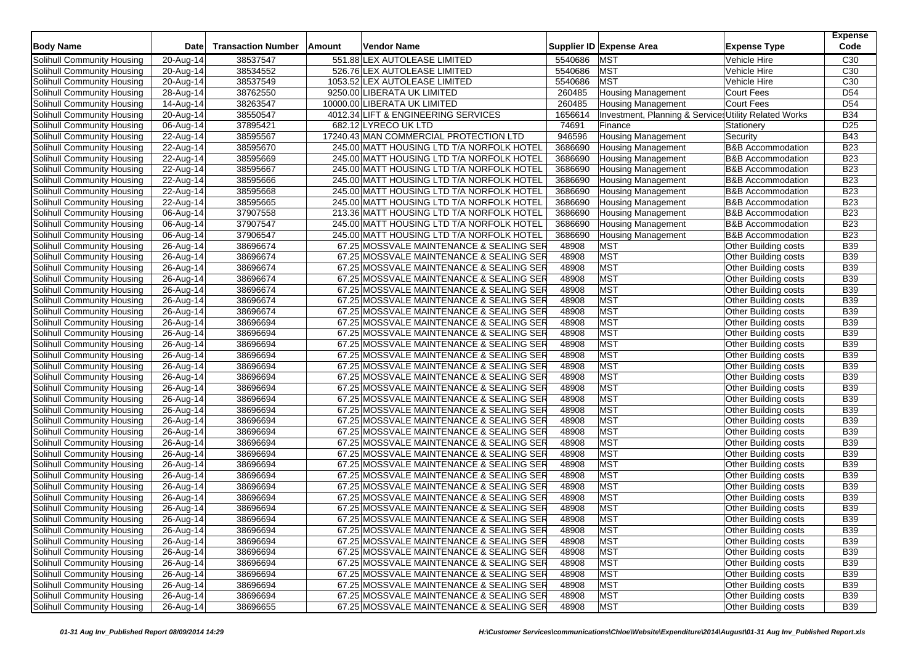|                            |                         |                           |        |                                           |         |                                                       |                              | <b>Expense</b>  |
|----------------------------|-------------------------|---------------------------|--------|-------------------------------------------|---------|-------------------------------------------------------|------------------------------|-----------------|
| <b>Body Name</b>           | Date                    | <b>Transaction Number</b> | Amount | Vendor Name                               |         | Supplier ID Expense Area                              | <b>Expense Type</b>          | Code            |
| Solihull Community Housing | 20-Aug-14               | 38537547                  |        | 551.88 LEX AUTOLEASE LIMITED              | 5540686 | <b>MST</b>                                            | Vehicle Hire                 | C <sub>30</sub> |
| Solihull Community Housing | 20-Aug-14               | 38534552                  |        | 526.76 LEX AUTOLEASE LIMITED              | 5540686 | <b>MST</b>                                            | Vehicle Hire                 | C <sub>30</sub> |
| Solihull Community Housing | $\overline{20}$ -Aug-14 | 38537549                  |        | 1053.52 LEX AUTOLEASE LIMITED             | 5540686 | <b>MST</b>                                            | Vehicle Hire                 | C <sub>30</sub> |
| Solihull Community Housing | 28-Aug-14               | 38762550                  |        | 9250.00 LIBERATA UK LIMITED               | 260485  | <b>Housing Management</b>                             | <b>Court Fees</b>            | D <sub>54</sub> |
| Solihull Community Housing | 14-Aug-14               | 38263547                  |        | 10000.00 LIBERATA UK LIMITED              | 260485  | <b>Housing Management</b>                             | <b>Court Fees</b>            | D <sub>54</sub> |
| Solihull Community Housing | 20-Aug-14               | 38550547                  |        | 4012.34 LIFT & ENGINEERING SERVICES       | 1656614 | Investment, Planning & Services Utility Related Works |                              | <b>B34</b>      |
| Solihull Community Housing | 06-Aug-14               | 37895421                  |        | 682.12 LYRECO UK LTD                      | 74691   | Finance                                               | Stationery                   | D <sub>25</sub> |
| Solihull Community Housing | 22-Aug-14               | 38595567                  |        | 17240.43 MAN COMMERCIAL PROTECTION LTD    | 946596  | <b>Housing Management</b>                             | Security                     | <b>B43</b>      |
| Solihull Community Housing | 22-Aug-14               | 38595670                  |        | 245.00 MATT HOUSING LTD T/A NORFOLK HOTEL | 3686690 | <b>Housing Management</b>                             | <b>B&amp;B Accommodation</b> | <b>B23</b>      |
| Solihull Community Housing | 22-Aug-14               | 38595669                  |        | 245.00 MATT HOUSING LTD T/A NORFOLK HOTEL | 3686690 | <b>Housing Management</b>                             | <b>B&amp;B Accommodation</b> | <b>B23</b>      |
| Solihull Community Housing | 22-Aug-14               | 38595667                  |        | 245.00 MATT HOUSING LTD T/A NORFOLK HOTEL | 3686690 | <b>Housing Management</b>                             | <b>B&amp;B Accommodation</b> | <b>B23</b>      |
| Solihull Community Housing | 22-Aug-14               | 38595666                  |        | 245.00 MATT HOUSING LTD T/A NORFOLK HOTEL | 3686690 | <b>Housing Management</b>                             | <b>B&amp;B</b> Accommodation | <b>B23</b>      |
| Solihull Community Housing | 22-Aug-14               | 38595668                  |        | 245.00 MATT HOUSING LTD T/A NORFOLK HOTEL | 3686690 | <b>Housing Management</b>                             | <b>B&amp;B Accommodation</b> | <b>B23</b>      |
| Solihull Community Housing | 22-Aug-14               | 38595665                  |        | 245.00 MATT HOUSING LTD T/A NORFOLK HOTEL | 3686690 | <b>Housing Management</b>                             | <b>B&amp;B Accommodation</b> | <b>B23</b>      |
| Solihull Community Housing | 06-Aug-14               | 37907558                  |        | 213.36 MATT HOUSING LTD T/A NORFOLK HOTEL | 3686690 | <b>Housing Management</b>                             | <b>B&amp;B Accommodation</b> | <b>B23</b>      |
| Solihull Community Housing | 06-Aug-14               | 37907547                  |        | 245.00 MATT HOUSING LTD T/A NORFOLK HOTEL | 3686690 | <b>Housing Management</b>                             | <b>B&amp;B Accommodation</b> | <b>B23</b>      |
| Solihull Community Housing | 06-Aug-14               | 37906547                  |        | 245.00 MATT HOUSING LTD T/A NORFOLK HOTEL | 3686690 | <b>Housing Management</b>                             | <b>B&amp;B</b> Accommodation | <b>B23</b>      |
| Solihull Community Housing | 26-Aug-14               | 38696674                  |        | 67.25 MOSSVALE MAINTENANCE & SEALING SER  | 48908   | <b>MST</b>                                            | Other Building costs         | <b>B39</b>      |
| Solihull Community Housing | 26-Aug-14               | 38696674                  |        | 67.25 MOSSVALE MAINTENANCE & SEALING SER  | 48908   | <b>MST</b>                                            | Other Building costs         | <b>B39</b>      |
| Solihull Community Housing | 26-Aug-14               | 38696674                  |        | 67.25 MOSSVALE MAINTENANCE & SEALING SER  | 48908   | <b>MST</b>                                            | Other Building costs         | <b>B39</b>      |
| Solihull Community Housing | 26-Aug-14               | 38696674                  |        | 67.25 MOSSVALE MAINTENANCE & SEALING SER  | 48908   | <b>MST</b>                                            | Other Building costs         | <b>B39</b>      |
| Solihull Community Housing | 26-Aug-14               | 38696674                  |        | 67.25 MOSSVALE MAINTENANCE & SEALING SER  | 48908   | <b>MST</b>                                            | Other Building costs         | <b>B39</b>      |
| Solihull Community Housing | 26-Aug-14               | 38696674                  |        | 67.25 MOSSVALE MAINTENANCE & SEALING SER  | 48908   | <b>MST</b>                                            | Other Building costs         | <b>B39</b>      |
| Solihull Community Housing | 26-Aug-14               | 38696674                  |        | 67.25 MOSSVALE MAINTENANCE & SEALING SER  | 48908   | <b>MST</b>                                            | Other Building costs         | <b>B39</b>      |
| Solihull Community Housing | 26-Aug-14               | 38696694                  |        | 67.25 MOSSVALE MAINTENANCE & SEALING SER  | 48908   | <b>MST</b>                                            | Other Building costs         | <b>B39</b>      |
| Solihull Community Housing | 26-Aug-14               | 38696694                  |        | 67.25 MOSSVALE MAINTENANCE & SEALING SER  | 48908   | <b>MST</b>                                            | Other Building costs         | <b>B39</b>      |
| Solihull Community Housing | 26-Aug-14               | 38696694                  |        | 67.25 MOSSVALE MAINTENANCE & SEALING SER  | 48908   | <b>MST</b>                                            | Other Building costs         | <b>B39</b>      |
| Solihull Community Housing | 26-Aug-14               | 38696694                  |        | 67.25 MOSSVALE MAINTENANCE & SEALING SER  | 48908   | <b>MST</b>                                            | Other Building costs         | <b>B39</b>      |
| Solihull Community Housing | 26-Aug-14               | 38696694                  |        | 67.25 MOSSVALE MAINTENANCE & SEALING SER  | 48908   | <b>MST</b>                                            | Other Building costs         | <b>B39</b>      |
| Solihull Community Housing | 26-Aug-14               | 38696694                  |        | 67.25 MOSSVALE MAINTENANCE & SEALING SER  | 48908   | <b>MST</b>                                            | Other Building costs         | <b>B39</b>      |
| Solihull Community Housing | 26-Aug-14               | 38696694                  |        | 67.25 MOSSVALE MAINTENANCE & SEALING SER  | 48908   | <b>MST</b>                                            | Other Building costs         | <b>B39</b>      |
| Solihull Community Housing | 26-Aug-14               | 38696694                  |        | 67.25 MOSSVALE MAINTENANCE & SEALING SER  | 48908   | <b>MST</b>                                            | Other Building costs         | <b>B39</b>      |
| Solihull Community Housing | 26-Aug-14               | 38696694                  |        | 67.25 MOSSVALE MAINTENANCE & SEALING SER  | 48908   | <b>MST</b>                                            | Other Building costs         | <b>B39</b>      |
| Solihull Community Housing | 26-Aug-14               | 38696694                  |        | 67.25 MOSSVALE MAINTENANCE & SEALING SER  | 48908   | <b>MST</b>                                            | Other Building costs         | <b>B39</b>      |
| Solihull Community Housing | 26-Aug-14               | 38696694                  |        | 67.25 MOSSVALE MAINTENANCE & SEALING SER  | 48908   | <b>MST</b>                                            | Other Building costs         | <b>B39</b>      |
| Solihull Community Housing | 26-Aug-14               | 38696694                  |        | 67.25 MOSSVALE MAINTENANCE & SEALING SER  | 48908   | <b>MST</b>                                            | Other Building costs         | <b>B39</b>      |
| Solihull Community Housing | 26-Aug-14               | 38696694                  |        | 67.25 MOSSVALE MAINTENANCE & SEALING SER  | 48908   | <b>MST</b>                                            | Other Building costs         | <b>B39</b>      |
| Solihull Community Housing | 26-Aug-14               | 38696694                  |        | 67.25 MOSSVALE MAINTENANCE & SEALING SER  | 48908   | <b>MST</b>                                            | Other Building costs         | <b>B39</b>      |
| Solihull Community Housing | 26-Aug-14               | 38696694                  |        | 67.25 MOSSVALE MAINTENANCE & SEALING SER  | 48908   | <b>MST</b>                                            | Other Building costs         | <b>B39</b>      |
| Solihull Community Housing | 26-Aug-14               | 38696694                  |        | 67.25 MOSSVALE MAINTENANCE & SEALING SER  | 48908   | <b>MST</b>                                            | Other Building costs         | <b>B39</b>      |
| Solihull Community Housing | 26-Aug-14               | 38696694                  |        | 67.25 MOSSVALE MAINTENANCE & SEALING SER  | 48908   | <b>MST</b>                                            | Other Building costs         | <b>B39</b>      |
| Solihull Community Housing | 26-Aug-14               | 38696694                  |        | 67.25 MOSSVALE MAINTENANCE & SEALING SER  | 48908   | <b>MST</b>                                            | Other Building costs         | <b>B39</b>      |
| Solihull Community Housing | 26-Aug-14               | 38696694                  |        | 67.25 MOSSVALE MAINTENANCE & SEALING SER  | 48908   | MST                                                   | Other Building costs         | <b>B39</b>      |
| Solihull Community Housing | 26-Aug-14               | 38696694                  |        | 67.25 MOSSVALE MAINTENANCE & SEALING SER  | 48908   | <b>MST</b>                                            | Other Building costs         | <b>B39</b>      |
| Solihull Community Housing | 26-Aug-14               | 38696694                  |        | 67.25 MOSSVALE MAINTENANCE & SEALING SER  | 48908   | <b>MST</b>                                            | Other Building costs         | <b>B39</b>      |
| Solihull Community Housing | 26-Aug-14               | 38696694                  |        | 67.25 MOSSVALE MAINTENANCE & SEALING SER  | 48908   | <b>MST</b>                                            | Other Building costs         | <b>B39</b>      |
| Solihull Community Housing | 26-Aug-14               | 38696694                  |        | 67.25 MOSSVALE MAINTENANCE & SEALING SER  | 48908   | MST                                                   | Other Building costs         | <b>B39</b>      |
| Solihull Community Housing | 26-Aug-14               | 38696694                  |        | 67.25 MOSSVALE MAINTENANCE & SEALING SER  | 48908   | <b>MST</b>                                            | Other Building costs         | <b>B39</b>      |
| Solihull Community Housing | 26-Aug-14               | 38696694                  |        | 67.25 MOSSVALE MAINTENANCE & SEALING SER  | 48908   | <b>MST</b>                                            | Other Building costs         | <b>B39</b>      |
| Solihull Community Housing | $26$ -Aug-14            | 38696694                  |        | 67.25 MOSSVALE MAINTENANCE & SEALING SER  | 48908   | <b>MST</b>                                            | Other Building costs         | <b>B39</b>      |
| Solihull Community Housing | 26-Aug-14               | 38696655                  |        | 67.25 MOSSVALE MAINTENANCE & SEALING SER  | 48908   | <b>MST</b>                                            | Other Building costs         | <b>B39</b>      |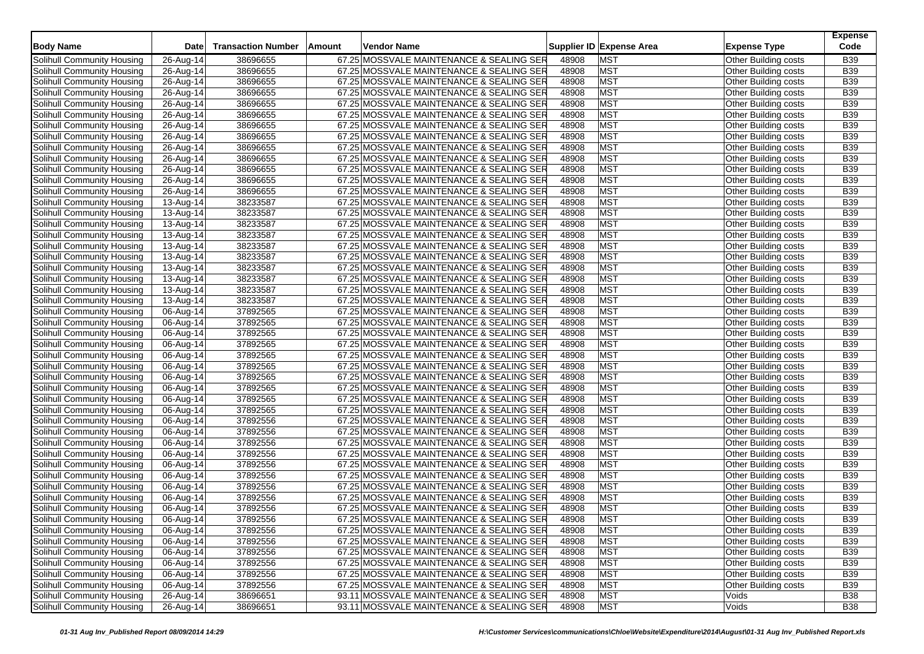| <b>Body Name</b>                  | <b>Date</b>             | <b>Transaction Number</b> | Vendor Name<br><b>Amount</b>             |       | Supplier ID Expense Area | <b>Expense Type</b>         | <b>Expense</b><br>Code |
|-----------------------------------|-------------------------|---------------------------|------------------------------------------|-------|--------------------------|-----------------------------|------------------------|
|                                   |                         |                           |                                          |       |                          |                             |                        |
| Solihull Community Housing        | 26-Aug-14               | 38696655                  | 67.25 MOSSVALE MAINTENANCE & SEALING SER | 48908 | <b>MST</b>               | Other Building costs        | <b>B39</b>             |
| Solihull Community Housing        | 26-Aug-14               | 38696655                  | 67.25 MOSSVALE MAINTENANCE & SEALING SER | 48908 | <b>MST</b>               | Other Building costs        | <b>B39</b>             |
| Solihull Community Housing        | 26-Aug-14               | 38696655                  | 67.25 MOSSVALE MAINTENANCE & SEALING SER | 48908 | <b>MST</b>               | Other Building costs        | <b>B39</b>             |
| Solihull Community Housing        | 26-Aug-14               | 38696655                  | 67.25 MOSSVALE MAINTENANCE & SEALING SER | 48908 | <b>MST</b>               | Other Building costs        | <b>B39</b>             |
| Solihull Community Housing        | 26-Aug-14               | 38696655                  | 67.25 MOSSVALE MAINTENANCE & SEALING SER | 48908 | <b>MST</b>               | Other Building costs        | <b>B39</b>             |
| Solihull Community Housing        | 26-Aug-14               | 38696655                  | 67.25 MOSSVALE MAINTENANCE & SEALING SER | 48908 | <b>MST</b>               | Other Building costs        | <b>B39</b>             |
| Solihull Community Housing        | 26-Aug-14               | 38696655                  | 67.25 MOSSVALE MAINTENANCE & SEALING SER | 48908 | <b>MST</b>               | Other Building costs        | <b>B39</b>             |
| Solihull Community Housing        | 26-Aug-14               | 38696655                  | 67.25 MOSSVALE MAINTENANCE & SEALING SER | 48908 | <b>MST</b>               | Other Building costs        | B39                    |
| Solihull Community Housing        | 26-Aug-14               | 38696655                  | 67.25 MOSSVALE MAINTENANCE & SEALING SER | 48908 | <b>MST</b>               | Other Building costs        | <b>B39</b>             |
| Solihull Community Housing        | 26-Aug-14               | 38696655                  | 67.25 MOSSVALE MAINTENANCE & SEALING SER | 48908 | <b>MST</b>               | Other Building costs        | <b>B39</b>             |
| Solihull Community Housing        | 26-Aug-14               | 38696655                  | 67.25 MOSSVALE MAINTENANCE & SEALING SER | 48908 | <b>MST</b>               | Other Building costs        | B39                    |
| Solihull Community Housing        | 26-Aug-14               | 38696655                  | 67.25 MOSSVALE MAINTENANCE & SEALING SER | 48908 | <b>MST</b>               | Other Building costs        | <b>B39</b>             |
| Solihull Community Housing        | 26-Aug-14               | 38696655                  | 67.25 MOSSVALE MAINTENANCE & SEALING SER | 48908 | <b>MST</b>               | Other Building costs        | <b>B39</b>             |
| Solihull Community Housing        | 13-Aug-14               | 38233587                  | 67.25 MOSSVALE MAINTENANCE & SEALING SER | 48908 | <b>MST</b>               | Other Building costs        | B39                    |
| Solihull Community Housing        | 13-Aug-14               | 38233587                  | 67.25 MOSSVALE MAINTENANCE & SEALING SER | 48908 | <b>MST</b>               | Other Building costs        | <b>B39</b>             |
| Solihull Community Housing        | 13-Aug-14               | 38233587                  | 67.25 MOSSVALE MAINTENANCE & SEALING SER | 48908 | <b>MST</b>               | Other Building costs        | <b>B39</b>             |
| Solihull Community Housing        | 13-Aug-14               | 38233587                  | 67.25 MOSSVALE MAINTENANCE & SEALING SER | 48908 | <b>MST</b>               | Other Building costs        | B39                    |
| Solihull Community Housing        | 13-Aug-14               | 38233587                  | 67.25 MOSSVALE MAINTENANCE & SEALING SER | 48908 | <b>MST</b>               | Other Building costs        | <b>B39</b>             |
| Solihull Community Housing        | 13-Aug-14               | 38233587                  | 67.25 MOSSVALE MAINTENANCE & SEALING SER | 48908 | <b>MST</b>               | Other Building costs        | <b>B39</b>             |
| Solihull Community Housing        | 13-Aug-14               | 38233587                  | 67.25 MOSSVALE MAINTENANCE & SEALING SER | 48908 | <b>MST</b>               | Other Building costs        | <b>B39</b>             |
| Solihull Community Housing        | 13-Aug-14               | 38233587                  | 67.25 MOSSVALE MAINTENANCE & SEALING SER | 48908 | <b>MST</b>               | <b>Other Building costs</b> | <b>B39</b>             |
| Solihull Community Housing        | 13-Aug-14               | 38233587                  | 67.25 MOSSVALE MAINTENANCE & SEALING SER | 48908 | <b>MST</b>               | Other Building costs        | <b>B39</b>             |
| Solihull Community Housing        | 13-Aug-14               | 38233587                  | 67.25 MOSSVALE MAINTENANCE & SEALING SER | 48908 | <b>MST</b>               | Other Building costs        | <b>B39</b>             |
| Solihull Community Housing        | 06-Aug-14               | 37892565                  | 67.25 MOSSVALE MAINTENANCE & SEALING SER | 48908 | <b>MST</b>               | <b>Other Building costs</b> | <b>B39</b>             |
| Solihull Community Housing        | 06-Aug-14               | 37892565                  | 67.25 MOSSVALE MAINTENANCE & SEALING SER | 48908 | <b>MST</b>               | Other Building costs        | <b>B39</b>             |
| Solihull Community Housing        | 06-Aug-14               | 37892565                  | 67.25 MOSSVALE MAINTENANCE & SEALING SER | 48908 | <b>MST</b>               | Other Building costs        | B39                    |
| Solihull Community Housing        | 06-Aug-14               | 37892565                  | 67.25 MOSSVALE MAINTENANCE & SEALING SER | 48908 | <b>MST</b>               | Other Building costs        | <b>B39</b>             |
| Solihull Community Housing        | 06-Aug-14               | 37892565                  | 67.25 MOSSVALE MAINTENANCE & SEALING SER | 48908 | <b>MST</b>               | Other Building costs        | <b>B39</b>             |
| Solihull Community Housing        | 06-Aug-14               | 37892565                  | 67.25 MOSSVALE MAINTENANCE & SEALING SER | 48908 | <b>MST</b>               | Other Building costs        | <b>B39</b>             |
| Solihull Community Housing        | 06-Aug-14               | 37892565                  | 67.25 MOSSVALE MAINTENANCE & SEALING SER | 48908 | <b>MST</b>               | Other Building costs        | <b>B39</b>             |
| Solihull Community Housing        | 06-Aug-14               | 37892565                  | 67.25 MOSSVALE MAINTENANCE & SEALING SER | 48908 | <b>MST</b>               | Other Building costs        | <b>B39</b>             |
| Solihull Community Housing        | 06-Aug-14               | 37892565                  | 67.25 MOSSVALE MAINTENANCE & SEALING SER | 48908 | <b>MST</b>               | Other Building costs        | <b>B39</b>             |
| Solihull Community Housing        | 06-Aug-14               | 37892565                  | 67.25 MOSSVALE MAINTENANCE & SEALING SER | 48908 | <b>MST</b>               | Other Building costs        | <b>B39</b>             |
| Solihull Community Housing        | 06-Aug-14               | 37892556                  | 67.25 MOSSVALE MAINTENANCE & SEALING SER | 48908 | <b>MST</b>               | Other Building costs        | B39                    |
| Solihull Community Housing        | 06-Aug-14               | 37892556                  | 67.25 MOSSVALE MAINTENANCE & SEALING SER | 48908 | <b>MST</b>               | Other Building costs        | <b>B39</b>             |
| Solihull Community Housing        | 06-Aug-14               | 37892556                  | 67.25 MOSSVALE MAINTENANCE & SEALING SER | 48908 | <b>MST</b>               | Other Building costs        | <b>B39</b>             |
| Solihull Community Housing        | 06-Aug-14               | 37892556                  | 67.25 MOSSVALE MAINTENANCE & SEALING SER | 48908 | <b>MST</b>               | Other Building costs        | B39                    |
| Solihull Community Housing        | 06-Aug-14               | 37892556                  | 67.25 MOSSVALE MAINTENANCE & SEALING SER | 48908 | <b>MST</b>               | Other Building costs        | <b>B39</b>             |
| Solihull Community Housing        | 06-Aug-14               | 37892556                  | 67.25 MOSSVALE MAINTENANCE & SEALING SER | 48908 | <b>MST</b>               | Other Building costs        | <b>B39</b>             |
| Solihull Community Housing        | 06-Aug-14               | 37892556                  | 67.25 MOSSVALE MAINTENANCE & SEALING SER | 48908 | <b>MST</b>               | Other Building costs        | B39                    |
| Solihull Community Housing        | 06-Aug-14               | 37892556                  | 67.25 MOSSVALE MAINTENANCE & SEALING SER | 48908 | <b>MST</b>               | Other Building costs        | <b>B39</b>             |
| Solihull Community Housing        | 06-Aug-14               | 37892556                  | 67.25 MOSSVALE MAINTENANCE & SEALING SER | 48908 | <b>MST</b>               | Other Building costs        | <b>B39</b>             |
| Solihull Community Housing        | 06-Aug-14               | 37892556                  | 67.25 MOSSVALE MAINTENANCE & SEALING SER | 48908 | <b>MST</b>               | <b>Other Building costs</b> | <b>B39</b>             |
| Solihull Community Housing        | 06-Aug-14               | 37892556                  | 67.25 MOSSVALE MAINTENANCE & SEALING SER | 48908 | <b>MST</b>               | Other Building costs        | <b>B39</b>             |
| Solihull Community Housing        | 06-Aug-14               | 37892556                  | 67.25 MOSSVALE MAINTENANCE & SEALING SER | 48908 | <b>MST</b>               | Other Building costs        | <b>B39</b>             |
| Solihull Community Housing        | 06-Aug-14               | 37892556                  | 67.25 MOSSVALE MAINTENANCE & SEALING SER | 48908 | <b>MST</b>               | Other Building costs        | <b>B39</b>             |
| Solihull Community Housing        | 06-Aug-14               | 37892556                  | 67.25 MOSSVALE MAINTENANCE & SEALING SER | 48908 | <b>MST</b>               | Other Building costs        | <b>B39</b>             |
| Solihull Community Housing        | 06-Aug-14               | 37892556                  | 67.25 MOSSVALE MAINTENANCE & SEALING SER | 48908 | <b>MST</b>               | Other Building costs        | <b>B39</b>             |
| Solihull Community Housing        | 06-Aug-14               | 37892556                  | 67.25 MOSSVALE MAINTENANCE & SEALING SER | 48908 | <b>MST</b>               | Other Building costs        | <b>B39</b>             |
| <b>Solihull Community Housing</b> | 26-Aug-14               | 38696651                  | 93.11 MOSSVALE MAINTENANCE & SEALING SER | 48908 | <b>MST</b>               | Voids                       | <b>B38</b>             |
| Solihull Community Housing        | $\overline{26}$ -Aug-14 | 38696651                  | 93.11 MOSSVALE MAINTENANCE & SEALING SER | 48908 | <b>MST</b>               | Voids                       | <b>B38</b>             |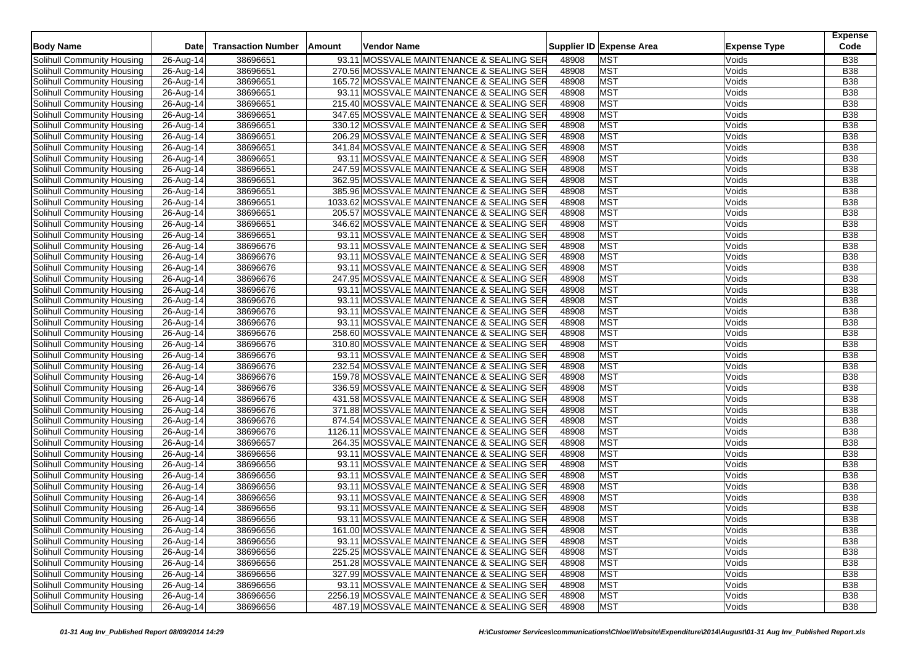| <b>Body Name</b>                                         | <b>Date</b>            | <b>Transaction Number</b> | Amount | Vendor Name                                                                             |                | Supplier ID Expense Area | <b>Expense Type</b> | <b>Expense</b><br>Code   |
|----------------------------------------------------------|------------------------|---------------------------|--------|-----------------------------------------------------------------------------------------|----------------|--------------------------|---------------------|--------------------------|
|                                                          |                        |                           |        |                                                                                         |                |                          |                     |                          |
| Solihull Community Housing                               | 26-Aug-14              | 38696651                  |        | 93.11 MOSSVALE MAINTENANCE & SEALING SER                                                | 48908          | <b>MST</b>               | Voids               | <b>B38</b>               |
| Solihull Community Housing                               | 26-Aug-14              | 38696651                  |        | 270.56 MOSSVALE MAINTENANCE & SEALING SER                                               | 48908          | <b>MST</b>               | Voids               | <b>B38</b>               |
| Solihull Community Housing                               | 26-Aug-14              | 38696651                  |        | 165.72 MOSSVALE MAINTENANCE & SEALING SER                                               | 48908          | <b>MST</b>               | Voids               | <b>B38</b>               |
| Solihull Community Housing                               | 26-Aug-14              | 38696651                  |        | 93.11 MOSSVALE MAINTENANCE & SEALING SER                                                | 48908          | <b>MST</b>               | Voids               | <b>B38</b>               |
| Solihull Community Housing                               | 26-Aug-14              | 38696651                  |        | 215.40 MOSSVALE MAINTENANCE & SEALING SER                                               | 48908          | <b>MST</b>               | Voids               | <b>B38</b>               |
| Solihull Community Housing                               | 26-Aug-14              | 38696651                  |        | 347.65 MOSSVALE MAINTENANCE & SEALING SER                                               | 48908          | <b>MST</b>               | Voids               | <b>B38</b>               |
| Solihull Community Housing                               | 26-Aug-14              | 38696651                  |        | 330.12 MOSSVALE MAINTENANCE & SEALING SER                                               | 48908          | <b>MST</b><br><b>MST</b> | Voids               | <b>B38</b><br><b>B38</b> |
| Solihull Community Housing                               | 26-Aug-14              | 38696651                  |        | 206.29 MOSSVALE MAINTENANCE & SEALING SER                                               | 48908          |                          | Voids               |                          |
| Solihull Community Housing                               | 26-Aug-14              | 38696651                  |        | 341.84 MOSSVALE MAINTENANCE & SEALING SER                                               | 48908          | <b>MST</b>               | Voids               | <b>B38</b>               |
| Solihull Community Housing                               | 26-Aug-14              | 38696651                  |        | 93.11 MOSSVALE MAINTENANCE & SEALING SER                                                | 48908<br>48908 | <b>MST</b><br><b>MST</b> | Voids               | <b>B38</b>               |
| Solihull Community Housing                               | 26-Aug-14              | 38696651                  |        | 247.59 MOSSVALE MAINTENANCE & SEALING SER                                               |                |                          | Voids               | <b>B38</b>               |
| Solihull Community Housing                               | 26-Aug-14              | 38696651                  |        | 362.95 MOSSVALE MAINTENANCE & SEALING SER                                               | 48908          | <b>MST</b><br><b>MST</b> | Voids               | <b>B38</b><br><b>B38</b> |
| Solihull Community Housing                               | 26-Aug-14              | 38696651<br>38696651      |        | 385.96 MOSSVALE MAINTENANCE & SEALING SER                                               | 48908<br>48908 | <b>MST</b>               | Voids               | <b>B38</b>               |
| Solihull Community Housing                               | 26-Aug-14              |                           |        | 1033.62 MOSSVALE MAINTENANCE & SEALING SER                                              | 48908          | <b>MST</b>               | Voids               | <b>B38</b>               |
| Solihull Community Housing                               | 26-Aug-14              | 38696651                  |        | 205.57 MOSSVALE MAINTENANCE & SEALING SER                                               |                | <b>MST</b>               | Voids               | <b>B38</b>               |
| Solihull Community Housing                               | 26-Aug-14              | 38696651                  |        | 346.62 MOSSVALE MAINTENANCE & SEALING SER                                               | 48908          | <b>MST</b>               | Voids               |                          |
| Solihull Community Housing<br>Solihull Community Housing | 26-Aug-14              | 38696651                  |        | 93.11 MOSSVALE MAINTENANCE & SEALING SER                                                | 48908<br>48908 | <b>MST</b>               | Voids               | <b>B38</b><br><b>B38</b> |
|                                                          | 26-Aug-14              | 38696676                  |        | 93.11 MOSSVALE MAINTENANCE & SEALING SER                                                |                |                          | Voids               |                          |
| Solihull Community Housing                               | 26-Aug-14              | 38696676                  |        | 93.11 MOSSVALE MAINTENANCE & SEALING SER                                                | 48908          | <b>MST</b>               | Voids               | <b>B38</b>               |
| Solihull Community Housing                               | 26-Aug-14              | 38696676                  |        | 93.11 MOSSVALE MAINTENANCE & SEALING SER                                                | 48908          | <b>MST</b>               | Voids               | <b>B38</b>               |
| Solihull Community Housing                               | 26-Aug-14              | 38696676                  |        | 247.95 MOSSVALE MAINTENANCE & SEALING SER                                               | 48908          | <b>MST</b><br><b>MST</b> | Voids               | <b>B38</b>               |
| Solihull Community Housing                               | $26$ -Aug-14           | 38696676                  |        | 93.11 MOSSVALE MAINTENANCE & SEALING SER                                                | 48908          |                          | Voids               | <b>B38</b>               |
| Solihull Community Housing                               | 26-Aug-14              | 38696676                  |        | 93.11 MOSSVALE MAINTENANCE & SEALING SER                                                | 48908          | <b>MST</b>               | Voids               | <b>B38</b>               |
| Solihull Community Housing                               | 26-Aug-14              | 38696676                  |        | 93.11 MOSSVALE MAINTENANCE & SEALING SER                                                | 48908          | <b>MST</b>               | Voids               | <b>B38</b>               |
| Solihull Community Housing                               | 26-Aug-14              | 38696676                  |        | 93.11 MOSSVALE MAINTENANCE & SEALING SER                                                | 48908          | <b>MST</b>               | Voids               | <b>B38</b>               |
| Solihull Community Housing                               | 26-Aug-14              | 38696676                  |        | 258.60 MOSSVALE MAINTENANCE & SEALING SER                                               | 48908          | <b>MST</b>               | Voids               | <b>B38</b>               |
| Solihull Community Housing                               | 26-Aug-14              | 38696676                  |        | 310.80 MOSSVALE MAINTENANCE & SEALING SER                                               | 48908          | <b>MST</b>               | Voids               | <b>B38</b>               |
| Solihull Community Housing                               | 26-Aug-14              | 38696676                  |        | 93.11 MOSSVALE MAINTENANCE & SEALING SER                                                | 48908<br>48908 | <b>MST</b><br><b>MST</b> | Voids               | <b>B38</b>               |
| Solihull Community Housing                               | 26-Aug-14              | 38696676                  |        | 232.54 MOSSVALE MAINTENANCE & SEALING SER                                               | 48908          | <b>MST</b>               | Voids               | <b>B38</b><br><b>B38</b> |
| Solihull Community Housing                               | 26-Aug-14              | 38696676                  |        | 159.78 MOSSVALE MAINTENANCE & SEALING SER                                               |                |                          | Voids               |                          |
| Solihull Community Housing                               | 26-Aug-14              | 38696676                  |        | 336.59 MOSSVALE MAINTENANCE & SEALING SER                                               | 48908          | <b>MST</b><br><b>MST</b> | Voids<br>Voids      | <b>B38</b>               |
| Solihull Community Housing                               | 26-Aug-14              | 38696676                  |        | 431.58 MOSSVALE MAINTENANCE & SEALING SER                                               | 48908<br>48908 |                          |                     | <b>B38</b><br><b>B38</b> |
| Solihull Community Housing                               | 26-Aug-14              | 38696676                  |        | 371.88 MOSSVALE MAINTENANCE & SEALING SER                                               |                | <b>MST</b><br><b>MST</b> | Voids               |                          |
| Solihull Community Housing                               | 26-Aug-14              | 38696676                  |        | 874.54 MOSSVALE MAINTENANCE & SEALING SER                                               | 48908<br>48908 | <b>MST</b>               | Voids<br>Voids      | <b>B38</b><br><b>B38</b> |
| Solihull Community Housing<br>Solihull Community Housing | 26-Aug-14              | 38696676<br>38696657      |        | 1126.11 MOSSVALE MAINTENANCE & SEALING SER<br>264.35 MOSSVALE MAINTENANCE & SEALING SER | 48908          | <b>MST</b>               | Voids               | <b>B38</b>               |
| Solihull Community Housing                               | 26-Aug-14              | 38696656                  |        | 93.11 MOSSVALE MAINTENANCE & SEALING SER                                                | 48908          | <b>MST</b>               | Voids               | <b>B38</b>               |
| Solihull Community Housing                               | 26-Aug-14<br>26-Aug-14 | 38696656                  |        | 93.11 MOSSVALE MAINTENANCE & SEALING SER                                                | 48908          | <b>MST</b>               | Voids               | <b>B38</b>               |
| Solihull Community Housing                               |                        | 38696656                  |        | 93.11 MOSSVALE MAINTENANCE & SEALING SER                                                | 48908          | <b>MST</b>               | Voids               | <b>B38</b>               |
| Solihull Community Housing                               | 26-Aug-14              | 38696656                  |        | 93.11 MOSSVALE MAINTENANCE & SEALING SER                                                | 48908          | <b>MST</b>               | Voids               | <b>B38</b>               |
| Solihull Community Housing                               | 26-Aug-14<br>26-Aug-14 | 38696656                  |        | 93.11 MOSSVALE MAINTENANCE & SEALING SER                                                | 48908          | <b>MST</b>               | Voids               | <b>B38</b>               |
| Solihull Community Housing                               |                        | 38696656                  |        | 93.11 MOSSVALE MAINTENANCE & SEALING SER                                                | 48908          | <b>MST</b>               | Voids               | <b>B38</b>               |
| Solihull Community Housing                               | 26-Aug-14<br>26-Aug-14 | 38696656                  |        | 93.11 MOSSVALE MAINTENANCE & SEALING SER                                                | 48908          | <b>MST</b>               | Voids               | <b>B38</b>               |
| Solihull Community Housing                               | 26-Aug-14              | 38696656                  |        | 161.00 MOSSVALE MAINTENANCE & SEALING SER                                               | 48908          | <b>MST</b>               | Voids               | <b>B38</b>               |
| Solihull Community Housing                               | 26-Aug-14              | 38696656                  |        | 93.11 MOSSVALE MAINTENANCE & SEALING SER                                                | 48908          | <b>MST</b>               | Voids               | <b>B38</b>               |
| Solihull Community Housing                               | 26-Aug-14              | 38696656                  |        | 225.25 MOSSVALE MAINTENANCE & SEALING SER                                               | 48908          | <b>MST</b>               | Voids               | <b>B38</b>               |
| Solihull Community Housing                               | 26-Aug-14              | 38696656                  |        | 251.28 MOSSVALE MAINTENANCE & SEALING SER                                               | 48908          | <b>MST</b>               | Voids               | <b>B38</b>               |
| Solihull Community Housing                               | 26-Aug-14              | 38696656                  |        | 327.99 MOSSVALE MAINTENANCE & SEALING SER                                               | 48908          | <b>MST</b>               | Voids               | <b>B38</b>               |
| Solihull Community Housing                               | 26-Aug-14              | 38696656                  |        | 93.11 MOSSVALE MAINTENANCE & SEALING SER                                                | 48908          | <b>MST</b>               | Voids               | <b>B38</b>               |
| <b>Solihull Community Housing</b>                        | 26-Aug-14              | 38696656                  |        | 2256.19 MOSSVALE MAINTENANCE & SEALING SER                                              | 48908          | <b>MST</b>               | Voids               | B38                      |
| Solihull Community Housing                               | 26-Aug-14              | 38696656                  |        | 487.19 MOSSVALE MAINTENANCE & SEALING SER                                               | 48908          | <b>MST</b>               | Voids               | <b>B38</b>               |
|                                                          |                        |                           |        |                                                                                         |                |                          |                     |                          |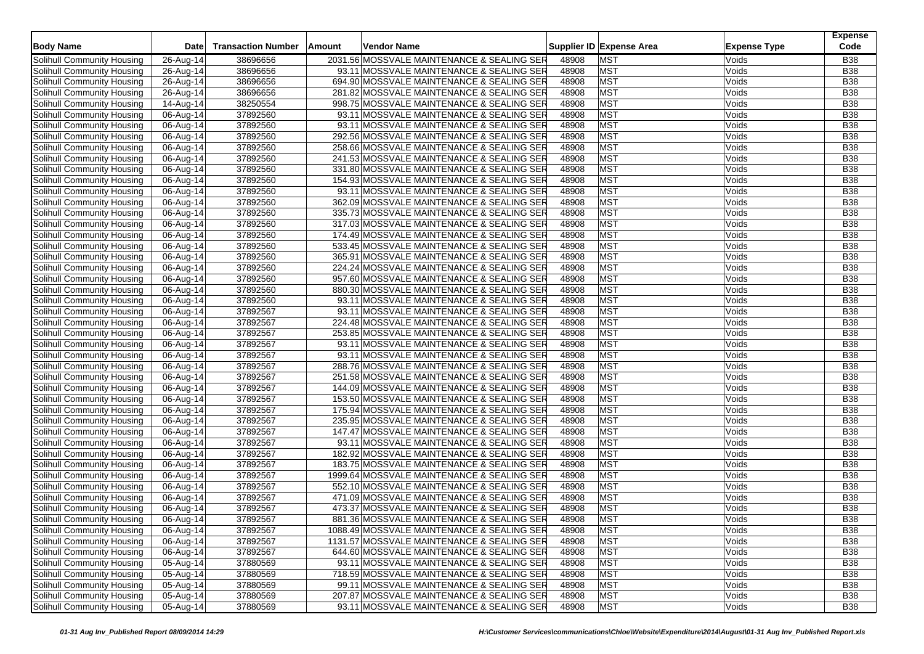| <b>Body Name</b>                                         | Date                    | <b>Transaction Number</b> | Amount | Vendor Name                                                                           |                | Supplier ID Expense Area | <b>Expense Type</b> | <b>Expense</b><br>Code   |
|----------------------------------------------------------|-------------------------|---------------------------|--------|---------------------------------------------------------------------------------------|----------------|--------------------------|---------------------|--------------------------|
| Solihull Community Housing                               | 26-Aug-14               | 38696656                  |        | 2031.56 MOSSVALE MAINTENANCE & SEALING SER                                            | 48908          | <b>MST</b>               | Voids               | <b>B38</b>               |
| Solihull Community Housing                               | 26-Aug-14               | 38696656                  |        | 93.11 MOSSVALE MAINTENANCE & SEALING SER                                              | 48908          | <b>MST</b>               | Voids               | <b>B38</b>               |
| Solihull Community Housing                               | 26-Aug-14               | 38696656                  |        | 694.90 MOSSVALE MAINTENANCE & SEALING SER                                             | 48908          | <b>MST</b>               | Voids               | <b>B38</b>               |
| Solihull Community Housing                               | 26-Aug-14               | 38696656                  |        | 281.82 MOSSVALE MAINTENANCE & SEALING SER                                             | 48908          | <b>MST</b>               | Voids               | <b>B38</b>               |
|                                                          |                         |                           |        |                                                                                       | 48908          | <b>MST</b>               |                     | <b>B38</b>               |
| Solihull Community Housing<br>Solihull Community Housing | 14-Aug-14               | 38250554<br>37892560      |        | 998.75 MOSSVALE MAINTENANCE & SEALING SER<br>93.11 MOSSVALE MAINTENANCE & SEALING SER | 48908          | MST                      | Voids<br>Voids      | <b>B38</b>               |
|                                                          | 06-Aug-14<br>06-Aug-14  |                           |        |                                                                                       | 48908          | <b>MST</b>               |                     |                          |
| Solihull Community Housing                               |                         | 37892560                  |        | 93.11 MOSSVALE MAINTENANCE & SEALING SER                                              |                | <b>MST</b>               | Voids               | <b>B38</b><br><b>B38</b> |
| Solihull Community Housing                               | 06-Aug-14               | 37892560                  |        | 292.56 MOSSVALE MAINTENANCE & SEALING SER                                             | 48908<br>48908 | <b>MST</b>               | Voids<br>Voids      | <b>B38</b>               |
| Solihull Community Housing                               | 06-Aug-14               | 37892560                  |        | 258.66 MOSSVALE MAINTENANCE & SEALING SER                                             |                |                          |                     |                          |
| Solihull Community Housing                               | 06-Aug-14               | 37892560                  |        | 241.53 MOSSVALE MAINTENANCE & SEALING SER                                             | 48908          | <b>MST</b>               | Voids               | <b>B38</b>               |
| Solihull Community Housing                               | 06-Aug-14               | 37892560                  |        | 331.80 MOSSVALE MAINTENANCE & SEALING SER                                             | 48908          | <b>MST</b>               | Voids               | <b>B38</b>               |
| Solihull Community Housing                               | 06-Aug-14               | 37892560                  |        | 154.93 MOSSVALE MAINTENANCE & SEALING SER                                             | 48908          | MST                      | Voids               | <b>B38</b>               |
| Solihull Community Housing                               | 06-Aug-14               | 37892560                  |        | 93.11 MOSSVALE MAINTENANCE & SEALING SER                                              | 48908          | <b>MST</b>               | Voids               | <b>B38</b>               |
| Solihull Community Housing                               | 06-Aug-14               | 37892560                  |        | 362.09 MOSSVALE MAINTENANCE & SEALING SER                                             | 48908          | <b>MST</b>               | Voids               | <b>B38</b>               |
| Solihull Community Housing                               | 06-Aug-14               | 37892560                  |        | 335.73 MOSSVALE MAINTENANCE & SEALING SER                                             | 48908          | <b>MST</b>               | Voids               | <b>B38</b>               |
| Solihull Community Housing                               | 06-Aug-14               | 37892560                  |        | 317.03 MOSSVALE MAINTENANCE & SEALING SER                                             | 48908          | <b>MST</b>               | Voids               | <b>B38</b>               |
| Solihull Community Housing                               | 06-Aug-14               | 37892560                  |        | 174.49 MOSSVALE MAINTENANCE & SEALING SER                                             | 48908          | <b>MST</b>               | Voids               | <b>B38</b>               |
| Solihull Community Housing                               | 06-Aug-14               | 37892560                  |        | 533.45 MOSSVALE MAINTENANCE & SEALING SER                                             | 48908          | MST                      | Voids               | <b>B38</b>               |
| Solihull Community Housing                               | 06-Aug-14               | 37892560                  |        | 365.91 MOSSVALE MAINTENANCE & SEALING SER                                             | 48908          | <b>MST</b>               | Voids               | <b>B38</b>               |
| Solihull Community Housing                               | 06-Aug-14               | 37892560                  |        | 224.24 MOSSVALE MAINTENANCE & SEALING SER                                             | 48908          | <b>MST</b>               | Voids               | <b>B38</b>               |
| Solihull Community Housing                               | 06-Aug-14               | 37892560                  |        | 957.60 MOSSVALE MAINTENANCE & SEALING SER                                             | 48908          | <b>MST</b>               | Voids               | <b>B38</b>               |
| Solihull Community Housing                               | 06-Aug-14               | 37892560                  |        | 880.30 MOSSVALE MAINTENANCE & SEALING SER                                             | 48908          | <b>MST</b>               | Voids               | <b>B38</b>               |
| Solihull Community Housing                               | 06-Aug-14               | 37892560                  |        | 93.11 MOSSVALE MAINTENANCE & SEALING SER                                              | 48908          | <b>MST</b>               | Voids               | <b>B38</b>               |
| Solihull Community Housing                               | $\overline{0}$ 6-Aug-14 | 37892567                  |        | 93.11 MOSSVALE MAINTENANCE & SEALING SER                                              | 48908          | <b>MST</b>               | Voids               | <b>B38</b>               |
| Solihull Community Housing                               | 06-Aug-14               | 37892567                  |        | 224.48 MOSSVALE MAINTENANCE & SEALING SER                                             | 48908          | <b>MST</b>               | Voids               | <b>B38</b>               |
| Solihull Community Housing                               | 06-Aug-14               | 37892567                  |        | 253.85 MOSSVALE MAINTENANCE & SEALING SER                                             | 48908          | <b>MST</b>               | Voids               | <b>B38</b>               |
| Solihull Community Housing                               | 06-Aug-14               | 37892567                  |        | 93.11 MOSSVALE MAINTENANCE & SEALING SER                                              | 48908          | <b>MST</b>               | Voids               | <b>B38</b>               |
| Solihull Community Housing                               | 06-Aug-14               | 37892567                  |        | 93.11 MOSSVALE MAINTENANCE & SEALING SER                                              | 48908          | <b>MST</b>               | Voids               | <b>B38</b>               |
| Solihull Community Housing                               | 06-Aug-14               | 37892567                  |        | 288.76 MOSSVALE MAINTENANCE & SEALING SER                                             | 48908          | <b>MST</b>               | Voids               | <b>B38</b>               |
| Solihull Community Housing                               | 06-Aug-14               | 37892567                  |        | 251.58 MOSSVALE MAINTENANCE & SEALING SER                                             | 48908          | <b>MST</b>               | Voids               | <b>B38</b>               |
| Solihull Community Housing                               | 06-Aug-14               | 37892567                  |        | 144.09 MOSSVALE MAINTENANCE & SEALING SER                                             | 48908          | <b>MST</b>               | Voids               | <b>B38</b>               |
| Solihull Community Housing                               | 06-Aug-14               | 37892567                  |        | 153.50 MOSSVALE MAINTENANCE & SEALING SER                                             | 48908          | <b>MST</b>               | Voids               | <b>B38</b>               |
| Solihull Community Housing                               | $\overline{0}$ 6-Aug-14 | 37892567                  |        | 175.94 MOSSVALE MAINTENANCE & SEALING SER                                             | 48908          | <b>MST</b>               | Voids               | <b>B38</b>               |
| Solihull Community Housing                               | 06-Aug-14               | 37892567                  |        | 235.95 MOSSVALE MAINTENANCE & SEALING SER                                             | 48908          | <b>MST</b>               | Voids               | <b>B38</b>               |
| Solihull Community Housing                               | 06-Aug-14               | 37892567                  |        | 147.47 MOSSVALE MAINTENANCE & SEALING SER                                             | 48908          | <b>MST</b>               | Voids               | <b>B38</b>               |
| Solihull Community Housing                               | 06-Aug-14               | 37892567                  |        | 93.11 MOSSVALE MAINTENANCE & SEALING SER                                              | 48908          | <b>MST</b>               | Voids               | <b>B38</b>               |
| Solihull Community Housing                               | 06-Aug-14               | 37892567                  |        | 182.92 MOSSVALE MAINTENANCE & SEALING SER                                             | 48908          | <b>MST</b>               | Voids               | <b>B38</b>               |
| Solihull Community Housing                               | 06-Aug-14               | 37892567                  |        | 183.75 MOSSVALE MAINTENANCE & SEALING SER                                             | 48908          | MST                      | Voids               | <b>B38</b>               |
| Solihull Community Housing                               | 06-Aug-14               | 37892567                  |        | 1999.64 MOSSVALE MAINTENANCE & SEALING SER                                            | 48908          | <b>MST</b>               | Voids               | <b>B38</b>               |
| Solihull Community Housing                               |                         |                           |        | 552.10 MOSSVALE MAINTENANCE & SEALING SER                                             | 48908          | <b>MST</b>               | Voids               | <b>B38</b>               |
|                                                          | 06-Aug-14               | 37892567                  |        | 471.09 MOSSVALE MAINTENANCE & SEALING SER                                             | 48908          | <b>MST</b>               |                     |                          |
| Solihull Community Housing                               | 06-Aug-14               | 37892567                  |        |                                                                                       |                |                          | Voids               | <b>B38</b>               |
| Solihull Community Housing                               | 06-Aug-14               | 37892567                  |        | 473.37 MOSSVALE MAINTENANCE & SEALING SER                                             | 48908          | <b>MST</b>               | Voids               | <b>B38</b>               |
| Solihull Community Housing                               | 06-Aug-14               | 37892567                  |        | 881.36 MOSSVALE MAINTENANCE & SEALING SER                                             | 48908          | <b>MST</b>               | Voids               | <b>B38</b>               |
| Solihull Community Housing                               | 06-Aug-14               | 37892567                  |        | 1088.49 MOSSVALE MAINTENANCE & SEALING SER                                            | 48908          | <b>MST</b>               | Voids               | <b>B38</b>               |
| Solihull Community Housing                               | $06$ -Aug-14            | 37892567                  |        | 1131.57 MOSSVALE MAINTENANCE & SEALING SER                                            | 48908          | <b>MST</b>               | Voids               | <b>B38</b>               |
| Solihull Community Housing                               | 06-Aug-14               | 37892567                  |        | 644.60 MOSSVALE MAINTENANCE & SEALING SER                                             | 48908          | <b>MST</b>               | Voids               | B38                      |
| Solihull Community Housing                               | 05-Aug-14               | 37880569                  |        | 93.11 MOSSVALE MAINTENANCE & SEALING SER                                              | 48908          | <b>MST</b>               | Voids               | <b>B38</b>               |
| Solihull Community Housing                               | 05-Aug-14               | 37880569                  |        | 718.59 MOSSVALE MAINTENANCE & SEALING SER                                             | 48908          | <b>MST</b>               | Voids               | <b>B38</b>               |
| Solihull Community Housing                               | $05-Aug-14$             | 37880569                  |        | 99.11 MOSSVALE MAINTENANCE & SEALING SER                                              | 48908          | <b>MST</b>               | Voids               | <b>B38</b>               |
| Solihull Community Housing                               | 05-Aug-14               | 37880569                  |        | 207.87 MOSSVALE MAINTENANCE & SEALING SER                                             | 48908          | <b>MST</b>               | Voids               | <b>B38</b>               |
| Solihull Community Housing                               | 05-Aug-14               | 37880569                  |        | 93.11 MOSSVALE MAINTENANCE & SEALING SER                                              | 48908          | <b>MST</b>               | Voids               | <b>B38</b>               |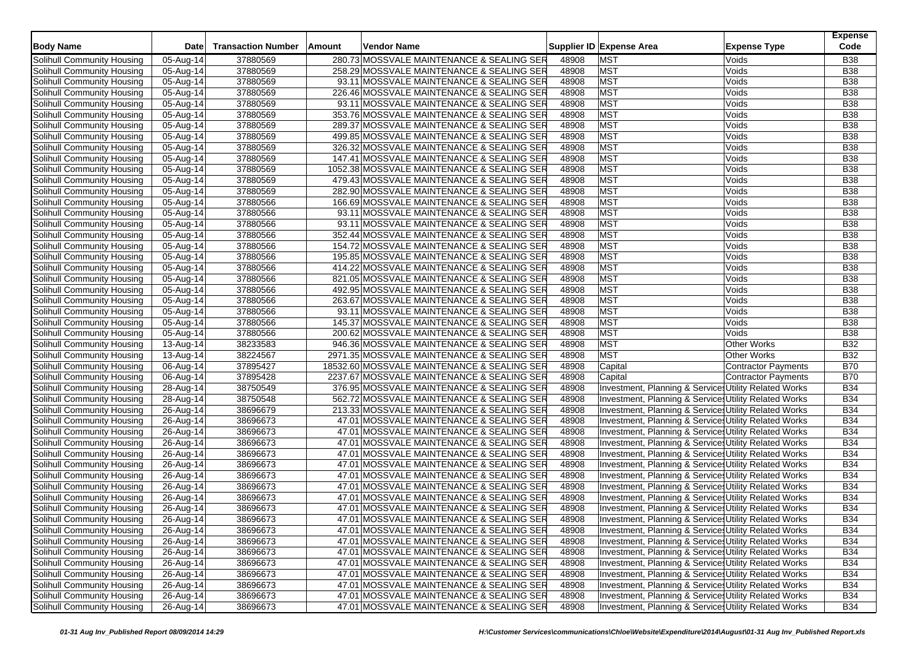| <b>Body Name</b>           | Date                   | <b>Transaction Number</b> | Amount | Vendor Name                                 |       | Supplier ID Expense Area<br><b>Expense Type</b>       | <b>Expense</b><br>Code |
|----------------------------|------------------------|---------------------------|--------|---------------------------------------------|-------|-------------------------------------------------------|------------------------|
| Solihull Community Housing | 05-Aug-14              | 37880569                  |        | 280.73 MOSSVALE MAINTENANCE & SEALING SER   | 48908 | <b>MST</b><br>Voids                                   | <b>B38</b>             |
| Solihull Community Housing | 05-Aug-14              | 37880569                  |        | 258.29 MOSSVALE MAINTENANCE & SEALING SER   | 48908 | <b>MST</b><br>Voids                                   | B38                    |
| Solihull Community Housing | 05-Aug-14              | 37880569                  |        | 93.11 MOSSVALE MAINTENANCE & SEALING SER    | 48908 | <b>MST</b><br>Voids                                   | <b>B38</b>             |
| Solihull Community Housing | 05-Aug-14              | 37880569                  |        | 226.46 MOSSVALE MAINTENANCE & SEALING SER   | 48908 | <b>MST</b><br>Voids                                   | <b>B38</b>             |
| Solihull Community Housing | 05-Aug-14              | 37880569                  |        | 93.11 MOSSVALE MAINTENANCE & SEALING SER    | 48908 | <b>MST</b><br>Voids                                   | <b>B38</b>             |
| Solihull Community Housing | 05-Aug-14              | 37880569                  |        | 353.76 MOSSVALE MAINTENANCE & SEALING SER   | 48908 | <b>MST</b><br>Voids                                   | <b>B38</b>             |
| Solihull Community Housing | 05-Aug-14              | 37880569                  |        | 289.37 MOSSVALE MAINTENANCE & SEALING SER   | 48908 | <b>MST</b><br>Voids                                   | <b>B38</b>             |
| Solihull Community Housing | 05-Aug-14              | 37880569                  |        | 499.85 MOSSVALE MAINTENANCE & SEALING SER   | 48908 | <b>MST</b><br>Voids                                   | <b>B38</b>             |
| Solihull Community Housing | 05-Aug-14              | 37880569                  |        | 326.32 MOSSVALE MAINTENANCE & SEALING SER   | 48908 | <b>MST</b><br>Voids                                   | <b>B38</b>             |
| Solihull Community Housing | 05-Aug-14              | 37880569                  |        | 147.41 MOSSVALE MAINTENANCE & SEALING SER   | 48908 | <b>MST</b><br>Voids                                   | <b>B38</b>             |
| Solihull Community Housing | 05-Aug-14              | 37880569                  |        | 1052.38 MOSSVALE MAINTENANCE & SEALING SER  | 48908 | <b>MST</b><br>Voids                                   | <b>B38</b>             |
| Solihull Community Housing | 05-Aug-14              | 37880569                  |        | 479.43 MOSSVALE MAINTENANCE & SEALING SER   | 48908 | <b>MST</b><br>Voids                                   | <b>B38</b>             |
| Solihull Community Housing | 05-Aug-14              | 37880569                  |        | 282.90 MOSSVALE MAINTENANCE & SEALING SER   | 48908 | <b>MST</b><br>Voids                                   | <b>B38</b>             |
| Solihull Community Housing | 05-Aug-14              | 37880566                  |        | 166.69 MOSSVALE MAINTENANCE & SEALING SER   | 48908 | <b>MST</b><br>Voids                                   | B38                    |
| Solihull Community Housing | 05-Aug-14              | 37880566                  |        | 93.11 MOSSVALE MAINTENANCE & SEALING SER    | 48908 | <b>MST</b><br>Voids                                   | <b>B38</b>             |
| Solihull Community Housing | 05-Aug-14              | 37880566                  |        | 93.11 MOSSVALE MAINTENANCE & SEALING SER    | 48908 | <b>MST</b><br>Voids                                   | <b>B38</b>             |
| Solihull Community Housing | 05-Aug-14              | 37880566                  |        | 352.44 MOSSVALE MAINTENANCE & SEALING SER   | 48908 | <b>MST</b><br>Voids                                   | <b>B38</b>             |
| Solihull Community Housing |                        | 37880566                  |        | 154.72 MOSSVALE MAINTENANCE & SEALING SER   | 48908 | <b>MST</b><br>Voids                                   | <b>B38</b>             |
| Solihull Community Housing | 05-Aug-14<br>05-Aug-14 | 37880566                  |        | 195.85 MOSSVALE MAINTENANCE & SEALING SER   | 48908 | <b>MST</b><br>Voids                                   | <b>B38</b>             |
| Solihull Community Housing | 05-Aug-14              | 37880566                  |        | 414.22 MOSSVALE MAINTENANCE & SEALING SER   | 48908 | <b>MST</b><br>Voids                                   | B38                    |
| Solihull Community Housing | 05-Aug-14              | 37880566                  |        | 821.05 MOSSVALE MAINTENANCE & SEALING SER   | 48908 | <b>MST</b><br>Voids                                   | <b>B38</b>             |
| Solihull Community Housing | 05-Aug-14              | 37880566                  |        | 492.95 MOSSVALE MAINTENANCE & SEALING SER   | 48908 | <b>MST</b><br>Voids                                   | <b>B38</b>             |
| Solihull Community Housing | 05-Aug-14              | 37880566                  |        | 263.67 MOSSVALE MAINTENANCE & SEALING SER   | 48908 | <b>MST</b><br>Voids                                   | <b>B38</b>             |
| Solihull Community Housing | 05-Aug-14              | 37880566                  |        | 93.11 MOSSVALE MAINTENANCE & SEALING SER    | 48908 | <b>MST</b><br>Voids                                   | <b>B38</b>             |
| Solihull Community Housing | 05-Aug-14              | 37880566                  |        | 145.37 MOSSVALE MAINTENANCE & SEALING SER   | 48908 | <b>MST</b><br>Voids                                   | <b>B38</b>             |
| Solihull Community Housing | 05-Aug-14              | 37880566                  |        | 200.62 MOSSVALE MAINTENANCE & SEALING SER   | 48908 | <b>MST</b><br>Voids                                   | B38                    |
| Solihull Community Housing | 13-Aug-14              | 38233583                  |        | 946.36 MOSSVALE MAINTENANCE & SEALING SER   | 48908 | <b>MST</b><br><b>Other Works</b>                      | <b>B32</b>             |
| Solihull Community Housing | 13-Aug-14              | 38224567                  |        | 2971.35 MOSSVALE MAINTENANCE & SEALING SER  | 48908 | <b>MST</b><br><b>Other Works</b>                      | <b>B32</b>             |
| Solihull Community Housing | 06-Aug-14              | 37895427                  |        | 18532.60 MOSSVALE MAINTENANCE & SEALING SER | 48908 | Capital<br><b>Contractor Payments</b>                 | B70                    |
| Solihull Community Housing | 06-Aug-14              | 37895428                  |        | 2237.67 MOSSVALE MAINTENANCE & SEALING SER  | 48908 | Capital<br><b>Contractor Payments</b>                 | <b>B70</b>             |
| Solihull Community Housing | 28-Aug-14              | 38750549                  |        | 376.95 MOSSVALE MAINTENANCE & SEALING SER   | 48908 | Investment, Planning & Service: Utility Related Works | <b>B34</b>             |
| Solihull Community Housing | 28-Aug-14              | 38750548                  |        | 562.72 MOSSVALE MAINTENANCE & SEALING SER   | 48908 | Investment, Planning & Service: Utility Related Works | <b>B34</b>             |
| Solihull Community Housing | 26-Aug-14              | 38696679                  |        | 213.33 MOSSVALE MAINTENANCE & SEALING SER   | 48908 | Investment, Planning & Service: Utility Related Works | <b>B34</b>             |
| Solihull Community Housing | 26-Aug-14              | 38696673                  |        | 47.01 MOSSVALE MAINTENANCE & SEALING SER    | 48908 | Investment, Planning & Service: Utility Related Works | <b>B34</b>             |
| Solihull Community Housing | 26-Aug-14              | 38696673                  |        | 47.01 MOSSVALE MAINTENANCE & SEALING SER    | 48908 | Investment, Planning & Service: Utility Related Works | <b>B34</b>             |
| Solihull Community Housing | 26-Aug-14              | 38696673                  |        | 47.01 MOSSVALE MAINTENANCE & SEALING SER    | 48908 | Investment, Planning & Service, Utility Related Works | <b>B34</b>             |
| Solihull Community Housing | 26-Aug-14              | 38696673                  |        | 47.01 MOSSVALE MAINTENANCE & SEALING SER    | 48908 | Investment, Planning & Service: Utility Related Works | <b>B34</b>             |
| Solihull Community Housing | 26-Aug-14              | 38696673                  |        | 47.01 MOSSVALE MAINTENANCE & SEALING SER    | 48908 | Investment, Planning & Service: Utility Related Works | <b>B34</b>             |
| Solihull Community Housing | 26-Aug-14              | 38696673                  |        | 47.01 MOSSVALE MAINTENANCE & SEALING SER    | 48908 | Investment, Planning & Services Utility Related Works | <b>B34</b>             |
| Solihull Community Housing | 26-Aug-14              | 38696673                  |        | 47.01 MOSSVALE MAINTENANCE & SEALING SER    | 48908 | Investment, Planning & Service: Utility Related Works | <b>B34</b>             |
| Solihull Community Housing | 26-Aug-14              | 38696673                  |        | 47.01 MOSSVALE MAINTENANCE & SEALING SER    | 48908 | Investment, Planning & Service: Utility Related Works | <b>B34</b>             |
| Solihull Community Housing | 26-Aug-14              | 38696673                  |        | 47.01 MOSSVALE MAINTENANCE & SEALING SER    | 48908 | Investment, Planning & Service: Utility Related Works | <b>B34</b>             |
| Solihull Community Housing | 26-Aug-14              | 38696673                  |        | 47.01 MOSSVALE MAINTENANCE & SEALING SER    | 48908 | Investment, Planning & Services Utility Related Works | <b>B34</b>             |
| Solihull Community Housing | 26-Aug-14              | 38696673                  |        | 47.01 MOSSVALE MAINTENANCE & SEALING SER    | 48908 | Investment, Planning & Services Utility Related Works | <b>B34</b>             |
| Solihull Community Housing | $26$ -Aug-14           | 38696673                  |        | 47.01 MOSSVALE MAINTENANCE & SEALING SER    | 48908 | Investment, Planning & Service: Utility Related Works | <b>B34</b>             |
| Solihull Community Housing | 26-Aug-14              | 38696673                  |        | 47.01 MOSSVALE MAINTENANCE & SEALING SER    | 48908 | Investment, Planning & Service: Utility Related Works | <b>B34</b>             |
| Solihull Community Housing | 26-Aug-14              | 38696673                  |        | 47.01 MOSSVALE MAINTENANCE & SEALING SER    | 48908 | Investment, Planning & Services Utility Related Works | <b>B34</b>             |
| Solihull Community Housing | 26-Aug-14              | 38696673                  |        | 47.01 MOSSVALE MAINTENANCE & SEALING SER    | 48908 | Investment, Planning & Service Utility Related Works  | <b>B34</b>             |
| Solihull Community Housing | 26-Aug-14              | 38696673                  |        | 47.01 MOSSVALE MAINTENANCE & SEALING SER    | 48908 | Investment, Planning & Service: Utility Related Works | <b>B34</b>             |
| Solihull Community Housing | 26-Aug-14              | 38696673                  |        | 47.01 MOSSVALE MAINTENANCE & SEALING SER    | 48908 | Investment, Planning & Service Utility Related Works  | <b>B34</b>             |
| Solihull Community Housing | 26-Aug-14              | 38696673                  |        | 47.01 MOSSVALE MAINTENANCE & SEALING SER    | 48908 | Investment, Planning & Service Utility Related Works  | <b>B34</b>             |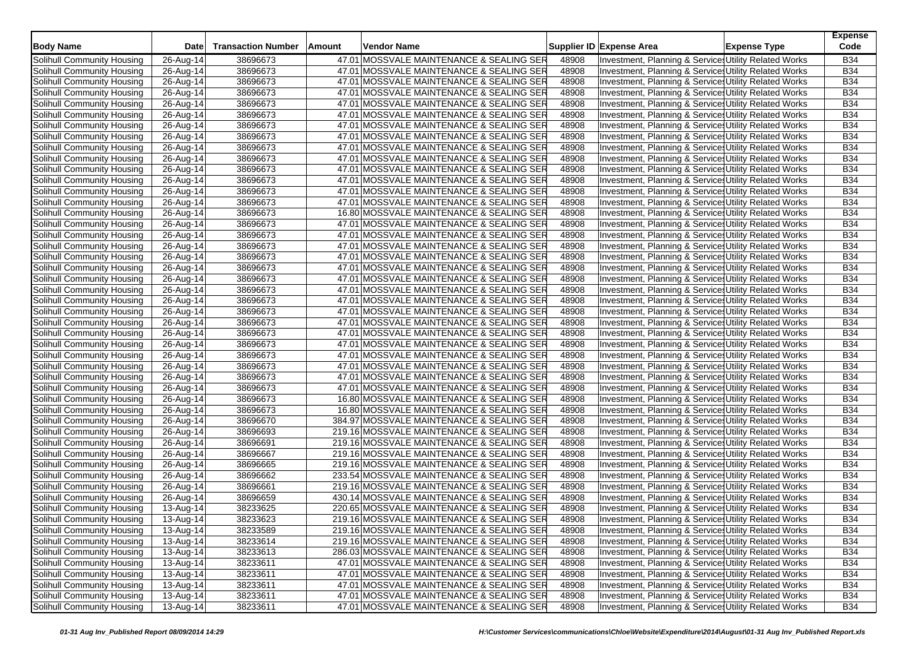|                            |                            | <b>Transaction Number</b> |        | Vendor Name                               |       |                                                       |                     | <b>Expense</b><br>Code |
|----------------------------|----------------------------|---------------------------|--------|-------------------------------------------|-------|-------------------------------------------------------|---------------------|------------------------|
| <b>Body Name</b>           | <b>Date</b>                |                           | Amount |                                           |       | Supplier ID Expense Area                              | <b>Expense Type</b> |                        |
| Solihull Community Housing | 26-Aug-14                  | 38696673                  |        | 47.01 MOSSVALE MAINTENANCE & SEALING SER  | 48908 | Investment, Planning & Services Utility Related Works |                     | <b>B34</b>             |
| Solihull Community Housing | 26-Aug-14                  | 38696673                  |        | 47.01 MOSSVALE MAINTENANCE & SEALING SER  | 48908 | Investment, Planning & Service, Utility Related Works |                     | <b>B34</b>             |
| Solihull Community Housing | 26-Aug-14                  | 38696673                  |        | 47.01 MOSSVALE MAINTENANCE & SEALING SER  | 48908 | Investment, Planning & Service: Utility Related Works |                     | <b>B34</b>             |
| Solihull Community Housing | 26-Aug-14                  | 38696673                  |        | 47.01 MOSSVALE MAINTENANCE & SEALING SER  | 48908 | Investment, Planning & Service: Utility Related Works |                     | <b>B34</b>             |
| Solihull Community Housing | 26-Aug-14                  | 38696673                  |        | 47.01 MOSSVALE MAINTENANCE & SEALING SER  | 48908 | Investment, Planning & Service: Utility Related Works |                     | <b>B34</b>             |
| Solihull Community Housing | 26-Aug-14                  | 38696673                  |        | 47.01 MOSSVALE MAINTENANCE & SEALING SER  | 48908 | Investment, Planning & Service: Utility Related Works |                     | <b>B34</b>             |
| Solihull Community Housing | 26-Aug-14                  | 38696673                  |        | 47.01 MOSSVALE MAINTENANCE & SEALING SER  | 48908 | Investment, Planning & Service: Utility Related Works |                     | <b>B34</b>             |
| Solihull Community Housing | 26-Aug-14                  | 38696673                  |        | 47.01 MOSSVALE MAINTENANCE & SEALING SER  | 48908 | Investment, Planning & Service, Utility Related Works |                     | <b>B34</b>             |
| Solihull Community Housing | 26-Aug-14                  | 38696673                  |        | 47.01 MOSSVALE MAINTENANCE & SEALING SER  | 48908 | Investment, Planning & Service: Utility Related Works |                     | <b>B34</b>             |
| Solihull Community Housing | 26-Aug-14                  | 38696673                  |        | 47.01 MOSSVALE MAINTENANCE & SEALING SER  | 48908 | Investment, Planning & Service: Utility Related Works |                     | <b>B34</b>             |
| Solihull Community Housing | 26-Aug-14                  | 38696673                  |        | 47.01 MOSSVALE MAINTENANCE & SEALING SER  | 48908 | Investment, Planning & Service, Utility Related Works |                     | <b>B34</b>             |
| Solihull Community Housing | 26-Aug-14                  | 38696673                  |        | 47.01 MOSSVALE MAINTENANCE & SEALING SER  | 48908 | Investment, Planning & Services Utility Related Works |                     | <b>B34</b>             |
| Solihull Community Housing | 26-Aug-14                  | 38696673                  |        | 47.01 MOSSVALE MAINTENANCE & SEALING SER  | 48908 | Investment, Planning & Service: Utility Related Works |                     | <b>B34</b>             |
| Solihull Community Housing | 26-Aug-14                  | 38696673                  |        | 47.01 MOSSVALE MAINTENANCE & SEALING SER  | 48908 | Investment, Planning & Service, Utility Related Works |                     | <b>B34</b>             |
| Solihull Community Housing | 26-Aug-14                  | 38696673                  |        | 16.80 MOSSVALE MAINTENANCE & SEALING SER  | 48908 | Investment, Planning & Service, Utility Related Works |                     | <b>B34</b>             |
| Solihull Community Housing | 26-Aug-14                  | 38696673                  |        | 47.01 MOSSVALE MAINTENANCE & SEALING SER  | 48908 | Investment, Planning & Service: Utility Related Works |                     | <b>B34</b>             |
| Solihull Community Housing | 26-Aug-14                  | 38696673                  |        | 47.01 MOSSVALE MAINTENANCE & SEALING SER  | 48908 | Investment, Planning & Service: Utility Related Works |                     | <b>B34</b>             |
| Solihull Community Housing | 26-Aug-14                  | 38696673                  |        | 47.01 MOSSVALE MAINTENANCE & SEALING SER  | 48908 | Investment, Planning & Service, Utility Related Works |                     | <b>B34</b>             |
| Solihull Community Housing | 26-Aug-14                  | 38696673                  |        | 47.01 MOSSVALE MAINTENANCE & SEALING SER  | 48908 | Investment, Planning & Service: Utility Related Works |                     | <b>B34</b>             |
| Solihull Community Housing | 26-Aug-14                  | 38696673                  |        | 47.01 MOSSVALE MAINTENANCE & SEALING SER  | 48908 | Investment, Planning & Service: Utility Related Works |                     | <b>B34</b>             |
| Solihull Community Housing | 26-Aug-14                  | 38696673                  |        | 47.01 MOSSVALE MAINTENANCE & SEALING SER  | 48908 | Investment, Planning & Service, Utility Related Works |                     | <b>B34</b>             |
| Solihull Community Housing | 26-Aug-14                  | 38696673                  |        | 47.01 MOSSVALE MAINTENANCE & SEALING SER  | 48908 | Investment, Planning & Service: Utility Related Works |                     | <b>B34</b>             |
| Solihull Community Housing | 26-Aug-14                  | 38696673                  |        | 47.01 MOSSVALE MAINTENANCE & SEALING SER  | 48908 | Investment, Planning & Service: Utility Related Works |                     | <b>B34</b>             |
| Solihull Community Housing | 26-Aug-14                  | 38696673                  |        | 47.01 MOSSVALE MAINTENANCE & SEALING SER  | 48908 | Investment, Planning & Service, Utility Related Works |                     | <b>B34</b>             |
| Solihull Community Housing | 26-Aug-14                  | 38696673                  |        | 47.01 MOSSVALE MAINTENANCE & SEALING SER  | 48908 | Investment, Planning & Service: Utility Related Works |                     | <b>B34</b>             |
| Solihull Community Housing | 26-Aug-14                  | 38696673                  |        | 47.01 MOSSVALE MAINTENANCE & SEALING SER  | 48908 | Investment, Planning & Service: Utility Related Works |                     | <b>B34</b>             |
| Solihull Community Housing | 26-Aug-14                  | 38696673                  |        | 47.01 MOSSVALE MAINTENANCE & SEALING SER  | 48908 | Investment, Planning & Service, Utility Related Works |                     | <b>B34</b>             |
| Solihull Community Housing | 26-Aug-14                  | 38696673                  |        | 47.01 MOSSVALE MAINTENANCE & SEALING SER  | 48908 | Investment, Planning & Service: Utility Related Works |                     | <b>B34</b>             |
| Solihull Community Housing | 26-Aug-14                  | 38696673                  |        | 47.01 MOSSVALE MAINTENANCE & SEALING SER  | 48908 | Investment, Planning & Service: Utility Related Works |                     | <b>B34</b>             |
| Solihull Community Housing | 26-Aug-14                  | 38696673                  |        | 47.01 MOSSVALE MAINTENANCE & SEALING SER  | 48908 | Investment, Planning & Service, Utility Related Works |                     | <b>B34</b>             |
| Solihull Community Housing | 26-Aug-14                  | 38696673                  |        | 47.01 MOSSVALE MAINTENANCE & SEALING SER  | 48908 | Investment, Planning & Service: Utility Related Works |                     | <b>B34</b>             |
| Solihull Community Housing | 26-Aug-14                  | 38696673                  |        | 16.80 MOSSVALE MAINTENANCE & SEALING SER  | 48908 | Investment, Planning & Service, Utility Related Works |                     | <b>B34</b>             |
| Solihull Community Housing | 26-Aug-14                  | 38696673                  |        | 16.80 MOSSVALE MAINTENANCE & SEALING SER  | 48908 | Investment, Planning & Service, Utility Related Works |                     | <b>B34</b>             |
| Solihull Community Housing | 26-Aug-14                  | 38696670                  |        | 384.97 MOSSVALE MAINTENANCE & SEALING SER | 48908 | Investment, Planning & Service: Utility Related Works |                     | <b>B34</b>             |
| Solihull Community Housing | 26-Aug-14                  | 38696693                  |        | 219.16 MOSSVALE MAINTENANCE & SEALING SER | 48908 | Investment, Planning & Service: Utility Related Works |                     | <b>B34</b>             |
| Solihull Community Housing | 26-Aug-14                  | 38696691                  |        | 219.16 MOSSVALE MAINTENANCE & SEALING SER | 48908 | Investment, Planning & Service, Utility Related Works |                     | <b>B34</b>             |
| Solihull Community Housing | 26-Aug-14                  | 38696667                  |        | 219.16 MOSSVALE MAINTENANCE & SEALING SER | 48908 | Investment, Planning & Service: Utility Related Works |                     | <b>B34</b>             |
| Solihull Community Housing | 26-Aug-14                  | 38696665                  |        | 219.16 MOSSVALE MAINTENANCE & SEALING SER | 48908 | Investment, Planning & Service: Utility Related Works |                     | B34                    |
| Solihull Community Housing | 26-Aug-14                  | 38696662                  |        | 233.54 MOSSVALE MAINTENANCE & SEALING SER | 48908 | Investment, Planning & Service, Utility Related Works |                     | <b>B34</b>             |
| Solihull Community Housing | 26-Aug-14                  | 38696661                  |        | 219.16 MOSSVALE MAINTENANCE & SEALING SER | 48908 | Investment, Planning & Service: Utility Related Works |                     | <b>B34</b>             |
| Solihull Community Housing | 26-Aug-14                  | 38696659                  |        | 430.14 MOSSVALE MAINTENANCE & SEALING SER | 48908 | Investment, Planning & Service: Utility Related Works |                     | <b>B34</b>             |
| Solihull Community Housing | 13-Aug-14                  | 38233625                  |        | 220.65 MOSSVALE MAINTENANCE & SEALING SER | 48908 | Investment, Planning & Service, Utility Related Works |                     | <b>B34</b>             |
| Solihull Community Housing | 13-Aug-14                  | 38233623                  |        | 219.16 MOSSVALE MAINTENANCE & SEALING SER | 48908 | Investment, Planning & Services Utility Related Works |                     | <b>B34</b>             |
| Solihull Community Housing | $13$ -Aug- $\overline{14}$ | 38233589                  |        | 219.16 MOSSVALE MAINTENANCE & SEALING SER | 48908 | Investment, Planning & Services Utility Related Works |                     | <b>B34</b>             |
| Solihull Community Housing | $13-Aug-14$                | 38233614                  |        | 219.16 MOSSVALE MAINTENANCE & SEALING SER | 48908 | Investment, Planning & Service: Utility Related Works |                     | <b>B34</b>             |
| Solihull Community Housing | 13-Aug-14                  | 38233613                  |        | 286.03 MOSSVALE MAINTENANCE & SEALING SER | 48908 | Investment, Planning & Services Utility Related Works |                     | <b>B34</b>             |
| Solihull Community Housing | 13-Aug-14                  | 38233611                  |        | 47.01 MOSSVALE MAINTENANCE & SEALING SER  | 48908 | Investment, Planning & Services Utility Related Works |                     | <b>B34</b>             |
| Solihull Community Housing | 13-Aug-14                  | 38233611                  |        | 47.01 MOSSVALE MAINTENANCE & SEALING SER  | 48908 | Investment, Planning & Service Utility Related Works  |                     | <b>B34</b>             |
| Solihull Community Housing | 13-Aug-14                  | 38233611                  |        | 47.01 MOSSVALE MAINTENANCE & SEALING SER  | 48908 | Investment, Planning & Service: Utility Related Works |                     | <b>B34</b>             |
| Solihull Community Housing | 13-Aug-14                  | 38233611                  |        | 47.01 MOSSVALE MAINTENANCE & SEALING SER  | 48908 | Investment, Planning & Service, Utility Related Works |                     | <b>B34</b>             |
| Solihull Community Housing | $13-Aug-14$                | 38233611                  |        | 47.01 MOSSVALE MAINTENANCE & SEALING SER  | 48908 | Investment, Planning & Services Utility Related Works |                     | <b>B34</b>             |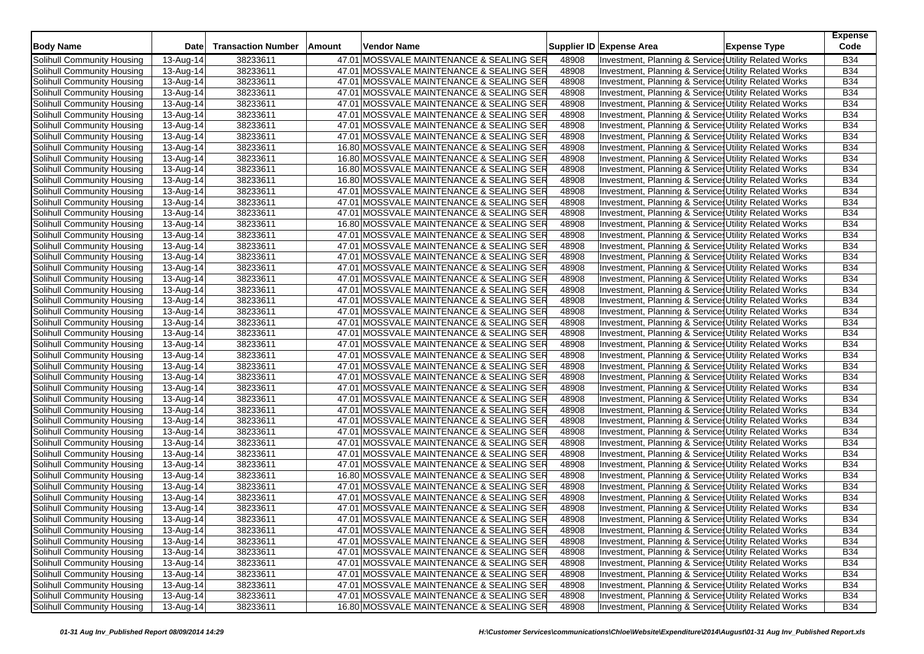| <b>Body Name</b>                                         | <b>Date</b>            | <b>Transaction Number</b> | Amount | Vendor Name                                                                          |                | Supplier ID Expense Area                                                                                      | <b>Expense Type</b> | <b>Expense</b><br>Code   |
|----------------------------------------------------------|------------------------|---------------------------|--------|--------------------------------------------------------------------------------------|----------------|---------------------------------------------------------------------------------------------------------------|---------------------|--------------------------|
| Solihull Community Housing                               | 13-Aug-14              | 38233611                  |        | 47.01 MOSSVALE MAINTENANCE & SEALING SER                                             | 48908          | Investment, Planning & Service: Utility Related Works                                                         |                     | <b>B34</b>               |
| Solihull Community Housing                               | 13-Aug-14              | 38233611                  |        | 47.01 MOSSVALE MAINTENANCE & SEALING SER                                             | 48908          | Investment, Planning & Service Utility Related Works                                                          |                     | <b>B34</b>               |
| Solihull Community Housing                               | 13-Aug-14              | 38233611                  |        | 47.01 MOSSVALE MAINTENANCE & SEALING SER                                             | 48908          | Investment, Planning & Service: Utility Related Works                                                         |                     | <b>B34</b>               |
| Solihull Community Housing                               | 13-Aug-14              | 38233611                  |        | 47.01 MOSSVALE MAINTENANCE & SEALING SER                                             | 48908          | Investment, Planning & Service: Utility Related Works                                                         |                     | <b>B34</b>               |
| Solihull Community Housing                               | 13-Aug-14              | 38233611                  |        | 47.01 MOSSVALE MAINTENANCE & SEALING SER                                             | 48908          | Investment, Planning & Service: Utility Related Works                                                         |                     | <b>B34</b>               |
| Solihull Community Housing                               | 13-Aug-14              | 38233611                  |        | 47.01 MOSSVALE MAINTENANCE & SEALING SER                                             | 48908          | Investment, Planning & Services Utility Related Works                                                         |                     | <b>B34</b>               |
| Solihull Community Housing                               | 13-Aug-14              | 38233611                  |        | 47.01 MOSSVALE MAINTENANCE & SEALING SER                                             | 48908          | Investment, Planning & Services Utility Related Works                                                         |                     | <b>B34</b>               |
| Solihull Community Housing                               | 13-Aug-14              | 38233611                  |        | 47.01 MOSSVALE MAINTENANCE & SEALING SER                                             | 48908          | Investment, Planning & Services Utility Related Works                                                         |                     | <b>B34</b>               |
| Solihull Community Housing                               | 13-Aug-14              | 38233611                  |        | 16.80 MOSSVALE MAINTENANCE & SEALING SER                                             | 48908          | Investment, Planning & Service: Utility Related Works                                                         |                     | <b>B34</b>               |
| Solihull Community Housing                               | 13-Aug-14              | 38233611                  |        | 16.80 MOSSVALE MAINTENANCE & SEALING SER                                             | 48908          | Investment, Planning & Services Utility Related Works                                                         |                     | <b>B34</b>               |
| Solihull Community Housing                               | 13-Aug-14              | 38233611                  |        | 16.80 MOSSVALE MAINTENANCE & SEALING SER                                             | 48908          | Investment, Planning & Service, Utility Related Works                                                         |                     | <b>B34</b>               |
| Solihull Community Housing                               | 13-Aug-14              | 38233611                  |        | 16.80 MOSSVALE MAINTENANCE & SEALING SER                                             | 48908          | Investment, Planning & Service: Utility Related Works                                                         |                     | <b>B34</b>               |
| Solihull Community Housing                               | 13-Aug-14              | 38233611                  |        | 47.01 MOSSVALE MAINTENANCE & SEALING SER                                             | 48908          | Investment, Planning & Services Utility Related Works                                                         |                     | <b>B34</b>               |
| Solihull Community Housing                               | 13-Aug-14              | 38233611                  |        | 47.01 MOSSVALE MAINTENANCE & SEALING SER                                             | 48908          | Investment, Planning & Service Utility Related Works                                                          |                     | <b>B34</b>               |
| Solihull Community Housing                               | 13-Aug-14              | 38233611                  |        | 47.01  MOSSVALE MAINTENANCE & SEALING SER                                            | 48908          | Investment, Planning & Services Utility Related Works                                                         |                     | <b>B34</b>               |
| Solihull Community Housing                               | 13-Aug-14              | 38233611                  |        | 16.80 MOSSVALE MAINTENANCE & SEALING SER                                             | 48908          | Investment, Planning & Services Utility Related Works                                                         |                     | <b>B34</b>               |
| Solihull Community Housing                               | 13-Aug-14              | 38233611                  |        | 47.01 MOSSVALE MAINTENANCE & SEALING SER                                             | 48908          | Investment, Planning & Service: Utility Related Works                                                         |                     | <b>B34</b>               |
| Solihull Community Housing                               | 13-Aug-14              | 38233611                  |        | 47.01 MOSSVALE MAINTENANCE & SEALING SER                                             | 48908          | Investment, Planning & Service, Utility Related Works                                                         |                     | <b>B34</b>               |
| Solihull Community Housing                               | 13-Aug-14              | 38233611                  |        | 47.01 MOSSVALE MAINTENANCE & SEALING SER                                             | 48908          | Investment, Planning & Service: Utility Related Works                                                         |                     | <b>B34</b>               |
| Solihull Community Housing                               | 13-Aug-14              | 38233611                  |        | 47.01 MOSSVALE MAINTENANCE & SEALING SER                                             | 48908          | Investment, Planning & Service: Utility Related Works                                                         |                     | <b>B34</b>               |
| Solihull Community Housing                               | 13-Aug-14              | 38233611                  |        | 47.01 MOSSVALE MAINTENANCE & SEALING SER                                             | 48908          | Investment, Planning & Service, Utility Related Works                                                         |                     | <b>B34</b>               |
| Solihull Community Housing                               | 13-Aug-14              | 38233611                  |        | 47.01 MOSSVALE MAINTENANCE & SEALING SER                                             | 48908          | Investment, Planning & Services Utility Related Works                                                         |                     | <b>B34</b>               |
| Solihull Community Housing                               | 13-Aug-14              | 38233611                  |        | 47.01 MOSSVALE MAINTENANCE & SEALING SER                                             | 48908          | Investment, Planning & Service: Utility Related Works                                                         |                     | <b>B34</b>               |
| Solihull Community Housing                               | 13-Aug-14              | 38233611                  |        | 47.01 MOSSVALE MAINTENANCE & SEALING SER                                             | 48908          | Investment, Planning & Service: Utility Related Works                                                         |                     | <b>B34</b>               |
| Solihull Community Housing                               | 13-Aug-14              | 38233611                  |        | 47.01 MOSSVALE MAINTENANCE & SEALING SER                                             | 48908          | Investment, Planning & Services Utility Related Works                                                         |                     | <b>B34</b>               |
| Solihull Community Housing                               | 13-Aug-14              | 38233611                  |        | 47.01 MOSSVALE MAINTENANCE & SEALING SER                                             | 48908          | Investment, Planning & Service: Utility Related Works                                                         |                     | <b>B34</b>               |
| Solihull Community Housing                               | 13-Aug-14              | 38233611                  |        | 47.01 MOSSVALE MAINTENANCE & SEALING SER                                             | 48908          | Investment, Planning & Service, Utility Related Works                                                         |                     | <b>B34</b>               |
| Solihull Community Housing                               | 13-Aug-14              | 38233611                  |        | 47.01 MOSSVALE MAINTENANCE & SEALING SER                                             | 48908          | Investment, Planning & Service Utility Related Works                                                          |                     | <b>B34</b>               |
| Solihull Community Housing                               | 13-Aug-14              | 38233611                  |        | 47.01 MOSSVALE MAINTENANCE & SEALING SER                                             | 48908          | Investment, Planning & Service Utility Related Works                                                          |                     | <b>B34</b>               |
| Solihull Community Housing                               | 13-Aug-14              | 38233611                  |        | 47.01 MOSSVALE MAINTENANCE & SEALING SER                                             | 48908          | Investment, Planning & Services Utility Related Works                                                         |                     | <b>B34</b>               |
| Solihull Community Housing                               | 13-Aug-14              | 38233611                  |        | 47.01 MOSSVALE MAINTENANCE & SEALING SER                                             | 48908          | Investment, Planning & Service: Utility Related Works                                                         |                     | <b>B34</b>               |
| Solihull Community Housing                               | 13-Aug-14              | 38233611                  |        | 47.01 MOSSVALE MAINTENANCE & SEALING SER                                             | 48908          | Investment, Planning & Service Utility Related Works                                                          |                     | <b>B34</b>               |
| Solihull Community Housing                               | 13-Aug-14              | 38233611                  |        | 47.01 MOSSVALE MAINTENANCE & SEALING SER                                             | 48908          | Investment, Planning & Service Utility Related Works                                                          |                     | <b>B34</b>               |
| Solihull Community Housing                               | 13-Aug-14              | 38233611                  |        | 47.01 MOSSVALE MAINTENANCE & SEALING SER                                             | 48908          | Investment, Planning & Service: Utility Related Works                                                         |                     | <b>B34</b>               |
| Solihull Community Housing                               | 13-Aug-14              | 38233611                  |        | 47.01 MOSSVALE MAINTENANCE & SEALING SER                                             | 48908          | Investment, Planning & Service: Utility Related Works                                                         |                     | <b>B34</b>               |
| Solihull Community Housing                               | 13-Aug-14              | 38233611                  |        | 47.01 MOSSVALE MAINTENANCE & SEALING SER                                             | 48908          | Investment, Planning & Service, Utility Related Works                                                         |                     | <b>B34</b>               |
| Solihull Community Housing                               | 13-Aug-14              | 38233611                  |        | 47.01 MOSSVALE MAINTENANCE & SEALING SER                                             | 48908          | Investment, Planning & Service: Utility Related Works                                                         |                     | <b>B34</b>               |
| Solihull Community Housing                               | 13-Aug-14              | 38233611                  |        | 47.01 MOSSVALE MAINTENANCE & SEALING SER                                             | 48908          | Investment, Planning & Services Utility Related Works                                                         |                     | <b>B34</b>               |
| Solihull Community Housing                               | 13-Aug-14              | 38233611                  |        | 16.80 MOSSVALE MAINTENANCE & SEALING SER                                             | 48908          | Investment, Planning & Service, Utility Related Works                                                         |                     | <b>B34</b>               |
| Solihull Community Housing                               | 13-Aug-14              | 38233611                  |        | 47.01 MOSSVALE MAINTENANCE & SEALING SER                                             | 48908          | Investment, Planning & Service: Utility Related Works                                                         |                     | <b>B34</b>               |
| Solihull Community Housing                               | 13-Aug-14              | 38233611                  |        | 47.01 MOSSVALE MAINTENANCE & SEALING SER                                             | 48908          | Investment, Planning & Service: Utility Related Works                                                         |                     | <b>B34</b>               |
| Solihull Community Housing                               | 13-Aug-14              | 38233611                  |        | 47.01 MOSSVALE MAINTENANCE & SEALING SER                                             | 48908          | Investment, Planning & Services Utility Related Works                                                         |                     | <b>B34</b>               |
| Solihull Community Housing                               | 13-Aug-14              | 38233611                  |        | 47.01 MOSSVALE MAINTENANCE & SEALING SER                                             | 48908          | Investment, Planning & Service Utility Related Works                                                          |                     | <b>B34</b>               |
| Solihull Community Housing                               | 13-Aug-14              | 38233611                  |        | 47.01 MOSSVALE MAINTENANCE & SEALING SER                                             | 48908          | Investment, Planning & Services Utility Related Works                                                         |                     | <b>B34</b>               |
| Solihull Community Housing                               | $13-Aug-14$            |                           |        | 47.01 MOSSVALE MAINTENANCE & SEALING SER                                             |                | Investment, Planning & Services Utility Related Works                                                         |                     | <b>B34</b>               |
| Solihull Community Housing                               |                        | 38233611                  |        | 47.01 MOSSVALE MAINTENANCE & SEALING SER                                             | 48908          | Investment, Planning & Services Utility Related Works                                                         |                     | <b>B34</b>               |
|                                                          | 13-Aug-14<br>13-Aug-14 | 38233611                  |        |                                                                                      | 48908          |                                                                                                               |                     |                          |
| Solihull Community Housing<br>Solihull Community Housing |                        | 38233611                  |        | 47.01 MOSSVALE MAINTENANCE & SEALING SER<br>47.01 MOSSVALE MAINTENANCE & SEALING SER | 48908          | Investment, Planning & Services Utility Related Works                                                         |                     | <b>B34</b>               |
| Solihull Community Housing                               | 13-Aug-14              | 38233611                  |        | 47.01 MOSSVALE MAINTENANCE & SEALING SER                                             | 48908          | Investment, Planning & Service Utility Related Works                                                          |                     | <b>B34</b>               |
| <b>Solihull Community Housing</b>                        | 13-Aug-14<br>13-Aug-14 | 38233611<br>38233611      |        | 47.01 MOSSVALE MAINTENANCE & SEALING SER                                             | 48908<br>48908 | Investment, Planning & Services Utility Related Works<br>Investment, Planning & Service Utility Related Works |                     | <b>B34</b><br><b>B34</b> |
| Solihull Community Housing                               | 13-Aug-14              | 38233611                  |        | 16.80 MOSSVALE MAINTENANCE & SEALING SER                                             | 48908          | Investment, Planning & Service Utility Related Works                                                          |                     | <b>B34</b>               |
|                                                          |                        |                           |        |                                                                                      |                |                                                                                                               |                     |                          |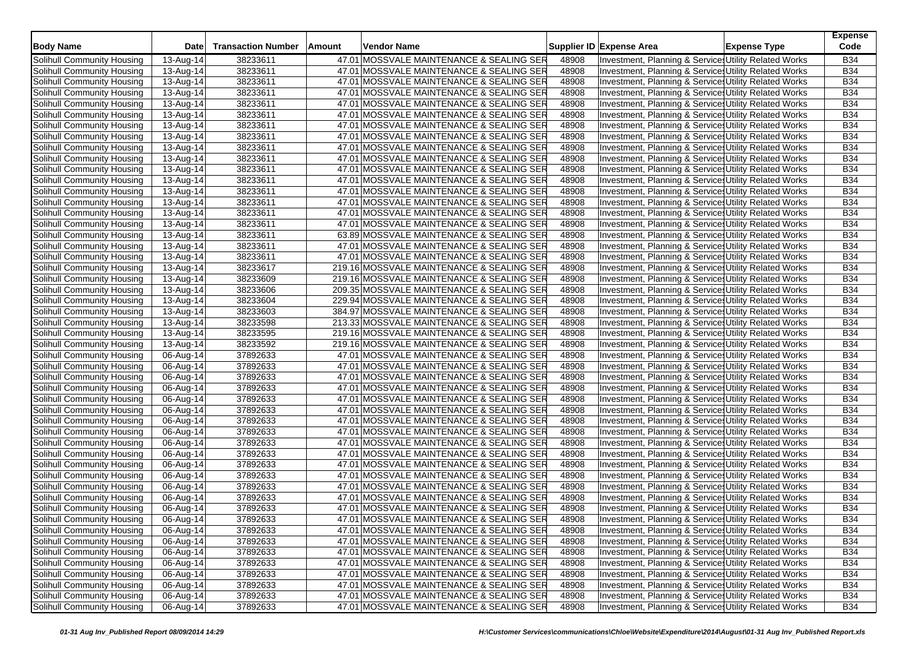| <b>Body Name</b>                  | <b>Date</b>             | <b>Transaction Number</b> | Amount | Vendor Name                               |       | Supplier ID Expense Area                              | <b>Expense Type</b> | <b>Expense</b><br>Code |
|-----------------------------------|-------------------------|---------------------------|--------|-------------------------------------------|-------|-------------------------------------------------------|---------------------|------------------------|
| Solihull Community Housing        | 13-Aug-14               | 38233611                  |        | 47.01 MOSSVALE MAINTENANCE & SEALING SER  | 48908 | Investment, Planning & Service: Utility Related Works |                     | <b>B34</b>             |
| Solihull Community Housing        | 13-Aug-14               | 38233611                  |        | 47.01 MOSSVALE MAINTENANCE & SEALING SER  | 48908 | Investment, Planning & Service Utility Related Works  |                     | <b>B34</b>             |
| Solihull Community Housing        | 13-Aug-14               | 38233611                  |        | 47.01 MOSSVALE MAINTENANCE & SEALING SER  | 48908 | Investment, Planning & Service: Utility Related Works |                     | <b>B34</b>             |
| Solihull Community Housing        | 13-Aug-14               | 38233611                  |        | 47.01 MOSSVALE MAINTENANCE & SEALING SER  | 48908 | Investment, Planning & Service: Utility Related Works |                     | <b>B34</b>             |
| Solihull Community Housing        | 13-Aug-14               | 38233611                  |        | 47.01 MOSSVALE MAINTENANCE & SEALING SER  | 48908 | Investment, Planning & Service: Utility Related Works |                     | <b>B34</b>             |
| Solihull Community Housing        | 13-Aug-14               | 38233611                  |        | 47.01 MOSSVALE MAINTENANCE & SEALING SER  | 48908 | Investment, Planning & Services Utility Related Works |                     | <b>B34</b>             |
| Solihull Community Housing        | 13-Aug-14               | 38233611                  |        | 47.01 MOSSVALE MAINTENANCE & SEALING SER  | 48908 | Investment, Planning & Services Utility Related Works |                     | <b>B34</b>             |
| Solihull Community Housing        | 13-Aug-14               | 38233611                  |        | 47.01 MOSSVALE MAINTENANCE & SEALING SER  | 48908 | Investment, Planning & Services Utility Related Works |                     | <b>B34</b>             |
| Solihull Community Housing        | 13-Aug-14               | 38233611                  |        | 47.01 MOSSVALE MAINTENANCE & SEALING SER  | 48908 | Investment, Planning & Service: Utility Related Works |                     | <b>B34</b>             |
| Solihull Community Housing        | 13-Aug-14               | 38233611                  |        | 47.01 MOSSVALE MAINTENANCE & SEALING SER  | 48908 | Investment, Planning & Service: Utility Related Works |                     | <b>B34</b>             |
| Solihull Community Housing        | 13-Aug-14               | 38233611                  |        | 47.01 MOSSVALE MAINTENANCE & SEALING SER  | 48908 | Investment, Planning & Service, Utility Related Works |                     | <b>B34</b>             |
| Solihull Community Housing        | 13-Aug-14               | 38233611                  |        | 47.01 MOSSVALE MAINTENANCE & SEALING SER  | 48908 | Investment, Planning & Service: Utility Related Works |                     | <b>B34</b>             |
| Solihull Community Housing        | 13-Aug-14               | 38233611                  |        | 47.01 MOSSVALE MAINTENANCE & SEALING SER  | 48908 | Investment, Planning & Services Utility Related Works |                     | <b>B34</b>             |
| Solihull Community Housing        | 13-Aug-14               | 38233611                  |        | 47.01 MOSSVALE MAINTENANCE & SEALING SER  | 48908 | Investment, Planning & Service Utility Related Works  |                     | <b>B34</b>             |
| Solihull Community Housing        | 13-Aug-14               | 38233611                  |        | 47.01  MOSSVALE MAINTENANCE & SEALING SER | 48908 | Investment, Planning & Services Utility Related Works |                     | <b>B34</b>             |
| Solihull Community Housing        | 13-Aug-14               | 38233611                  |        | 47.01 MOSSVALE MAINTENANCE & SEALING SER  | 48908 | Investment, Planning & Services Utility Related Works |                     | <b>B34</b>             |
| Solihull Community Housing        | 13-Aug-14               | 38233611                  |        | 63.89 MOSSVALE MAINTENANCE & SEALING SER  | 48908 | Investment, Planning & Service: Utility Related Works |                     | <b>B34</b>             |
| Solihull Community Housing        | 13-Aug-14               | 38233611                  |        | 47.01 MOSSVALE MAINTENANCE & SEALING SER  | 48908 | Investment, Planning & Service: Utility Related Works |                     | <b>B34</b>             |
| Solihull Community Housing        | 13-Aug-14               | 38233611                  |        | 47.01 MOSSVALE MAINTENANCE & SEALING SER  | 48908 | Investment, Planning & Service: Utility Related Works |                     | <b>B34</b>             |
| Solihull Community Housing        | 13-Aug-14               | 38233617                  |        | 219.16 MOSSVALE MAINTENANCE & SEALING SER | 48908 | Investment, Planning & Services Utility Related Works |                     | <b>B34</b>             |
| Solihull Community Housing        | 13-Aug-14               | 38233609                  |        | 219.16 MOSSVALE MAINTENANCE & SEALING SER | 48908 | Investment, Planning & Service, Utility Related Works |                     | <b>B34</b>             |
| Solihull Community Housing        | 13-Aug-14               | 38233606                  |        | 209.35 MOSSVALE MAINTENANCE & SEALING SER | 48908 | Investment, Planning & Service: Utility Related Works |                     | <b>B34</b>             |
| Solihull Community Housing        | 13-Aug-14               | 38233604                  |        | 229.94 MOSSVALE MAINTENANCE & SEALING SER | 48908 | Investment, Planning & Service: Utility Related Works |                     | <b>B34</b>             |
| Solihull Community Housing        | 13-Aug-14               | 38233603                  |        | 384.97 MOSSVALE MAINTENANCE & SEALING SER | 48908 | Investment, Planning & Service: Utility Related Works |                     | <b>B34</b>             |
| Solihull Community Housing        | 13-Aug-14               | 38233598                  |        | 213.33 MOSSVALE MAINTENANCE & SEALING SER | 48908 | Investment, Planning & Services Utility Related Works |                     | <b>B34</b>             |
| Solihull Community Housing        | 13-Aug-14               | 38233595                  |        | 219.16 MOSSVALE MAINTENANCE & SEALING SER | 48908 | Investment, Planning & Service: Utility Related Works |                     | <b>B34</b>             |
| Solihull Community Housing        | 13-Aug-14               | 38233592                  |        | 219.16 MOSSVALE MAINTENANCE & SEALING SER | 48908 | Investment, Planning & Service: Utility Related Works |                     | <b>B34</b>             |
| Solihull Community Housing        | 06-Aug-14               | 37892633                  |        | 47.01 MOSSVALE MAINTENANCE & SEALING SER  | 48908 | Investment, Planning & Service Utility Related Works  |                     | <b>B34</b>             |
| Solihull Community Housing        | 06-Aug-14               | 37892633                  |        | 47.01 MOSSVALE MAINTENANCE & SEALING SER  | 48908 | Investment, Planning & Service Utility Related Works  |                     | <b>B34</b>             |
| Solihull Community Housing        | 06-Aug-14               | 37892633                  |        | 47.01 MOSSVALE MAINTENANCE & SEALING SER  | 48908 | Investment, Planning & Services Utility Related Works |                     | <b>B34</b>             |
| Solihull Community Housing        | 06-Aug-14               | 37892633                  |        | 47.01 MOSSVALE MAINTENANCE & SEALING SER  | 48908 | Investment, Planning & Service: Utility Related Works |                     | <b>B34</b>             |
| Solihull Community Housing        | 06-Aug-14               | 37892633                  |        | 47.01 MOSSVALE MAINTENANCE & SEALING SER  | 48908 | Investment, Planning & Service Utility Related Works  |                     | <b>B34</b>             |
| Solihull Community Housing        | 06-Aug-14               | 37892633                  |        | 47.01 MOSSVALE MAINTENANCE & SEALING SER  | 48908 | Investment, Planning & Service Utility Related Works  |                     | <b>B34</b>             |
| Solihull Community Housing        | 06-Aug-14               | 37892633                  |        | 47.01 MOSSVALE MAINTENANCE & SEALING SER  | 48908 | Investment, Planning & Service: Utility Related Works |                     | <b>B34</b>             |
| Solihull Community Housing        | 06-Aug-14               | 37892633                  |        | 47.01 MOSSVALE MAINTENANCE & SEALING SER  | 48908 | Investment, Planning & Service: Utility Related Works |                     | <b>B34</b>             |
| Solihull Community Housing        | 06-Aug-14               | 37892633                  |        | 47.01 MOSSVALE MAINTENANCE & SEALING SER  | 48908 | Investment, Planning & Service, Utility Related Works |                     | <b>B34</b>             |
| Solihull Community Housing        | 06-Aug-14               | 37892633                  |        | 47.01 MOSSVALE MAINTENANCE & SEALING SER  | 48908 | Investment, Planning & Service Utility Related Works  |                     | <b>B34</b>             |
| Solihull Community Housing        | 06-Aug-14               | 37892633                  |        | 47.01 MOSSVALE MAINTENANCE & SEALING SER  | 48908 | Investment, Planning & Services Utility Related Works |                     | <b>B34</b>             |
| Solihull Community Housing        | 06-Aug-14               | 37892633                  |        | 47.01 MOSSVALE MAINTENANCE & SEALING SER  | 48908 | Investment, Planning & Service, Utility Related Works |                     | <b>B34</b>             |
| Solihull Community Housing        | 06-Aug-14               | 37892633                  |        | 47.01 MOSSVALE MAINTENANCE & SEALING SER  | 48908 | Investment, Planning & Service: Utility Related Works |                     | <b>B34</b>             |
| Solihull Community Housing        | 06-Aug-14               | 37892633                  |        | 47.01 MOSSVALE MAINTENANCE & SEALING SER  | 48908 | Investment, Planning & Service: Utility Related Works |                     | <b>B34</b>             |
| Solihull Community Housing        | 06-Aug-14               | 37892633                  |        | 47.01 MOSSVALE MAINTENANCE & SEALING SER  | 48908 | Investment, Planning & Services Utility Related Works |                     | <b>B34</b>             |
| Solihull Community Housing        | 06-Aug-14               | 37892633                  |        | 47.01 MOSSVALE MAINTENANCE & SEALING SER  | 48908 | Investment, Planning & Service Utility Related Works  |                     | <b>B34</b>             |
| Solihull Community Housing        | 06-Aug-14               | 37892633                  |        | 47.01 MOSSVALE MAINTENANCE & SEALING SER  | 48908 | Investment, Planning & Services Utility Related Works |                     | <b>B34</b>             |
| Solihull Community Housing        | $06$ -Aug-14            | 37892633                  |        | 47.01 MOSSVALE MAINTENANCE & SEALING SER  | 48908 | Investment, Planning & Services Utility Related Works |                     | <b>B34</b>             |
| Solihull Community Housing        | $\overline{06}$ -Aug-14 | 37892633                  |        | 47.01 MOSSVALE MAINTENANCE & SEALING SER  | 48908 | Investment, Planning & Services Utility Related Works |                     | <b>B34</b>             |
| Solihull Community Housing        | 06-Aug-14               | 37892633                  |        | 47.01 MOSSVALE MAINTENANCE & SEALING SER  | 48908 | Investment, Planning & Services Utility Related Works |                     | <b>B34</b>             |
| Solihull Community Housing        | 06-Aug-14               | 37892633                  |        | 47.01 MOSSVALE MAINTENANCE & SEALING SER  | 48908 | Investment, Planning & Service Utility Related Works  |                     | <b>B34</b>             |
| Solihull Community Housing        | 06-Aug-14               | 37892633                  |        | 47.01 MOSSVALE MAINTENANCE & SEALING SER  | 48908 | Investment, Planning & Services Utility Related Works |                     | <b>B34</b>             |
| <b>Solihull Community Housing</b> | 06-Aug-14               | 37892633                  |        | 47.01 MOSSVALE MAINTENANCE & SEALING SER  | 48908 | Investment, Planning & Service Utility Related Works  |                     | <b>B34</b>             |
| Solihull Community Housing        | 06-Aug-14               | 37892633                  |        | 47.01 MOSSVALE MAINTENANCE & SEALING SER  | 48908 | Investment, Planning & Services Utility Related Works |                     | <b>B34</b>             |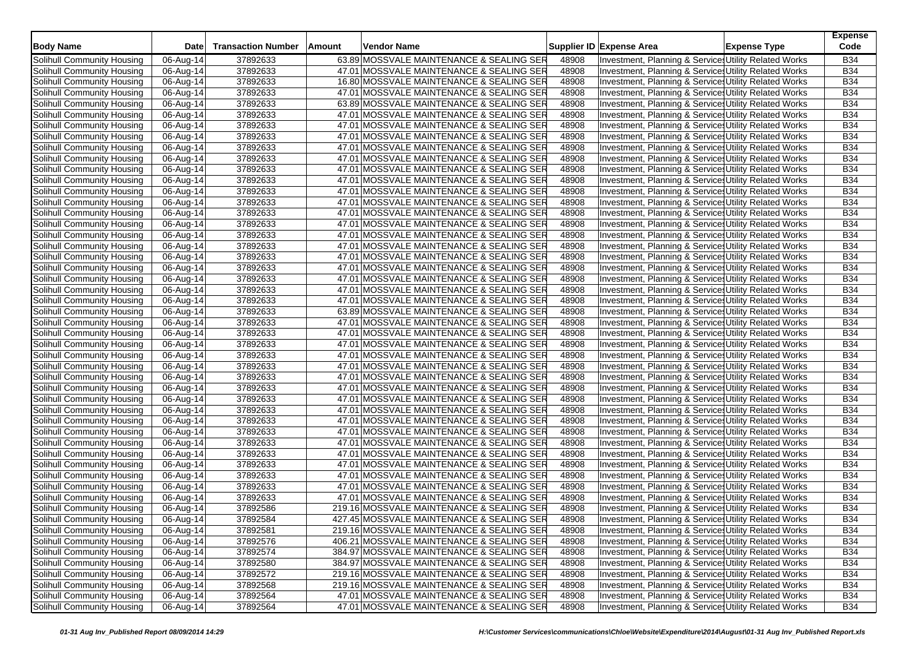| <b>Body Name</b>           | <b>Date</b> | <b>Transaction Number</b> | Vendor Name<br>Amount                     |       | Supplier ID Expense Area | <b>Expense Type</b>                                                                                           | <b>Expense</b><br>Code   |
|----------------------------|-------------|---------------------------|-------------------------------------------|-------|--------------------------|---------------------------------------------------------------------------------------------------------------|--------------------------|
| Solihull Community Housing |             |                           |                                           |       |                          |                                                                                                               |                          |
|                            | 06-Aug-14   | 37892633                  | 63.89 MOSSVALE MAINTENANCE & SEALING SER  | 48908 |                          | Investment, Planning & Services Utility Related Works                                                         | <b>B34</b>               |
| Solihull Community Housing | 06-Aug-14   | 37892633                  | 47.01 MOSSVALE MAINTENANCE & SEALING SER  | 48908 |                          | Investment, Planning & Service, Utility Related Works                                                         | <b>B34</b><br><b>B34</b> |
| Solihull Community Housing | 06-Aug-14   | 37892633                  | 16.80 MOSSVALE MAINTENANCE & SEALING SER  | 48908 |                          | Investment, Planning & Service: Utility Related Works                                                         |                          |
| Solihull Community Housing | 06-Aug-14   | 37892633                  | 47.01 MOSSVALE MAINTENANCE & SEALING SER  | 48908 |                          | Investment, Planning & Service: Utility Related Works                                                         | <b>B34</b>               |
| Solihull Community Housing | 06-Aug-14   | 37892633                  | 63.89 MOSSVALE MAINTENANCE & SEALING SER  | 48908 |                          | Investment, Planning & Service: Utility Related Works                                                         | <b>B34</b>               |
| Solihull Community Housing | 06-Aug-14   | 37892633                  | 47.01 MOSSVALE MAINTENANCE & SEALING SER  | 48908 |                          | Investment, Planning & Service: Utility Related Works                                                         | <b>B34</b>               |
| Solihull Community Housing | 06-Aug-14   | 37892633                  | 47.01 MOSSVALE MAINTENANCE & SEALING SER  | 48908 |                          | Investment, Planning & Service: Utility Related Works                                                         | <b>B34</b>               |
| Solihull Community Housing | 06-Aug-14   | 37892633                  | 47.01 MOSSVALE MAINTENANCE & SEALING SER  | 48908 |                          | Investment, Planning & Service, Utility Related Works                                                         | <b>B34</b>               |
| Solihull Community Housing | 06-Aug-14   | 37892633                  | 47.01 MOSSVALE MAINTENANCE & SEALING SER  | 48908 |                          | Investment, Planning & Service, Utility Related Works                                                         | <b>B34</b>               |
| Solihull Community Housing | 06-Aug-14   | 37892633                  | 47.01 MOSSVALE MAINTENANCE & SEALING SER  | 48908 |                          | Investment, Planning & Service: Utility Related Works                                                         | <b>B34</b>               |
| Solihull Community Housing | 06-Aug-14   | 37892633                  | 47.01 MOSSVALE MAINTENANCE & SEALING SER  | 48908 |                          | Investment, Planning & Service: Utility Related Works                                                         | <b>B34</b>               |
| Solihull Community Housing | 06-Aug-14   | 37892633                  | 47.01 MOSSVALE MAINTENANCE & SEALING SER  | 48908 |                          | Investment, Planning & Service, Utility Related Works                                                         | <b>B34</b>               |
| Solihull Community Housing | 06-Aug-14   | 37892633                  | 47.01 MOSSVALE MAINTENANCE & SEALING SER  | 48908 |                          | Investment, Planning & Service: Utility Related Works                                                         | <b>B34</b>               |
| Solihull Community Housing | 06-Aug-14   | 37892633                  | 47.01 MOSSVALE MAINTENANCE & SEALING SER  | 48908 |                          | Investment, Planning & Service, Utility Related Works                                                         | <b>B34</b>               |
| Solihull Community Housing | 06-Aug-14   | 37892633                  | 47.01 MOSSVALE MAINTENANCE & SEALING SER  | 48908 |                          | Investment, Planning & Service, Utility Related Works                                                         | <b>B34</b>               |
| Solihull Community Housing | 06-Aug-14   | 37892633                  | 47.01 MOSSVALE MAINTENANCE & SEALING SER  | 48908 |                          | Investment, Planning & Service: Utility Related Works                                                         | <b>B34</b>               |
| Solihull Community Housing | 06-Aug-14   | 37892633                  | 47.01 MOSSVALE MAINTENANCE & SEALING SER  | 48908 |                          | Investment, Planning & Service: Utility Related Works                                                         | <b>B34</b>               |
| Solihull Community Housing | 06-Aug-14   | 37892633                  | 47.01 MOSSVALE MAINTENANCE & SEALING SER  | 48908 |                          | Investment, Planning & Service, Utility Related Works                                                         | <b>B34</b>               |
| Solihull Community Housing | 06-Aug-14   | 37892633                  | 47.01 MOSSVALE MAINTENANCE & SEALING SER  | 48908 |                          | Investment, Planning & Service: Utility Related Works                                                         | <b>B34</b>               |
| Solihull Community Housing | 06-Aug-14   | 37892633                  | 47.01 MOSSVALE MAINTENANCE & SEALING SER  | 48908 |                          | Investment, Planning & Service: Utility Related Works                                                         | <b>B34</b>               |
| Solihull Community Housing | 06-Aug-14   | 37892633                  | 47.01 MOSSVALE MAINTENANCE & SEALING SER  | 48908 |                          | Investment, Planning & Service, Utility Related Works                                                         | <b>B34</b>               |
| Solihull Community Housing | 06-Aug-14   | 37892633                  | 47.01 MOSSVALE MAINTENANCE & SEALING SER  | 48908 |                          | Investment, Planning & Service: Utility Related Works                                                         | <b>B34</b>               |
| Solihull Community Housing | 06-Aug-14   | 37892633                  | 47.01 MOSSVALE MAINTENANCE & SEALING SER  | 48908 |                          | Investment, Planning & Service: Utility Related Works                                                         | <b>B34</b>               |
| Solihull Community Housing | 06-Aug-14   | 37892633                  | 63.89 MOSSVALE MAINTENANCE & SEALING SER  | 48908 |                          | Investment, Planning & Service, Utility Related Works                                                         | <b>B34</b>               |
| Solihull Community Housing | 06-Aug-14   | 37892633                  | 47.01 MOSSVALE MAINTENANCE & SEALING SER  | 48908 |                          | Investment, Planning & Service: Utility Related Works                                                         | <b>B34</b>               |
| Solihull Community Housing | 06-Aug-14   | 37892633                  | 47.01 MOSSVALE MAINTENANCE & SEALING SER  | 48908 |                          | Investment, Planning & Service: Utility Related Works                                                         | <b>B34</b>               |
| Solihull Community Housing | 06-Aug-14   | 37892633                  | 47.01 MOSSVALE MAINTENANCE & SEALING SER  | 48908 |                          | Investment, Planning & Service, Utility Related Works                                                         | <b>B34</b>               |
| Solihull Community Housing | 06-Aug-14   | 37892633                  | 47.01 MOSSVALE MAINTENANCE & SEALING SER  | 48908 |                          | Investment, Planning & Service: Utility Related Works                                                         | <b>B34</b>               |
| Solihull Community Housing | 06-Aug-14   | 37892633                  | 47.01 MOSSVALE MAINTENANCE & SEALING SER  | 48908 |                          | Investment, Planning & Service: Utility Related Works                                                         | <b>B34</b>               |
| Solihull Community Housing | 06-Aug-14   | 37892633                  | 47.01 MOSSVALE MAINTENANCE & SEALING SER  | 48908 |                          | Investment, Planning & Service, Utility Related Works                                                         | <b>B34</b>               |
| Solihull Community Housing | 06-Aug-14   | 37892633                  | 47.01 MOSSVALE MAINTENANCE & SEALING SER  | 48908 |                          | Investment, Planning & Service: Utility Related Works                                                         | <b>B34</b>               |
| Solihull Community Housing | 06-Aug-14   | 37892633                  | 47.01 MOSSVALE MAINTENANCE & SEALING SER  | 48908 |                          | Investment, Planning & Service, Utility Related Works                                                         | <b>B34</b>               |
| Solihull Community Housing | 06-Aug-14   | 37892633                  | 47.01 MOSSVALE MAINTENANCE & SEALING SER  | 48908 |                          | Investment, Planning & Service, Utility Related Works                                                         | <b>B34</b>               |
| Solihull Community Housing | 06-Aug-14   | 37892633                  | 47.01 MOSSVALE MAINTENANCE & SEALING SER  | 48908 |                          | Investment, Planning & Service: Utility Related Works                                                         | <b>B34</b>               |
| Solihull Community Housing | 06-Aug-14   | 37892633                  | 47.01 MOSSVALE MAINTENANCE & SEALING SER  | 48908 |                          | Investment, Planning & Service: Utility Related Works                                                         | <b>B34</b>               |
| Solihull Community Housing | 06-Aug-14   | 37892633                  | 47.01 MOSSVALE MAINTENANCE & SEALING SER  | 48908 |                          | Investment, Planning & Service, Utility Related Works                                                         | <b>B34</b>               |
| Solihull Community Housing | 06-Aug-14   | 37892633                  | 47.01 MOSSVALE MAINTENANCE & SEALING SER  | 48908 |                          | Investment, Planning & Service: Utility Related Works                                                         | <b>B34</b>               |
| Solihull Community Housing | 06-Aug-14   | 37892633                  | 47.01 MOSSVALE MAINTENANCE & SEALING SER  | 48908 |                          | Investment, Planning & Service, Utility Related Works                                                         | B34                      |
| Solihull Community Housing | 06-Aug-14   | 37892633                  | 47.01 MOSSVALE MAINTENANCE & SEALING SER  | 48908 |                          | Investment, Planning & Service, Utility Related Works                                                         | <b>B34</b>               |
| Solihull Community Housing | 06-Aug-14   | 37892633                  | 47.01 MOSSVALE MAINTENANCE & SEALING SER  | 48908 |                          | Investment, Planning & Service: Utility Related Works                                                         | <b>B34</b>               |
| Solihull Community Housing | 06-Aug-14   | 37892633                  | 47.01 MOSSVALE MAINTENANCE & SEALING SER  | 48908 |                          | Investment, Planning & Service: Utility Related Works                                                         | <b>B34</b>               |
| Solihull Community Housing | 06-Aug-14   | 37892586                  | 219.16 MOSSVALE MAINTENANCE & SEALING SER | 48908 |                          | Investment, Planning & Service, Utility Related Works                                                         | <b>B34</b>               |
| Solihull Community Housing | 06-Aug-14   | 37892584                  | 427.45 MOSSVALE MAINTENANCE & SEALING SER | 48908 |                          | Investment, Planning & Services Utility Related Works                                                         | <b>B34</b>               |
| Solihull Community Housing | 06-Aug-14   | 37892581                  | 219.16 MOSSVALE MAINTENANCE & SEALING SER | 48908 |                          | Investment, Planning & Services Utility Related Works                                                         | <b>B34</b>               |
| Solihull Community Housing | 06-Aug-14   | 37892576                  | 406.21 MOSSVALE MAINTENANCE & SEALING SER | 48908 |                          | Investment, Planning & Service: Utility Related Works                                                         | <b>B34</b>               |
| Solihull Community Housing |             |                           | 384.97 MOSSVALE MAINTENANCE & SEALING SER |       |                          | Investment, Planning & Services Utility Related Works                                                         |                          |
|                            | 06-Aug-14   | 37892574                  |                                           | 48908 |                          | Investment, Planning & Services Utility Related Works                                                         | <b>B34</b>               |
| Solihull Community Housing | 06-Aug-14   | 37892580                  | 384.97 MOSSVALE MAINTENANCE & SEALING SER | 48908 |                          |                                                                                                               | <b>B34</b>               |
| Solihull Community Housing | 06-Aug-14   | 37892572                  | 219.16 MOSSVALE MAINTENANCE & SEALING SER | 48908 |                          | Investment, Planning & Service Utility Related Works<br>Investment, Planning & Services Utility Related Works | <b>B34</b>               |
| Solihull Community Housing | 06-Aug-14   | 37892568                  | 219.16 MOSSVALE MAINTENANCE & SEALING SER | 48908 |                          |                                                                                                               | <b>B34</b>               |
| Solihull Community Housing | 06-Aug-14   | 37892564                  | 47.01 MOSSVALE MAINTENANCE & SEALING SER  | 48908 |                          | Investment, Planning & Service, Utility Related Works                                                         | <b>B34</b>               |
| Solihull Community Housing | 06-Aug-14   | 37892564                  | 47.01 MOSSVALE MAINTENANCE & SEALING SER  | 48908 |                          | Investment, Planning & Services Utility Related Works                                                         | <b>B34</b>               |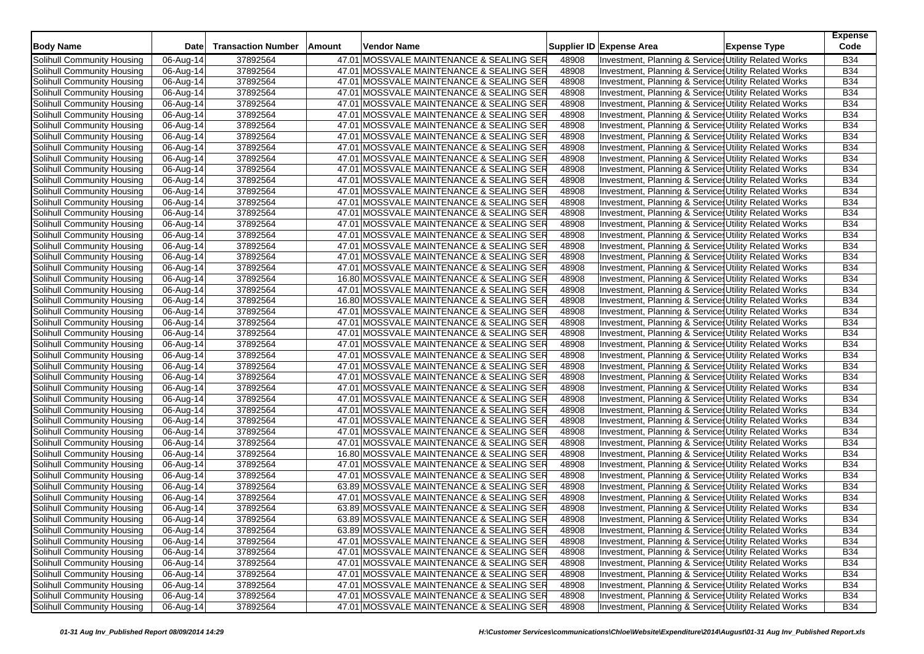| <b>Body Name</b>           | <b>Date</b>             | <b>Transaction Number</b> | Amount | Vendor Name                                                                          |       | Supplier ID Expense Area                              | <b>Expense Type</b> | <b>Expense</b><br>Code   |
|----------------------------|-------------------------|---------------------------|--------|--------------------------------------------------------------------------------------|-------|-------------------------------------------------------|---------------------|--------------------------|
| Solihull Community Housing |                         |                           |        |                                                                                      |       |                                                       |                     |                          |
|                            | 06-Aug-14               | 37892564                  |        | 47.01 MOSSVALE MAINTENANCE & SEALING SER                                             | 48908 | Investment, Planning & Services Utility Related Works |                     | <b>B34</b>               |
| Solihull Community Housing | 06-Aug-14               | 37892564                  |        | 47.01 MOSSVALE MAINTENANCE & SEALING SER                                             | 48908 | Investment, Planning & Service, Utility Related Works |                     | <b>B34</b><br><b>B34</b> |
| Solihull Community Housing | 06-Aug-14               | 37892564                  |        | 47.01 MOSSVALE MAINTENANCE & SEALING SER                                             | 48908 | Investment, Planning & Service: Utility Related Works |                     |                          |
| Solihull Community Housing | 06-Aug-14               | 37892564                  |        | 47.01 MOSSVALE MAINTENANCE & SEALING SER                                             | 48908 | Investment, Planning & Service: Utility Related Works |                     | <b>B34</b>               |
| Solihull Community Housing | 06-Aug-14               | 37892564                  |        | 47.01 MOSSVALE MAINTENANCE & SEALING SER                                             | 48908 | Investment, Planning & Service: Utility Related Works |                     | <b>B34</b>               |
| Solihull Community Housing | 06-Aug-14               | 37892564                  |        | 47.01 MOSSVALE MAINTENANCE & SEALING SER                                             | 48908 | Investment, Planning & Service: Utility Related Works |                     | <b>B34</b>               |
| Solihull Community Housing | 06-Aug-14               | 37892564                  |        | 47.01 MOSSVALE MAINTENANCE & SEALING SER                                             | 48908 | Investment, Planning & Service: Utility Related Works |                     | <b>B34</b>               |
| Solihull Community Housing | 06-Aug-14               | 37892564                  |        | 47.01 MOSSVALE MAINTENANCE & SEALING SER                                             | 48908 | Investment, Planning & Service, Utility Related Works |                     | <b>B34</b>               |
| Solihull Community Housing | 06-Aug-14               | 37892564                  |        | 47.01 MOSSVALE MAINTENANCE & SEALING SER                                             | 48908 | Investment, Planning & Service: Utility Related Works |                     | <b>B34</b>               |
| Solihull Community Housing | 06-Aug-14               | 37892564                  |        | 47.01 MOSSVALE MAINTENANCE & SEALING SER                                             | 48908 | Investment, Planning & Service: Utility Related Works |                     | <b>B34</b>               |
| Solihull Community Housing | 06-Aug-14               | 37892564                  |        | 47.01 MOSSVALE MAINTENANCE & SEALING SER                                             | 48908 | Investment, Planning & Service: Utility Related Works |                     | <b>B34</b>               |
| Solihull Community Housing | 06-Aug-14               | 37892564                  |        | 47.01 MOSSVALE MAINTENANCE & SEALING SER                                             | 48908 | Investment, Planning & Service, Utility Related Works |                     | <b>B34</b>               |
| Solihull Community Housing | 06-Aug-14               | 37892564                  |        | 47.01 MOSSVALE MAINTENANCE & SEALING SER                                             | 48908 | Investment, Planning & Service: Utility Related Works |                     | <b>B34</b>               |
| Solihull Community Housing | 06-Aug-14               | 37892564                  |        | 47.01 MOSSVALE MAINTENANCE & SEALING SER                                             | 48908 | Investment, Planning & Service, Utility Related Works |                     | <b>B34</b>               |
| Solihull Community Housing | 06-Aug-14               | 37892564                  |        | 47.01 MOSSVALE MAINTENANCE & SEALING SER                                             | 48908 | Investment, Planning & Service, Utility Related Works |                     | <b>B34</b>               |
| Solihull Community Housing | 06-Aug-14               | 37892564                  |        | 47.01 MOSSVALE MAINTENANCE & SEALING SER                                             | 48908 | Investment, Planning & Service: Utility Related Works |                     | <b>B34</b>               |
| Solihull Community Housing | 06-Aug-14               | 37892564                  |        | 47.01 MOSSVALE MAINTENANCE & SEALING SER                                             | 48908 | Investment, Planning & Service: Utility Related Works |                     | <b>B34</b>               |
| Solihull Community Housing | 06-Aug-14               | 37892564                  |        | 47.01 MOSSVALE MAINTENANCE & SEALING SER                                             | 48908 | Investment, Planning & Service, Utility Related Works |                     | <b>B34</b>               |
| Solihull Community Housing | 06-Aug-14               | 37892564                  |        | 47.01 MOSSVALE MAINTENANCE & SEALING SER                                             | 48908 | Investment, Planning & Service: Utility Related Works |                     | <b>B34</b>               |
| Solihull Community Housing | 06-Aug-14               | 37892564                  |        | 47.01 MOSSVALE MAINTENANCE & SEALING SER                                             | 48908 | Investment, Planning & Service: Utility Related Works |                     | <b>B34</b>               |
| Solihull Community Housing | 06-Aug-14               | 37892564                  |        | 16.80 MOSSVALE MAINTENANCE & SEALING SER                                             | 48908 | Investment, Planning & Service, Utility Related Works |                     | <b>B34</b>               |
| Solihull Community Housing | 06-Aug-14               | 37892564                  |        | 47.01 MOSSVALE MAINTENANCE & SEALING SER                                             | 48908 | Investment, Planning & Service: Utility Related Works |                     | <b>B34</b>               |
| Solihull Community Housing | 06-Aug-14               | 37892564                  |        | 16.80 MOSSVALE MAINTENANCE & SEALING SER                                             | 48908 | Investment, Planning & Service: Utility Related Works |                     | <b>B34</b>               |
| Solihull Community Housing | 06-Aug-14               | 37892564                  |        | 47.01 MOSSVALE MAINTENANCE & SEALING SER                                             | 48908 | Investment, Planning & Service, Utility Related Works |                     | <b>B34</b>               |
| Solihull Community Housing | 06-Aug-14               | 37892564                  |        | 47.01 MOSSVALE MAINTENANCE & SEALING SER                                             | 48908 | Investment, Planning & Service: Utility Related Works |                     | <b>B34</b>               |
| Solihull Community Housing | 06-Aug-14               | 37892564                  |        | 47.01 MOSSVALE MAINTENANCE & SEALING SER                                             | 48908 | Investment, Planning & Service: Utility Related Works |                     | <b>B34</b>               |
| Solihull Community Housing | 06-Aug-14               | 37892564                  |        | 47.01 MOSSVALE MAINTENANCE & SEALING SER                                             | 48908 | Investment, Planning & Service, Utility Related Works |                     | <b>B34</b>               |
| Solihull Community Housing | 06-Aug-14               | 37892564                  |        | 47.01 MOSSVALE MAINTENANCE & SEALING SER                                             | 48908 | Investment, Planning & Service: Utility Related Works |                     | <b>B34</b>               |
| Solihull Community Housing | 06-Aug-14               | 37892564                  |        | 47.01 MOSSVALE MAINTENANCE & SEALING SER                                             | 48908 | Investment, Planning & Service: Utility Related Works |                     | <b>B34</b>               |
| Solihull Community Housing | 06-Aug-14               | 37892564                  |        | 47.01 MOSSVALE MAINTENANCE & SEALING SER                                             | 48908 | Investment, Planning & Service, Utility Related Works |                     | <b>B34</b>               |
| Solihull Community Housing | 06-Aug-14               | 37892564                  |        | 47.01 MOSSVALE MAINTENANCE & SEALING SER                                             | 48908 | Investment, Planning & Service Utility Related Works  |                     | <b>B34</b>               |
| Solihull Community Housing | 06-Aug-14               | 37892564                  |        | 47.01 MOSSVALE MAINTENANCE & SEALING SER                                             | 48908 | Investment, Planning & Service, Utility Related Works |                     | <b>B34</b>               |
| Solihull Community Housing | 06-Aug-14               | 37892564                  |        | 47.01 MOSSVALE MAINTENANCE & SEALING SER                                             | 48908 | Investment, Planning & Service, Utility Related Works |                     | <b>B34</b>               |
| Solihull Community Housing | 06-Aug-14               | 37892564                  |        | 47.01 MOSSVALE MAINTENANCE & SEALING SER                                             | 48908 | Investment, Planning & Service: Utility Related Works |                     | <b>B34</b>               |
| Solihull Community Housing | 06-Aug-14               | 37892564                  |        | 47.01 MOSSVALE MAINTENANCE & SEALING SER                                             | 48908 | Investment, Planning & Service: Utility Related Works |                     | <b>B34</b>               |
| Solihull Community Housing | 06-Aug-14               | 37892564                  |        | 47.01 MOSSVALE MAINTENANCE & SEALING SER                                             | 48908 | Investment, Planning & Service, Utility Related Works |                     | <b>B34</b>               |
| Solihull Community Housing | 06-Aug-14               | 37892564                  |        | 16.80 MOSSVALE MAINTENANCE & SEALING SER                                             | 48908 | Investment, Planning & Service: Utility Related Works |                     | <b>B34</b>               |
| Solihull Community Housing | 06-Aug-14               | 37892564                  |        | 47.01 MOSSVALE MAINTENANCE & SEALING SER                                             | 48908 | Investment, Planning & Service: Utility Related Works |                     | B34                      |
| Solihull Community Housing | 06-Aug-14               | 37892564                  |        | 47.01 MOSSVALE MAINTENANCE & SEALING SER                                             | 48908 | Investment, Planning & Service, Utility Related Works |                     | <b>B34</b>               |
| Solihull Community Housing | 06-Aug-14               | 37892564                  |        | 63.89 MOSSVALE MAINTENANCE & SEALING SER                                             | 48908 | Investment, Planning & Service: Utility Related Works |                     | <b>B34</b>               |
| Solihull Community Housing | 06-Aug-14               | 37892564                  |        | 47.01 MOSSVALE MAINTENANCE & SEALING SER                                             | 48908 | Investment, Planning & Service: Utility Related Works |                     | <b>B34</b>               |
| Solihull Community Housing | 06-Aug-14               | 37892564                  |        | 63.89 MOSSVALE MAINTENANCE & SEALING SER                                             | 48908 | Investment, Planning & Service, Utility Related Works |                     | <b>B34</b>               |
| Solihull Community Housing | 06-Aug-14               | 37892564                  |        |                                                                                      | 48908 | Investment, Planning & Services Utility Related Works |                     | <b>B34</b>               |
| Solihull Community Housing | 06-Aug-14               | 37892564                  |        | 63.89 MOSSVALE MAINTENANCE & SEALING SER<br>63.89 MOSSVALE MAINTENANCE & SEALING SER | 48908 | Investment, Planning & Services Utility Related Works |                     | <b>B34</b>               |
| Solihull Community Housing | $\overline{06}$ -Aug-14 | 37892564                  |        | 47.01 MOSSVALE MAINTENANCE & SEALING SER                                             | 48908 | Investment, Planning & Service: Utility Related Works |                     | <b>B34</b>               |
| Solihull Community Housing |                         |                           |        | 47.01 MOSSVALE MAINTENANCE & SEALING SER                                             |       | Investment, Planning & Services Utility Related Works |                     |                          |
|                            | 06-Aug-14               | 37892564                  |        |                                                                                      | 48908 |                                                       |                     | <b>B34</b>               |
| Solihull Community Housing | 06-Aug-14               | 37892564                  |        | 47.01 MOSSVALE MAINTENANCE & SEALING SER                                             | 48908 | Investment, Planning & Services Utility Related Works |                     | <b>B34</b>               |
| Solihull Community Housing | 06-Aug-14               | 37892564                  |        | 47.01 MOSSVALE MAINTENANCE & SEALING SER                                             | 48908 | Investment, Planning & Service Utility Related Works  |                     | <b>B34</b>               |
| Solihull Community Housing | 06-Aug-14               | 37892564                  |        | 47.01 MOSSVALE MAINTENANCE & SEALING SER                                             | 48908 | Investment, Planning & Service: Utility Related Works |                     | <b>B34</b>               |
| Solihull Community Housing | 06-Aug-14               | 37892564                  |        | 47.01 MOSSVALE MAINTENANCE & SEALING SER                                             | 48908 | Investment, Planning & Service, Utility Related Works |                     | <b>B34</b>               |
| Solihull Community Housing | 06-Aug-14               | 37892564                  |        | 47.01 MOSSVALE MAINTENANCE & SEALING SER                                             | 48908 | Investment, Planning & Services Utility Related Works |                     | <b>B34</b>               |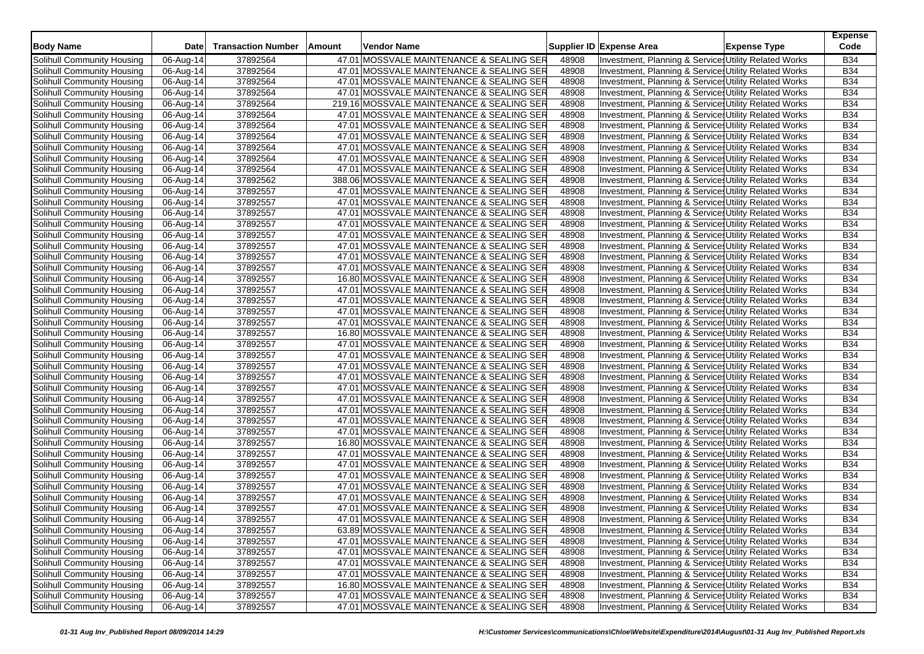| <b>Body Name</b>           | <b>Date</b> | <b>Transaction Number</b> | Amount | Vendor Name                               |       | Supplier ID Expense Area | <b>Expense Type</b>                                   | <b>Expense</b><br>Code |
|----------------------------|-------------|---------------------------|--------|-------------------------------------------|-------|--------------------------|-------------------------------------------------------|------------------------|
|                            |             |                           |        |                                           |       |                          |                                                       |                        |
| Solihull Community Housing | 06-Aug-14   | 37892564                  |        | 47.01 MOSSVALE MAINTENANCE & SEALING SER  | 48908 |                          | Investment, Planning & Services Utility Related Works | <b>B34</b>             |
| Solihull Community Housing | 06-Aug-14   | 37892564                  |        | 47.01 MOSSVALE MAINTENANCE & SEALING SER  | 48908 |                          | Investment, Planning & Service, Utility Related Works | <b>B34</b>             |
| Solihull Community Housing | 06-Aug-14   | 37892564                  |        | 47.01 MOSSVALE MAINTENANCE & SEALING SER  | 48908 |                          | Investment, Planning & Service: Utility Related Works | <b>B34</b>             |
| Solihull Community Housing | 06-Aug-14   | 37892564                  |        | 47.01 MOSSVALE MAINTENANCE & SEALING SER  | 48908 |                          | Investment, Planning & Service: Utility Related Works | <b>B34</b>             |
| Solihull Community Housing | 06-Aug-14   | 37892564                  |        | 219.16 MOSSVALE MAINTENANCE & SEALING SER | 48908 |                          | Investment, Planning & Service: Utility Related Works | <b>B34</b>             |
| Solihull Community Housing | 06-Aug-14   | 37892564                  |        | 47.01 MOSSVALE MAINTENANCE & SEALING SER  | 48908 |                          | Investment, Planning & Service: Utility Related Works | <b>B34</b>             |
| Solihull Community Housing | 06-Aug-14   | 37892564                  |        | 47.01 MOSSVALE MAINTENANCE & SEALING SER  | 48908 |                          | Investment, Planning & Service: Utility Related Works | <b>B34</b>             |
| Solihull Community Housing | 06-Aug-14   | 37892564                  |        | 47.01 MOSSVALE MAINTENANCE & SEALING SER  | 48908 |                          | Investment, Planning & Service, Utility Related Works | <b>B34</b>             |
| Solihull Community Housing | 06-Aug-14   | 37892564                  |        | 47.01 MOSSVALE MAINTENANCE & SEALING SER  | 48908 |                          | Investment, Planning & Service: Utility Related Works | <b>B34</b>             |
| Solihull Community Housing | 06-Aug-14   | 37892564                  |        | 47.01 MOSSVALE MAINTENANCE & SEALING SER  | 48908 |                          | Investment, Planning & Service: Utility Related Works | <b>B34</b>             |
| Solihull Community Housing | 06-Aug-14   | 37892564                  |        | 47.01 MOSSVALE MAINTENANCE & SEALING SER  | 48908 |                          | Investment, Planning & Service, Utility Related Works | <b>B34</b>             |
| Solihull Community Housing | 06-Aug-14   | 37892562                  |        | 388.06 MOSSVALE MAINTENANCE & SEALING SER | 48908 |                          | Investment, Planning & Service, Utility Related Works | <b>B34</b>             |
| Solihull Community Housing | 06-Aug-14   | 37892557                  |        | 47.01 MOSSVALE MAINTENANCE & SEALING SER  | 48908 |                          | Investment, Planning & Service: Utility Related Works | <b>B34</b>             |
| Solihull Community Housing | 06-Aug-14   | 37892557                  |        | 47.01 MOSSVALE MAINTENANCE & SEALING SER  | 48908 |                          | Investment, Planning & Service, Utility Related Works | <b>B34</b>             |
| Solihull Community Housing | 06-Aug-14   | 37892557                  |        | 47.01 MOSSVALE MAINTENANCE & SEALING SER  | 48908 |                          | Investment, Planning & Service, Utility Related Works | <b>B34</b>             |
| Solihull Community Housing | 06-Aug-14   | 37892557                  |        | 47.01 MOSSVALE MAINTENANCE & SEALING SER  | 48908 |                          | Investment, Planning & Service: Utility Related Works | <b>B34</b>             |
| Solihull Community Housing | 06-Aug-14   | 37892557                  |        | 47.01 MOSSVALE MAINTENANCE & SEALING SER  | 48908 |                          | Investment, Planning & Service: Utility Related Works | <b>B34</b>             |
| Solihull Community Housing | 06-Aug-14   | 37892557                  |        | 47.01 MOSSVALE MAINTENANCE & SEALING SER  | 48908 |                          | Investment, Planning & Service, Utility Related Works | <b>B34</b>             |
| Solihull Community Housing | 06-Aug-14   | 37892557                  |        | 47.01 MOSSVALE MAINTENANCE & SEALING SER  | 48908 |                          | Investment, Planning & Service: Utility Related Works | <b>B34</b>             |
| Solihull Community Housing | 06-Aug-14   | 37892557                  |        | 47.01 MOSSVALE MAINTENANCE & SEALING SER  | 48908 |                          | Investment, Planning & Service: Utility Related Works | <b>B34</b>             |
| Solihull Community Housing | 06-Aug-14   | 37892557                  |        | 16.80 MOSSVALE MAINTENANCE & SEALING SER  | 48908 |                          | Investment, Planning & Service, Utility Related Works | <b>B34</b>             |
| Solihull Community Housing | 06-Aug-14   | 37892557                  |        | 47.01 MOSSVALE MAINTENANCE & SEALING SER  | 48908 |                          | Investment, Planning & Service: Utility Related Works | <b>B34</b>             |
| Solihull Community Housing | 06-Aug-14   | 37892557                  |        | 47.01 MOSSVALE MAINTENANCE & SEALING SER  | 48908 |                          | Investment, Planning & Service: Utility Related Works | <b>B34</b>             |
| Solihull Community Housing | 06-Aug-14   | 37892557                  |        | 47.01 MOSSVALE MAINTENANCE & SEALING SER  | 48908 |                          | Investment, Planning & Service, Utility Related Works | <b>B34</b>             |
| Solihull Community Housing | 06-Aug-14   | 37892557                  |        | 47.01 MOSSVALE MAINTENANCE & SEALING SER  | 48908 |                          | Investment, Planning & Service: Utility Related Works | <b>B34</b>             |
| Solihull Community Housing | 06-Aug-14   | 37892557                  |        | 16.80 MOSSVALE MAINTENANCE & SEALING SER  | 48908 |                          | Investment, Planning & Service: Utility Related Works | <b>B34</b>             |
| Solihull Community Housing | 06-Aug-14   | 37892557                  |        | 47.01 MOSSVALE MAINTENANCE & SEALING SER  | 48908 |                          | Investment, Planning & Service, Utility Related Works | <b>B34</b>             |
| Solihull Community Housing | 06-Aug-14   | 37892557                  |        | 47.01 MOSSVALE MAINTENANCE & SEALING SER  | 48908 |                          | Investment, Planning & Service: Utility Related Works | <b>B34</b>             |
| Solihull Community Housing | 06-Aug-14   | 37892557                  |        | 47.01 MOSSVALE MAINTENANCE & SEALING SER  | 48908 |                          | Investment, Planning & Service: Utility Related Works | <b>B34</b>             |
| Solihull Community Housing | 06-Aug-14   | 37892557                  |        | 47.01 MOSSVALE MAINTENANCE & SEALING SER  | 48908 |                          | Investment, Planning & Service, Utility Related Works | <b>B34</b>             |
| Solihull Community Housing | 06-Aug-14   | 37892557                  |        | 47.01 MOSSVALE MAINTENANCE & SEALING SER  | 48908 |                          | Investment, Planning & Service: Utility Related Works | <b>B34</b>             |
| Solihull Community Housing | 06-Aug-14   | 37892557                  |        | 47.01 MOSSVALE MAINTENANCE & SEALING SER  | 48908 |                          | Investment, Planning & Service, Utility Related Works | <b>B34</b>             |
| Solihull Community Housing | 06-Aug-14   | 37892557                  |        | 47.01 MOSSVALE MAINTENANCE & SEALING SER  | 48908 |                          | Investment, Planning & Service, Utility Related Works | <b>B34</b>             |
| Solihull Community Housing | 06-Aug-14   | 37892557                  |        | 47.01 MOSSVALE MAINTENANCE & SEALING SER  | 48908 |                          | Investment, Planning & Service: Utility Related Works | <b>B34</b>             |
| Solihull Community Housing | 06-Aug-14   | 37892557                  |        | 47.01 MOSSVALE MAINTENANCE & SEALING SER  | 48908 |                          | Investment, Planning & Service: Utility Related Works | <b>B34</b>             |
| Solihull Community Housing | 06-Aug-14   | 37892557                  |        | 16.80 MOSSVALE MAINTENANCE & SEALING SER  | 48908 |                          | Investment, Planning & Service, Utility Related Works | <b>B34</b>             |
| Solihull Community Housing | 06-Aug-14   | 37892557                  |        | 47.01 MOSSVALE MAINTENANCE & SEALING SER  | 48908 |                          | Investment, Planning & Service: Utility Related Works | <b>B34</b>             |
| Solihull Community Housing | 06-Aug-14   | 37892557                  |        | 47.01 MOSSVALE MAINTENANCE & SEALING SER  | 48908 |                          | Investment, Planning & Service: Utility Related Works | B34                    |
| Solihull Community Housing | 06-Aug-14   | 37892557                  |        | 47.01 MOSSVALE MAINTENANCE & SEALING SER  | 48908 |                          | Investment, Planning & Service, Utility Related Works | <b>B34</b>             |
| Solihull Community Housing | 06-Aug-14   | 37892557                  |        | 47.01 MOSSVALE MAINTENANCE & SEALING SER  | 48908 |                          | Investment, Planning & Service: Utility Related Works | <b>B34</b>             |
| Solihull Community Housing | 06-Aug-14   | 37892557                  |        | 47.01 MOSSVALE MAINTENANCE & SEALING SER  | 48908 |                          | Investment, Planning & Service: Utility Related Works | <b>B34</b>             |
| Solihull Community Housing | 06-Aug-14   | 37892557                  |        | 47.01 MOSSVALE MAINTENANCE & SEALING SER  | 48908 |                          | Investment, Planning & Service, Utility Related Works | <b>B34</b>             |
| Solihull Community Housing | 06-Aug-14   | 37892557                  |        | 47.01 MOSSVALE MAINTENANCE & SEALING SER  | 48908 |                          | Investment, Planning & Services Utility Related Works | <b>B34</b>             |
| Solihull Community Housing | 06-Aug-14   | 37892557                  |        | 63.89 MOSSVALE MAINTENANCE & SEALING SER  | 48908 |                          | Investment, Planning & Services Utility Related Works | <b>B34</b>             |
| Solihull Community Housing | 06-Aug-14   | 37892557                  |        | 47.01 MOSSVALE MAINTENANCE & SEALING SER  | 48908 |                          | Investment, Planning & Service: Utility Related Works | <b>B34</b>             |
| Solihull Community Housing | 06-Aug-14   | 37892557                  |        | 47.01 MOSSVALE MAINTENANCE & SEALING SER  | 48908 |                          | Investment, Planning & Services Utility Related Works | <b>B34</b>             |
| Solihull Community Housing | 06-Aug-14   | 37892557                  |        | 47.01 MOSSVALE MAINTENANCE & SEALING SER  | 48908 |                          | Investment, Planning & Services Utility Related Works | <b>B34</b>             |
| Solihull Community Housing | 06-Aug-14   | 37892557                  |        | 47.01 MOSSVALE MAINTENANCE & SEALING SER  | 48908 |                          | Investment, Planning & Service Utility Related Works  | <b>B34</b>             |
| Solihull Community Housing | 06-Aug-14   | 37892557                  |        | 16.80 MOSSVALE MAINTENANCE & SEALING SER  | 48908 |                          | Investment, Planning & Service: Utility Related Works | <b>B34</b>             |
| Solihull Community Housing | 06-Aug-14   | 37892557                  |        | 47.01 MOSSVALE MAINTENANCE & SEALING SER  | 48908 |                          | Investment, Planning & Service, Utility Related Works | <b>B34</b>             |
| Solihull Community Housing | 06-Aug-14   | 37892557                  |        | 47.01 MOSSVALE MAINTENANCE & SEALING SER  | 48908 |                          | Investment, Planning & Services Utility Related Works | <b>B34</b>             |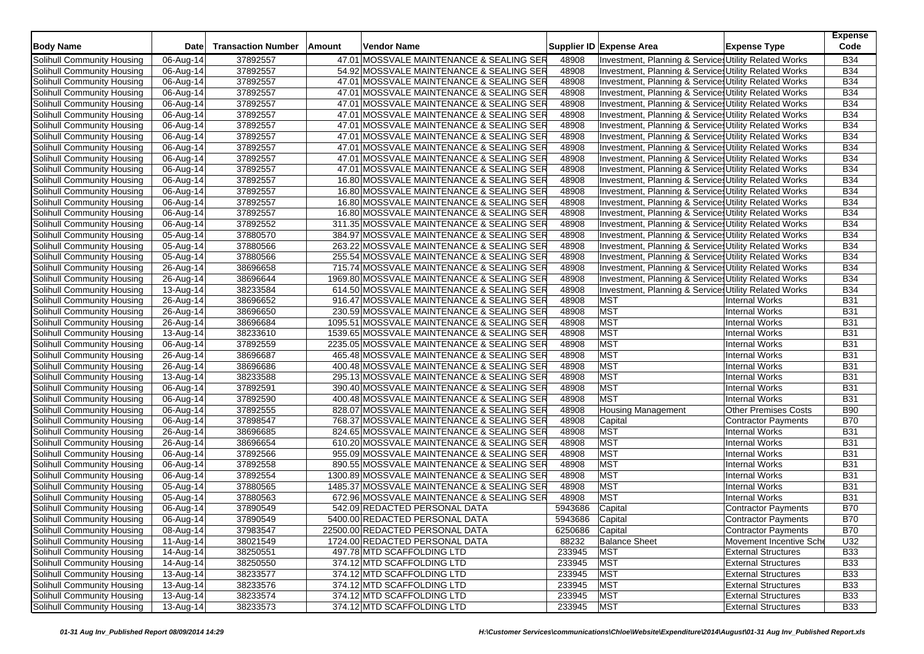| <b>Body Name</b>           | Date        | <b>Transaction Number</b> | Amount | Vendor Name                                |                 | Supplier ID Expense Area                              | <b>Expense Type</b>         | <b>Expense</b><br>Code |
|----------------------------|-------------|---------------------------|--------|--------------------------------------------|-----------------|-------------------------------------------------------|-----------------------------|------------------------|
| Solihull Community Housing | 06-Aug-14   | 37892557                  |        | 47.01 MOSSVALE MAINTENANCE & SEALING SER   | 48908           | Investment, Planning & Service: Utility Related Works |                             | <b>B34</b>             |
| Solihull Community Housing | 06-Aug-14   | 37892557                  |        | 54.92 MOSSVALE MAINTENANCE & SEALING SER   | 48908           | Investment, Planning & Service: Utility Related Works |                             | <b>B34</b>             |
| Solihull Community Housing | 06-Aug-14   | 37892557                  |        | 47.01 MOSSVALE MAINTENANCE & SEALING SER   | 48908           | Investment, Planning & Service: Utility Related Works |                             | <b>B34</b>             |
| Solihull Community Housing | 06-Aug-14   | 37892557                  |        | 47.01 MOSSVALE MAINTENANCE & SEALING SER   | 48908           | Investment, Planning & Service: Utility Related Works |                             | <b>B34</b>             |
| Solihull Community Housing | 06-Aug-14   | 37892557                  |        | 47.01 MOSSVALE MAINTENANCE & SEALING SER   | 48908           | Investment, Planning & Service: Utility Related Works |                             | <b>B34</b>             |
| Solihull Community Housing | 06-Aug-14   | 37892557                  |        | 47.01 MOSSVALE MAINTENANCE & SEALING SER   | 48908           | Investment, Planning & Services Utility Related Works |                             | <b>B34</b>             |
| Solihull Community Housing | 06-Aug-14   | 37892557                  |        | 47.01 MOSSVALE MAINTENANCE & SEALING SER   | 48908           | Investment, Planning & Service: Utility Related Works |                             | <b>B34</b>             |
| Solihull Community Housing | 06-Aug-14   | 37892557                  |        | 47.01 MOSSVALE MAINTENANCE & SEALING SER   | 48908           | Investment, Planning & Services Utility Related Works |                             | <b>B34</b>             |
| Solihull Community Housing | 06-Aug-14   | 37892557                  |        | 47.01 MOSSVALE MAINTENANCE & SEALING SER   | 48908           | Investment, Planning & Services Utility Related Works |                             | <b>B34</b>             |
| Solihull Community Housing | 06-Aug-14   | 37892557                  |        | 47.01 MOSSVALE MAINTENANCE & SEALING SER   | 48908           | Investment, Planning & Service: Utility Related Works |                             | <b>B34</b>             |
| Solihull Community Housing | 06-Aug-14   | 37892557                  |        | 47.01 MOSSVALE MAINTENANCE & SEALING SER   | 48908           | Investment, Planning & Service, Utility Related Works |                             | <b>B34</b>             |
| Solihull Community Housing | 06-Aug-14   | 37892557                  |        | 16.80 MOSSVALE MAINTENANCE & SEALING SER   | 48908           | Investment, Planning & Service: Utility Related Works |                             | <b>B34</b>             |
| Solihull Community Housing | 06-Aug-14   | 37892557                  |        | 16.80 MOSSVALE MAINTENANCE & SEALING SER   | 48908           | Investment, Planning & Services Utility Related Works |                             | <b>B34</b>             |
| Solihull Community Housing | 06-Aug-14   | 37892557                  |        | 16.80 MOSSVALE MAINTENANCE & SEALING SER   | 48908           | Investment, Planning & Service: Utility Related Works |                             | <b>B34</b>             |
| Solihull Community Housing | 06-Aug-14   | 37892557                  |        | 16.80 MOSSVALE MAINTENANCE & SEALING SER   | 48908           | Investment, Planning & Services Utility Related Works |                             | <b>B34</b>             |
| Solihull Community Housing | 06-Aug-14   | 37892552                  |        | 311.35 MOSSVALE MAINTENANCE & SEALING SER  | 48908           | Investment, Planning & Services Utility Related Works |                             | <b>B34</b>             |
| Solihull Community Housing | 05-Aug-14   | 37880570                  |        | 384.97 MOSSVALE MAINTENANCE & SEALING SER  | 48908           | Investment, Planning & Services Utility Related Works |                             | <b>B34</b>             |
| Solihull Community Housing | 05-Aug-14   | 37880566                  |        | 263.22 MOSSVALE MAINTENANCE & SEALING SER  | 48908           | Investment, Planning & Service Utility Related Works  |                             | <b>B34</b>             |
| Solihull Community Housing | 05-Aug-14   | 37880566                  |        | 255.54 MOSSVALE MAINTENANCE & SEALING SER  | 48908           | Investment, Planning & Services Utility Related Works |                             | <b>B34</b>             |
| Solihull Community Housing | 26-Aug-14   | 38696658                  |        | 715.74 MOSSVALE MAINTENANCE & SEALING SER  | 48908           | Investment, Planning & Services Utility Related Works |                             | <b>B34</b>             |
| Solihull Community Housing | 26-Aug-14   | 38696644                  |        | 1969.80 MOSSVALE MAINTENANCE & SEALING SER | 48908           | Investment, Planning & Service: Utility Related Works |                             | <b>B34</b>             |
| Solihull Community Housing | 13-Aug-14   | 38233584                  |        | 614.50 MOSSVALE MAINTENANCE & SEALING SER  | 48908           | Investment, Planning & Services Utility Related Works |                             | <b>B34</b>             |
| Solihull Community Housing | 26-Aug-14   | 38696652                  |        | 916.47 MOSSVALE MAINTENANCE & SEALING SER  | 48908           | <b>MST</b>                                            | <b>Internal Works</b>       | <b>B31</b>             |
| Solihull Community Housing | 26-Aug-14   | 38696650                  |        | 230.59 MOSSVALE MAINTENANCE & SEALING SER  | 48908           | <b>MST</b>                                            | <b>Internal Works</b>       | <b>B31</b>             |
| Solihull Community Housing | 26-Aug-14   | 38696684                  |        | 1095.51 MOSSVALE MAINTENANCE & SEALING SER | 48908           | <b>MST</b>                                            | Internal Works              | <b>B31</b>             |
| Solihull Community Housing | 13-Aug-14   | 38233610                  |        | 1539.65 MOSSVALE MAINTENANCE & SEALING SER | 48908           | <b>MST</b>                                            | <b>Internal Works</b>       | <b>B31</b>             |
| Solihull Community Housing | 06-Aug-14   | 37892559                  |        | 2235.05 MOSSVALE MAINTENANCE & SEALING SER | 48908           | <b>MST</b>                                            | <b>Internal Works</b>       | <b>B31</b>             |
| Solihull Community Housing | 26-Aug-14   | 38696687                  |        | 465.48 MOSSVALE MAINTENANCE & SEALING SER  | 48908           | <b>MST</b>                                            | <b>Internal Works</b>       | <b>B31</b>             |
| Solihull Community Housing | 26-Aug-14   | 38696686                  |        | 400.48 MOSSVALE MAINTENANCE & SEALING SER  | 48908           | <b>MST</b>                                            | <b>Internal Works</b>       | <b>B31</b>             |
| Solihull Community Housing | 13-Aug-14   | 38233588                  |        | 295.13 MOSSVALE MAINTENANCE & SEALING SER  | 48908           | <b>MST</b>                                            | <b>Internal Works</b>       | <b>B31</b>             |
| Solihull Community Housing | 06-Aug-14   | 37892591                  |        | 390.40 MOSSVALE MAINTENANCE & SEALING SER  | 48908           | <b>MST</b>                                            | <b>Internal Works</b>       | <b>B31</b>             |
| Solihull Community Housing | 06-Aug-14   | 37892590                  |        | 400.48 MOSSVALE MAINTENANCE & SEALING SER  | 48908           | <b>MST</b>                                            | Internal Works              | <b>B31</b>             |
| Solihull Community Housing | 06-Aug-14   | 37892555                  |        | 828.07 MOSSVALE MAINTENANCE & SEALING SER  | 48908           | <b>Housing Management</b>                             | <b>Other Premises Costs</b> | <b>B90</b>             |
| Solihull Community Housing | 06-Aug-14   | 37898547                  |        | 768.37 MOSSVALE MAINTENANCE & SEALING SER  | 48908           | Capital                                               | <b>Contractor Payments</b>  | <b>B70</b>             |
| Solihull Community Housing | 26-Aug-14   | 38696685                  |        | 824.65 MOSSVALE MAINTENANCE & SEALING SER  | 48908           | <b>MST</b>                                            | Internal Works              | <b>B31</b>             |
| Solihull Community Housing | 26-Aug-14   | 38696654                  |        | 610.20 MOSSVALE MAINTENANCE & SEALING SER  | 48908           | <b>MST</b>                                            | <b>Internal Works</b>       | <b>B31</b>             |
| Solihull Community Housing | 06-Aug-14   | 37892566                  |        | 955.09 MOSSVALE MAINTENANCE & SEALING SER  | 48908           | MST                                                   | <b>Internal Works</b>       | <b>B31</b>             |
| Solihull Community Housing | 06-Aug-14   | 37892558                  |        | 890.55 MOSSVALE MAINTENANCE & SEALING SER  | 48908           | MST                                                   | Internal Works              | <b>B31</b>             |
| Solihull Community Housing | 06-Aug-14   | 37892554                  |        | 1300.89 MOSSVALE MAINTENANCE & SEALING SER | 48908           | <b>MST</b>                                            | <b>Internal Works</b>       | <b>B31</b>             |
| Solihull Community Housing | 05-Aug-14   | 37880565                  |        | 1485.37 MOSSVALE MAINTENANCE & SEALING SER | 48908           | <b>MST</b>                                            | Internal Works              | <b>B31</b>             |
| Solihull Community Housing | 05-Aug-14   | 37880563                  |        | 672.96 MOSSVALE MAINTENANCE & SEALING SER  | 48908           | <b>MST</b>                                            | <b>Internal Works</b>       | <b>B31</b>             |
| Solihull Community Housing | 06-Aug-14   | 37890549                  |        | 542.09 REDACTED PERSONAL DATA              | 5943686         | Capital                                               | <b>Contractor Payments</b>  | <b>B70</b>             |
| Solihull Community Housing | 06-Aug-14   | 37890549                  |        | 5400.00 REDACTED PERSONAL DATA             | 5943686         | Capital                                               | Contractor Payments         | <b>B70</b>             |
| Solihull Community Housing | 08-Aug-14   | 37983547                  |        | 22500.00 REDACTED PERSONAL DATA            | 6250686 Capital |                                                       | Contractor Payments         | <b>B70</b>             |
| Solihull Community Housing | 11-Aug-14   | 38021549                  |        | 1724.00 REDACTED PERSONAL DATA             | 88232           | <b>Balance Sheet</b>                                  | Movement Incentive Sche     | U32                    |
| Solihull Community Housing | 14-Aug-14   | 38250551                  |        | 497.78 MTD SCAFFOLDING LTD                 | 233945          | <b>MST</b>                                            | <b>External Structures</b>  | <b>B33</b>             |
| Solihull Community Housing | 14-Aug-14   | 38250550                  |        | 374.12 MTD SCAFFOLDING LTD                 | 233945          | <b>MST</b>                                            | <b>External Structures</b>  | <b>B33</b>             |
| Solihull Community Housing | 13-Aug-14   | 38233577                  |        | 374.12 MTD SCAFFOLDING LTD                 | 233945          | <b>MST</b>                                            | <b>External Structures</b>  | <b>B33</b>             |
| Solihull Community Housing | $13-Aug-14$ | 38233576                  |        | 374.12 MTD SCAFFOLDING LTD                 | 233945          | <b>MST</b>                                            | <b>External Structures</b>  | <b>B33</b>             |
| Solihull Community Housing | 13-Aug-14   | 38233574                  |        | 374.12 MTD SCAFFOLDING LTD                 | 233945          | <b>MST</b>                                            | <b>External Structures</b>  | <b>B33</b>             |
| Solihull Community Housing | 13-Aug-14   | 38233573                  |        | 374.12 MTD SCAFFOLDING LTD                 | 233945          | <b>MST</b>                                            | <b>External Structures</b>  | <b>B33</b>             |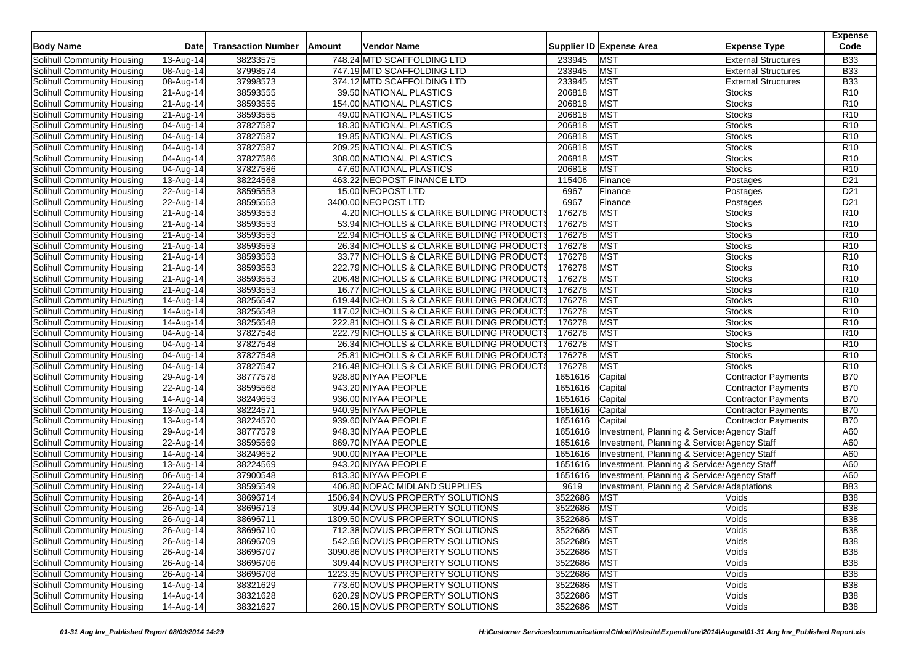|                                   |                         |                           |        |                                            |             |                                              |                            | <b>Expense</b>  |
|-----------------------------------|-------------------------|---------------------------|--------|--------------------------------------------|-------------|----------------------------------------------|----------------------------|-----------------|
| <b>Body Name</b>                  | <b>Date</b>             | <b>Transaction Number</b> | Amount | Vendor Name                                |             | Supplier ID Expense Area                     | <b>Expense Type</b>        | Code            |
| Solihull Community Housing        | 13-Aug-14               | 38233575                  |        | 748.24 MTD SCAFFOLDING LTD                 | 233945      | <b>MST</b>                                   | <b>External Structures</b> | <b>B33</b>      |
| Solihull Community Housing        | 08-Aug-14               | 37998574                  |        | 747.19 MTD SCAFFOLDING LTD                 | 233945      | <b>MST</b>                                   | <b>External Structures</b> | <b>B33</b>      |
| Solihull Community Housing        | 08-Aug-14               | 37998573                  |        | 374.12 MTD SCAFFOLDING LTD                 | 233945      | <b>MST</b>                                   | <b>External Structures</b> | <b>B33</b>      |
| Solihull Community Housing        | 21-Aug-14               | 38593555                  |        | 39.50 NATIONAL PLASTICS                    | 206818      | <b>MST</b>                                   | Stocks                     | R <sub>10</sub> |
| <b>Solihull Community Housing</b> | 21-Aug-14               | 38593555                  |        | 154.00 NATIONAL PLASTICS                   | 206818      | <b>MST</b>                                   | <b>Stocks</b>              | R <sub>10</sub> |
| Solihull Community Housing        | $\overline{2}$ 1-Aug-14 | 38593555                  |        | 49.00 NATIONAL PLASTICS                    | 206818      | <b>MST</b>                                   | <b>Stocks</b>              | R <sub>10</sub> |
| Solihull Community Housing        | 04-Aug-14               | 37827587                  |        | 18.30 NATIONAL PLASTICS                    | 206818      | <b>MST</b>                                   | <b>Stocks</b>              | R <sub>10</sub> |
| Solihull Community Housing        | 04-Aug-14               | 37827587                  |        | 19.85 NATIONAL PLASTICS                    | 206818      | <b>MST</b>                                   | <b>Stocks</b>              | R <sub>10</sub> |
| Solihull Community Housing        | 04-Aug-14               | 37827587                  |        | 209.25 NATIONAL PLASTICS                   | 206818      | <b>MST</b>                                   | Stocks                     | R <sub>10</sub> |
| Solihull Community Housing        | 04-Aug-14               | 37827586                  |        | 308.00 NATIONAL PLASTICS                   | 206818      | <b>MST</b>                                   | Stocks                     | R <sub>10</sub> |
| Solihull Community Housing        | 04-Aug-14               | 37827586                  |        | 47.60 NATIONAL PLASTICS                    | 206818      | <b>MST</b>                                   | <b>Stocks</b>              | R <sub>10</sub> |
| Solihull Community Housing        | 13-Aug-14               | 38224568                  |        | 463.22 NEOPOST FINANCE LTD                 | 115406      | Finance                                      | Postages                   | D <sub>21</sub> |
| Solihull Community Housing        | 22-Aug-14               | 38595553                  |        | 15.00 NEOPOST LTD                          | 6967        | Finance                                      | Postages                   | D <sub>21</sub> |
| Solihull Community Housing        | 22-Aug-14               | 38595553                  |        | 3400.00 NEOPOST LTD                        | 6967        | Finance                                      | Postages                   | D <sub>21</sub> |
| Solihull Community Housing        | $21-Aug-14$             | 38593553                  |        | 4.20 NICHOLLS & CLARKE BUILDING PRODUCTS   | 176278      | <b>MST</b>                                   | <b>Stocks</b>              | R <sub>10</sub> |
| Solihull Community Housing        | 21-Aug-14               | 38593553                  |        | 53.94 NICHOLLS & CLARKE BUILDING PRODUCTS  | 176278      | <b>MST</b>                                   | <b>Stocks</b>              | R <sub>10</sub> |
| Solihull Community Housing        | 21-Aug-14               | 38593553                  |        | 22.94 NICHOLLS & CLARKE BUILDING PRODUCTS  | 176278      | <b>MST</b>                                   | <b>Stocks</b>              | R <sub>10</sub> |
| Solihull Community Housing        | $\overline{2}$ 1-Aug-14 | 38593553                  |        | 26.34 NICHOLLS & CLARKE BUILDING PRODUCTS  | 176278      | <b>MST</b>                                   | <b>Stocks</b>              | R <sub>10</sub> |
| Solihull Community Housing        | 21-Aug-14               | 38593553                  |        | 33.77 NICHOLLS & CLARKE BUILDING PRODUCTS  | 176278      | <b>MST</b>                                   | <b>Stocks</b>              | R <sub>10</sub> |
| Solihull Community Housing        | 21-Aug-14               | 38593553                  |        | 222.79 NICHOLLS & CLARKE BUILDING PRODUCT  | 176278      | <b>MST</b>                                   | <b>Stocks</b>              | R <sub>10</sub> |
| Solihull Community Housing        | 21-Aug-14               | 38593553                  |        | 206.48 NICHOLLS & CLARKE BUILDING PRODUCTS | 176278      | <b>MST</b>                                   | <b>Stocks</b>              | R <sub>10</sub> |
| Solihull Community Housing        | 21-Aug-14               | 38593553                  |        | 16.77 NICHOLLS & CLARKE BUILDING PRODUCTS  | 176278      | <b>MST</b>                                   | <b>Stocks</b>              | R <sub>10</sub> |
| <b>Solihull Community Housing</b> | 14-Aug-14               | 38256547                  |        | 619.44 NICHOLLS & CLARKE BUILDING PRODUCTS | 176278      | <b>MST</b>                                   | <b>Stocks</b>              | R <sub>10</sub> |
| Solihull Community Housing        | 14-Aug-14               | 38256548                  |        | 117.02 NICHOLLS & CLARKE BUILDING PRODUCTS | 176278      | <b>MST</b>                                   | <b>Stocks</b>              | R <sub>10</sub> |
| Solihull Community Housing        | 14-Aug-14               | 38256548                  |        | 222.81 NICHOLLS & CLARKE BUILDING PRODUCTS | 176278      | <b>MST</b>                                   | <b>Stocks</b>              | R <sub>10</sub> |
| Solihull Community Housing        | 04-Aug-14               | 37827548                  |        | 222.79 NICHOLLS & CLARKE BUILDING PRODUCTS | 176278      | <b>MST</b>                                   | <b>Stocks</b>              | R <sub>10</sub> |
| Solihull Community Housing        | 04-Aug-14               | 37827548                  |        | 26.34 NICHOLLS & CLARKE BUILDING PRODUCTS  | 176278      | <b>MST</b>                                   | <b>Stocks</b>              | R <sub>10</sub> |
| Solihull Community Housing        | 04-Aug-14               | 37827548                  |        | 25.81 NICHOLLS & CLARKE BUILDING PRODUCTS  | 176278      | <b>MST</b>                                   | <b>Stocks</b>              | R <sub>10</sub> |
| Solihull Community Housing        | 04-Aug-14               | 37827547                  |        | 216.48 NICHOLLS & CLARKE BUILDING PRODUCTS | 176278      | <b>MST</b>                                   | <b>Stocks</b>              | R <sub>10</sub> |
| Solihull Community Housing        | 29-Aug-14               | 38777578                  |        | 928.80 NIYAA PEOPLE                        | 1651616     | Capital                                      | <b>Contractor Payments</b> | <b>B70</b>      |
| Solihull Community Housing        | 22-Aug-14               | 38595568                  |        | 943.20 NIYAA PEOPLE                        | 1651616     | Capital                                      | <b>Contractor Payments</b> | <b>B70</b>      |
| Solihull Community Housing        | 14-Aug-14               | 38249653                  |        | 936.00 NIYAA PEOPLE                        | 1651616     | Capital                                      | <b>Contractor Payments</b> | <b>B70</b>      |
| Solihull Community Housing        | 13-Aug-14               | 38224571                  |        | 940.95 NIYAA PEOPLE                        | 1651616     | Capital                                      | <b>Contractor Payments</b> | <b>B70</b>      |
| Solihull Community Housing        | $\overline{1}$ 3-Aug-14 | 38224570                  |        | 939.60 NIYAA PEOPLE                        | 1651616     | Capital                                      | <b>Contractor Payments</b> | <b>B70</b>      |
| Solihull Community Housing        | 29-Aug-14               | 38777579                  |        | 948.30 NIYAA PEOPLE                        | 1651616     | Investment, Planning & Service: Agency Staff |                            | A60             |
| Solihull Community Housing        | 22-Aug-14               | 38595569                  |        | 869.70 NIYAA PEOPLE                        | 1651616     | Investment, Planning & Service: Agency Staff |                            | A60             |
| Solihull Community Housing        | 14-Aug-14               | 38249652                  |        | 900.00 NIYAA PEOPLE                        | 1651616     | Investment, Planning & Service: Agency Staff |                            | A60             |
| Solihull Community Housing        | 13-Aug-14               | 38224569                  |        | 943.20 NIYAA PEOPLE                        | 1651616     | Investment, Planning & Service: Agency Staff |                            | A60             |
| Solihull Community Housing        | 06-Aug-14               | 37900548                  |        | 813.30 NIYAA PEOPLE                        | 1651616     | Investment, Planning & Service: Agency Staff |                            | A60             |
| Solihull Community Housing        | 22-Aug-14               | 38595549                  |        | 406.80 NOPAC MIDLAND SUPPLIES              | 9619        | Investment, Planning & Service: Adaptations  |                            | <b>B83</b>      |
| Solihull Community Housing        | 26-Aug-14               | 38696714                  |        | 1506.94 NOVUS PROPERTY SOLUTIONS           | 3522686     | <b>MST</b>                                   | Voids                      | <b>B38</b>      |
| Solihull Community Housing        | 26-Aug-14               | 38696713                  |        | 309.44 NOVUS PROPERTY SOLUTIONS            | 3522686     | <b>MST</b>                                   | Voids                      | <b>B38</b>      |
| Solihull Community Housing        | 26-Aug-14               | 38696711                  |        | 1309.50 NOVUS PROPERTY SOLUTIONS           | 3522686     | <b>MST</b>                                   | Voids                      | <b>B38</b>      |
| Solihull Community Housing        | 26-Aug-14               | 38696710                  |        | 712.38 NOVUS PROPERTY SOLUTIONS            | 3522686 MST |                                              | Voids                      | <b>B38</b>      |
| Solihull Community Housing        | 26-Aug-14               | 38696709                  |        | 542.56 NOVUS PROPERTY SOLUTIONS            | 3522686 MST |                                              | Voids                      | <b>B38</b>      |
| Solihull Community Housing        | 26-Aug-14               | 38696707                  |        | 3090.86 NOVUS PROPERTY SOLUTIONS           | 3522686 MST |                                              | Voids                      | <b>B38</b>      |
| Solihull Community Housing        | 26-Aug-14               | 38696706                  |        | 309.44 NOVUS PROPERTY SOLUTIONS            | 3522686     | <b>MST</b>                                   | Voids                      | <b>B38</b>      |
| Solihull Community Housing        | 26-Aug-14               | 38696708                  |        | 1223.35 NOVUS PROPERTY SOLUTIONS           | 3522686     | <b>MST</b>                                   | Voids                      | <b>B38</b>      |
| Solihull Community Housing        | $14-Aug-14$             | 38321629                  |        | 773.60 NOVUS PROPERTY SOLUTIONS            | 3522686     | <b>MST</b>                                   | Voids                      | <b>B38</b>      |
| Solihull Community Housing        | 14-Aug-14               | 38321628                  |        | 620.29 NOVUS PROPERTY SOLUTIONS            | 3522686     | <b>MST</b>                                   | Voids                      | <b>B38</b>      |
| Solihull Community Housing        | 14-Aug-14               | 38321627                  |        | 260.15 NOVUS PROPERTY SOLUTIONS            | 3522686     | <b>MST</b>                                   | Voids                      | <b>B38</b>      |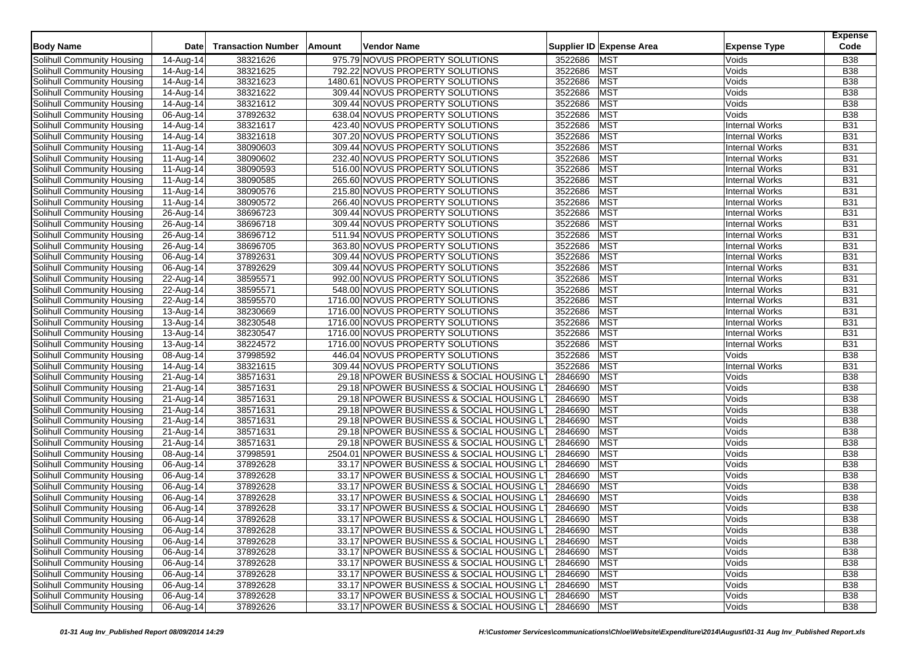| <b>Body Name</b>           | <b>Date</b>             | <b>Transaction Number</b> | Amount | Vendor Name                                 |             | Supplier ID Expense Area | <b>Expense Type</b>   | <b>Expense</b><br>Code |
|----------------------------|-------------------------|---------------------------|--------|---------------------------------------------|-------------|--------------------------|-----------------------|------------------------|
| Solihull Community Housing | 14-Aug-14               | 38321626                  |        | 975.79 NOVUS PROPERTY SOLUTIONS             | 3522686     | <b>MST</b>               | Voids                 | <b>B38</b>             |
| Solihull Community Housing | 14-Aug-14               | 38321625                  |        | 792.22 NOVUS PROPERTY SOLUTIONS             | 3522686     | <b>MST</b>               | Voids                 | <b>B38</b>             |
| Solihull Community Housing | $\overline{14}$ -Aug-14 | 38321623                  |        | 1480.61 NOVUS PROPERTY SOLUTIONS            | 3522686     | <b>MST</b>               | Voids                 | <b>B38</b>             |
| Solihull Community Housing | 14-Aug-14               | 38321622                  |        | 309.44 NOVUS PROPERTY SOLUTIONS             | 3522686     | <b>MST</b>               | Voids                 | <b>B38</b>             |
| Solihull Community Housing | 14-Aug-14               | 38321612                  |        | 309.44 NOVUS PROPERTY SOLUTIONS             | 3522686     | <b>MST</b>               | Voids                 | <b>B38</b>             |
| Solihull Community Housing | 06-Aug-14               | 37892632                  |        | 638.04 NOVUS PROPERTY SOLUTIONS             | 3522686     | <b>MST</b>               | Voids                 | <b>B38</b>             |
| Solihull Community Housing | 14-Aug-14               | 38321617                  |        | 423.40 NOVUS PROPERTY SOLUTIONS             | 3522686     | <b>MST</b>               | <b>Internal Works</b> | <b>B31</b>             |
| Solihull Community Housing | 14-Aug-14               | 38321618                  |        | 307.20 NOVUS PROPERTY SOLUTIONS             | 3522686     | <b>MST</b>               | <b>Internal Works</b> | <b>B31</b>             |
| Solihull Community Housing | 11-Aug-14               | 38090603                  |        | 309.44 NOVUS PROPERTY SOLUTIONS             | 3522686     | <b>MST</b>               | <b>Internal Works</b> | <b>B31</b>             |
| Solihull Community Housing | 11-Aug-14               | 38090602                  |        | 232.40 NOVUS PROPERTY SOLUTIONS             | 3522686     | <b>MST</b>               | <b>Internal Works</b> | <b>B31</b>             |
| Solihull Community Housing | 11-Aug-14               | 38090593                  |        | 516.00 NOVUS PROPERTY SOLUTIONS             | 3522686     | <b>MST</b>               | <b>Internal Works</b> | <b>B31</b>             |
|                            |                         | 38090585                  |        | 265.60 NOVUS PROPERTY SOLUTIONS             | 3522686     | MST                      |                       |                        |
| Solihull Community Housing | 11-Aug-14               |                           |        |                                             |             |                          | <b>Internal Works</b> | <b>B31</b>             |
| Solihull Community Housing | 11-Aug-14               | 38090576                  |        | 215.80 NOVUS PROPERTY SOLUTIONS             | 3522686     | <b>MST</b>               | <b>Internal Works</b> | <b>B31</b>             |
| Solihull Community Housing | 11-Aug-14               | 38090572                  |        | 266.40 NOVUS PROPERTY SOLUTIONS             | 3522686     | <b>MST</b>               | <b>Internal Works</b> | <b>B31</b>             |
| Solihull Community Housing | $26-Aug-14$             | 38696723                  |        | 309.44 NOVUS PROPERTY SOLUTIONS             | 3522686     | <b>MST</b>               | <b>Internal Works</b> | <b>B31</b>             |
| Solihull Community Housing | 26-Aug-14               | 38696718                  |        | 309.44 NOVUS PROPERTY SOLUTIONS             | 3522686     | <b>MST</b>               | <b>Internal Works</b> | <b>B31</b>             |
| Solihull Community Housing | 26-Aug-14               | 38696712                  |        | 511.94 NOVUS PROPERTY SOLUTIONS             | 3522686     | <b>MST</b>               | <b>Internal Works</b> | <b>B31</b>             |
| Solihull Community Housing | 26-Aug-14               | 38696705                  |        | 363.80 NOVUS PROPERTY SOLUTIONS             | 3522686     | <b>MST</b>               | <b>Internal Works</b> | <b>B31</b>             |
| Solihull Community Housing | 06-Aug-14               | 37892631                  |        | 309.44 NOVUS PROPERTY SOLUTIONS             | 3522686     | <b>MST</b>               | <b>Internal Works</b> | <b>B31</b>             |
| Solihull Community Housing | 06-Aug-14               | 37892629                  |        | 309.44 NOVUS PROPERTY SOLUTIONS             | 3522686     | <b>MST</b>               | <b>Internal Works</b> | <b>B31</b>             |
| Solihull Community Housing | 22-Aug-14               | 38595571                  |        | 992.00 NOVUS PROPERTY SOLUTIONS             | 3522686     | <b>MST</b>               | <b>Internal Works</b> | <b>B31</b>             |
| Solihull Community Housing | $\overline{22}$ -Aug-14 | 38595571                  |        | 548.00 NOVUS PROPERTY SOLUTIONS             | 3522686     | <b>MST</b>               | <b>Internal Works</b> | <b>B31</b>             |
| Solihull Community Housing | 22-Aug-14               | 38595570                  |        | 1716.00 NOVUS PROPERTY SOLUTIONS            | 3522686     | <b>MST</b>               | <b>Internal Works</b> | <b>B31</b>             |
| Solihull Community Housing | 13-Aug-14               | 38230669                  |        | 1716.00 NOVUS PROPERTY SOLUTIONS            | 3522686     | <b>MST</b>               | <b>Internal Works</b> | <b>B31</b>             |
| Solihull Community Housing | 13-Aug-14               | 38230548                  |        | 1716.00 NOVUS PROPERTY SOLUTIONS            | 3522686     | <b>MST</b>               | <b>Internal Works</b> | <b>B31</b>             |
| Solihull Community Housing | 13-Aug-14               | 38230547                  |        | 1716.00 NOVUS PROPERTY SOLUTIONS            | 3522686     | <b>MST</b>               | <b>Internal Works</b> | <b>B31</b>             |
| Solihull Community Housing | 13-Aug-14               | 38224572                  |        | 1716.00 NOVUS PROPERTY SOLUTIONS            | 3522686     | <b>MST</b>               | <b>Internal Works</b> | <b>B31</b>             |
| Solihull Community Housing | 08-Aug-14               | 37998592                  |        | 446.04 NOVUS PROPERTY SOLUTIONS             | 3522686     | <b>MST</b>               | Voids                 | <b>B38</b>             |
| Solihull Community Housing | 14-Aug-14               | 38321615                  |        | 309.44 NOVUS PROPERTY SOLUTIONS             | 3522686     | <b>MST</b>               | <b>Internal Works</b> | <b>B31</b>             |
| Solihull Community Housing | 21-Aug-14               | 38571631                  |        | 29.18 NPOWER BUSINESS & SOCIAL HOUSING L'   | 2846690     | MST                      | Voids                 | <b>B38</b>             |
| Solihull Community Housing | 21-Aug-14               | 38571631                  |        | 29.18 NPOWER BUSINESS & SOCIAL HOUSING L'   | 2846690     | <b>MST</b>               | Voids                 | <b>B38</b>             |
| Solihull Community Housing | 21-Aug-14               | 38571631                  |        | 29.18 NPOWER BUSINESS & SOCIAL HOUSING LT   | 2846690     | <b>MST</b>               | Voids                 | <b>B38</b>             |
| Solihull Community Housing | $\overline{2}$ 1-Aug-14 | 38571631                  |        | 29.18 NPOWER BUSINESS & SOCIAL HOUSING LT   | 2846690     | <b>MST</b>               | Voids                 | <b>B38</b>             |
| Solihull Community Housing | 21-Aug-14               | 38571631                  |        | 29.18 NPOWER BUSINESS & SOCIAL HOUSING LT   | 2846690     | <b>MST</b>               | Voids                 | <b>B38</b>             |
| Solihull Community Housing | 21-Aug-14               | 38571631                  |        | 29.18 NPOWER BUSINESS & SOCIAL HOUSING L'   | 2846690     | <b>MST</b>               | Voids                 | <b>B38</b>             |
| Solihull Community Housing | 21-Aug-14               | 38571631                  |        | 29.18 NPOWER BUSINESS & SOCIAL HOUSING LT   | 2846690     | MST                      | Voids                 | <b>B38</b>             |
| Solihull Community Housing | 08-Aug-14               | 37998591                  |        | 2504.01 NPOWER BUSINESS & SOCIAL HOUSING LT | 2846690     | <b>MST</b>               | Voids                 | <b>B38</b>             |
| Solihull Community Housing | 06-Aug-14               | 37892628                  |        | 33.17 NPOWER BUSINESS & SOCIAL HOUSING LT   | 2846690     | <b>MST</b>               | Voids                 | <b>B38</b>             |
| Solihull Community Housing | 06-Aug-14               | 37892628                  |        | 33.17 NPOWER BUSINESS & SOCIAL HOUSING LT   | 2846690     | MST                      | Voids                 | <b>B38</b>             |
| Solihull Community Housing | 06-Aug-14               | 37892628                  |        | 33.17 NPOWER BUSINESS & SOCIAL HOUSING LT   | 2846690     | <b>MST</b>               | Voids                 | <b>B38</b>             |
| Solihull Community Housing | 06-Aug-14               | 37892628                  |        | 33.17 NPOWER BUSINESS & SOCIAL HOUSING L'   | 2846690     | <b>MST</b>               | Voids                 | <b>B38</b>             |
| Solihull Community Housing | 06-Aug-14               | 37892628                  |        | 33.17 NPOWER BUSINESS & SOCIAL HOUSING LT   | 2846690     | <b>MST</b>               | Voids                 | <b>B38</b>             |
| Solihull Community Housing | 06-Aug-14               | 37892628                  |        | 33.17 NPOWER BUSINESS & SOCIAL HOUSING LT   | 2846690     | <b>MST</b>               | Voids                 | <b>B38</b>             |
|                            |                         |                           |        |                                             |             |                          |                       |                        |
| Solihull Community Housing | 06-Aug-14               | 37892628                  |        | 33.17 NPOWER BUSINESS & SOCIAL HOUSING LT   | 2846690 MST |                          | Voids                 | <b>B38</b>             |
| Solihull Community Housing | 06-Aug-14               | 37892628                  |        | 33.17 NPOWER BUSINESS & SOCIAL HOUSING LT   | 2846690 MST |                          | Voids                 | <b>B38</b>             |
| Solihull Community Housing | 06-Aug-14               | 37892628                  |        | 33.17 NPOWER BUSINESS & SOCIAL HOUSING LT   | 2846690 MST |                          | Voids                 | <b>B38</b>             |
| Solihull Community Housing | 06-Aug-14               | 37892628                  |        | 33.17 NPOWER BUSINESS & SOCIAL HOUSING LT   | 2846690 MST |                          | Voids                 | <b>B38</b>             |
| Solihull Community Housing | 06-Aug-14               | 37892628                  |        | 33.17 NPOWER BUSINESS & SOCIAL HOUSING LT   | 2846690     | <b>MST</b>               | Voids                 | <b>B38</b>             |
| Solihull Community Housing | 06-Aug-14               | 37892628                  |        | 33.17 NPOWER BUSINESS & SOCIAL HOUSING LT   | 2846690 MST |                          | Voids                 | <b>B38</b>             |
| Solihull Community Housing | 06-Aug-14               | 37892628                  |        | 33.17 NPOWER BUSINESS & SOCIAL HOUSING LT   | 2846690 MST |                          | Voids                 | <b>B38</b>             |
| Solihull Community Housing | 06-Aug-14               | 37892626                  |        | 33.17 NPOWER BUSINESS & SOCIAL HOUSING LT   | 2846690 MST |                          | Voids                 | <b>B38</b>             |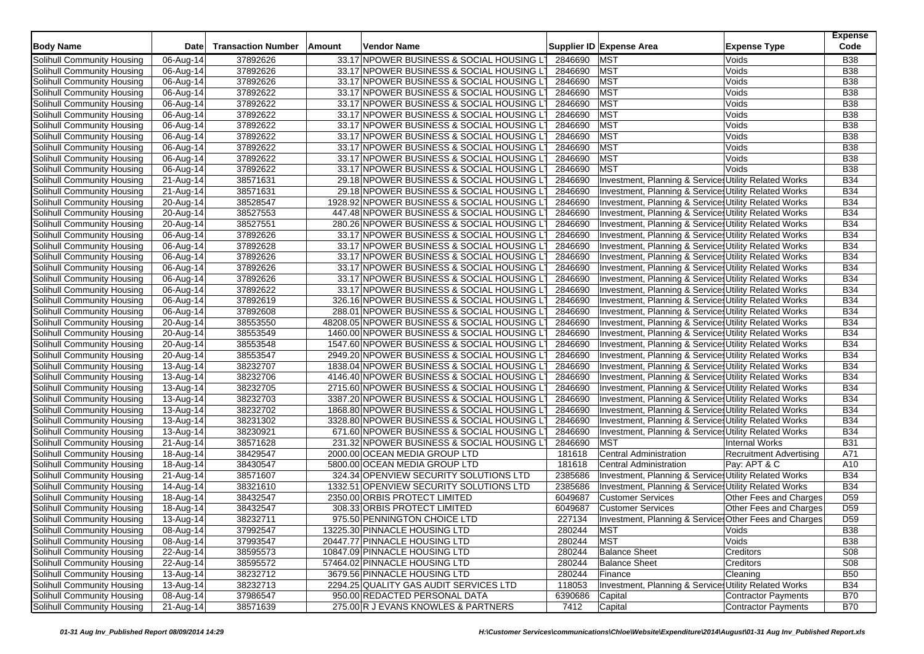|                                   |                         |                           |               |                                              |         |                                                                 |                                | <b>Expense</b>  |
|-----------------------------------|-------------------------|---------------------------|---------------|----------------------------------------------|---------|-----------------------------------------------------------------|--------------------------------|-----------------|
| <b>Body Name</b>                  | Date                    | <b>Transaction Number</b> | <b>Amount</b> | Vendor Name                                  |         | Supplier ID Expense Area                                        | <b>Expense Type</b>            | Code            |
| Solihull Community Housing        | 06-Aug-14               | 37892626                  |               | 33.17 NPOWER BUSINESS & SOCIAL HOUSING L'    | 2846690 | <b>MST</b>                                                      | Voids                          | <b>B38</b>      |
| Solihull Community Housing        | 06-Aug-14               | 37892626                  |               | 33.17 NPOWER BUSINESS & SOCIAL HOUSING LT    | 2846690 | <b>MST</b>                                                      | Voids                          | <b>B38</b>      |
| Solihull Community Housing        | 06-Aug-14               | 37892626                  |               | 33.17 NPOWER BUSINESS & SOCIAL HOUSING LT    | 2846690 | <b>MST</b>                                                      | Voids                          | <b>B38</b>      |
| Solihull Community Housing        | 06-Aug-14               | 37892622                  |               | 33.17 NPOWER BUSINESS & SOCIAL HOUSING LT    | 2846690 | <b>MST</b>                                                      | Voids                          | <b>B38</b>      |
| Solihull Community Housing        | 06-Aug-14               | 37892622                  |               | 33.17 NPOWER BUSINESS & SOCIAL HOUSING LT    | 2846690 | <b>MST</b>                                                      | Voids                          | <b>B38</b>      |
| Solihull Community Housing        | 06-Aug-14               | 37892622                  |               | 33.17 NPOWER BUSINESS & SOCIAL HOUSING LT    | 2846690 | <b>MST</b>                                                      | Voids                          | <b>B38</b>      |
| Solihull Community Housing        | 06-Aug-14               | 37892622                  |               | 33.17 NPOWER BUSINESS & SOCIAL HOUSING LT    | 2846690 | <b>MST</b>                                                      | Voids                          | <b>B38</b>      |
| Solihull Community Housing        | 06-Aug-14               | 37892622                  |               | 33.17 NPOWER BUSINESS & SOCIAL HOUSING L'    | 2846690 | <b>MST</b>                                                      | Voids                          | <b>B38</b>      |
| Solihull Community Housing        | 06-Aug-14               | 37892622                  |               | 33.17 NPOWER BUSINESS & SOCIAL HOUSING LT    | 2846690 | <b>MST</b>                                                      | Voids                          | <b>B38</b>      |
| Solihull Community Housing        | 06-Aug-14               | 37892622                  |               | 33.17 NPOWER BUSINESS & SOCIAL HOUSING LT    | 2846690 | <b>MST</b>                                                      | Voids                          | <b>B38</b>      |
| Solihull Community Housing        | 06-Aug-14               | 37892622                  |               | 33.17 NPOWER BUSINESS & SOCIAL HOUSING L'    | 2846690 | <b>MST</b>                                                      | Voids                          | <b>B38</b>      |
| Solihull Community Housing        | 21-Aug-14               | 38571631                  |               | 29.18 NPOWER BUSINESS & SOCIAL HOUSING LT    | 2846690 | Investment, Planning & Service: Utility Related Works           |                                | <b>B34</b>      |
| Solihull Community Housing        | 21-Aug-14               | 38571631                  |               | 29.18 NPOWER BUSINESS & SOCIAL HOUSING LT    | 2846690 | Investment, Planning & Service: Utility Related Works           |                                | <b>B34</b>      |
| Solihull Community Housing        | 20-Aug-14               | 38528547                  |               | 1928.92 NPOWER BUSINESS & SOCIAL HOUSING LT  | 2846690 | Investment, Planning & Service: Utility Related Works           |                                | <b>B34</b>      |
| Solihull Community Housing        | 20-Aug-14               | 38527553                  |               | 447.48 NPOWER BUSINESS & SOCIAL HOUSING LT   | 2846690 | Investment, Planning & Services Utility Related Works           |                                | <b>B34</b>      |
| Solihull Community Housing        | 20-Aug-14               | 38527551                  |               | 280.26 NPOWER BUSINESS & SOCIAL HOUSING LT   | 2846690 | Investment, Planning & Services Utility Related Works           |                                | <b>B34</b>      |
| Solihull Community Housing        | 06-Aug-14               | 37892626                  |               | 33.17 NPOWER BUSINESS & SOCIAL HOUSING LT    | 2846690 | Investment, Planning & Services Utility Related Works           |                                | <b>B34</b>      |
| Solihull Community Housing        | 06-Aug-14               | 37892628                  |               | 33.17 NPOWER BUSINESS & SOCIAL HOUSING LT    | 2846690 | Investment, Planning & Services Utility Related Works           |                                | <b>B34</b>      |
| Solihull Community Housing        | 06-Aug-14               | 37892626                  |               | 33.17 NPOWER BUSINESS & SOCIAL HOUSING LT    | 2846690 | Investment, Planning & Services Utility Related Works           |                                | <b>B34</b>      |
| Solihull Community Housing        | 06-Aug-14               | 37892626                  |               | 33.17 NPOWER BUSINESS & SOCIAL HOUSING LT    | 2846690 | Investment, Planning & Services Utility Related Works           |                                | <b>B34</b>      |
| Solihull Community Housing        | 06-Aug-14               | 37892626                  |               | 33.17 NPOWER BUSINESS & SOCIAL HOUSING LT    | 2846690 | <b>Investment, Planning &amp; Service Utility Related Works</b> |                                | <b>B34</b>      |
| Solihull Community Housing        | 06-Aug-14               | 37892622                  |               | 33.17 NPOWER BUSINESS & SOCIAL HOUSING L     | 2846690 | Investment, Planning & Service: Utility Related Works           |                                | <b>B34</b>      |
| Solihull Community Housing        | 06-Aug-14               | 37892619                  |               | 326.16 NPOWER BUSINESS & SOCIAL HOUSING L'   | 2846690 | Investment, Planning & Services Utility Related Works           |                                | <b>B34</b>      |
| Solihull Community Housing        | 06-Aug-14               | 37892608                  |               | 288.01 NPOWER BUSINESS & SOCIAL HOUSING LT   | 2846690 | Investment, Planning & Services Utility Related Works           |                                | <b>B34</b>      |
| Solihull Community Housing        | 20-Aug-14               | 38553550                  |               | 48208.05 NPOWER BUSINESS & SOCIAL HOUSING LT | 2846690 | Investment, Planning & Services Utility Related Works           |                                | <b>B34</b>      |
| Solihull Community Housing        | 20-Aug-14               | 38553549                  |               | 1460.00 NPOWER BUSINESS & SOCIAL HOUSING LT  | 2846690 | Investment, Planning & Services Utility Related Works           |                                | <b>B34</b>      |
| Solihull Community Housing        | 20-Aug-14               | 38553548                  |               | 1547.60 NPOWER BUSINESS & SOCIAL HOUSING LT  | 2846690 | Investment, Planning & Service, Utility Related Works           |                                | <b>B34</b>      |
| Solihull Community Housing        | 20-Aug-14               | 38553547                  |               | 2949.20 NPOWER BUSINESS & SOCIAL HOUSING LT  | 2846690 | Investment, Planning & Services Utility Related Works           |                                | <b>B34</b>      |
| Solihull Community Housing        | 13-Aug-14               | 38232707                  |               | 1838.04 NPOWER BUSINESS & SOCIAL HOUSING LT  | 2846690 | Investment, Planning & Services Utility Related Works           |                                | <b>B34</b>      |
| Solihull Community Housing        | 13-Aug-14               | 38232706                  |               | 4146.40 NPOWER BUSINESS & SOCIAL HOUSING LT  | 2846690 | Investment, Planning & Services Utility Related Works           |                                | <b>B34</b>      |
| Solihull Community Housing        | 13-Aug-14               | 38232705                  |               | 2715.60 NPOWER BUSINESS & SOCIAL HOUSING LT  | 2846690 | Investment, Planning & Services Utility Related Works           |                                | <b>B34</b>      |
| Solihull Community Housing        | 13-Aug-14               | 38232703                  |               | 3387.20 NPOWER BUSINESS & SOCIAL HOUSING LT  | 2846690 | Investment, Planning & Services Utility Related Works           |                                | <b>B34</b>      |
| Solihull Community Housing        | 13-Aug-14               | 38232702                  |               | 1868.80 NPOWER BUSINESS & SOCIAL HOUSING LT  | 2846690 | Investment, Planning & Services Utility Related Works           |                                | <b>B34</b>      |
| Solihull Community Housing        | 13-Aug-14               | 38231302                  |               | 3328.80 NPOWER BUSINESS & SOCIAL HOUSING LT  | 2846690 | Investment, Planning & Service: Utility Related Works           |                                | <b>B34</b>      |
| Solihull Community Housing        | 13-Aug-14               | 38230921                  |               | 671.60 NPOWER BUSINESS & SOCIAL HOUSING LT   | 2846690 | Investment, Planning & Services Utility Related Works           |                                | <b>B34</b>      |
| Solihull Community Housing        | 21-Aug-14               | 38571628                  |               | 231.32 NPOWER BUSINESS & SOCIAL HOUSING LT   | 2846690 | <b>MST</b>                                                      | Internal Works                 | <b>B31</b>      |
| Solihull Community Housing        | 18-Aug-14               | 38429547                  |               | 2000.00 OCEAN MEDIA GROUP LTD                | 181618  | <b>Central Administration</b>                                   | <b>Recruitment Advertising</b> | A71             |
| Solihull Community Housing        | 18-Aug-14               | 38430547                  |               | 5800.00 OCEAN MEDIA GROUP LTD                | 181618  | <b>Central Administration</b>                                   | Pay: APT & C                   | A10             |
| Solihull Community Housing        | 21-Aug-14               | 38571607                  |               | 324.34 OPENVIEW SECURITY SOLUTIONS LTD       | 2385686 | Investment, Planning & Services Utility Related Works           |                                | <b>B34</b>      |
| Solihull Community Housing        | 14-Aug-14               | 38321610                  |               | 1332.51 OPENVIEW SECURITY SOLUTIONS LTD      | 2385686 | Investment, Planning & Service: Utility Related Works           |                                | <b>B34</b>      |
| Solihull Community Housing        | 18-Aug-14               | 38432547                  |               | 2350.00 ORBIS PROTECT LIMITED                | 6049687 | <b>Customer Services</b>                                        | Other Fees and Charges         | D59             |
| Solihull Community Housing        | 18-Aug-14               | 38432547                  |               | 308.33 ORBIS PROTECT LIMITED                 | 6049687 | <b>Customer Services</b>                                        | Other Fees and Charges         | D <sub>59</sub> |
| Solihull Community Housing        | 13-Aug-14               | 38232711                  |               | 975.50 PENNINGTON CHOICE LTD                 | 227134  | Investment, Planning & Service Other Fees and Charges           |                                | D <sub>59</sub> |
| Solihull Community Housing        | 08-Aug-14               | 37992547                  |               | 13225.30 PINNACLE HOUSING LTD                | 280244  | <b>MST</b>                                                      | Voids                          | <b>B38</b>      |
| Solihull Community Housing        | $\overline{08}$ -Aug-14 | 37993547                  |               | 20447.77 PINNACLE HOUSING LTD                | 280244  | <b>MST</b>                                                      | Voids                          | <b>B38</b>      |
| Solihull Community Housing        | 22-Aug-14               | 38595573                  |               | 10847.09 PINNACLE HOUSING LTD                | 280244  | <b>Balance Sheet</b>                                            | Creditors                      | <b>S08</b>      |
| Solihull Community Housing        | 22-Aug-14               | 38595572                  |               | 57464.02 PINNACLE HOUSING LTD                | 280244  | <b>Balance Sheet</b>                                            | Creditors                      | <b>S08</b>      |
| Solihull Community Housing        | 13-Aug-14               | 38232712                  |               | 3679.56 PINNACLE HOUSING LTD                 | 280244  | Finance                                                         | Cleaning                       | <b>B50</b>      |
| Solihull Community Housing        | $\overline{13}$ -Aug-14 | 38232713                  |               | 2294.25 QUALITY GAS AUDIT SERVICES LTD       | 118053  | Investment, Planning & Services Utility Related Works           |                                | <b>B34</b>      |
| <b>Solihull Community Housing</b> | 08-Aug-14               | 37986547                  |               | 950.00 REDACTED PERSONAL DATA                | 6390686 | Capital                                                         | <b>Contractor Payments</b>     | <b>B70</b>      |
| Solihull Community Housing        | 21-Aug-14               | 38571639                  |               | 275.00 R J EVANS KNOWLES & PARTNERS          | 7412    | Capital                                                         | Contractor Payments            | <b>B70</b>      |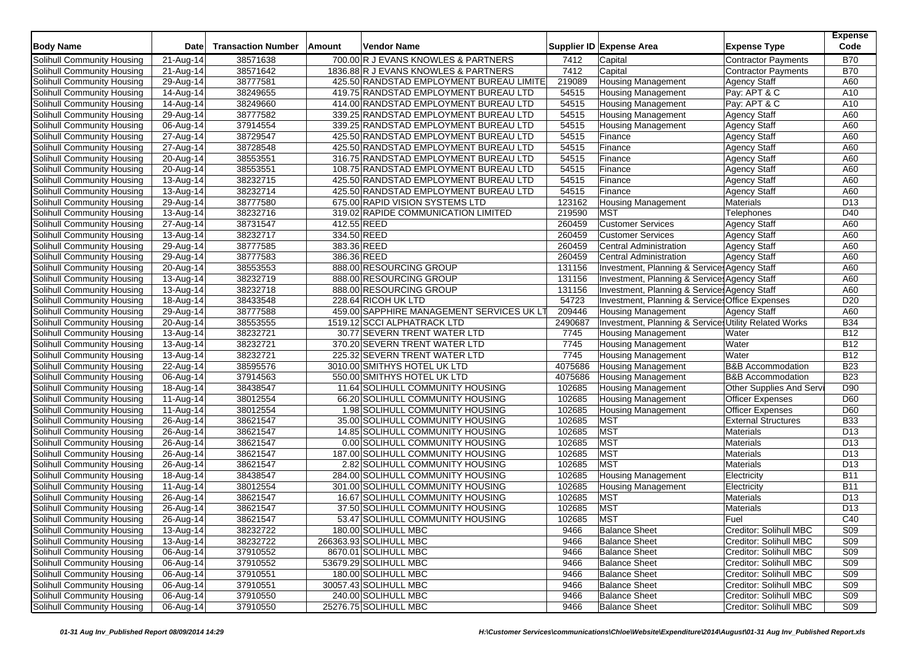| <b>Body Name</b>                                         | <b>Date</b>             | <b>Transaction Number</b> | <b>Amount</b> | Vendor Name                               |         | Supplier ID Expense Area                              | <b>Expense Type</b>             | <b>Expense</b><br>Code |
|----------------------------------------------------------|-------------------------|---------------------------|---------------|-------------------------------------------|---------|-------------------------------------------------------|---------------------------------|------------------------|
| Solihull Community Housing                               | 21-Aug-14               | 38571638                  |               | 700.00 R J EVANS KNOWLES & PARTNERS       | 7412    | Capital                                               | <b>Contractor Payments</b>      | <b>B70</b>             |
| Solihull Community Housing                               | 21-Aug-14               | 38571642                  |               | 1836.88 R J EVANS KNOWLES & PARTNERS      | 7412    | Capital                                               | <b>Contractor Payments</b>      | <b>B70</b>             |
| Solihull Community Housing                               | 29-Aug-14               | 38777581                  |               | 425.50 RANDSTAD EMPLOYMENT BUREAU LIMITE  | 219089  | <b>Housing Management</b>                             | <b>Agency Staff</b>             | A60                    |
| Solihull Community Housing                               | 14-Aug-14               | 38249655                  |               | 419.75 RANDSTAD EMPLOYMENT BUREAU LTD     | 54515   | <b>Housing Management</b>                             | Pay: APT & C                    | A10                    |
| Solihull Community Housing                               | 14-Aug-14               | 38249660                  |               | 414.00 RANDSTAD EMPLOYMENT BUREAU LTD     | 54515   | <b>Housing Management</b>                             | Pay: APT & C                    | A10                    |
| Solihull Community Housing                               | 29-Aug-14               | 38777582                  |               | 339.25 RANDSTAD EMPLOYMENT BUREAU LTD     | 54515   | <b>Housing Management</b>                             | <b>Agency Staff</b>             | A60                    |
| Solihull Community Housing                               | 06-Aug-14               | 37914554                  |               | 339.25 RANDSTAD EMPLOYMENT BUREAU LTD     | 54515   | <b>Housing Management</b>                             | <b>Agency Staff</b>             | A60                    |
| Solihull Community Housing                               | 27-Aug-14               | 38729547                  |               | 425.50 RANDSTAD EMPLOYMENT BUREAU LTD     | 54515   | Finance                                               | <b>Agency Staff</b>             | A60                    |
| Solihull Community Housing                               | 27-Aug-14               | 38728548                  |               | 425.50 RANDSTAD EMPLOYMENT BUREAU LTD     | 54515   | Finance                                               | <b>Agency Staff</b>             | A60                    |
| Solihull Community Housing                               | 20-Aug-14               | 38553551                  |               | 316.75 RANDSTAD EMPLOYMENT BUREAU LTD     | 54515   | Finance                                               | <b>Agency Staff</b>             | A60                    |
| Solihull Community Housing                               | 20-Aug-14               | 38553551                  |               | 108.75 RANDSTAD EMPLOYMENT BUREAU LTD     | 54515   | Finance                                               | <b>Agency Staff</b>             | A60                    |
| Solihull Community Housing                               | 13-Aug-14               | 38232715                  |               | 425.50 RANDSTAD EMPLOYMENT BUREAU LTD     | 54515   | Finance                                               | Agency Staff                    | A60                    |
| Solihull Community Housing                               | 13-Aug-14               | 38232714                  |               | 425.50 RANDSTAD EMPLOYMENT BUREAU LTD     | 54515   | Finance                                               | <b>Agency Staff</b>             | A60                    |
| Solihull Community Housing                               | 29-Aug-14               | 38777580                  |               | 675.00 RAPID VISION SYSTEMS LTD           | 123162  | <b>Housing Management</b>                             | <b>Materials</b>                | D <sub>13</sub>        |
| Solihull Community Housing                               | 13-Aug-14               | 38232716                  |               | 319.02 RAPIDE COMMUNICATION LIMITED       | 219590  | <b>MST</b>                                            | Telephones                      | D40                    |
| Solihull Community Housing                               | 27-Aug-14               | 38731547                  |               | 412.55 REED                               | 260459  | <b>Customer Services</b>                              | <b>Agency Staff</b>             | A60                    |
| Solihull Community Housing                               | 13-Aug-14               | 38232717                  |               | 334.50 REED                               | 260459  | <b>Customer Services</b>                              | <b>Agency Staff</b>             | A60                    |
| Solihull Community Housing                               | 29-Aug-14               | 38777585                  |               | 383.36 REED                               | 260459  | <b>Central Administration</b>                         | <b>Agency Staff</b>             | A60                    |
| Solihull Community Housing                               | 29-Aug-14               | 38777583                  |               | 386.36 REED                               | 260459  | <b>Central Administration</b>                         | <b>Agency Staff</b>             | A60                    |
| Solihull Community Housing                               | 20-Aug-14               | 38553553                  |               | 888.00 RESOURCING GROUP                   | 131156  | Investment, Planning & Service: Agency Staff          |                                 | A60                    |
| Solihull Community Housing                               | 13-Aug-14               | 38232719                  |               | 888.00 RESOURCING GROUP                   | 131156  | Investment, Planning & Service: Agency Staff          |                                 | A60                    |
| Solihull Community Housing                               | 13-Aug-14               | 38232718                  |               | 888.00 RESOURCING GROUP                   | 131156  | Investment, Planning & Service: Agency Staff          |                                 | A60                    |
| Solihull Community Housing                               | 18-Aug-14               | 38433548                  |               | 228.64 RICOH UK LTD                       | 54723   | Investment, Planning & Services Office Expenses       |                                 | D <sub>20</sub>        |
| Solihull Community Housing                               | 29-Aug-14               | 38777588                  |               | 459.00 SAPPHIRE MANAGEMENT SERVICES UK LT | 209446  | <b>Housing Management</b>                             | <b>Agency Staff</b>             | A60                    |
| Solihull Community Housing                               | 20-Aug-14               | 38553555                  |               | 1519.12 SCCI ALPHATRACK LTD               | 2490687 | Investment, Planning & Services Utility Related Works |                                 | <b>B34</b>             |
| Solihull Community Housing                               | 13-Aug-14               | 38232721                  |               | 30.77 SEVERN TRENT WATER LTD              | 7745    | <b>Housing Management</b>                             | Water                           | <b>B12</b>             |
| Solihull Community Housing                               | 13-Aug-14               | 38232721                  |               | 370.20 SEVERN TRENT WATER LTD             | 7745    | <b>Housing Management</b>                             | Water                           | <b>B12</b>             |
| Solihull Community Housing                               | 13-Aug-14               | 38232721                  |               | 225.32 SEVERN TRENT WATER LTD             | 7745    | <b>Housing Management</b>                             | Water                           | <b>B12</b>             |
| Solihull Community Housing                               | 22-Aug-14               | 38595576                  |               | 3010.00 SMITHYS HOTEL UK LTD              | 4075686 | <b>Housing Management</b>                             | <b>B&amp;B Accommodation</b>    | <b>B23</b>             |
| Solihull Community Housing                               | 06-Aug-14               | 37914563                  |               | 550.00 SMITHYS HOTEL UK LTD               | 4075686 | <b>Housing Management</b>                             | <b>B&amp;B</b> Accommodation    | <b>B23</b>             |
| Solihull Community Housing                               | 18-Aug-14               | 38438547                  |               | 11.64 SOLIHULL COMMUNITY HOUSING          | 102685  | <b>Housing Management</b>                             | <b>Other Supplies And Servi</b> | D90                    |
| Solihull Community Housing                               | 11-Aug-14               | 38012554                  |               | 66.20 SOLIHULL COMMUNITY HOUSING          | 102685  | <b>Housing Management</b>                             | <b>Officer Expenses</b>         | D60                    |
| Solihull Community Housing                               | 11-Aug-14               | 38012554                  |               | 1.98 SOLIHULL COMMUNITY HOUSING           | 102685  | <b>Housing Management</b>                             | <b>Officer Expenses</b>         | D60                    |
| Solihull Community Housing                               | 26-Aug-14               | 38621547                  |               | 35.00 SOLIHULL COMMUNITY HOUSING          | 102685  | <b>MST</b>                                            | <b>External Structures</b>      | <b>B33</b>             |
| Solihull Community Housing                               | 26-Aug-14               | 38621547                  |               | 14.85 SOLIHULL COMMUNITY HOUSING          | 102685  | <b>MST</b>                                            | Materials                       | D <sub>13</sub>        |
| Solihull Community Housing                               | 26-Aug-14               | 38621547                  |               | 0.00 SOLIHULL COMMUNITY HOUSING           | 102685  | <b>MST</b>                                            | <b>Materials</b>                | D <sub>13</sub>        |
| Solihull Community Housing                               | 26-Aug-14               | 38621547                  |               | 187.00 SOLIHULL COMMUNITY HOUSING         | 102685  | <b>MST</b>                                            | Materials                       | D <sub>13</sub>        |
| Solihull Community Housing                               | 26-Aug-14               | 38621547                  |               | 2.82 SOLIHULL COMMUNITY HOUSING           | 102685  | MST                                                   | Materials                       | D <sub>13</sub>        |
| Solihull Community Housing                               |                         | 38438547                  |               | 284.00 SOLIHULL COMMUNITY HOUSING         | 102685  | <b>Housing Management</b>                             | Electricity                     | <b>B11</b>             |
| Solihull Community Housing                               | 18-Aug-14<br>11-Aug-14  | 38012554                  |               | 301.00 SOLIHULL COMMUNITY HOUSING         | 102685  | <b>Housing Management</b>                             | Electricity                     | B11                    |
|                                                          |                         | 38621547                  |               | 16.67 SOLIHULL COMMUNITY HOUSING          | 102685  | <b>MST</b>                                            |                                 | D <sub>13</sub>        |
| Solihull Community Housing<br>Solihull Community Housing | 26-Aug-14<br>26-Aug-14  | 38621547                  |               | 37.50 SOLIHULL COMMUNITY HOUSING          | 102685  | <b>MST</b>                                            | <b>Materials</b>                | D <sub>13</sub>        |
|                                                          |                         |                           |               |                                           |         |                                                       | Materials                       |                        |
| Solihull Community Housing                               | 26-Aug-14               | 38621547                  |               | 53.47 SOLIHULL COMMUNITY HOUSING          | 102685  | <b>MST</b>                                            | Fuel                            | C40                    |
| Solihull Community Housing                               | 13-Aug-14               | 38232722                  |               | 180.00 SOLIHULL MBC                       | 9466    | <b>Balance Sheet</b>                                  | Creditor: Solihull MBC          | <b>S09</b>             |
| Solihull Community Housing                               | $\overline{13}$ -Aug-14 | 38232722                  |               | 266363.93 SOLIHULL MBC                    | 9466    | <b>Balance Sheet</b>                                  | Creditor: Solihull MBC          | S09                    |
| Solihull Community Housing                               | 06-Aug-14               | 37910552                  |               | 8670.01 SOLIHULL MBC                      | 9466    | <b>Balance Sheet</b>                                  | Creditor: Solihull MBC          | S <sub>09</sub>        |
| Solihull Community Housing                               | 06-Aug-14               | 37910552                  |               | 53679.29 SOLIHULL MBC                     | 9466    | <b>Balance Sheet</b>                                  | Creditor: Solihull MBC          | <b>S09</b>             |
| Solihull Community Housing                               | 06-Aug-14               | 37910551                  |               | 180.00 SOLIHULL MBC                       | 9466    | <b>Balance Sheet</b>                                  | Creditor: Solihull MBC          | S <sub>09</sub>        |
| Solihull Community Housing                               | 06-Aug-14               | 37910551                  |               | 30057.43 SOLIHULL MBC                     | 9466    | <b>Balance Sheet</b>                                  | Creditor: Solihull MBC          | S <sub>09</sub>        |
| Solihull Community Housing                               | 06-Aug-14               | 37910550                  |               | 240.00 SOLIHULL MBC                       | 9466    | <b>Balance Sheet</b>                                  | Creditor: Solihull MBC          | <b>S09</b>             |
| Solihull Community Housing                               | 06-Aug-14               | 37910550                  |               | 25276.75 SOLIHULL MBC                     | 9466    | <b>Balance Sheet</b>                                  | Creditor: Solihull MBC          | <b>S09</b>             |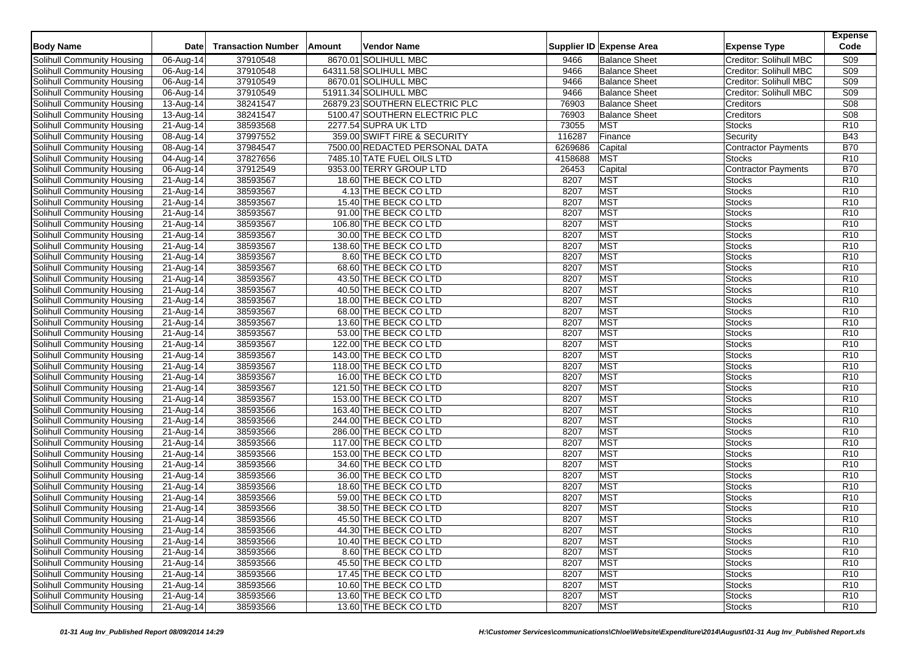| <b>Body Name</b>           | Date                    | <b>Transaction Number</b> | Amount | <b>Vendor Name</b>             |         | Supplier ID Expense Area | <b>Expense Type</b>        | <b>Expense</b><br>Code |
|----------------------------|-------------------------|---------------------------|--------|--------------------------------|---------|--------------------------|----------------------------|------------------------|
| Solihull Community Housing | 06-Aug-14               | 37910548                  |        | 8670.01 SOLIHULL MBC           | 9466    | <b>Balance Sheet</b>     | Creditor: Solihull MBC     | <b>S09</b>             |
| Solihull Community Housing | 06-Aug-14               | 37910548                  |        | 64311.58 SOLIHULL MBC          | 9466    | <b>Balance Sheet</b>     | Creditor: Solihull MBC     | <b>S09</b>             |
| Solihull Community Housing | 06-Aug-14               | 37910549                  |        | 8670.01 SOLIHULL MBC           | 9466    | <b>Balance Sheet</b>     | Creditor: Solihull MBC     | S <sub>09</sub>        |
| Solihull Community Housing | 06-Aug-14               | 37910549                  |        | 51911.34 SOLIHULL MBC          | 9466    | <b>Balance Sheet</b>     | Creditor: Solihull MBC     | <b>S09</b>             |
| Solihull Community Housing | 13-Aug-14               | 38241547                  |        | 26879.23 SOUTHERN ELECTRIC PLC | 76903   | <b>Balance Sheet</b>     | Creditors                  | <b>S08</b>             |
| Solihull Community Housing | $\overline{1}$ 3-Aug-14 | 38241547                  |        | 5100.47 SOUTHERN ELECTRIC PLC  | 76903   | <b>Balance Sheet</b>     | Creditors                  | <b>S08</b>             |
| Solihull Community Housing | 21-Aug-14               | 38593568                  |        | 2277.54 SUPRA UK LTD           | 73055   | <b>MST</b>               | <b>Stocks</b>              | R <sub>10</sub>        |
| Solihull Community Housing | 08-Aug-14               | 37997552                  |        | 359.00 SWIFT FIRE & SECURITY   | 116287  | Finance                  | Security                   | <b>B43</b>             |
| Solihull Community Housing | 08-Aug-14               | 37984547                  |        | 7500.00 REDACTED PERSONAL DATA | 6269686 | Capital                  | <b>Contractor Payments</b> | <b>B70</b>             |
| Solihull Community Housing | 04-Aug-14               | 37827656                  |        | 7485.10 TATE FUEL OILS LTD     | 4158688 | <b>MST</b>               | Stocks                     | R <sub>10</sub>        |
| Solihull Community Housing | 06-Aug-14               | 37912549                  |        | 9353.00 TERRY GROUP LTD        | 26453   | Capital                  | <b>Contractor Payments</b> | <b>B70</b>             |
| Solihull Community Housing | 21-Aug-14               | 38593567                  |        | 18.60 THE BECK CO LTD          | 8207    | <b>MST</b>               | <b>Stocks</b>              | R <sub>10</sub>        |
| Solihull Community Housing | 21-Aug-14               | 38593567                  |        | 4.13 THE BECK CO LTD           | 8207    | <b>MST</b>               | <b>Stocks</b>              | R <sub>10</sub>        |
| Solihull Community Housing | 21-Aug-14               | 38593567                  |        | 15.40 THE BECK CO LTD          | 8207    | <b>MST</b>               | <b>Stocks</b>              | R <sub>10</sub>        |
| Solihull Community Housing | 21-Aug-14               | 38593567                  |        | 91.00 THE BECK CO LTD          | 8207    | <b>MST</b>               | <b>Stocks</b>              | R <sub>10</sub>        |
| Solihull Community Housing | 21-Aug-14               | 38593567                  |        | 106.80 THE BECK CO LTD         | 8207    | <b>MST</b>               | <b>Stocks</b>              | R <sub>10</sub>        |
| Solihull Community Housing | 21-Aug-14               | 38593567                  |        | 30.00 THE BECK CO LTD          | 8207    | <b>MST</b>               | <b>Stocks</b>              | R <sub>10</sub>        |
| Solihull Community Housing | 21-Aug-14               | 38593567                  |        | 138.60 THE BECK CO LTD         | 8207    | <b>MST</b>               | <b>Stocks</b>              | R <sub>10</sub>        |
| Solihull Community Housing | 21-Aug-14               | 38593567                  |        | 8.60 THE BECK CO LTD           | 8207    | <b>MST</b>               | <b>Stocks</b>              | R <sub>10</sub>        |
| Solihull Community Housing | 21-Aug-14               | 38593567                  |        | 68.60 THE BECK CO LTD          | 8207    | <b>MST</b>               | <b>Stocks</b>              | R <sub>10</sub>        |
| Solihull Community Housing | 21-Aug-14               | 38593567                  |        | 43.50 THE BECK CO LTD          | 8207    | <b>MST</b>               | <b>Stocks</b>              | R <sub>10</sub>        |
| Solihull Community Housing | $21-Aug-14$             | 38593567                  |        | 40.50 THE BECK CO LTD          | 8207    | <b>MST</b>               | <b>Stocks</b>              | R <sub>10</sub>        |
| Solihull Community Housing | 21-Aug-14               | 38593567                  |        | 18.00 THE BECK CO LTD          | 8207    | <b>MST</b>               | <b>Stocks</b>              | R <sub>10</sub>        |
| Solihull Community Housing | 21-Aug-14               | 38593567                  |        | 68.00 THE BECK CO LTD          | 8207    | <b>MST</b>               | <b>Stocks</b>              | R <sub>10</sub>        |
| Solihull Community Housing | 21-Aug-14               | 38593567                  |        | 13.60 THE BECK CO LTD          | 8207    | <b>MST</b>               | <b>Stocks</b>              | R <sub>10</sub>        |
| Solihull Community Housing | 21-Aug-14               | 38593567                  |        | 53.00 THE BECK CO LTD          | 8207    | <b>MST</b>               | <b>Stocks</b>              | R <sub>10</sub>        |
| Solihull Community Housing | 21-Aug-14               | 38593567                  |        | 122.00 THE BECK CO LTD         | 8207    | <b>MST</b>               | <b>Stocks</b>              | R <sub>10</sub>        |
| Solihull Community Housing | 21-Aug-14               | 38593567                  |        | 143.00 THE BECK CO LTD         | 8207    | <b>MST</b>               | <b>Stocks</b>              | R <sub>10</sub>        |
| Solihull Community Housing | 21-Aug-14               | 38593567                  |        | 118.00 THE BECK CO LTD         | 8207    | <b>MST</b>               | <b>Stocks</b>              | R <sub>10</sub>        |
| Solihull Community Housing | 21-Aug-14               | 38593567                  |        | 16.00 THE BECK CO LTD          | 8207    | <b>MST</b>               | <b>Stocks</b>              | R <sub>10</sub>        |
| Solihull Community Housing | 21-Aug-14               | 38593567                  |        | 121.50 THE BECK CO LTD         | 8207    | <b>MST</b>               | <b>Stocks</b>              | R <sub>10</sub>        |
| Solihull Community Housing | 21-Aug-14               | 38593567                  |        | 153.00 THE BECK CO LTD         | 8207    | <b>MST</b>               | <b>Stocks</b>              | R <sub>10</sub>        |
| Solihull Community Housing | 21-Aug-14               | 38593566                  |        | 163.40 THE BECK CO LTD         | 8207    | <b>MST</b>               | <b>Stocks</b>              | R <sub>10</sub>        |
| Solihull Community Housing | $\overline{2}$ 1-Aug-14 | 38593566                  |        | 244.00 THE BECK CO LTD         | 8207    | <b>MST</b>               | <b>Stocks</b>              | R <sub>10</sub>        |
| Solihull Community Housing | 21-Aug-14               | 38593566                  |        | 286.00 THE BECK CO LTD         | 8207    | <b>MST</b>               | <b>Stocks</b>              | R <sub>10</sub>        |
| Solihull Community Housing | 21-Aug-14               | 38593566                  |        | 117.00 THE BECK CO LTD         | 8207    | <b>MST</b>               | <b>Stocks</b>              | R <sub>10</sub>        |
| Solihull Community Housing | 21-Aug-14               | 38593566                  |        | 153.00 THE BECK CO LTD         | 8207    | <b>MST</b>               | <b>Stocks</b>              | R <sub>10</sub>        |
| Solihull Community Housing | 21-Aug-14               | 38593566                  |        | 34.60 THE BECK CO LTD          | 8207    | <b>MST</b>               | <b>Stocks</b>              | R <sub>10</sub>        |
| Solihull Community Housing | 21-Aug-14               | 38593566                  |        | 36.00 THE BECK CO LTD          | 8207    | <b>MST</b>               | <b>Stocks</b>              | R <sub>10</sub>        |
| Solihull Community Housing | 21-Aug-14               | 38593566                  |        | 18.60 THE BECK CO LTD          | 8207    | <b>MST</b>               | <b>Stocks</b>              | R <sub>10</sub>        |
| Solihull Community Housing | 21-Aug-14               | 38593566                  |        | 59.00 THE BECK CO LTD          | 8207    | <b>MST</b>               | <b>Stocks</b>              | R <sub>10</sub>        |
| Solihull Community Housing | 21-Aug-14               | 38593566                  |        | 38.50 THE BECK CO LTD          | 8207    | <b>MST</b>               | <b>Stocks</b>              | R <sub>10</sub>        |
| Solihull Community Housing | 21-Aug-14               | 38593566                  |        | 45.50 THE BECK CO LTD          | 8207    | MST                      | <b>Stocks</b>              | R <sub>10</sub>        |
| Solihull Community Housing | 21-Aug-14               | 38593566                  |        | 44.30 THE BECK CO LTD          | 8207    | <b>MST</b>               | <b>Stocks</b>              | R <sub>10</sub>        |
| Solihull Community Housing | 21-Aug-14               | 38593566                  |        | 10.40 THE BECK CO LTD          | 8207    | <b>MST</b>               | <b>Stocks</b>              | R <sub>10</sub>        |
| Solihull Community Housing | 21-Aug-14               | 38593566                  |        | 8.60 THE BECK CO LTD           | 8207    | <b>MST</b>               | <b>Stocks</b>              | R <sub>10</sub>        |
| Solihull Community Housing | 21-Aug-14               | 38593566                  |        | 45.50 THE BECK CO LTD          | 8207    | <b>MST</b>               | Stocks                     | R <sub>10</sub>        |
| Solihull Community Housing | 21-Aug-14               | 38593566                  |        | 17.45 THE BECK CO LTD          | 8207    | <b>MST</b>               | Stocks                     | R <sub>10</sub>        |
| Solihull Community Housing | 21-Aug-14               | 38593566                  |        | 10.60 THE BECK CO LTD          | 8207    | <b>MST</b>               | <b>Stocks</b>              | R <sub>10</sub>        |
| Solihull Community Housing | 21-Aug-14               | 38593566                  |        | 13.60 THE BECK CO LTD          | 8207    | <b>MST</b>               | <b>Stocks</b>              | R <sub>10</sub>        |
| Solihull Community Housing | 21-Aug-14               | 38593566                  |        | 13.60 THE BECK CO LTD          | 8207    | <b>MST</b>               | <b>Stocks</b>              | R10                    |
|                            |                         |                           |        |                                |         |                          |                            |                        |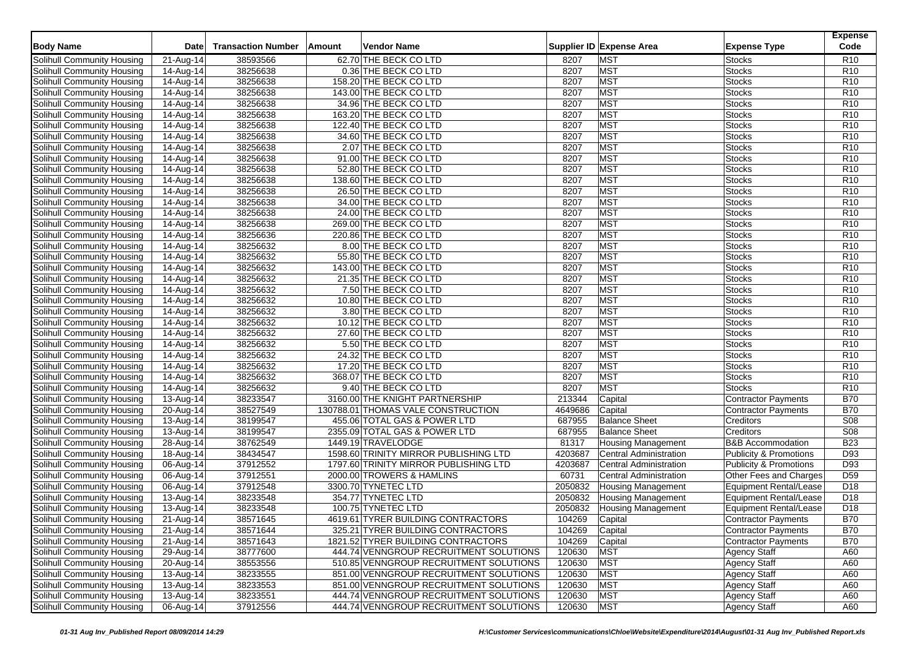| <b>Body Name</b>                  | <b>Date</b>              | <b>Transaction Number</b> | Amount<br>Vendor Name                          |         | Supplier ID Expense Area      | <b>Expense Type</b>               | <b>Expense</b><br>Code             |
|-----------------------------------|--------------------------|---------------------------|------------------------------------------------|---------|-------------------------------|-----------------------------------|------------------------------------|
| Solihull Community Housing        | 21-Aug-14                | 38593566                  | 62.70 THE BECK CO LTD                          | 8207    | <b>MST</b>                    | <b>Stocks</b>                     | R <sub>10</sub>                    |
| Solihull Community Housing        | 14-Aug-14                | 38256638                  | 0.36 THE BECK CO LTD                           | 8207    | <b>MST</b>                    | <b>Stocks</b>                     | R <sub>10</sub>                    |
| Solihull Community Housing        | $14-Aug-14$              | 38256638                  | 158.20 THE BECK CO LTD                         | 8207    | <b>MST</b>                    | <b>Stocks</b>                     | R <sub>10</sub>                    |
| Solihull Community Housing        | 14-Aug-14                | 38256638                  | 143.00 THE BECK CO LTD                         | 8207    | <b>MST</b>                    | <b>Stocks</b>                     | R <sub>10</sub>                    |
| Solihull Community Housing        | $\overline{14}$ -Aug-14  | 38256638                  | 34.96 THE BECK CO LTD                          | 8207    | <b>MST</b>                    | <b>Stocks</b>                     | R <sub>10</sub>                    |
| Solihull Community Housing        | $\overline{1}$ 4-Aug-14  | 38256638                  | 163.20 THE BECK CO LTD                         | 8207    | <b>MST</b>                    | <b>Stocks</b>                     | R <sub>10</sub>                    |
| Solihull Community Housing        | 14-Aug-14                | 38256638                  | 122.40 THE BECK CO LTD                         | 8207    | <b>MST</b>                    | Stocks                            | R <sub>10</sub>                    |
| <b>Solihull Community Housing</b> | 14-Aug-14                | 38256638                  | 34.60 THE BECK CO LTD                          | 8207    | <b>MST</b>                    | <b>Stocks</b>                     | R <sub>10</sub>                    |
| Solihull Community Housing        | 14-Aug-14                | 38256638                  | 2.07 THE BECK CO LTD                           | 8207    | <b>MST</b>                    | <b>Stocks</b>                     | R <sub>10</sub>                    |
| Solihull Community Housing        | 14-Aug-14                | 38256638                  | 91.00 THE BECK CO LTD                          | 8207    | <b>MST</b>                    | Stocks                            | R <sub>10</sub>                    |
| Solihull Community Housing        | 14-Aug-14                | 38256638                  | 52.80 THE BECK CO LTD                          | 8207    | <b>MST</b>                    | <b>Stocks</b>                     | R <sub>10</sub>                    |
| Solihull Community Housing        |                          | 38256638                  | 138.60 THE BECK CO LTD                         | 8207    | <b>MST</b>                    | <b>Stocks</b>                     | R <sub>10</sub>                    |
| Solihull Community Housing        | 14-Aug-14<br>14-Aug-14   | 38256638                  | 26.50 THE BECK CO LTD                          | 8207    | <b>MST</b>                    | Stocks                            | R <sub>10</sub>                    |
|                                   |                          | 38256638                  |                                                | 8207    | <b>MST</b>                    |                                   | R <sub>10</sub>                    |
| Solihull Community Housing        | 14-Aug-14<br>$14-Aug-14$ | 38256638                  | 34.00 THE BECK CO LTD<br>24.00 THE BECK CO LTD | 8207    | <b>MST</b>                    | <b>Stocks</b><br><b>Stocks</b>    | R <sub>10</sub>                    |
| Solihull Community Housing        |                          |                           |                                                |         | <b>MST</b>                    |                                   |                                    |
| Solihull Community Housing        | 14-Aug-14                | 38256638                  | 269.00 THE BECK CO LTD                         | 8207    | <b>MST</b>                    | <b>Stocks</b>                     | R <sub>10</sub>                    |
| Solihull Community Housing        | 14-Aug-14                | 38256636<br>38256632      | 220.86 THE BECK CO LTD                         | 8207    | <b>MST</b>                    | <b>Stocks</b><br><b>Stocks</b>    | R <sub>10</sub><br>R <sub>10</sub> |
| Solihull Community Housing        | 14-Aug-14                |                           | 8.00 THE BECK CO LTD                           | 8207    |                               |                                   |                                    |
| Solihull Community Housing        | 14-Aug-14                | 38256632                  | 55.80 THE BECK CO LTD                          | 8207    | <b>MST</b>                    | <b>Stocks</b>                     | R <sub>10</sub>                    |
| Solihull Community Housing        | 14-Aug-14                | 38256632                  | 143.00 THE BECK CO LTD                         | 8207    | <b>MST</b>                    | Stocks                            | R <sub>10</sub>                    |
| Solihull Community Housing        | 14-Aug-14                | 38256632                  | 21.35 THE BECK CO LTD                          | 8207    | <b>MST</b>                    | <b>Stocks</b>                     | R <sub>10</sub>                    |
| Solihull Community Housing        | $\overline{14}$ -Aug-14  | 38256632                  | 7.50 THE BECK CO LTD                           | 8207    | <b>MST</b>                    | <b>Stocks</b>                     | R <sub>10</sub>                    |
| Solihull Community Housing        | 14-Aug-14                | 38256632                  | 10.80 THE BECK CO LTD                          | 8207    | <b>MST</b>                    | Stocks                            | R <sub>10</sub>                    |
| Solihull Community Housing        | 14-Aug-14                | 38256632                  | 3.80 THE BECK CO LTD                           | 8207    | <b>MST</b>                    | Stocks                            | R <sub>10</sub>                    |
| Solihull Community Housing        | 14-Aug-14                | 38256632                  | 10.12 THE BECK CO LTD                          | 8207    | <b>MST</b>                    | <b>Stocks</b>                     | R <sub>10</sub>                    |
| Solihull Community Housing        | 14-Aug-14                | 38256632                  | 27.60 THE BECK CO LTD                          | 8207    | <b>MST</b>                    | Stocks                            | R <sub>10</sub>                    |
| Solihull Community Housing        | 14-Aug-14                | 38256632                  | 5.50 THE BECK CO LTD                           | 8207    | <b>MST</b>                    | Stocks                            | R <sub>10</sub>                    |
| Solihull Community Housing        | 14-Aug-14                | 38256632                  | 24.32 THE BECK CO LTD                          | 8207    | <b>MST</b>                    | <b>Stocks</b>                     | R <sub>10</sub>                    |
| Solihull Community Housing        | 14-Aug-14                | 38256632                  | 17.20 THE BECK CO LTD                          | 8207    | <b>MST</b>                    | Stocks                            | R <sub>10</sub>                    |
| Solihull Community Housing        | 14-Aug-14                | 38256632                  | 368.07 THE BECK CO LTD                         | 8207    | <b>MST</b>                    | Stocks                            | R <sub>10</sub>                    |
| Solihull Community Housing        | 14-Aug-14                | 38256632                  | 9.40 THE BECK CO LTD                           | 8207    | <b>MST</b>                    | <b>Stocks</b>                     | R <sub>10</sub>                    |
| Solihull Community Housing        | 13-Aug-14                | 38233547                  | 3160.00 THE KNIGHT PARTNERSHIP                 | 213344  | Capital                       | Contractor Payments               | <b>B70</b>                         |
| Solihull Community Housing        | 20-Aug-14                | 38527549                  | 130788.01 THOMAS VALE CONSTRUCTION             | 4649686 | Capital                       | <b>Contractor Payments</b>        | <b>B70</b>                         |
| Solihull Community Housing        | 13-Aug-14                | 38199547                  | 455.06 TOTAL GAS & POWER LTD                   | 687955  | <b>Balance Sheet</b>          | Creditors                         | S08                                |
| Solihull Community Housing        | 13-Aug-14                | 38199547                  | 2355.09 TOTAL GAS & POWER LTD                  | 687955  | <b>Balance Sheet</b>          | Creditors                         | S08                                |
| <b>Solihull Community Housing</b> | 28-Aug-14                | 38762549                  | 1449.19 TRAVELODGE                             | 81317   | <b>Housing Management</b>     | <b>B&amp;B</b> Accommodation      | <b>B23</b>                         |
| Solihull Community Housing        | 18-Aug-14                | 38434547                  | 1598.60 TRINITY MIRROR PUBLISHING LTD          | 4203687 | <b>Central Administration</b> | <b>Publicity &amp; Promotions</b> | D93                                |
| Solihull Community Housing        | 06-Aug-14                | 37912552                  | 1797.60 TRINITY MIRROR PUBLISHING LTD          | 4203687 | <b>Central Administration</b> | <b>Publicity &amp; Promotions</b> | D93                                |
| Solihull Community Housing        | 06-Aug-14                | 37912551                  | 2000.00 TROWERS & HAMLINS                      | 60731   | <b>Central Administration</b> | Other Fees and Charges            | D <sub>59</sub>                    |
| Solihull Community Housing        | 06-Aug-14                | 37912548                  | 3300.70 TYNETEC LTD                            | 2050832 | <b>Housing Management</b>     | <b>Equipment Rental/Lease</b>     | D <sub>18</sub>                    |
| Solihull Community Housing        | 13-Aug-14                | 38233548                  | 354.77 TYNETEC LTD                             | 2050832 | <b>Housing Management</b>     | <b>Equipment Rental/Lease</b>     | D <sub>18</sub>                    |
| Solihull Community Housing        | 13-Aug-14                | 38233548                  | 100.75 TYNETEC LTD                             | 2050832 | <b>Housing Management</b>     | Equipment Rental/Lease            | D <sub>18</sub>                    |
| <b>Solihull Community Housing</b> | 21-Aug-14                | 38571645                  | 4619.61 TYRER BUILDING CONTRACTORS             | 104269  | Capital                       | <b>Contractor Payments</b>        | <b>B70</b>                         |
| Solihull Community Housing        | 21-Aug-14                | 38571644                  | 325.21 TYRER BUILDING CONTRACTORS              | 104269  | Capital                       | <b>Contractor Payments</b>        | <b>B70</b>                         |
| Solihull Community Housing        | 21-Aug-14                | 38571643                  | 1821.52 TYRER BUILDING CONTRACTORS             | 104269  | Capital                       | <b>Contractor Payments</b>        | <b>B70</b>                         |
| Solihull Community Housing        | 29-Aug-14                | 38777600                  | 444.74 VENNGROUP RECRUITMENT SOLUTIONS         | 120630  | <b>MST</b>                    | <b>Agency Staff</b>               | A60                                |
| Solihull Community Housing        | 20-Aug-14                | 38553556                  | 510.85 VENNGROUP RECRUITMENT SOLUTIONS         | 120630  | MST                           | <b>Agency Staff</b>               | A60                                |
| Solihull Community Housing        | 13-Aug-14                | 38233555                  | 851.00 VENNGROUP RECRUITMENT SOLUTIONS         | 120630  | MST                           | Agency Staff                      | A60                                |
| Solihull Community Housing        | 13-Aug-14                | 38233553                  | 851.00 VENNGROUP RECRUITMENT SOLUTIONS         | 120630  | <b>MST</b>                    | <b>Agency Staff</b>               | A60                                |
| Solihull Community Housing        | 13-Aug-14                | 38233551                  | 444.74 VENNGROUP RECRUITMENT SOLUTIONS         | 120630  | <b>MST</b>                    | Agency Staff                      | A60                                |
| Solihull Community Housing        | 06-Aug-14                | 37912556                  | 444.74 VENNGROUP RECRUITMENT SOLUTIONS         | 120630  | <b>MST</b>                    | Agency Staff                      | A60                                |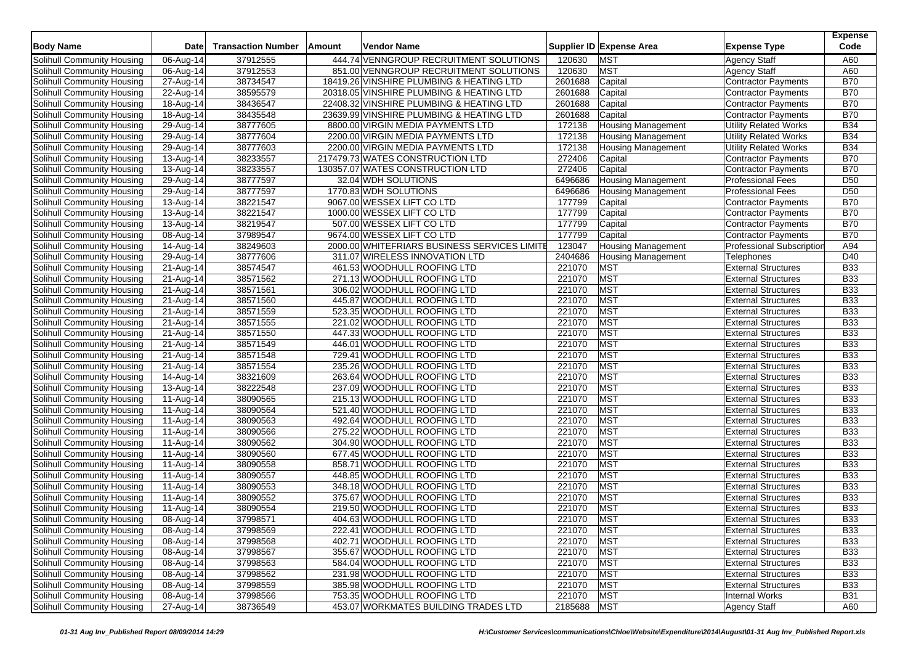| <b>Body Name</b>                  | <b>Date</b>             | <b>Transaction Number</b> | Amount | Vendor Name                                  |             | Supplier ID Expense Area  | <b>Expense Type</b>              | <b>Expense</b><br>Code |
|-----------------------------------|-------------------------|---------------------------|--------|----------------------------------------------|-------------|---------------------------|----------------------------------|------------------------|
| Solihull Community Housing        | 06-Aug-14               | 37912555                  |        | 444.74 VENNGROUP RECRUITMENT SOLUTIONS       | 120630      | <b>MST</b>                | <b>Agency Staff</b>              | A60                    |
| Solihull Community Housing        | 06-Aug-14               | 37912553                  |        | 851.00 VENNGROUP RECRUITMENT SOLUTIONS       | 120630      | <b>MST</b>                | <b>Agency Staff</b>              | A60                    |
| Solihull Community Housing        | $\overline{27}$ -Aug-14 | 38734547                  |        | 18419.26 VINSHIRE PLUMBING & HEATING LTD     | 2601688     | Capital                   | <b>Contractor Payments</b>       | <b>B70</b>             |
| Solihull Community Housing        | 22-Aug-14               | 38595579                  |        | 20318.05 VINSHIRE PLUMBING & HEATING LTD     | 2601688     | Capital                   | <b>Contractor Payments</b>       | <b>B70</b>             |
| Solihull Community Housing        | 18-Aug-14               | 38436547                  |        | 22408.32 VINSHIRE PLUMBING & HEATING LTD     | 2601688     | Capital                   | <b>Contractor Payments</b>       | <b>B70</b>             |
| Solihull Community Housing        | 18-Aug-14               | 38435548                  |        | 23639.99 VINSHIRE PLUMBING & HEATING LTD     | 2601688     | Capital                   | <b>Contractor Payments</b>       | <b>B70</b>             |
| Solihull Community Housing        | 29-Aug-14               | 38777605                  |        | 8800.00 VIRGIN MEDIA PAYMENTS LTD            | 172138      | <b>Housing Management</b> | <b>Utility Related Works</b>     | <b>B34</b>             |
| Solihull Community Housing        | 29-Aug-14               | 38777604                  |        | 2200.00 VIRGIN MEDIA PAYMENTS LTD            | 172138      | <b>Housing Management</b> | <b>Utility Related Works</b>     | <b>B34</b>             |
| Solihull Community Housing        | 29-Aug-14               | 38777603                  |        | 2200.00 VIRGIN MEDIA PAYMENTS LTD            | 172138      | <b>Housing Management</b> | <b>Utility Related Works</b>     | <b>B34</b>             |
| Solihull Community Housing        | 13-Aug-14               | 38233557                  |        | 217479.73 WATES CONSTRUCTION LTD             | 272406      | Capital                   | Contractor Payments              | <b>B70</b>             |
| Solihull Community Housing        | 13-Aug-14               | 38233557                  |        | 130357.07 WATES CONSTRUCTION LTD             | 272406      | Capital                   | <b>Contractor Payments</b>       | <b>B70</b>             |
| Solihull Community Housing        | 29-Aug-14               | 38777597                  |        | 32.04 WDH SOLUTIONS                          | 6496686     | <b>Housing Management</b> | <b>Professional Fees</b>         | D <sub>50</sub>        |
| Solihull Community Housing        | 29-Aug-14               | 38777597                  |        | 1770.83 WDH SOLUTIONS                        | 6496686     | <b>Housing Management</b> | <b>Professional Fees</b>         | D <sub>50</sub>        |
| Solihull Community Housing        | 13-Aug-14               | 38221547                  |        | 9067.00 WESSEX LIFT CO LTD                   | 177799      | Capital                   | <b>Contractor Payments</b>       | <b>B70</b>             |
| Solihull Community Housing        | $13-Aug-14$             | 38221547                  |        | 1000.00 WESSEX LIFT CO LTD                   | 177799      | Capital                   | <b>Contractor Payments</b>       | <b>B70</b>             |
| Solihull Community Housing        | 13-Aug-14               | 38219547                  |        | 507.00 WESSEX LIFT CO LTD                    | 177799      | Capital                   | <b>Contractor Payments</b>       | <b>B70</b>             |
| Solihull Community Housing        | 08-Aug-14               | 37989547                  |        | 9674.00 WESSEX LIFT CO LTD                   | 177799      | Capital                   | <b>Contractor Payments</b>       | <b>B70</b>             |
| Solihull Community Housing        | 14-Aug-14               | 38249603                  |        | 2000.00 WHITEFRIARS BUSINESS SERVICES LIMITE | 123047      | <b>Housing Management</b> | <b>Professional Subscription</b> | A94                    |
| Solihull Community Housing        | 29-Aug-14               | 38777606                  |        | 311.07 WIRELESS INNOVATION LTD               | 2404686     | <b>Housing Management</b> | Telephones                       | D40                    |
| Solihull Community Housing        | 21-Aug-14               | 38574547                  |        | 461.53 WOODHULL ROOFING LTD                  | 221070      | <b>MST</b>                | <b>External Structures</b>       | <b>B33</b>             |
| Solihull Community Housing        | 21-Aug-14               | 38571562                  |        | 271.13 WOODHULL ROOFING LTD                  | 221070      | <b>MST</b>                | <b>External Structures</b>       | <b>B33</b>             |
| Solihull Community Housing        | $\overline{21}$ -Aug-14 | 38571561                  |        | 306.02 WOODHULL ROOFING LTD                  | 221070      | <b>MST</b>                | <b>External Structures</b>       | <b>B33</b>             |
| Solihull Community Housing        | 21-Aug-14               | 38571560                  |        | 445.87 WOODHULL ROOFING LTD                  | 221070      | <b>MST</b>                | <b>External Structures</b>       | <b>B33</b>             |
| Solihull Community Housing        | 21-Aug-14               | 38571559                  |        | 523.35 WOODHULL ROOFING LTD                  | 221070      | <b>MST</b>                | <b>External Structures</b>       | <b>B33</b>             |
| Solihull Community Housing        | 21-Aug-14               | 38571555                  |        | 221.02 WOODHULL ROOFING LTD                  | 221070      | <b>MST</b>                | <b>External Structures</b>       | <b>B33</b>             |
| Solihull Community Housing        | 21-Aug-14               | 38571550                  |        | 447.33 WOODHULL ROOFING LTD                  | 221070      | <b>MST</b>                | <b>External Structures</b>       | <b>B33</b>             |
| Solihull Community Housing        | 21-Aug-14               | 38571549                  |        | 446.01 WOODHULL ROOFING LTD                  | 221070      | <b>MST</b>                | <b>External Structures</b>       | <b>B33</b>             |
| Solihull Community Housing        | 21-Aug-14               | 38571548                  |        | 729.41 WOODHULL ROOFING LTD                  | 221070      | <b>MST</b>                | <b>External Structures</b>       | <b>B33</b>             |
| Solihull Community Housing        | 21-Aug-14               | 38571554                  |        | 235.26 WOODHULL ROOFING LTD                  | 221070      | <b>MST</b>                | <b>External Structures</b>       | <b>B33</b>             |
| Solihull Community Housing        | 14-Aug-14               | 38321609                  |        | 263.64 WOODHULL ROOFING LTD                  | 221070      | <b>MST</b>                | <b>External Structures</b>       | <b>B33</b>             |
| Solihull Community Housing        | 13-Aug-14               | 38222548                  |        | 237.09 WOODHULL ROOFING LTD                  | 221070      | <b>MST</b>                | <b>External Structures</b>       | <b>B33</b>             |
| Solihull Community Housing        | 11-Aug-14               | 38090565                  |        | 215.13 WOODHULL ROOFING LTD                  | 221070      | <b>MST</b>                | <b>External Structures</b>       | B33                    |
| Solihull Community Housing        | 11-Aug-14               | 38090564                  |        | 521.40 WOODHULL ROOFING LTD                  | 221070      | <b>MST</b>                | <b>External Structures</b>       | <b>B33</b>             |
| Solihull Community Housing        | 11-Aug-14               | 38090563                  |        | 492.64 WOODHULL ROOFING LTD                  | 221070      | <b>MST</b>                | <b>External Structures</b>       | <b>B33</b>             |
| Solihull Community Housing        | 11-Aug-14               | 38090566                  |        | 275.22 WOODHULL ROOFING LTD                  | 221070      | <b>MST</b>                | <b>External Structures</b>       | <b>B33</b>             |
| Solihull Community Housing        | 11-Aug-14               | 38090562                  |        | 304.90 WOODHULL ROOFING LTD                  | 221070      | <b>MST</b>                | <b>External Structures</b>       | <b>B33</b>             |
| Solihull Community Housing        | 11-Aug-14               | 38090560                  |        | 677.45 WOODHULL ROOFING LTD                  | 221070      | <b>MST</b>                | <b>External Structures</b>       | <b>B33</b>             |
| Solihull Community Housing        | 11-Aug-14               | 38090558                  |        | 858.71 WOODHULL ROOFING LTD                  | 221070      | <b>MST</b>                | <b>External Structures</b>       | <b>B33</b>             |
| Solihull Community Housing        | 11-Aug-14               | 38090557                  |        | 448.85 WOODHULL ROOFING LTD                  | 221070      | <b>MST</b>                | <b>External Structures</b>       | <b>B33</b>             |
| Solihull Community Housing        | 11-Aug-14               | 38090553                  |        | 348.18 WOODHULL ROOFING LTD                  | 221070      | <b>MST</b>                | <b>External Structures</b>       | <b>B33</b>             |
| Solihull Community Housing        | 11-Aug-14               | 38090552                  |        | 375.67 WOODHULL ROOFING LTD                  | 221070      | <b>MST</b>                | <b>External Structures</b>       | <b>B33</b>             |
| Solihull Community Housing        | 11-Aug-14               | 38090554                  |        | 219.50 WOODHULL ROOFING LTD                  | 221070      | <b>MST</b>                | <b>External Structures</b>       | <b>B33</b>             |
| Solihull Community Housing        | 08-Aug-14               | 37998571                  |        | 404.63 WOODHULL ROOFING LTD                  | 221070      | <b>MST</b>                | <b>External Structures</b>       | <b>B33</b>             |
| Solihull Community Housing        | 08-Aug-14               | 37998569                  |        | 222.41 WOODHULL ROOFING LTD                  | 221070      | <b>MST</b>                | <b>External Structures</b>       | <b>B33</b>             |
| Solihull Community Housing        | 08-Aug-14               | 37998568                  |        | 402.71 WOODHULL ROOFING LTD                  | 221070      | <b>MST</b>                | <b>External Structures</b>       | <b>B33</b>             |
| Solihull Community Housing        | 08-Aug-14               | 37998567                  |        | 355.67 WOODHULL ROOFING LTD                  | 221070      | <b>MST</b>                | <b>External Structures</b>       | <b>B33</b>             |
| Solihull Community Housing        | 08-Aug-14               | 37998563                  |        | 584.04 WOODHULL ROOFING LTD                  | 221070      | <b>MST</b>                | <b>External Structures</b>       | <b>B33</b>             |
| Solihull Community Housing        | 08-Aug-14               | 37998562                  |        | 231.98 WOODHULL ROOFING LTD                  | 221070      | <b>MST</b>                | <b>External Structures</b>       | <b>B33</b>             |
| Solihull Community Housing        | 08-Aug-14               | 37998559                  |        | 385.98 WOODHULL ROOFING LTD                  | 221070      | <b>MST</b>                | <b>External Structures</b>       | <b>B33</b>             |
| <b>Solihull Community Housing</b> | 08-Aug-14               | 37998566                  |        | 753.35 WOODHULL ROOFING LTD                  | 221070      | <b>MST</b>                | <b>Internal Works</b>            | <b>B31</b>             |
| Solihull Community Housing        | 27-Aug-14               | 38736549                  |        | 453.07 WORKMATES BUILDING TRADES LTD         | 2185688 MST |                           | Agency Staff                     | A60                    |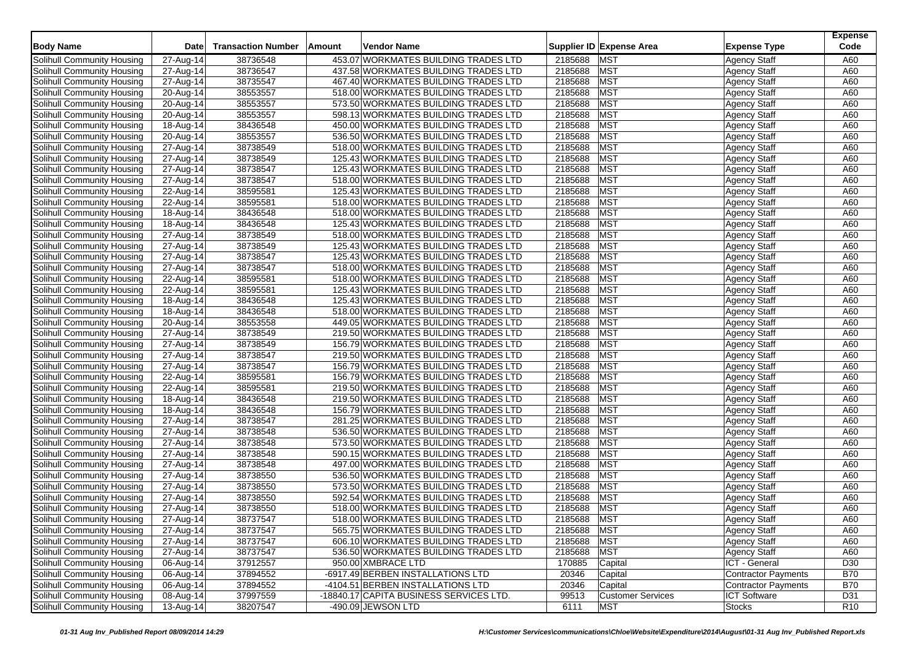|                                   |                        |                           |        |                                         |         |                          |                            | <b>Expense</b> |
|-----------------------------------|------------------------|---------------------------|--------|-----------------------------------------|---------|--------------------------|----------------------------|----------------|
| <b>Body Name</b>                  | Date                   | <b>Transaction Number</b> | Amount | Vendor Name                             |         | Supplier ID Expense Area | <b>Expense Type</b>        | Code           |
| Solihull Community Housing        | 27-Aug-14              | 38736548                  |        | 453.07 WORKMATES BUILDING TRADES LTD    | 2185688 | <b>MST</b>               | <b>Agency Staff</b>        | A60            |
| Solihull Community Housing        | 27-Aug-14              | 38736547                  |        | 437.58 WORKMATES BUILDING TRADES LTD    | 2185688 | <b>MST</b>               | <b>Agency Staff</b>        | A60            |
| Solihull Community Housing        | 27-Aug-14              | 38735547                  |        | 467.40 WORKMATES BUILDING TRADES LTD    | 2185688 | <b>MST</b>               | <b>Agency Staff</b>        | A60            |
| Solihull Community Housing        | 20-Aug-14              | 38553557                  |        | 518.00 WORKMATES BUILDING TRADES LTD    | 2185688 | <b>MST</b>               | <b>Agency Staff</b>        | A60            |
| Solihull Community Housing        | 20-Aug-14              | 38553557                  |        | 573.50 WORKMATES BUILDING TRADES LTD    | 2185688 | <b>MST</b>               | <b>Agency Staff</b>        | A60            |
| Solihull Community Housing        | 20-Aug-14              | 38553557                  |        | 598.13 WORKMATES BUILDING TRADES LTD    | 2185688 | <b>MST</b>               | <b>Agency Staff</b>        | A60            |
| Solihull Community Housing        | 18-Aug-14              | 38436548                  |        | 450.00 WORKMATES BUILDING TRADES LTD    | 2185688 | <b>MST</b>               | <b>Agency Staff</b>        | A60            |
| Solihull Community Housing        | 20-Aug-14              | 38553557                  |        | 536.50 WORKMATES BUILDING TRADES LTD    | 2185688 | <b>MST</b>               | <b>Agency Staff</b>        | A60            |
| Solihull Community Housing        | 27-Aug-14              | 38738549                  |        | 518.00 WORKMATES BUILDING TRADES LTD    | 2185688 | <b>MST</b>               | <b>Agency Staff</b>        | A60            |
| Solihull Community Housing        | 27-Aug-14              | 38738549                  |        | 125.43 WORKMATES BUILDING TRADES LTD    | 2185688 | <b>MST</b>               | <b>Agency Staff</b>        | A60            |
| Solihull Community Housing        | 27-Aug-14              | 38738547                  |        | 125.43 WORKMATES BUILDING TRADES LTD    | 2185688 | <b>MST</b>               | <b>Agency Staff</b>        | A60            |
| Solihull Community Housing        | 27-Aug-14              | 38738547                  |        | 518.00 WORKMATES BUILDING TRADES LTD    | 2185688 | <b>MST</b>               | <b>Agency Staff</b>        | A60            |
| Solihull Community Housing        | 22-Aug-14              | 38595581                  |        | 125.43 WORKMATES BUILDING TRADES LTD    | 2185688 | <b>MST</b>               | <b>Agency Staff</b>        | A60            |
| Solihull Community Housing        | 22-Aug-14              | 38595581                  |        | 518.00 WORKMATES BUILDING TRADES LTD    | 2185688 | <b>MST</b>               | <b>Agency Staff</b>        | A60            |
| Solihull Community Housing        | 18-Aug-14              | 38436548                  |        | 518.00 WORKMATES BUILDING TRADES LTD    | 2185688 | <b>MST</b>               | <b>Agency Staff</b>        | A60            |
| Solihull Community Housing        | 18-Aug-14              | 38436548                  |        | 125.43 WORKMATES BUILDING TRADES LTD    | 2185688 | <b>MST</b>               | <b>Agency Staff</b>        | A60            |
| Solihull Community Housing        | 27-Aug-14              | 38738549                  |        | 518.00 WORKMATES BUILDING TRADES LTD    | 2185688 | <b>MST</b>               | <b>Agency Staff</b>        | A60            |
| Solihull Community Housing        | 27-Aug-14              | 38738549                  |        | 125.43 WORKMATES BUILDING TRADES LTD    | 2185688 | <b>MST</b>               | <b>Agency Staff</b>        | A60            |
| Solihull Community Housing        | 27-Aug-14              | 38738547                  |        | 125.43 WORKMATES BUILDING TRADES LTD    | 2185688 | <b>MST</b>               | <b>Agency Staff</b>        | A60            |
| Solihull Community Housing        | 27-Aug-14              | 38738547                  |        | 518.00 WORKMATES BUILDING TRADES LTD    | 2185688 | <b>MST</b>               | <b>Agency Staff</b>        | A60            |
| Solihull Community Housing        | 22-Aug-14              | 38595581                  |        | 518.00 WORKMATES BUILDING TRADES LTD    | 2185688 | <b>MST</b>               | <b>Agency Staff</b>        | A60            |
| Solihull Community Housing        | 22-Aug-14              | 38595581                  |        | 125.43 WORKMATES BUILDING TRADES LTD    | 2185688 | <b>MST</b>               | <b>Agency Staff</b>        | A60            |
| Solihull Community Housing        | 18-Aug-14              | 38436548                  |        | 125.43 WORKMATES BUILDING TRADES LTD    | 2185688 | <b>MST</b>               | <b>Agency Staff</b>        | A60            |
| Solihull Community Housing        | 18-Aug-14              | 38436548                  |        | 518.00 WORKMATES BUILDING TRADES LTD    | 2185688 | <b>MST</b>               | <b>Agency Staff</b>        | A60            |
| Solihull Community Housing        |                        | 38553558                  |        | 449.05 WORKMATES BUILDING TRADES LTD    | 2185688 | <b>MST</b>               | <b>Agency Staff</b>        | A60            |
| Solihull Community Housing        | 20-Aug-14<br>27-Aug-14 | 38738549                  |        | 219.50 WORKMATES BUILDING TRADES LTD    | 2185688 | <b>MST</b>               | <b>Agency Staff</b>        | A60            |
| Solihull Community Housing        | 27-Aug-14              | 38738549                  |        | 156.79 WORKMATES BUILDING TRADES LTD    | 2185688 | <b>MST</b>               | <b>Agency Staff</b>        | A60            |
| Solihull Community Housing        | 27-Aug-14              | 38738547                  |        | 219.50 WORKMATES BUILDING TRADES LTD    | 2185688 | <b>MST</b>               | <b>Agency Staff</b>        | A60            |
| Solihull Community Housing        | 27-Aug-14              | 38738547                  |        | 156.79 WORKMATES BUILDING TRADES LTD    | 2185688 | <b>MST</b>               | <b>Agency Staff</b>        | A60            |
| Solihull Community Housing        | 22-Aug-14              | 38595581                  |        | 156.79 WORKMATES BUILDING TRADES LTD    | 2185688 | <b>MST</b>               | <b>Agency Staff</b>        | A60            |
| Solihull Community Housing        | 22-Aug-14              | 38595581                  |        | 219.50 WORKMATES BUILDING TRADES LTD    | 2185688 | <b>MST</b>               | <b>Agency Staff</b>        | A60            |
| Solihull Community Housing        | 18-Aug-14              | 38436548                  |        | 219.50 WORKMATES BUILDING TRADES LTD    | 2185688 | <b>MST</b>               | <b>Agency Staff</b>        | A60            |
| Solihull Community Housing        | 18-Aug-14              | 38436548                  |        | 156.79 WORKMATES BUILDING TRADES LTD    | 2185688 | <b>MST</b>               | <b>Agency Staff</b>        | A60            |
| Solihull Community Housing        | 27-Aug-14              | 38738547                  |        | 281.25 WORKMATES BUILDING TRADES LTD    | 2185688 | <b>MST</b>               | <b>Agency Staff</b>        | A60            |
| Solihull Community Housing        | 27-Aug-14              | 38738548                  |        | 536.50 WORKMATES BUILDING TRADES LTD    | 2185688 | <b>MST</b>               | <b>Agency Staff</b>        | A60            |
| Solihull Community Housing        | 27-Aug-14              | 38738548                  |        | 573.50 WORKMATES BUILDING TRADES LTD    | 2185688 | <b>MST</b>               | <b>Agency Staff</b>        | A60            |
| Solihull Community Housing        |                        | 38738548                  |        | 590.15 WORKMATES BUILDING TRADES LTD    | 2185688 | <b>MST</b>               | <b>Agency Staff</b>        | A60            |
| Solihull Community Housing        | 27-Aug-14<br>27-Aug-14 | 38738548                  |        | 497.00 WORKMATES BUILDING TRADES LTD    | 2185688 | <b>MST</b>               | <b>Agency Staff</b>        | A60            |
| Solihull Community Housing        | 27-Aug-14              | 38738550                  |        | 536.50 WORKMATES BUILDING TRADES LTD    | 2185688 | <b>MST</b>               | <b>Agency Staff</b>        | A60            |
| Solihull Community Housing        | 27-Aug-14              | 38738550                  |        | 573.50 WORKMATES BUILDING TRADES LTD    | 2185688 | <b>MST</b>               | <b>Agency Staff</b>        | A60            |
| Solihull Community Housing        | 27-Aug-14              | 38738550                  |        | 592.54 WORKMATES BUILDING TRADES LTD    | 2185688 | <b>MST</b>               | <b>Agency Staff</b>        | A60            |
| Solihull Community Housing        | 27-Aug-14              | 38738550                  |        | 518.00 WORKMATES BUILDING TRADES LTD    | 2185688 | <b>MST</b>               | <b>Agency Staff</b>        | A60            |
| Solihull Community Housing        | 27-Aug-14              | 38737547                  |        | 518.00 WORKMATES BUILDING TRADES LTD    | 2185688 | <b>MST</b>               | Agency Staff               | A60            |
| Solihull Community Housing        | 27-Aug-14              | 38737547                  |        | 565.75 WORKMATES BUILDING TRADES LTD    | 2185688 | <b>MST</b>               | Agency Staff               | A60            |
| Solihull Community Housing        | 27-Aug-14              | 38737547                  |        | 606.10 WORKMATES BUILDING TRADES LTD    | 2185688 | <b>MST</b>               | <b>Agency Staff</b>        | A60            |
| Solihull Community Housing        | 27-Aug-14              | 38737547                  |        | 536.50 WORKMATES BUILDING TRADES LTD    | 2185688 | <b>MST</b>               | <b>Agency Staff</b>        | A60            |
| Solihull Community Housing        | 06-Aug-14              | 37912557                  |        | 950.00 XMBRACE LTD                      | 170885  | Capital                  | ICT - General              | D30            |
| Solihull Community Housing        | 06-Aug-14              | 37894552                  |        | -6917.49 BERBEN INSTALLATIONS LTD       | 20346   | Capital                  | <b>Contractor Payments</b> | <b>B70</b>     |
| Solihull Community Housing        | 06-Aug-14              | 37894552                  |        | -4104.51 BERBEN INSTALLATIONS LTD       | 20346   | Capital                  | Contractor Payments        | <b>B70</b>     |
| <b>Solihull Community Housing</b> | 08-Aug-14              | 37997559                  |        | -18840.17 CAPITA BUSINESS SERVICES LTD. | 99513   | <b>Customer Services</b> | <b>ICT Software</b>        | D31            |
| Solihull Community Housing        | 13-Aug-14              | 38207547                  |        | -490.09 JEWSON LTD                      | 6111    | <b>MST</b>               | <b>Stocks</b>              | <b>R10</b>     |